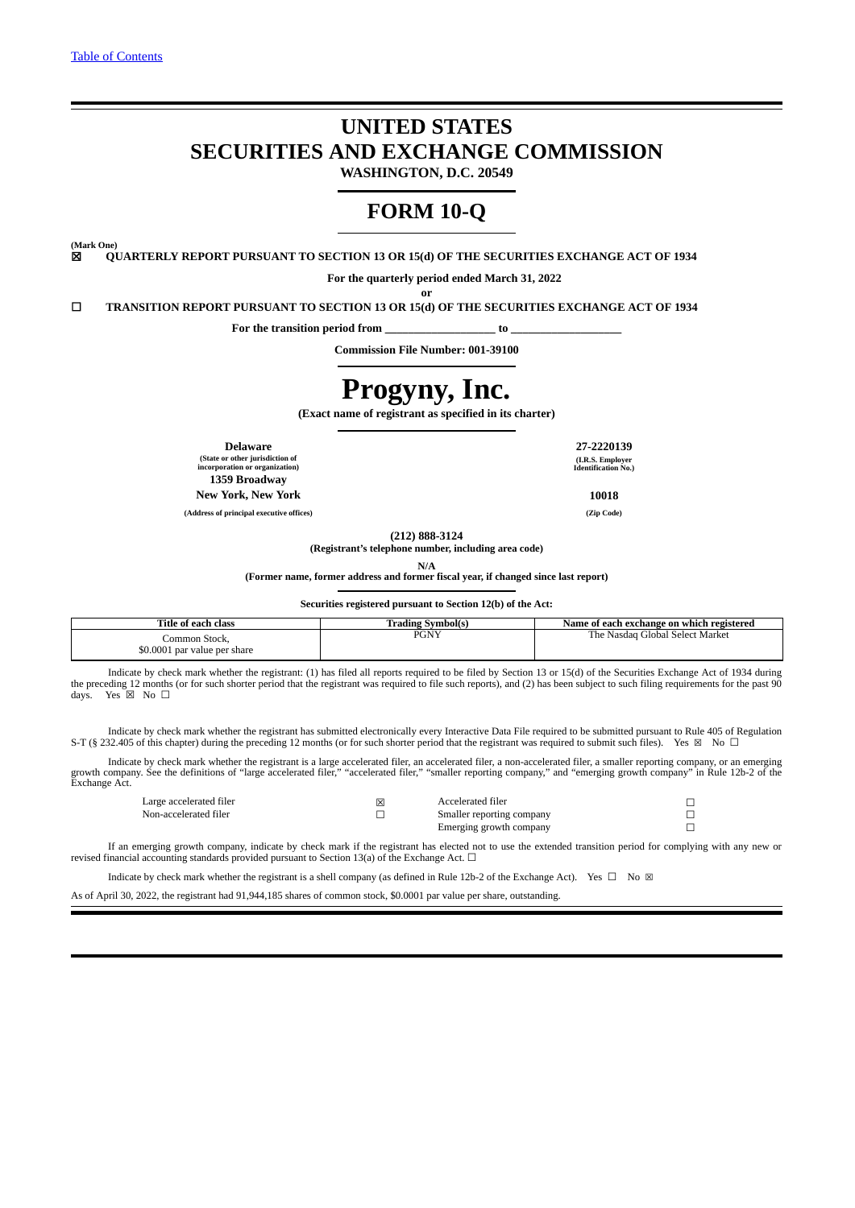# **UNITED STATES SECURITIES AND EXCHANGE COMMISSION**

**WASHINGTON, D.C. 20549**

## **FORM 10-Q**

**(Mark One)**

☒ **QUARTERLY REPORT PURSUANT TO SECTION 13 OR 15(d) OF THE SECURITIES EXCHANGE ACT OF 1934**

**For the quarterly period ended March 31, 2022**

☐ **TRANSITION REPORT PURSUANT TO SECTION 13 OR 15(d) OF THE SECURITIES EXCHANGE ACT OF 1934**

**For the transition period from \_\_\_\_\_\_\_\_\_\_\_\_\_\_\_\_\_\_\_ to \_\_\_\_\_\_\_\_\_\_\_\_\_\_\_\_\_\_\_**

**Commission File Number: 001-39100**

**or**

# **Progyny, Inc.**

**(Exact name of registrant as specified in its charter)**

**(State or other jurisdiction of incorporation or organization) 1359 Broadway New York, New York 10018**

**(Address of principal executive offices) (Zip Code)**

**Delaware 27-2220139 (I.R.S. Employer Identification No.)**

**(212) 888-3124**

**(Registrant's telephone number, including area code)**

**N/A**

**(Former name, former address and former fiscal year, if changed since last report)**

**Securities registered pursuant to Section 12(b) of the Act:**

| Title of each class          | 'Trading Symbol(s) | Name of each exchange on which registered |
|------------------------------|--------------------|-------------------------------------------|
| Common Stock.                | <b>DCNV</b>        | : Nasdag Global Select Market             |
| \$0.0001 par value per share | PUN 1              | r ne.                                     |

Indicate by check mark whether the registrant: (1) has filed all reports required to be filed by Section 13 or 15(d) of the Securities Exchange Act of 1934 during the preceding 12 months (or for such shorter period that the registrant was required to file such reports), and (2) has been subject to such filing requirements for the past 90 days. Yes  $\boxtimes$  No  $\Box$ Yes  $\overline{\boxtimes}$  No  $\Box$ 

Indicate by check mark whether the registrant has submitted electronically every Interactive Data File required to be submitted pursuant to Rule 405 of Regulation S-T (§ 232.405 of this chapter) during the preceding 12 months (or for such shorter period that the registrant was required to submit such files). Yes ⊠ No □

Indicate by check mark whether the registrant is a large accelerated filer, an accelerated filer, a non-accelerated filer, a smaller reporting company, or an emerging<br>growth company. See the definitions of "large accelerat

| Large accelerated filer | Accelerated filer         |  |
|-------------------------|---------------------------|--|
| Non-accelerated filer   | Smaller reporting company |  |
|                         | Emerging growth company   |  |

If an emerging growth company, indicate by check mark if the registrant has elected not to use the extended transition period for complying with any new or revised financial accounting standards provided pursuant to Section 13(a) of the Exchange Act.  $\Box$ 

Indicate by check mark whether the registrant is a shell company (as defined in Rule 12b-2 of the Exchange Act). Yes  $\Box$  No  $\boxtimes$ 

As of April 30, 2022, the registrant had 91,944,185 shares of common stock, \$0.0001 par value per share, outstanding.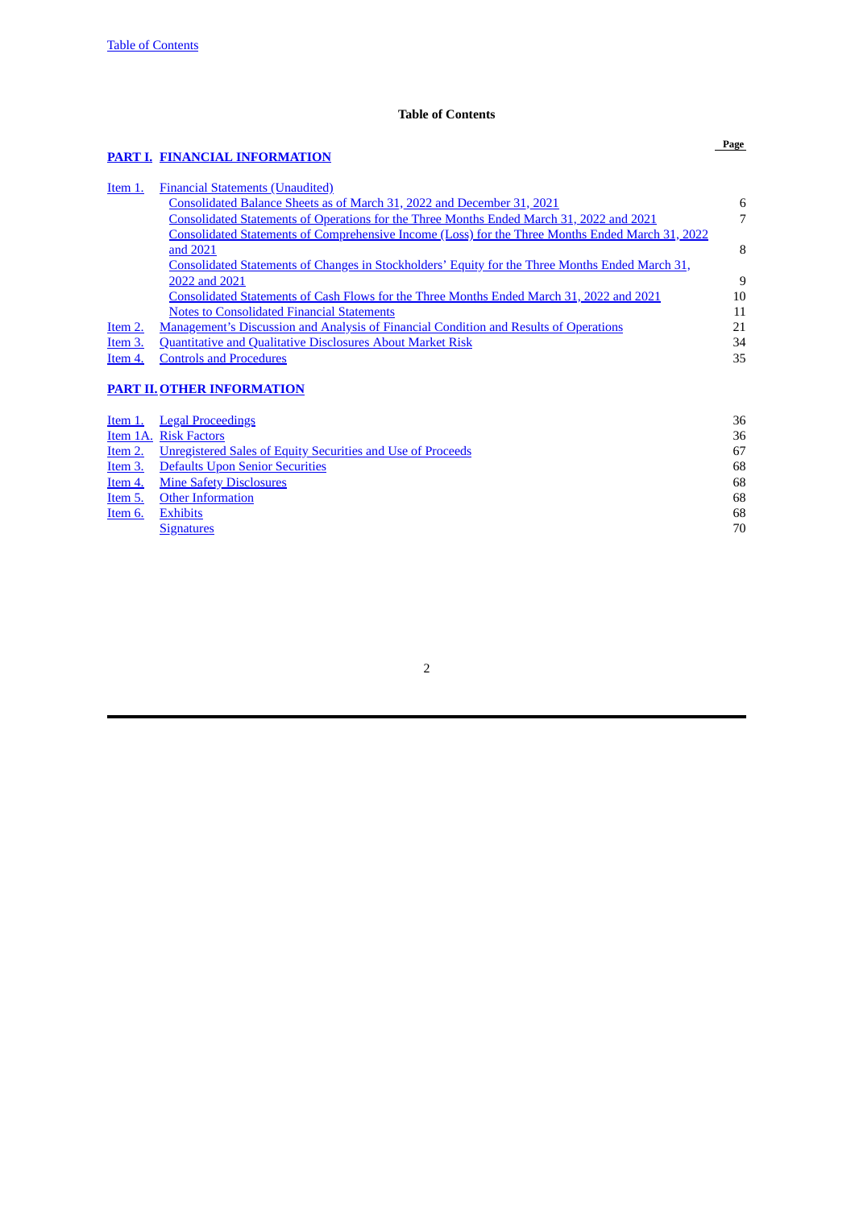## **Table of Contents**

## <span id="page-1-0"></span>**[PART](#page-5-0) I. FINANCIAL [INFORMATION](#page-5-0)**

| Item 1. | <b>Financial Statements (Unaudited)</b>                                                                 |    |
|---------|---------------------------------------------------------------------------------------------------------|----|
|         | Consolidated Balance Sheets as of March 31, 2022 and December 31, 2021                                  | 6  |
|         | <b>Consolidated Statements of Operations for the Three Months Ended March 31, 2022 and 2021</b>         |    |
|         | <u>Consolidated Statements of Comprehensive Income (Loss) for the Three Months Ended March 31, 2022</u> |    |
|         | and 2021                                                                                                | 8  |
|         | Consolidated Statements of Changes in Stockholders' Equity for the Three Months Ended March 31,         |    |
|         | 2022 and 2021                                                                                           | 9  |
|         | Consolidated Statements of Cash Flows for the Three Months Ended March 31, 2022 and 2021                | 10 |
|         | <b>Notes to Consolidated Financial Statements</b>                                                       | 11 |
| Item 2. | <u>Management's Discussion and Analysis of Financial Condition and Results of Operations</u>            | 21 |
| Item 3. | <b>Quantitative and Qualitative Disclosures About Market Risk</b>                                       | 34 |
| Item 4. | <b>Controls and Procedures</b>                                                                          | 35 |

## **[PART](#page-35-0) II. OTHER [INFORMATION](#page-35-0)**

| Item 1. | <b>Legal Proceedings</b>                                           | 36 |
|---------|--------------------------------------------------------------------|----|
|         | Item 1A. Risk Factors                                              | 36 |
| Item 2. | <b>Unregistered Sales of Equity Securities and Use of Proceeds</b> | 67 |
| Item 3. | <b>Defaults Upon Senior Securities</b>                             | 68 |
| Item 4. | <b>Mine Safety Disclosures</b>                                     | 68 |
| Item 5. | <b>Other Information</b>                                           | 68 |
| Item 6. | <b>Exhibits</b>                                                    | 68 |
|         | <b>Signatures</b>                                                  | 70 |
|         |                                                                    |    |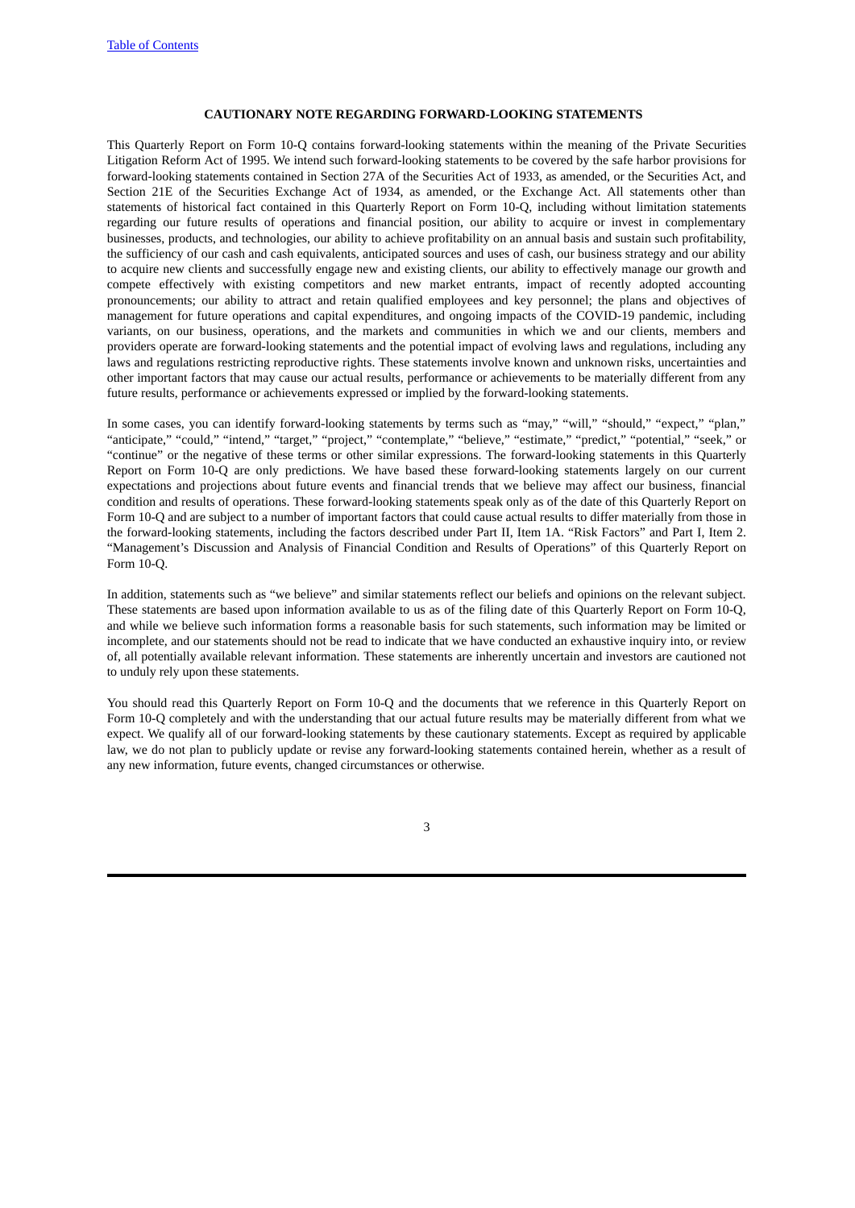#### **CAUTIONARY NOTE REGARDING FORWARD-LOOKING STATEMENTS**

This Quarterly Report on Form 10-Q contains forward-looking statements within the meaning of the Private Securities Litigation Reform Act of 1995. We intend such forward-looking statements to be covered by the safe harbor provisions for forward-looking statements contained in Section 27A of the Securities Act of 1933, as amended, or the Securities Act, and Section 21E of the Securities Exchange Act of 1934, as amended, or the Exchange Act. All statements other than statements of historical fact contained in this Quarterly Report on Form 10-Q, including without limitation statements regarding our future results of operations and financial position, our ability to acquire or invest in complementary businesses, products, and technologies, our ability to achieve profitability on an annual basis and sustain such profitability, the sufficiency of our cash and cash equivalents, anticipated sources and uses of cash, our business strategy and our ability to acquire new clients and successfully engage new and existing clients, our ability to effectively manage our growth and compete effectively with existing competitors and new market entrants, impact of recently adopted accounting pronouncements; our ability to attract and retain qualified employees and key personnel; the plans and objectives of management for future operations and capital expenditures, and ongoing impacts of the COVID-19 pandemic, including variants, on our business, operations, and the markets and communities in which we and our clients, members and providers operate are forward-looking statements and the potential impact of evolving laws and regulations, including any laws and regulations restricting reproductive rights. These statements involve known and unknown risks, uncertainties and other important factors that may cause our actual results, performance or achievements to be materially different from any future results, performance or achievements expressed or implied by the forward-looking statements.

In some cases, you can identify forward-looking statements by terms such as "may," "will," "should," "expect," "plan," "anticipate," "could," "intend," "target," "project," "contemplate," "believe," "estimate," "predict," "potential," "seek," or "continue" or the negative of these terms or other similar expressions. The forward-looking statements in this Quarterly Report on Form 10-Q are only predictions. We have based these forward-looking statements largely on our current expectations and projections about future events and financial trends that we believe may affect our business, financial condition and results of operations. These forward-looking statements speak only as of the date of this Quarterly Report on Form 10-Q and are subject to a number of important factors that could cause actual results to differ materially from those in the forward-looking statements, including the factors described under Part II, Item 1A. "Risk Factors" and Part I, Item 2. "Management's Discussion and Analysis of Financial Condition and Results of Operations" of this Quarterly Report on Form 10-Q.

In addition, statements such as "we believe" and similar statements reflect our beliefs and opinions on the relevant subject. These statements are based upon information available to us as of the filing date of this Quarterly Report on Form 10-Q, and while we believe such information forms a reasonable basis for such statements, such information may be limited or incomplete, and our statements should not be read to indicate that we have conducted an exhaustive inquiry into, or review of, all potentially available relevant information. These statements are inherently uncertain and investors are cautioned not to unduly rely upon these statements.

You should read this Quarterly Report on Form 10-Q and the documents that we reference in this Quarterly Report on Form 10-Q completely and with the understanding that our actual future results may be materially different from what we expect. We qualify all of our forward-looking statements by these cautionary statements. Except as required by applicable law, we do not plan to publicly update or revise any forward-looking statements contained herein, whether as a result of any new information, future events, changed circumstances or otherwise.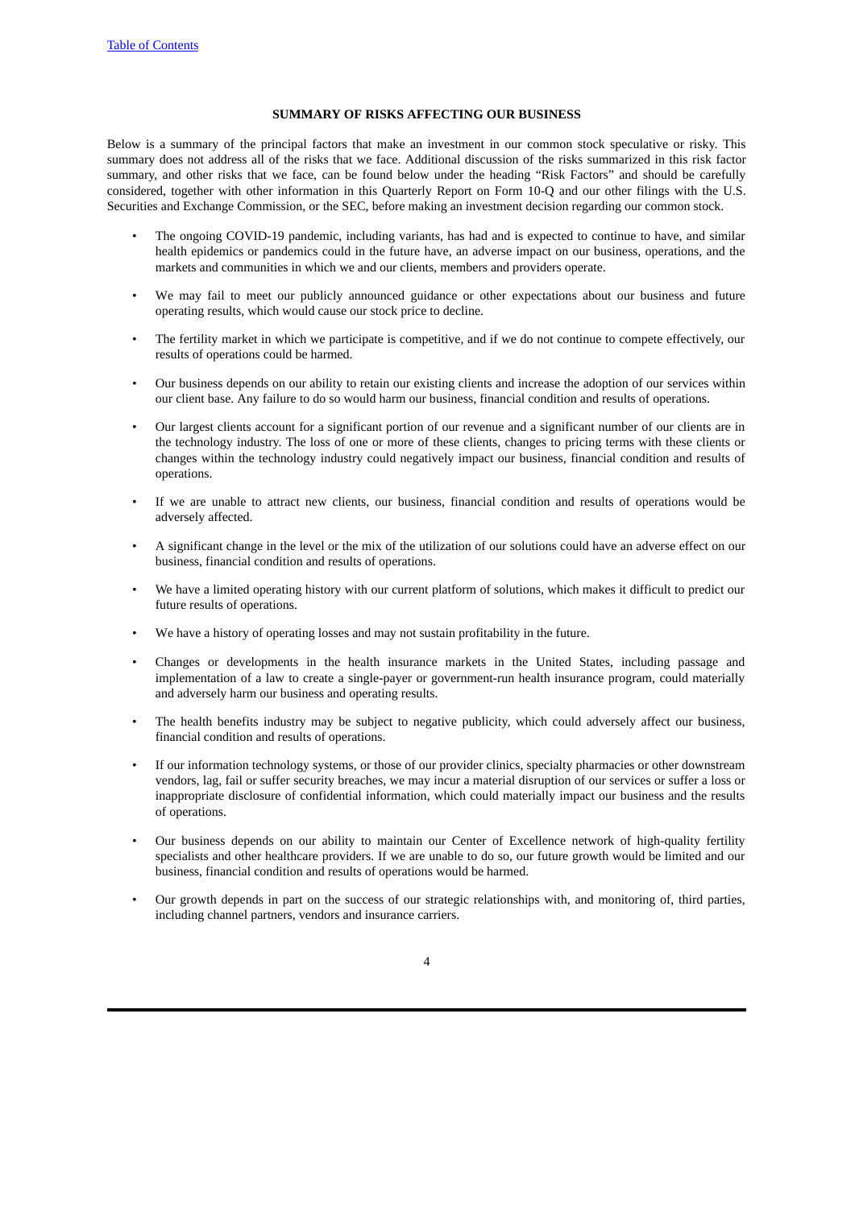#### **SUMMARY OF RISKS AFFECTING OUR BUSINESS**

Below is a summary of the principal factors that make an investment in our common stock speculative or risky. This summary does not address all of the risks that we face. Additional discussion of the risks summarized in this risk factor summary, and other risks that we face, can be found below under the heading "Risk Factors" and should be carefully considered, together with other information in this Quarterly Report on Form 10-Q and our other filings with the U.S. Securities and Exchange Commission, or the SEC, before making an investment decision regarding our common stock.

- The ongoing COVID-19 pandemic, including variants, has had and is expected to continue to have, and similar health epidemics or pandemics could in the future have, an adverse impact on our business, operations, and the markets and communities in which we and our clients, members and providers operate.
- We may fail to meet our publicly announced guidance or other expectations about our business and future operating results, which would cause our stock price to decline.
- The fertility market in which we participate is competitive, and if we do not continue to compete effectively, our results of operations could be harmed.
- Our business depends on our ability to retain our existing clients and increase the adoption of our services within our client base. Any failure to do so would harm our business, financial condition and results of operations.
- Our largest clients account for a significant portion of our revenue and a significant number of our clients are in the technology industry. The loss of one or more of these clients, changes to pricing terms with these clients or changes within the technology industry could negatively impact our business, financial condition and results of operations.
- If we are unable to attract new clients, our business, financial condition and results of operations would be adversely affected.
- A significant change in the level or the mix of the utilization of our solutions could have an adverse effect on our business, financial condition and results of operations.
- We have a limited operating history with our current platform of solutions, which makes it difficult to predict our future results of operations.
- We have a history of operating losses and may not sustain profitability in the future.
- Changes or developments in the health insurance markets in the United States, including passage and implementation of a law to create a single-payer or government-run health insurance program, could materially and adversely harm our business and operating results.
- The health benefits industry may be subject to negative publicity, which could adversely affect our business, financial condition and results of operations.
- If our information technology systems, or those of our provider clinics, specialty pharmacies or other downstream vendors, lag, fail or suffer security breaches, we may incur a material disruption of our services or suffer a loss or inappropriate disclosure of confidential information, which could materially impact our business and the results of operations.
- Our business depends on our ability to maintain our Center of Excellence network of high-quality fertility specialists and other healthcare providers. If we are unable to do so, our future growth would be limited and our business, financial condition and results of operations would be harmed.
- Our growth depends in part on the success of our strategic relationships with, and monitoring of, third parties, including channel partners, vendors and insurance carriers.
	- 4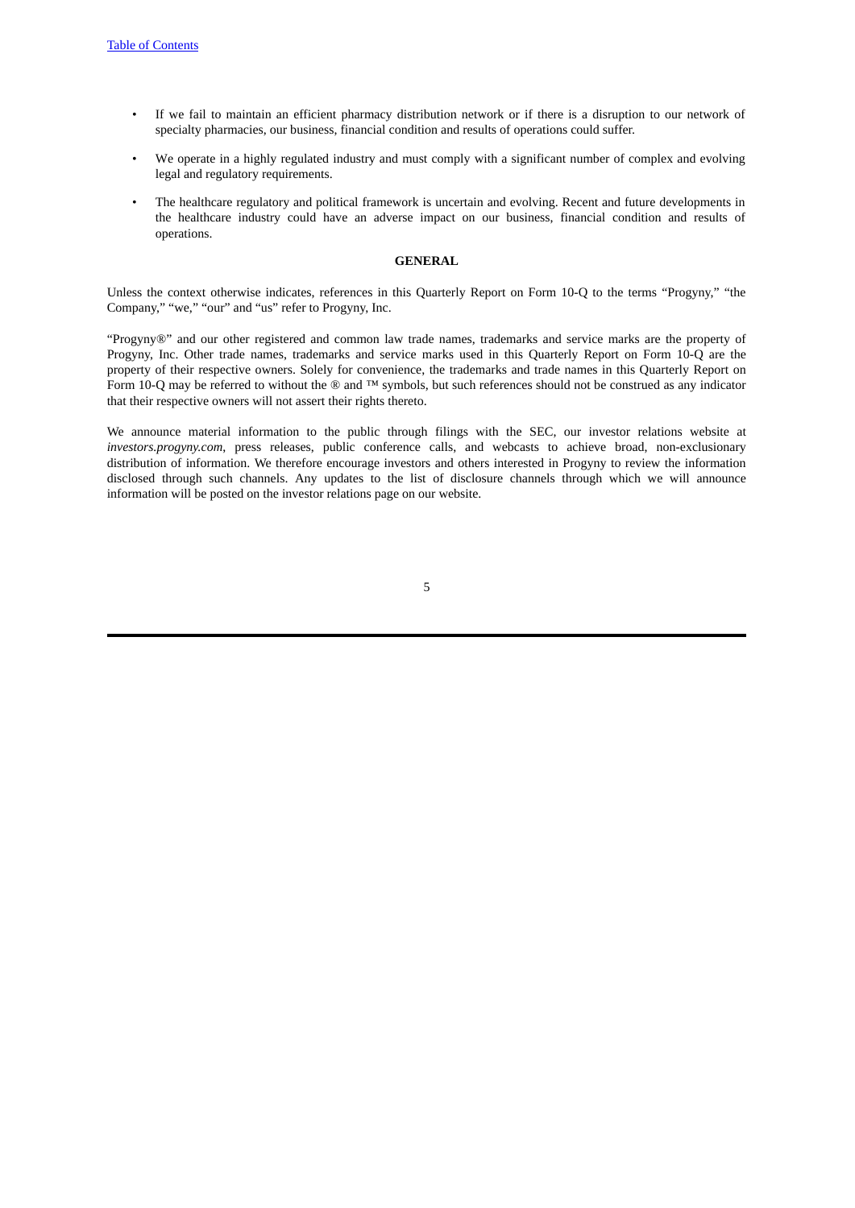- If we fail to maintain an efficient pharmacy distribution network or if there is a disruption to our network of specialty pharmacies, our business, financial condition and results of operations could suffer.
- We operate in a highly regulated industry and must comply with a significant number of complex and evolving legal and regulatory requirements.
- The healthcare regulatory and political framework is uncertain and evolving. Recent and future developments in the healthcare industry could have an adverse impact on our business, financial condition and results of operations.

#### **GENERAL**

Unless the context otherwise indicates, references in this Quarterly Report on Form 10-Q to the terms "Progyny," "the Company," "we," "our" and "us" refer to Progyny, Inc.

"Progyny®" and our other registered and common law trade names, trademarks and service marks are the property of Progyny, Inc. Other trade names, trademarks and service marks used in this Quarterly Report on Form 10-Q are the property of their respective owners. Solely for convenience, the trademarks and trade names in this Quarterly Report on Form 10-Q may be referred to without the ® and ™ symbols, but such references should not be construed as any indicator that their respective owners will not assert their rights thereto.

We announce material information to the public through filings with the SEC, our investor relations website at *investors.progyny.com*, press releases, public conference calls, and webcasts to achieve broad, non-exclusionary distribution of information. We therefore encourage investors and others interested in Progyny to review the information disclosed through such channels. Any updates to the list of disclosure channels through which we will announce information will be posted on the investor relations page on our website.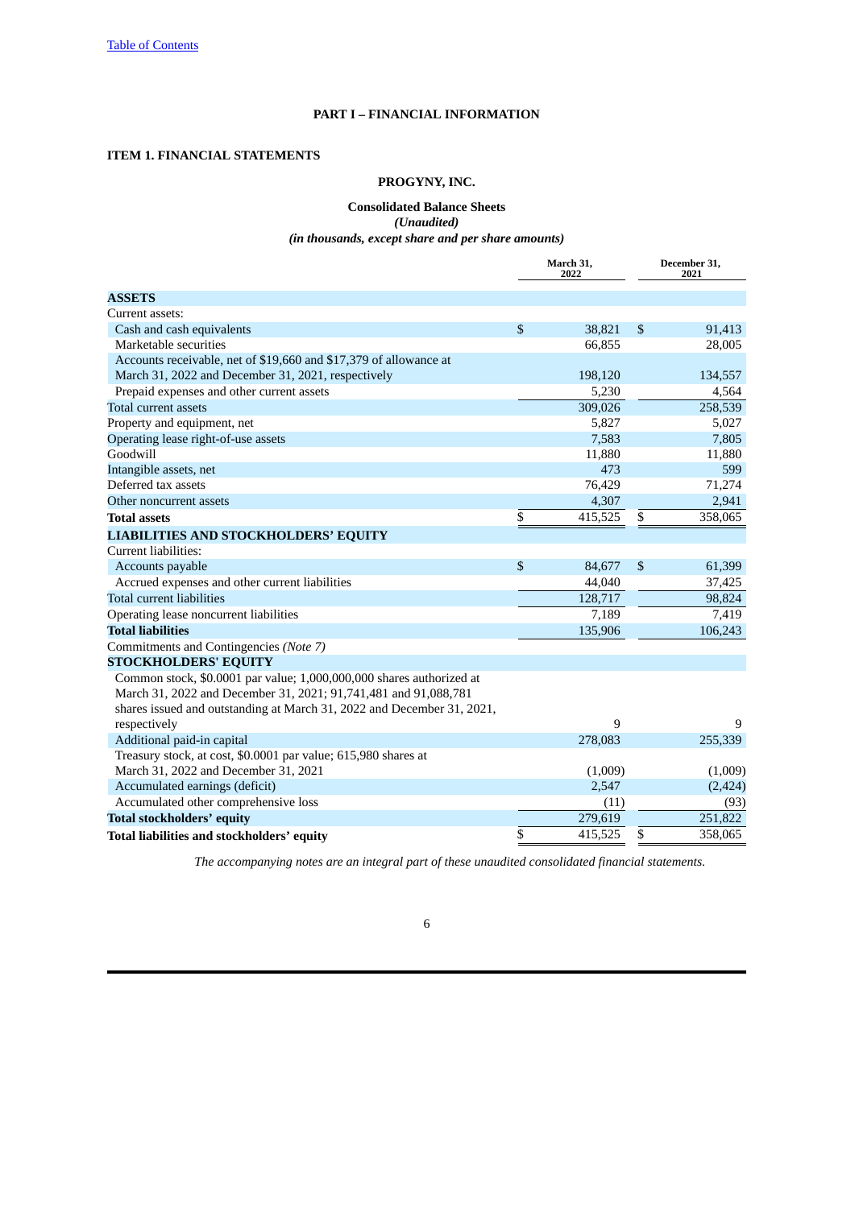#### **PART I – FINANCIAL INFORMATION**

## <span id="page-5-2"></span><span id="page-5-1"></span><span id="page-5-0"></span>**ITEM 1. FINANCIAL STATEMENTS**

## **PROGYNY, INC.**

## **Consolidated Balance Sheets** *(Unaudited) (in thousands, except share and per share amounts)*

|                                                                        | March 31,<br>2022 |         |    | December 31,<br>2021 |
|------------------------------------------------------------------------|-------------------|---------|----|----------------------|
| <b>ASSETS</b>                                                          |                   |         |    |                      |
| Current assets:                                                        |                   |         |    |                      |
| Cash and cash equivalents                                              | \$                | 38,821  | \$ | 91,413               |
| Marketable securities                                                  |                   | 66,855  |    | 28,005               |
| Accounts receivable, net of \$19,660 and \$17,379 of allowance at      |                   |         |    |                      |
| March 31, 2022 and December 31, 2021, respectively                     |                   | 198,120 |    | 134,557              |
| Prepaid expenses and other current assets                              |                   | 5,230   |    | 4,564                |
| <b>Total current assets</b>                                            |                   | 309,026 |    | 258,539              |
| Property and equipment, net                                            |                   | 5,827   |    | 5,027                |
| Operating lease right-of-use assets                                    |                   | 7,583   |    | 7,805                |
| Goodwill                                                               |                   | 11,880  |    | 11,880               |
| Intangible assets, net                                                 |                   | 473     |    | 599                  |
| Deferred tax assets                                                    |                   | 76,429  |    | 71,274               |
| Other noncurrent assets                                                |                   | 4,307   |    | 2,941                |
| <b>Total assets</b>                                                    | \$                | 415,525 | \$ | 358,065              |
| <b>LIABILITIES AND STOCKHOLDERS' EQUITY</b>                            |                   |         |    |                      |
| Current liabilities:                                                   |                   |         |    |                      |
| Accounts payable                                                       | \$                | 84,677  | \$ | 61,399               |
| Accrued expenses and other current liabilities                         |                   | 44,040  |    | 37,425               |
| <b>Total current liabilities</b>                                       |                   | 128,717 |    | 98,824               |
| Operating lease noncurrent liabilities                                 |                   | 7,189   |    | 7,419                |
| <b>Total liabilities</b>                                               |                   | 135,906 |    | 106,243              |
| Commitments and Contingencies (Note 7)                                 |                   |         |    |                      |
| <b>STOCKHOLDERS' EQUITY</b>                                            |                   |         |    |                      |
| Common stock, \$0.0001 par value; 1,000,000,000 shares authorized at   |                   |         |    |                      |
| March 31, 2022 and December 31, 2021; 91,741,481 and 91,088,781        |                   |         |    |                      |
| shares issued and outstanding at March 31, 2022 and December 31, 2021, |                   |         |    |                      |
| respectively                                                           |                   | 9       |    | 9                    |
| Additional paid-in capital                                             |                   | 278,083 |    | 255,339              |
| Treasury stock, at cost, \$0.0001 par value; 615,980 shares at         |                   |         |    |                      |
| March 31, 2022 and December 31, 2021                                   |                   | (1,009) |    | (1,009)              |
| Accumulated earnings (deficit)                                         |                   | 2,547   |    | (2, 424)             |
| Accumulated other comprehensive loss                                   |                   | (11)    |    | (93)                 |
| <b>Total stockholders' equity</b>                                      |                   | 279,619 |    | 251,822              |
| Total liabilities and stockholders' equity                             | \$                | 415,525 | \$ | 358,065              |

*The accompanying notes are an integral part of these unaudited consolidated financial statements.*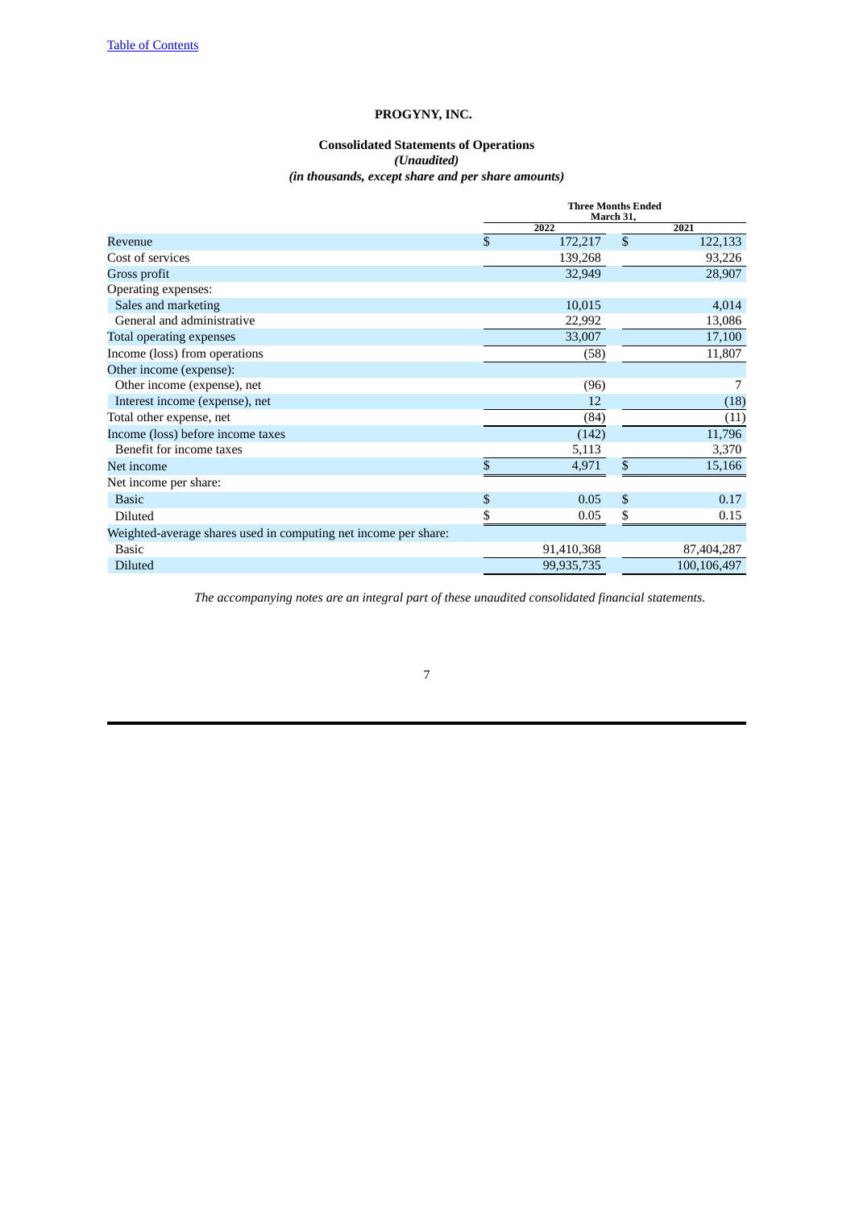## **PROGYNY, INC.**

## **Consolidated Statements of Operations** *(Unaudited) (in thousands, except share and per share amounts)*

<span id="page-6-0"></span>

|                                                                 | <b>Three Months Ended</b><br>March 31, |            |    |             |  |
|-----------------------------------------------------------------|----------------------------------------|------------|----|-------------|--|
|                                                                 |                                        | 2022       |    | 2021        |  |
| Revenue                                                         | $\mathbb{S}$                           | 172,217    | \$ | 122,133     |  |
| Cost of services                                                |                                        | 139,268    |    | 93,226      |  |
| Gross profit                                                    |                                        | 32,949     |    | 28,907      |  |
| Operating expenses:                                             |                                        |            |    |             |  |
| Sales and marketing                                             |                                        | 10,015     |    | 4,014       |  |
| General and administrative                                      |                                        | 22,992     |    | 13,086      |  |
| <b>Total operating expenses</b>                                 |                                        | 33,007     |    | 17,100      |  |
| Income (loss) from operations                                   |                                        | (58)       |    | 11,807      |  |
| Other income (expense):                                         |                                        |            |    |             |  |
| Other income (expense), net                                     |                                        | (96)       |    | 7           |  |
| Interest income (expense), net                                  |                                        | 12         |    | (18)        |  |
| Total other expense, net                                        |                                        | (84)       |    | (11)        |  |
| Income (loss) before income taxes                               |                                        | (142)      |    | 11,796      |  |
| Benefit for income taxes                                        |                                        | 5,113      |    | 3,370       |  |
| Net income                                                      | \$                                     | 4,971      | \$ | 15,166      |  |
| Net income per share:                                           |                                        |            |    |             |  |
| <b>Basic</b>                                                    | \$                                     | 0.05       | \$ | 0.17        |  |
| Diluted                                                         | \$                                     | 0.05       | \$ | 0.15        |  |
| Weighted-average shares used in computing net income per share: |                                        |            |    |             |  |
| <b>Basic</b>                                                    |                                        | 91,410,368 |    | 87,404,287  |  |
| <b>Diluted</b>                                                  |                                        | 99,935,735 |    | 100,106,497 |  |

*The accompanying notes are an integral part of these unaudited consolidated financial statements.*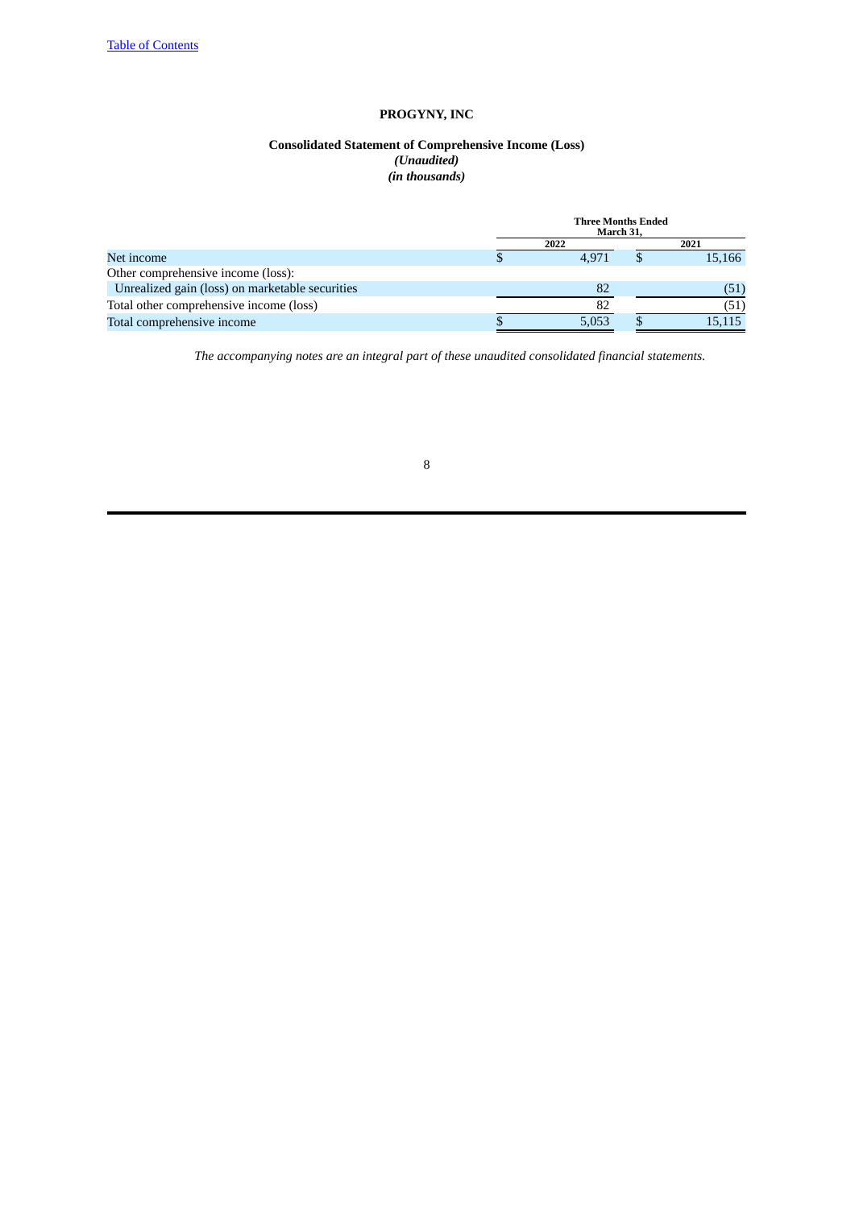## **PROGYNY, INC**

#### **Consolidated Statement of Comprehensive Income (Loss)** *(Unaudited) (in thousands)*

<span id="page-7-0"></span>

|                                                 | <b>Three Months Ended</b><br>March 31. |  |        |  |  |  |
|-------------------------------------------------|----------------------------------------|--|--------|--|--|--|
|                                                 | 2022                                   |  | 2021   |  |  |  |
| Net income                                      | 4.971                                  |  | 15,166 |  |  |  |
| Other comprehensive income (loss):              |                                        |  |        |  |  |  |
| Unrealized gain (loss) on marketable securities | 82                                     |  | (51)   |  |  |  |
| Total other comprehensive income (loss)         | 82                                     |  | (51)   |  |  |  |
| Total comprehensive income                      | 5,053                                  |  | 15,115 |  |  |  |

*The accompanying notes are an integral part of these unaudited consolidated financial statements.*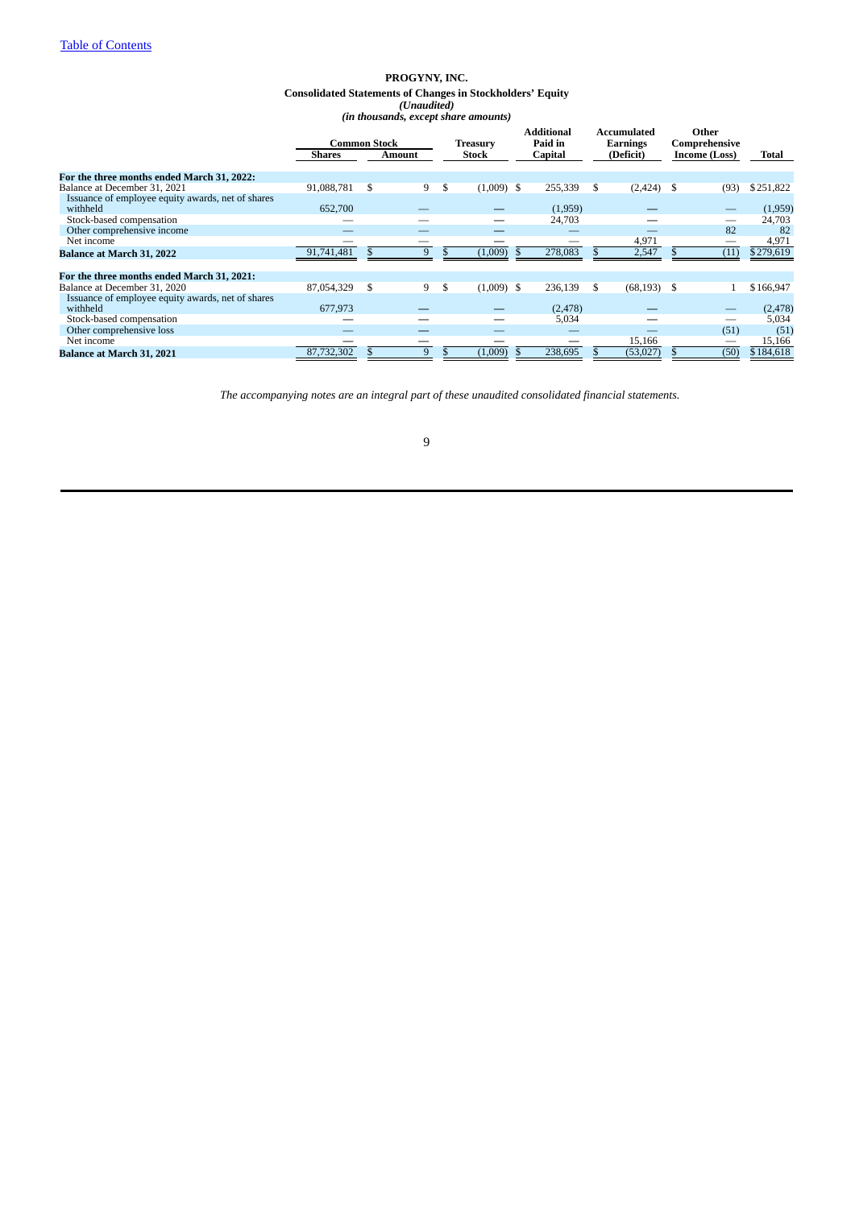#### **PROGYNY, INC. Consolidated Statements of Changes in Stockholders' Equity** *(Unaudited) (in thousands, except share amounts)*

<span id="page-8-0"></span>

|                                                               | <b>Common Stock</b> |      |        | Treasury |              |  | <b>Additional</b><br>Paid in |    | Accumulated<br>Earnings |               | Other<br>Comprehensive |           |
|---------------------------------------------------------------|---------------------|------|--------|----------|--------------|--|------------------------------|----|-------------------------|---------------|------------------------|-----------|
|                                                               | Shares              |      | Amount | Stock    |              |  | Capital                      |    | (Deficit)               | Income (Loss) |                        | Total     |
|                                                               |                     |      |        |          |              |  |                              |    |                         |               |                        |           |
| For the three months ended March 31, 2022:                    | 91,088,781          |      |        |          | $(1,009)$ \$ |  | 255,339                      |    |                         |               |                        | \$251,822 |
| Balance at December 31, 2021                                  |                     | -S   | 9      | \$       |              |  |                              | \$ | $(2,424)$ \$            |               | (93)                   |           |
| Issuance of employee equity awards, net of shares<br>withheld | 652,700             |      |        |          |              |  | (1,959)                      |    |                         |               |                        | (1,959)   |
| Stock-based compensation                                      |                     |      |        |          |              |  | 24,703                       |    |                         |               |                        | 24,703    |
| Other comprehensive income                                    |                     |      |        |          |              |  |                              |    |                         |               | 82                     | 82        |
| Net income                                                    |                     |      |        |          |              |  |                              |    | 4,971                   |               |                        | 4,971     |
| <b>Balance at March 31, 2022</b>                              | 91,741,481          |      | 9      |          | (1,009)      |  | 278,083                      |    | 2,547                   |               | (11)                   | \$279,619 |
|                                                               |                     |      |        |          |              |  |                              |    |                         |               |                        |           |
| For the three months ended March 31, 2021:                    |                     |      |        |          |              |  |                              |    |                         |               |                        |           |
| Balance at December 31, 2020                                  | 87,054,329          | - \$ | 9      | \$       | $(1,009)$ \$ |  | 236,139                      | \$ | $(68, 193)$ \$          |               |                        | \$166,947 |
| Issuance of employee equity awards, net of shares             |                     |      |        |          |              |  |                              |    |                         |               |                        |           |
| withheld                                                      | 677,973             |      |        |          |              |  | (2, 478)                     |    |                         |               |                        | (2, 478)  |
| Stock-based compensation                                      |                     |      |        |          |              |  | 5,034                        |    |                         |               |                        | 5,034     |
| Other comprehensive loss                                      |                     |      |        |          |              |  |                              |    |                         |               | (51)                   | (51)      |
| Net income                                                    |                     |      |        |          |              |  |                              |    | 15,166                  |               |                        | 15,166    |
| <b>Balance at March 31, 2021</b>                              | 87,732,302          |      | 9      |          | (1,009)      |  | 238,695                      |    | (53,027)                |               | (50)                   | \$184,618 |

*The accompanying notes are an integral part of these unaudited consolidated financial statements.*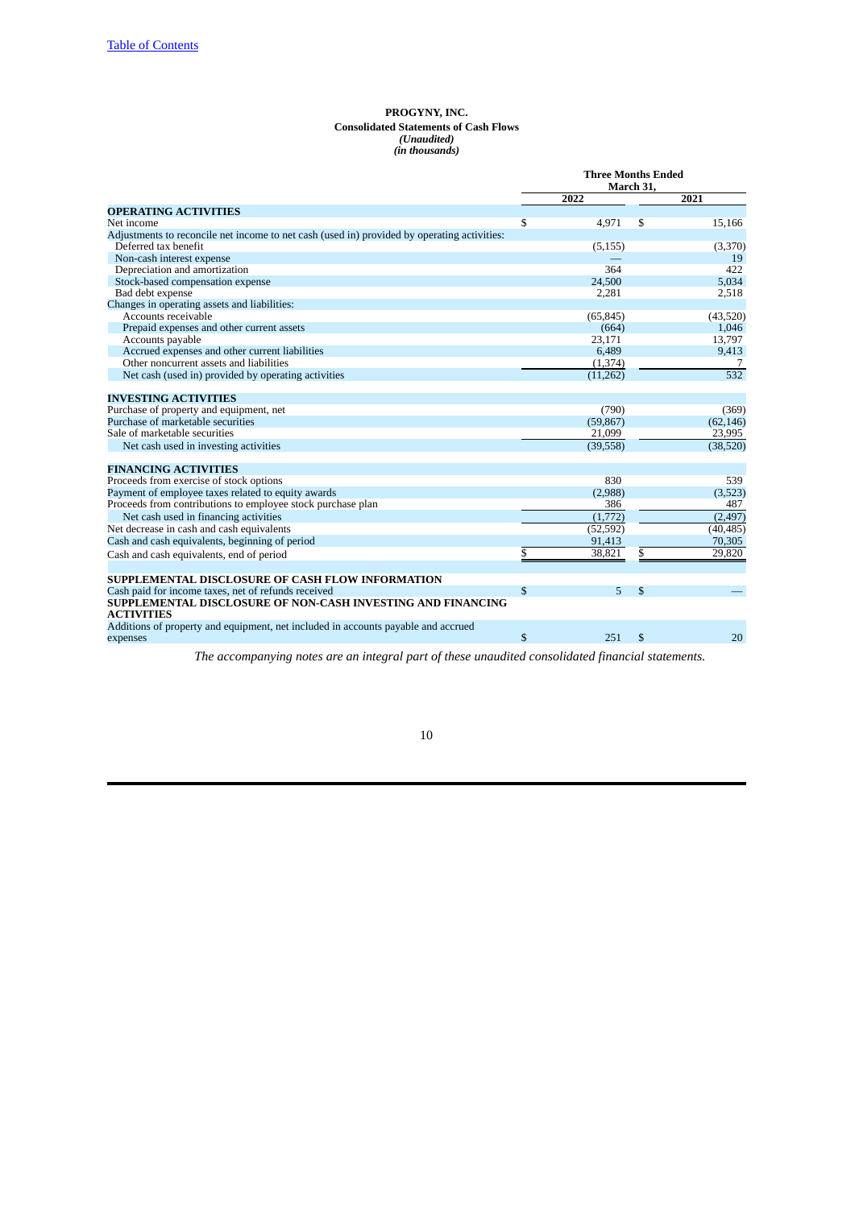#### **PROGYNY, INC. Consolidated Statements of Cash Flows** *(Unaudited) (in thousands)*

<span id="page-9-0"></span>

|                                                                                               | <b>Three Months Ended</b><br>March 31, |           |    |           |
|-----------------------------------------------------------------------------------------------|----------------------------------------|-----------|----|-----------|
|                                                                                               |                                        | 2022      |    | 2021      |
| <b>OPERATING ACTIVITIES</b>                                                                   |                                        |           |    |           |
| Net income                                                                                    | \$                                     | 4,971     | \$ | 15,166    |
| Adjustments to reconcile net income to net cash (used in) provided by operating activities:   |                                        |           |    |           |
| Deferred tax benefit                                                                          |                                        | (5, 155)  |    | (3,370)   |
| Non-cash interest expense                                                                     |                                        |           |    | 19        |
| Depreciation and amortization                                                                 |                                        | 364       |    | 422       |
| Stock-based compensation expense                                                              |                                        | 24,500    |    | 5.034     |
| Bad debt expense                                                                              |                                        | 2,281     |    | 2,518     |
| Changes in operating assets and liabilities:                                                  |                                        |           |    |           |
| Accounts receivable                                                                           |                                        | (65, 845) |    | (43,520)  |
| Prepaid expenses and other current assets                                                     |                                        | (664)     |    | 1,046     |
| Accounts payable                                                                              |                                        | 23,171    |    | 13,797    |
| Accrued expenses and other current liabilities                                                |                                        | 6.489     |    | 9,413     |
| Other noncurrent assets and liabilities                                                       |                                        | (1, 374)  |    | 7         |
| Net cash (used in) provided by operating activities                                           |                                        | (11, 262) |    | 532       |
| <b>INVESTING ACTIVITIES</b>                                                                   |                                        |           |    |           |
| Purchase of property and equipment, net                                                       |                                        | (790)     |    | (369)     |
| Purchase of marketable securities                                                             |                                        | (59, 867) |    | (62, 146) |
| Sale of marketable securities                                                                 |                                        | 21,099    |    | 23,995    |
| Net cash used in investing activities                                                         |                                        | (39, 558) |    | (38, 520) |
| <b>FINANCING ACTIVITIES</b>                                                                   |                                        |           |    |           |
| Proceeds from exercise of stock options                                                       |                                        | 830       |    | 539       |
| Payment of employee taxes related to equity awards                                            |                                        | (2,988)   |    | (3,523)   |
| Proceeds from contributions to employee stock purchase plan                                   |                                        | 386       |    | 487       |
| Net cash used in financing activities                                                         |                                        | (1,772)   |    | (2, 497)  |
| Net decrease in cash and cash equivalents                                                     |                                        | (52, 592) |    | (40, 485) |
| Cash and cash equivalents, beginning of period                                                |                                        | 91,413    |    | 70,305    |
| Cash and cash equivalents, end of period                                                      | \$                                     | 38,821    | \$ | 29,820    |
|                                                                                               |                                        |           |    |           |
| <b>SUPPLEMENTAL DISCLOSURE OF CASH FLOW INFORMATION</b>                                       |                                        |           |    |           |
| Cash paid for income taxes, net of refunds received                                           | \$                                     | 5         | \$ |           |
| SUPPLEMENTAL DISCLOSURE OF NON-CASH INVESTING AND FINANCING<br><b>ACTIVITIES</b>              |                                        |           |    |           |
| Additions of property and equipment, net included in accounts payable and accrued<br>expenses | \$                                     | 251       | \$ | 20        |

*The accompanying notes are an integral part of these unaudited consolidated financial statements.*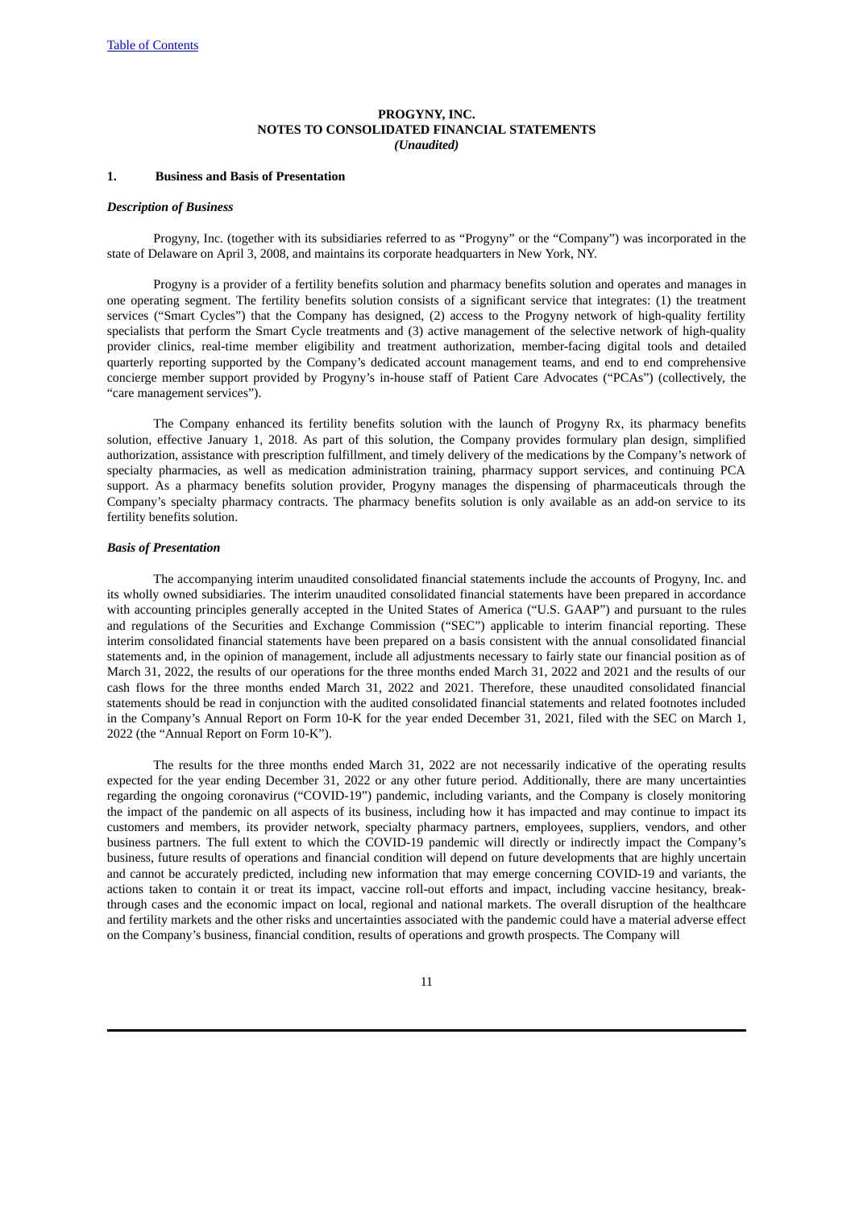#### **PROGYNY, INC. NOTES TO CONSOLIDATED FINANCIAL STATEMENTS** *(Unaudited)*

#### <span id="page-10-0"></span>**1. Business and Basis of Presentation**

#### *Description of Business*

Progyny, Inc. (together with its subsidiaries referred to as "Progyny" or the "Company") was incorporated in the state of Delaware on April 3, 2008, and maintains its corporate headquarters in New York, NY.

Progyny is a provider of a fertility benefits solution and pharmacy benefits solution and operates and manages in one operating segment. The fertility benefits solution consists of a significant service that integrates: (1) the treatment services ("Smart Cycles") that the Company has designed, (2) access to the Progyny network of high-quality fertility specialists that perform the Smart Cycle treatments and (3) active management of the selective network of high-quality provider clinics, real-time member eligibility and treatment authorization, member-facing digital tools and detailed quarterly reporting supported by the Company's dedicated account management teams, and end to end comprehensive concierge member support provided by Progyny's in-house staff of Patient Care Advocates ("PCAs") (collectively, the "care management services").

The Company enhanced its fertility benefits solution with the launch of Progyny Rx, its pharmacy benefits solution, effective January 1, 2018. As part of this solution, the Company provides formulary plan design, simplified authorization, assistance with prescription fulfillment, and timely delivery of the medications by the Company's network of specialty pharmacies, as well as medication administration training, pharmacy support services, and continuing PCA support. As a pharmacy benefits solution provider, Progyny manages the dispensing of pharmaceuticals through the Company's specialty pharmacy contracts. The pharmacy benefits solution is only available as an add-on service to its fertility benefits solution.

#### *Basis of Presentation*

The accompanying interim unaudited consolidated financial statements include the accounts of Progyny, Inc. and its wholly owned subsidiaries. The interim unaudited consolidated financial statements have been prepared in accordance with accounting principles generally accepted in the United States of America ("U.S. GAAP") and pursuant to the rules and regulations of the Securities and Exchange Commission ("SEC") applicable to interim financial reporting. These interim consolidated financial statements have been prepared on a basis consistent with the annual consolidated financial statements and, in the opinion of management, include all adjustments necessary to fairly state our financial position as of March 31, 2022, the results of our operations for the three months ended March 31, 2022 and 2021 and the results of our cash flows for the three months ended March 31, 2022 and 2021. Therefore, these unaudited consolidated financial statements should be read in conjunction with the audited consolidated financial statements and related footnotes included in the Company's Annual Report on Form 10-K for the year ended December 31, 2021, filed with the SEC on March 1, 2022 (the "Annual Report on Form 10-K").

The results for the three months ended March 31, 2022 are not necessarily indicative of the operating results expected for the year ending December 31, 2022 or any other future period. Additionally, there are many uncertainties regarding the ongoing coronavirus ("COVID-19") pandemic, including variants, and the Company is closely monitoring the impact of the pandemic on all aspects of its business, including how it has impacted and may continue to impact its customers and members, its provider network, specialty pharmacy partners, employees, suppliers, vendors, and other business partners. The full extent to which the COVID-19 pandemic will directly or indirectly impact the Company's business, future results of operations and financial condition will depend on future developments that are highly uncertain and cannot be accurately predicted, including new information that may emerge concerning COVID-19 and variants, the actions taken to contain it or treat its impact, vaccine roll-out efforts and impact, including vaccine hesitancy, breakthrough cases and the economic impact on local, regional and national markets. The overall disruption of the healthcare and fertility markets and the other risks and uncertainties associated with the pandemic could have a material adverse effect on the Company's business, financial condition, results of operations and growth prospects. The Company will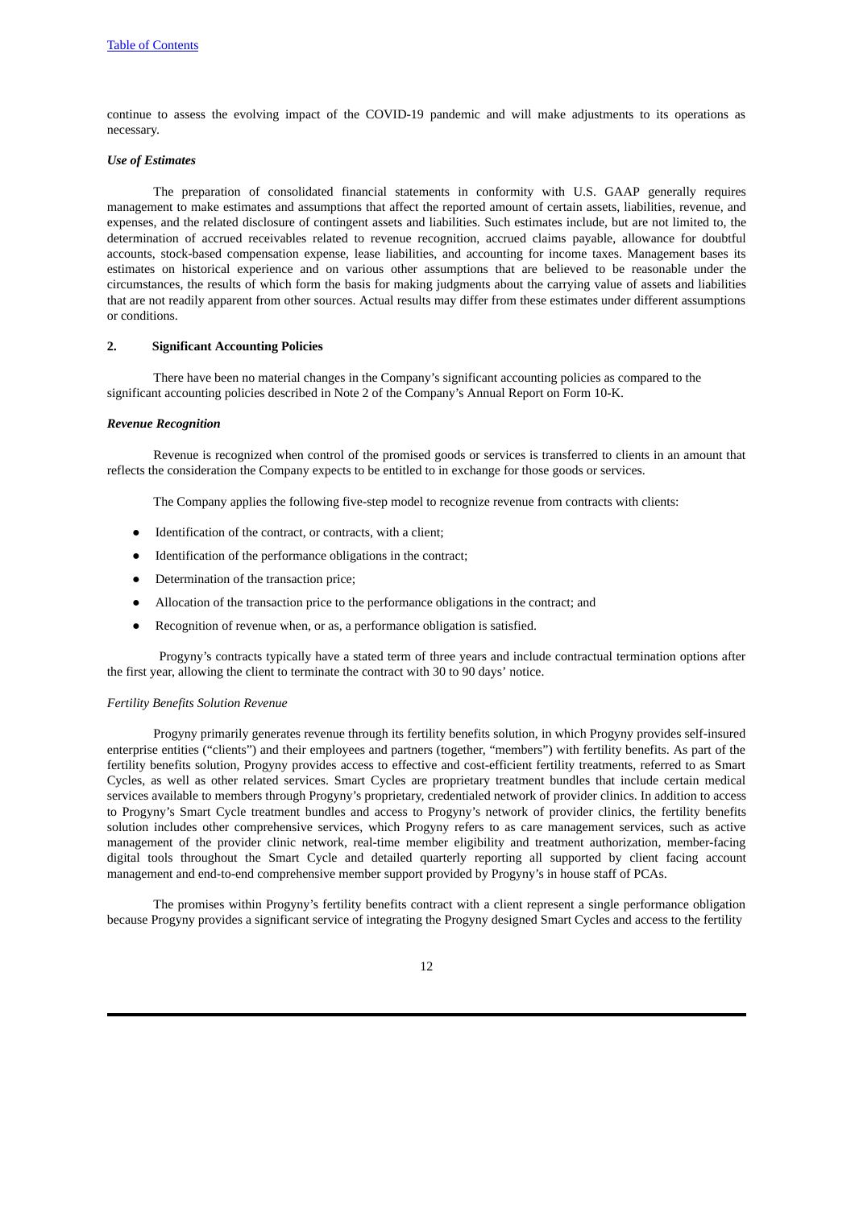continue to assess the evolving impact of the COVID-19 pandemic and will make adjustments to its operations as necessary.

#### *Use of Estimates*

The preparation of consolidated financial statements in conformity with U.S. GAAP generally requires management to make estimates and assumptions that affect the reported amount of certain assets, liabilities, revenue, and expenses, and the related disclosure of contingent assets and liabilities. Such estimates include, but are not limited to, the determination of accrued receivables related to revenue recognition, accrued claims payable, allowance for doubtful accounts, stock-based compensation expense, lease liabilities, and accounting for income taxes. Management bases its estimates on historical experience and on various other assumptions that are believed to be reasonable under the circumstances, the results of which form the basis for making judgments about the carrying value of assets and liabilities that are not readily apparent from other sources. Actual results may differ from these estimates under different assumptions or conditions.

#### **2. Significant Accounting Policies**

There have been no material changes in the Company's significant accounting policies as compared to the significant accounting policies described in Note 2 of the Company's Annual Report on Form 10-K.

#### *Revenue Recognition*

Revenue is recognized when control of the promised goods or services is transferred to clients in an amount that reflects the consideration the Company expects to be entitled to in exchange for those goods or services.

The Company applies the following five-step model to recognize revenue from contracts with clients:

- Identification of the contract, or contracts, with a client;
- Identification of the performance obligations in the contract;
- Determination of the transaction price;
- Allocation of the transaction price to the performance obligations in the contract; and
- Recognition of revenue when, or as, a performance obligation is satisfied.

Progyny's contracts typically have a stated term of three years and include contractual termination options after the first year, allowing the client to terminate the contract with 30 to 90 days' notice.

#### *Fertility Benefits Solution Revenue*

Progyny primarily generates revenue through its fertility benefits solution, in which Progyny provides self-insured enterprise entities ("clients") and their employees and partners (together, "members") with fertility benefits. As part of the fertility benefits solution, Progyny provides access to effective and cost-efficient fertility treatments, referred to as Smart Cycles, as well as other related services. Smart Cycles are proprietary treatment bundles that include certain medical services available to members through Progyny's proprietary, credentialed network of provider clinics. In addition to access to Progyny's Smart Cycle treatment bundles and access to Progyny's network of provider clinics, the fertility benefits solution includes other comprehensive services, which Progyny refers to as care management services, such as active management of the provider clinic network, real-time member eligibility and treatment authorization, member-facing digital tools throughout the Smart Cycle and detailed quarterly reporting all supported by client facing account management and end-to-end comprehensive member support provided by Progyny's in house staff of PCAs.

The promises within Progyny's fertility benefits contract with a client represent a single performance obligation because Progyny provides a significant service of integrating the Progyny designed Smart Cycles and access to the fertility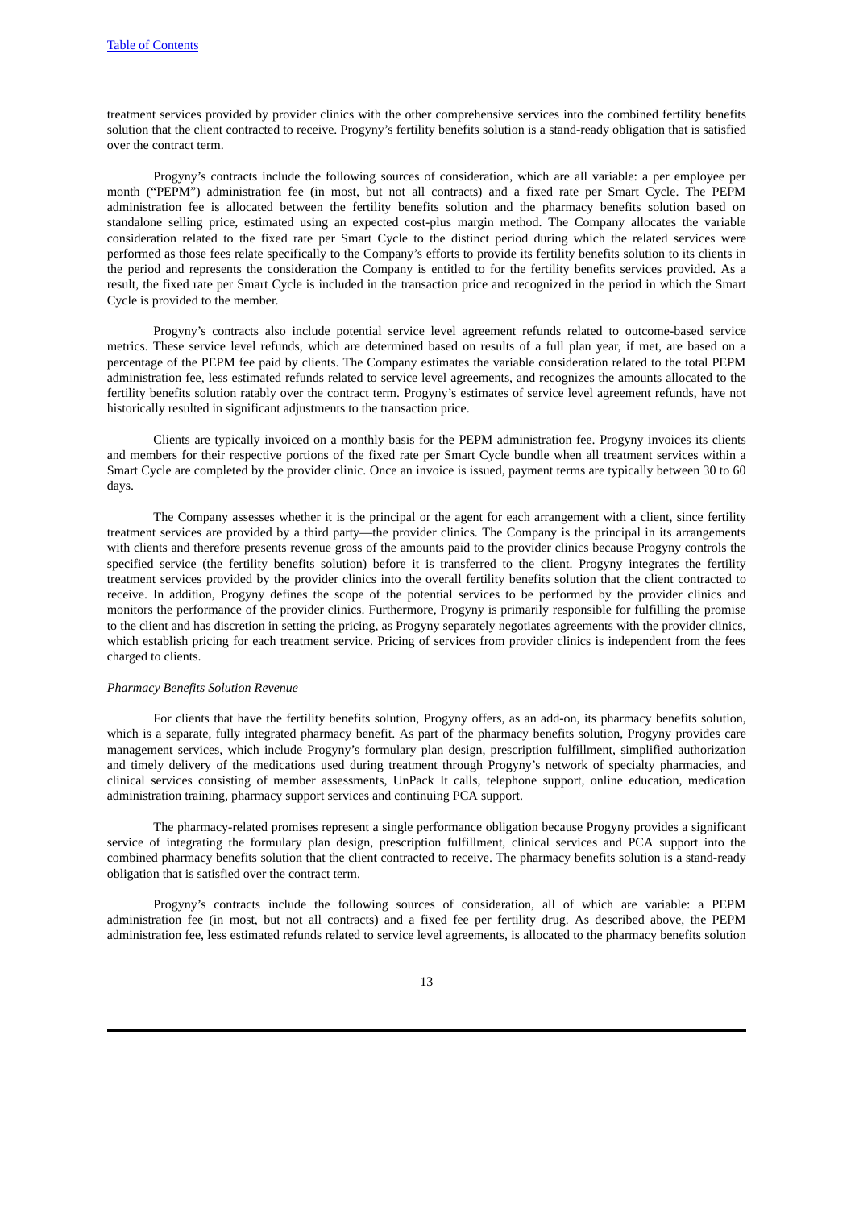treatment services provided by provider clinics with the other comprehensive services into the combined fertility benefits solution that the client contracted to receive. Progyny's fertility benefits solution is a stand-ready obligation that is satisfied over the contract term.

Progyny's contracts include the following sources of consideration, which are all variable: a per employee per month ("PEPM") administration fee (in most, but not all contracts) and a fixed rate per Smart Cycle. The PEPM administration fee is allocated between the fertility benefits solution and the pharmacy benefits solution based on standalone selling price, estimated using an expected cost-plus margin method. The Company allocates the variable consideration related to the fixed rate per Smart Cycle to the distinct period during which the related services were performed as those fees relate specifically to the Company's efforts to provide its fertility benefits solution to its clients in the period and represents the consideration the Company is entitled to for the fertility benefits services provided. As a result, the fixed rate per Smart Cycle is included in the transaction price and recognized in the period in which the Smart Cycle is provided to the member.

Progyny's contracts also include potential service level agreement refunds related to outcome-based service metrics. These service level refunds, which are determined based on results of a full plan year, if met, are based on a percentage of the PEPM fee paid by clients. The Company estimates the variable consideration related to the total PEPM administration fee, less estimated refunds related to service level agreements, and recognizes the amounts allocated to the fertility benefits solution ratably over the contract term. Progyny's estimates of service level agreement refunds, have not historically resulted in significant adjustments to the transaction price.

Clients are typically invoiced on a monthly basis for the PEPM administration fee. Progyny invoices its clients and members for their respective portions of the fixed rate per Smart Cycle bundle when all treatment services within a Smart Cycle are completed by the provider clinic. Once an invoice is issued, payment terms are typically between 30 to 60 days.

The Company assesses whether it is the principal or the agent for each arrangement with a client, since fertility treatment services are provided by a third party—the provider clinics. The Company is the principal in its arrangements with clients and therefore presents revenue gross of the amounts paid to the provider clinics because Progyny controls the specified service (the fertility benefits solution) before it is transferred to the client. Progyny integrates the fertility treatment services provided by the provider clinics into the overall fertility benefits solution that the client contracted to receive. In addition, Progyny defines the scope of the potential services to be performed by the provider clinics and monitors the performance of the provider clinics. Furthermore, Progyny is primarily responsible for fulfilling the promise to the client and has discretion in setting the pricing, as Progyny separately negotiates agreements with the provider clinics, which establish pricing for each treatment service. Pricing of services from provider clinics is independent from the fees charged to clients.

#### *Pharmacy Benefits Solution Revenue*

For clients that have the fertility benefits solution, Progyny offers, as an add-on, its pharmacy benefits solution, which is a separate, fully integrated pharmacy benefit. As part of the pharmacy benefits solution, Progyny provides care management services, which include Progyny's formulary plan design, prescription fulfillment, simplified authorization and timely delivery of the medications used during treatment through Progyny's network of specialty pharmacies, and clinical services consisting of member assessments, UnPack It calls, telephone support, online education, medication administration training, pharmacy support services and continuing PCA support.

The pharmacy-related promises represent a single performance obligation because Progyny provides a significant service of integrating the formulary plan design, prescription fulfillment, clinical services and PCA support into the combined pharmacy benefits solution that the client contracted to receive. The pharmacy benefits solution is a stand-ready obligation that is satisfied over the contract term.

Progyny's contracts include the following sources of consideration, all of which are variable: a PEPM administration fee (in most, but not all contracts) and a fixed fee per fertility drug. As described above, the PEPM administration fee, less estimated refunds related to service level agreements, is allocated to the pharmacy benefits solution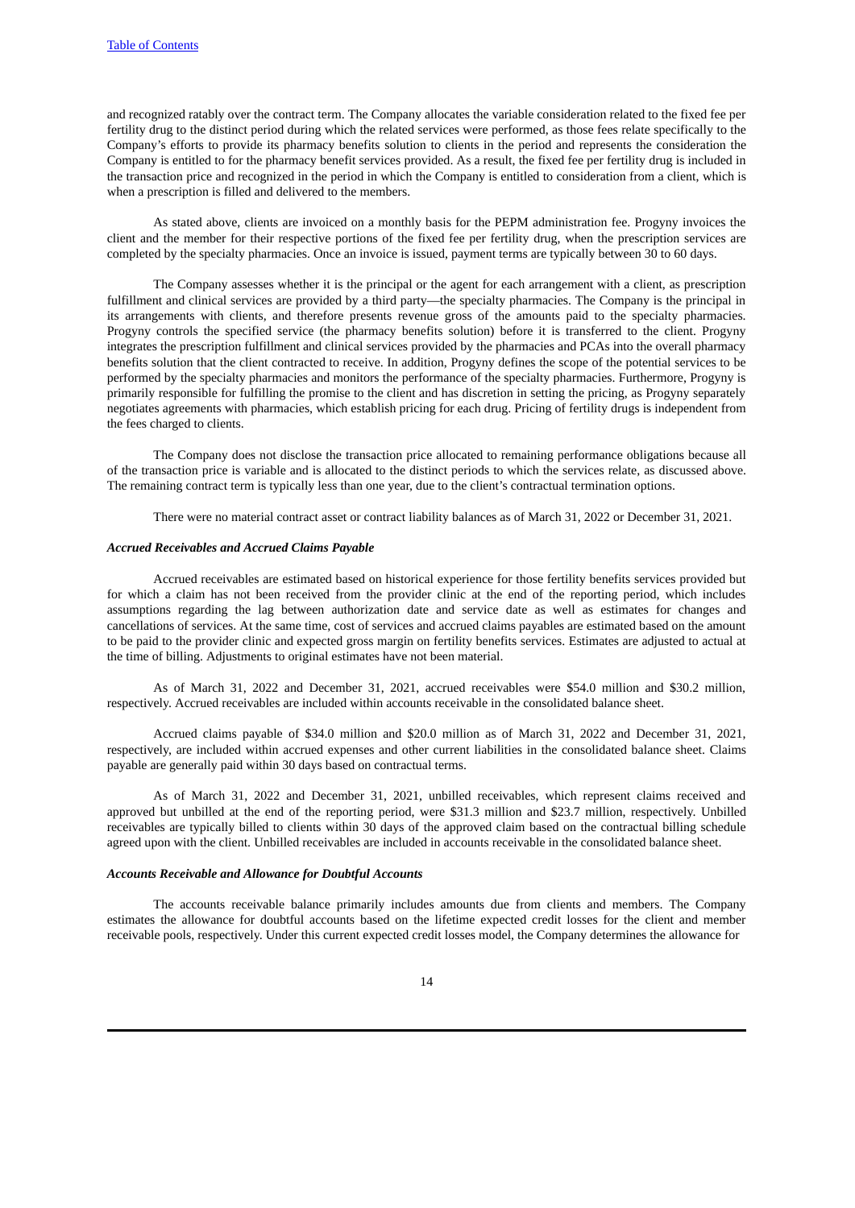and recognized ratably over the contract term. The Company allocates the variable consideration related to the fixed fee per fertility drug to the distinct period during which the related services were performed, as those fees relate specifically to the Company's efforts to provide its pharmacy benefits solution to clients in the period and represents the consideration the Company is entitled to for the pharmacy benefit services provided. As a result, the fixed fee per fertility drug is included in the transaction price and recognized in the period in which the Company is entitled to consideration from a client, which is when a prescription is filled and delivered to the members.

As stated above, clients are invoiced on a monthly basis for the PEPM administration fee. Progyny invoices the client and the member for their respective portions of the fixed fee per fertility drug, when the prescription services are completed by the specialty pharmacies. Once an invoice is issued, payment terms are typically between 30 to 60 days.

The Company assesses whether it is the principal or the agent for each arrangement with a client, as prescription fulfillment and clinical services are provided by a third party—the specialty pharmacies. The Company is the principal in its arrangements with clients, and therefore presents revenue gross of the amounts paid to the specialty pharmacies. Progyny controls the specified service (the pharmacy benefits solution) before it is transferred to the client. Progyny integrates the prescription fulfillment and clinical services provided by the pharmacies and PCAs into the overall pharmacy benefits solution that the client contracted to receive. In addition, Progyny defines the scope of the potential services to be performed by the specialty pharmacies and monitors the performance of the specialty pharmacies. Furthermore, Progyny is primarily responsible for fulfilling the promise to the client and has discretion in setting the pricing, as Progyny separately negotiates agreements with pharmacies, which establish pricing for each drug. Pricing of fertility drugs is independent from the fees charged to clients.

The Company does not disclose the transaction price allocated to remaining performance obligations because all of the transaction price is variable and is allocated to the distinct periods to which the services relate, as discussed above. The remaining contract term is typically less than one year, due to the client's contractual termination options.

There were no material contract asset or contract liability balances as of March 31, 2022 or December 31, 2021.

#### *Accrued Receivables and Accrued Claims Payable*

Accrued receivables are estimated based on historical experience for those fertility benefits services provided but for which a claim has not been received from the provider clinic at the end of the reporting period, which includes assumptions regarding the lag between authorization date and service date as well as estimates for changes and cancellations of services. At the same time, cost of services and accrued claims payables are estimated based on the amount to be paid to the provider clinic and expected gross margin on fertility benefits services. Estimates are adjusted to actual at the time of billing. Adjustments to original estimates have not been material.

As of March 31, 2022 and December 31, 2021, accrued receivables were \$54.0 million and \$30.2 million, respectively. Accrued receivables are included within accounts receivable in the consolidated balance sheet.

Accrued claims payable of \$34.0 million and \$20.0 million as of March 31, 2022 and December 31, 2021, respectively, are included within accrued expenses and other current liabilities in the consolidated balance sheet. Claims payable are generally paid within 30 days based on contractual terms.

As of March 31, 2022 and December 31, 2021, unbilled receivables, which represent claims received and approved but unbilled at the end of the reporting period, were \$31.3 million and \$23.7 million, respectively. Unbilled receivables are typically billed to clients within 30 days of the approved claim based on the contractual billing schedule agreed upon with the client. Unbilled receivables are included in accounts receivable in the consolidated balance sheet.

#### *Accounts Receivable and Allowance for Doubtful Accounts*

The accounts receivable balance primarily includes amounts due from clients and members. The Company estimates the allowance for doubtful accounts based on the lifetime expected credit losses for the client and member receivable pools, respectively. Under this current expected credit losses model, the Company determines the allowance for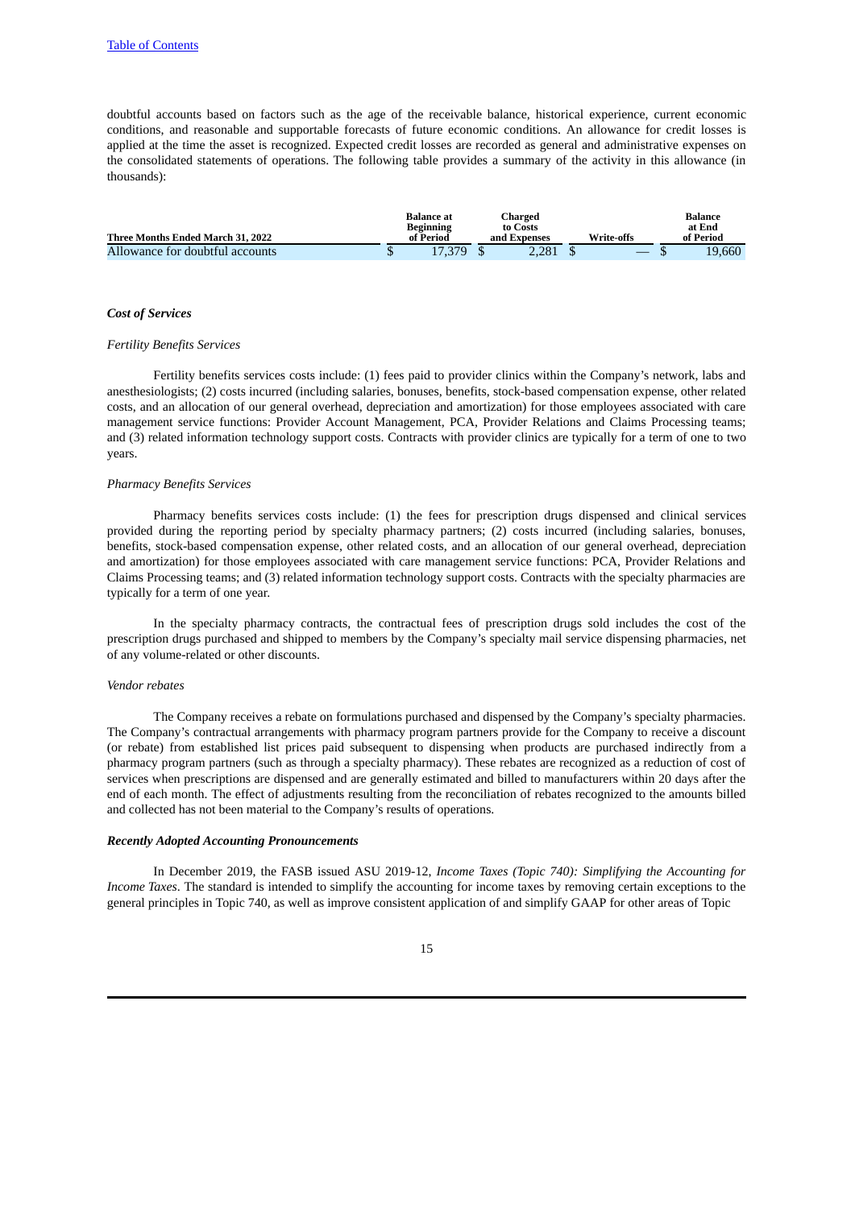doubtful accounts based on factors such as the age of the receivable balance, historical experience, current economic conditions, and reasonable and supportable forecasts of future economic conditions. An allowance for credit losses is applied at the time the asset is recognized. Expected credit losses are recorded as general and administrative expenses on the consolidated statements of operations. The following table provides a summary of the activity in this allowance (in thousands):

|                                   | <b>Balance</b> at      | Charged                  |            | Balance             |
|-----------------------------------|------------------------|--------------------------|------------|---------------------|
| Three Months Ended March 31, 2022 | Beginning<br>of Period | to Costs<br>and Expenses | Write-offs | at End<br>of Period |
| Allowance for doubtful accounts   | 17.379                 | 2.281                    |            | 19.660              |

#### *Cost of Services*

#### *Fertility Benefits Services*

Fertility benefits services costs include: (1) fees paid to provider clinics within the Company's network, labs and anesthesiologists; (2) costs incurred (including salaries, bonuses, benefits, stock-based compensation expense, other related costs, and an allocation of our general overhead, depreciation and amortization) for those employees associated with care management service functions: Provider Account Management, PCA, Provider Relations and Claims Processing teams; and (3) related information technology support costs. Contracts with provider clinics are typically for a term of one to two years.

#### *Pharmacy Benefits Services*

Pharmacy benefits services costs include: (1) the fees for prescription drugs dispensed and clinical services provided during the reporting period by specialty pharmacy partners; (2) costs incurred (including salaries, bonuses, benefits, stock-based compensation expense, other related costs, and an allocation of our general overhead, depreciation and amortization) for those employees associated with care management service functions: PCA, Provider Relations and Claims Processing teams; and (3) related information technology support costs. Contracts with the specialty pharmacies are typically for a term of one year.

In the specialty pharmacy contracts, the contractual fees of prescription drugs sold includes the cost of the prescription drugs purchased and shipped to members by the Company's specialty mail service dispensing pharmacies, net of any volume-related or other discounts.

#### *Vendor rebates*

The Company receives a rebate on formulations purchased and dispensed by the Company's specialty pharmacies. The Company's contractual arrangements with pharmacy program partners provide for the Company to receive a discount (or rebate) from established list prices paid subsequent to dispensing when products are purchased indirectly from a pharmacy program partners (such as through a specialty pharmacy). These rebates are recognized as a reduction of cost of services when prescriptions are dispensed and are generally estimated and billed to manufacturers within 20 days after the end of each month. The effect of adjustments resulting from the reconciliation of rebates recognized to the amounts billed and collected has not been material to the Company's results of operations.

#### *Recently Adopted Accounting Pronouncements*

In December 2019, the FASB issued ASU 2019-12, *Income Taxes (Topic 740): Simplifying the Accounting for Income Taxes*. The standard is intended to simplify the accounting for income taxes by removing certain exceptions to the general principles in Topic 740, as well as improve consistent application of and simplify GAAP for other areas of Topic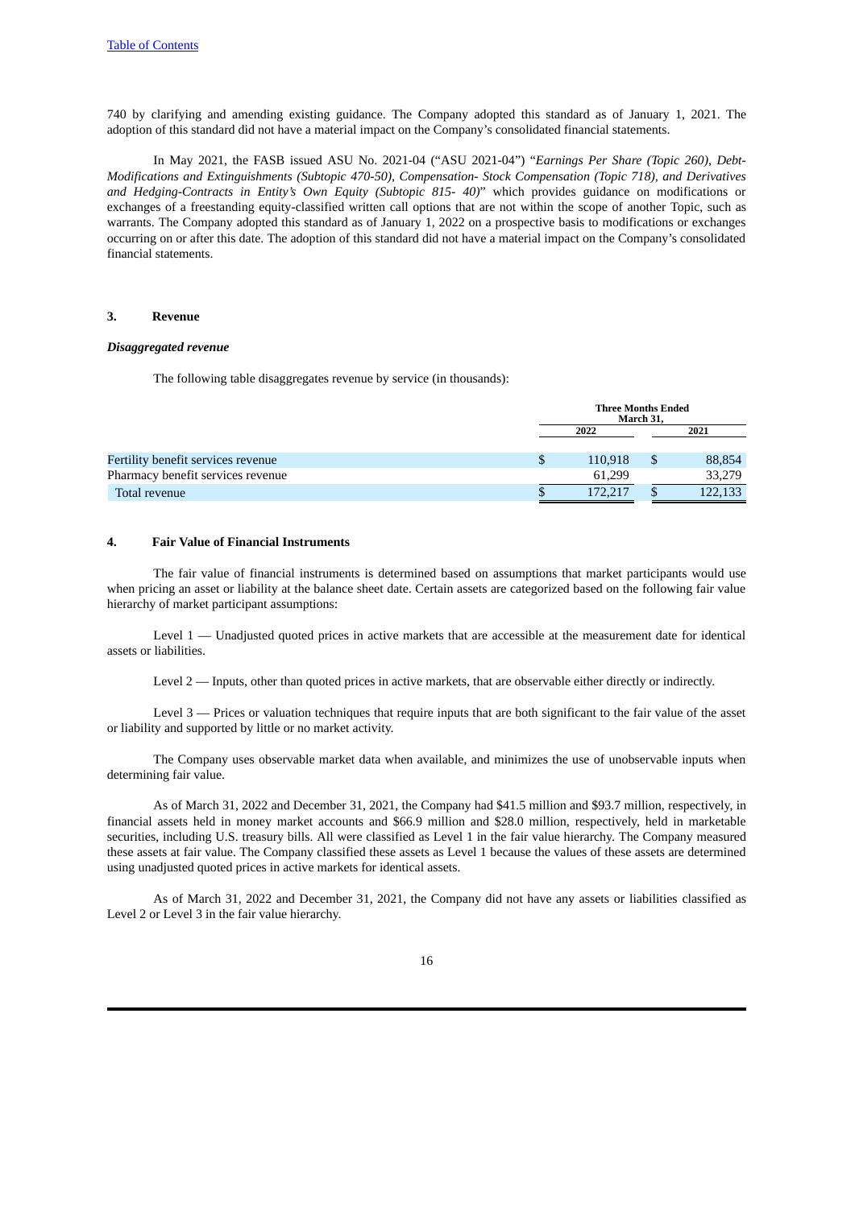740 by clarifying and amending existing guidance. The Company adopted this standard as of January 1, 2021. The adoption of this standard did not have a material impact on the Company's consolidated financial statements.

In May 2021, the FASB issued ASU No. 2021-04 ("ASU 2021-04") "*Earnings Per Share (Topic 260), Debt-Modifications and Extinguishments (Subtopic 470-50), Compensation- Stock Compensation (Topic 718), and Derivatives and Hedging-Contracts in Entity's Own Equity (Subtopic 815- 40)*" which provides guidance on modifications or exchanges of a freestanding equity-classified written call options that are not within the scope of another Topic, such as warrants. The Company adopted this standard as of January 1, 2022 on a prospective basis to modifications or exchanges occurring on or after this date. The adoption of this standard did not have a material impact on the Company's consolidated financial statements.

#### **3. Revenue**

#### *Disaggregated revenue*

The following table disaggregates revenue by service (in thousands):

|                                    | <b>Three Months Ended</b><br>March 31, |  |         |  |  |  |
|------------------------------------|----------------------------------------|--|---------|--|--|--|
|                                    | 2022                                   |  | 2021    |  |  |  |
|                                    |                                        |  |         |  |  |  |
| Fertility benefit services revenue | 110.918                                |  | 88,854  |  |  |  |
| Pharmacy benefit services revenue  | 61.299                                 |  | 33,279  |  |  |  |
| Total revenue                      | 172.217                                |  | 122.133 |  |  |  |

#### **4. Fair Value of Financial Instruments**

The fair value of financial instruments is determined based on assumptions that market participants would use when pricing an asset or liability at the balance sheet date. Certain assets are categorized based on the following fair value hierarchy of market participant assumptions:

Level 1 — Unadjusted quoted prices in active markets that are accessible at the measurement date for identical assets or liabilities.

Level 2 — Inputs, other than quoted prices in active markets, that are observable either directly or indirectly.

Level 3 — Prices or valuation techniques that require inputs that are both significant to the fair value of the asset or liability and supported by little or no market activity.

The Company uses observable market data when available, and minimizes the use of unobservable inputs when determining fair value.

As of March 31, 2022 and December 31, 2021, the Company had \$41.5 million and \$93.7 million, respectively, in financial assets held in money market accounts and \$66.9 million and \$28.0 million, respectively, held in marketable securities, including U.S. treasury bills. All were classified as Level 1 in the fair value hierarchy. The Company measured these assets at fair value. The Company classified these assets as Level 1 because the values of these assets are determined using unadjusted quoted prices in active markets for identical assets.

As of March 31, 2022 and December 31, 2021, the Company did not have any assets or liabilities classified as Level 2 or Level 3 in the fair value hierarchy.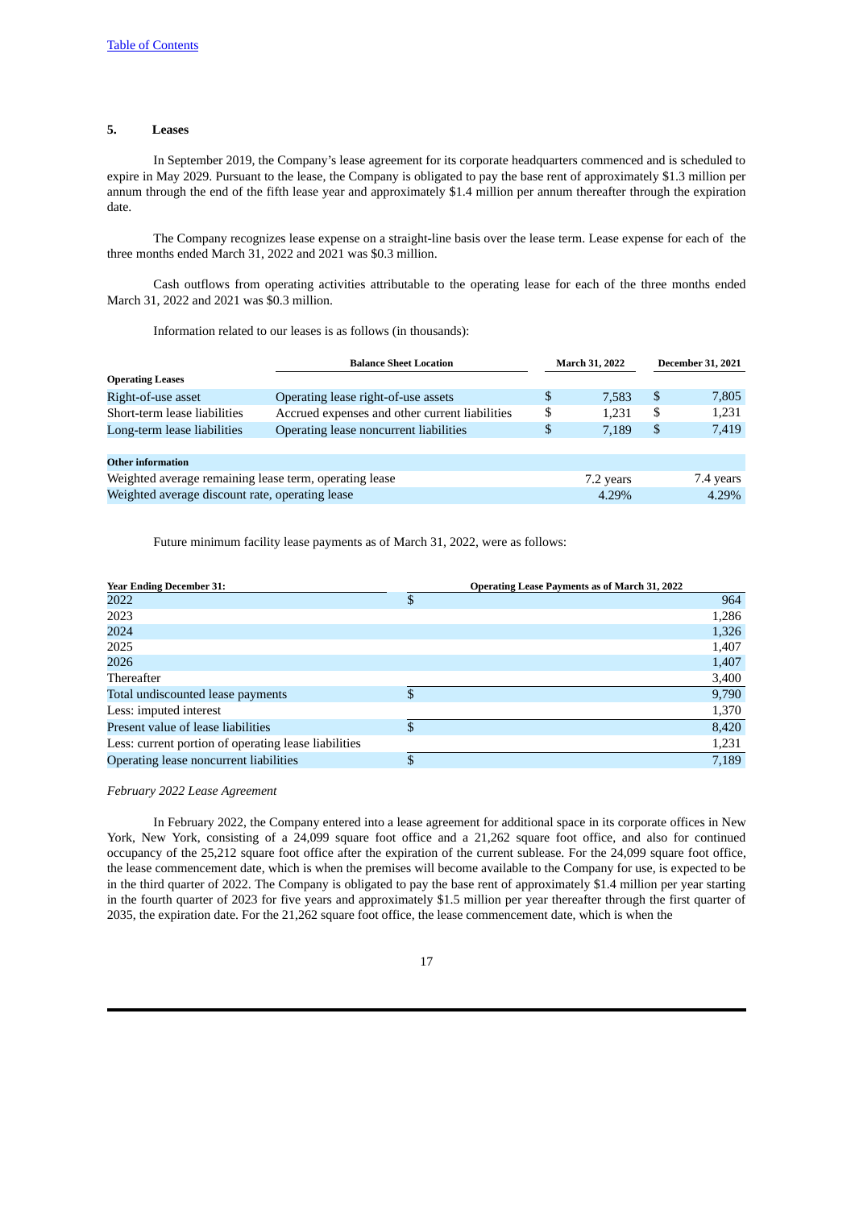#### **5. Leases**

In September 2019, the Company's lease agreement for its corporate headquarters commenced and is scheduled to expire in May 2029. Pursuant to the lease, the Company is obligated to pay the base rent of approximately \$1.3 million per annum through the end of the fifth lease year and approximately \$1.4 million per annum thereafter through the expiration date.

The Company recognizes lease expense on a straight-line basis over the lease term. Lease expense for each of the three months ended March 31, 2022 and 2021 was \$0.3 million.

Cash outflows from operating activities attributable to the operating lease for each of the three months ended March 31, 2022 and 2021 was \$0.3 million.

Information related to our leases is as follows (in thousands):

|                                                        | <b>Balance Sheet Location</b>                  | March 31, 2022 | <b>December 31, 2021</b> |           |
|--------------------------------------------------------|------------------------------------------------|----------------|--------------------------|-----------|
| <b>Operating Leases</b>                                |                                                |                |                          |           |
| Right-of-use asset                                     | Operating lease right-of-use assets            | \$<br>7.583    | \$                       | 7,805     |
| Short-term lease liabilities                           | Accrued expenses and other current liabilities | \$<br>1.231    | \$                       | 1,231     |
| Long-term lease liabilities                            | Operating lease noncurrent liabilities         | \$<br>7.189    | \$                       | 7,419     |
|                                                        |                                                |                |                          |           |
| <b>Other information</b>                               |                                                |                |                          |           |
| Weighted average remaining lease term, operating lease |                                                | 7.2 years      |                          | 7.4 years |
| Weighted average discount rate, operating lease        |                                                | 4.29%          |                          | 4.29%     |

Future minimum facility lease payments as of March 31, 2022, were as follows:

| <b>Year Ending December 31:</b>                      | <b>Operating Lease Payments as of March 31, 2022</b> |       |  |
|------------------------------------------------------|------------------------------------------------------|-------|--|
| 2022                                                 | \$                                                   | 964   |  |
| 2023                                                 |                                                      | 1,286 |  |
| 2024                                                 |                                                      | 1,326 |  |
| 2025                                                 |                                                      | 1,407 |  |
| 2026                                                 |                                                      | 1,407 |  |
| Thereafter                                           |                                                      | 3,400 |  |
| Total undiscounted lease payments                    | \$                                                   | 9,790 |  |
| Less: imputed interest                               |                                                      | 1,370 |  |
| Present value of lease liabilities                   | \$                                                   | 8,420 |  |
| Less: current portion of operating lease liabilities |                                                      | 1,231 |  |
| Operating lease noncurrent liabilities               | \$.                                                  | 7,189 |  |

#### *February 2022 Lease Agreement*

In February 2022, the Company entered into a lease agreement for additional space in its corporate offices in New York, New York, consisting of a 24,099 square foot office and a 21,262 square foot office, and also for continued occupancy of the 25,212 square foot office after the expiration of the current sublease. For the 24,099 square foot office, the lease commencement date, which is when the premises will become available to the Company for use, is expected to be in the third quarter of 2022. The Company is obligated to pay the base rent of approximately \$1.4 million per year starting in the fourth quarter of 2023 for five years and approximately \$1.5 million per year thereafter through the first quarter of 2035, the expiration date. For the 21,262 square foot office, the lease commencement date, which is when the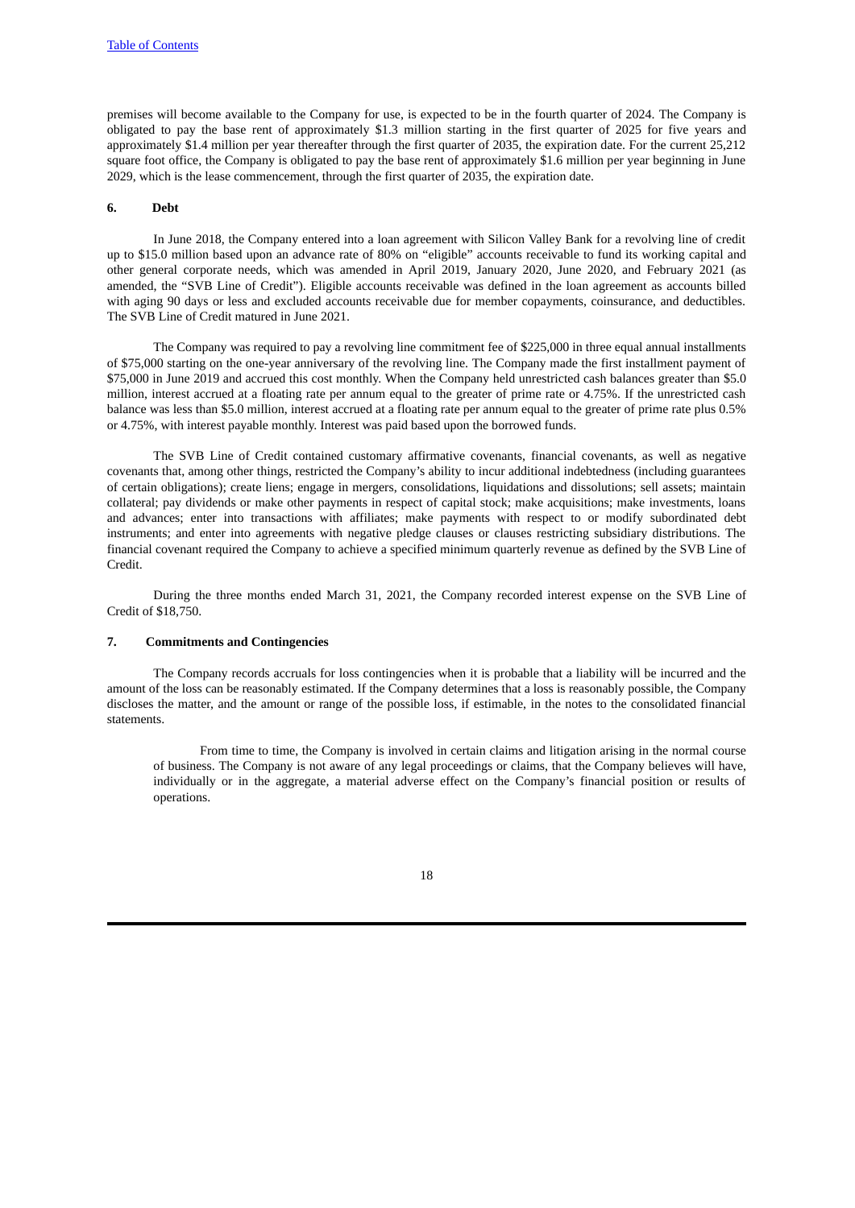premises will become available to the Company for use, is expected to be in the fourth quarter of 2024. The Company is obligated to pay the base rent of approximately \$1.3 million starting in the first quarter of 2025 for five years and approximately \$1.4 million per year thereafter through the first quarter of 2035, the expiration date. For the current 25,212 square foot office, the Company is obligated to pay the base rent of approximately \$1.6 million per year beginning in June 2029, which is the lease commencement, through the first quarter of 2035, the expiration date.

#### **6. Debt**

In June 2018, the Company entered into a loan agreement with Silicon Valley Bank for a revolving line of credit up to \$15.0 million based upon an advance rate of 80% on "eligible" accounts receivable to fund its working capital and other general corporate needs, which was amended in April 2019, January 2020, June 2020, and February 2021 (as amended, the "SVB Line of Credit"). Eligible accounts receivable was defined in the loan agreement as accounts billed with aging 90 days or less and excluded accounts receivable due for member copayments, coinsurance, and deductibles. The SVB Line of Credit matured in June 2021.

The Company was required to pay a revolving line commitment fee of \$225,000 in three equal annual installments of \$75,000 starting on the one-year anniversary of the revolving line. The Company made the first installment payment of \$75,000 in June 2019 and accrued this cost monthly. When the Company held unrestricted cash balances greater than \$5.0 million, interest accrued at a floating rate per annum equal to the greater of prime rate or 4.75%. If the unrestricted cash balance was less than \$5.0 million, interest accrued at a floating rate per annum equal to the greater of prime rate plus 0.5% or 4.75%, with interest payable monthly. Interest was paid based upon the borrowed funds.

The SVB Line of Credit contained customary affirmative covenants, financial covenants, as well as negative covenants that, among other things, restricted the Company's ability to incur additional indebtedness (including guarantees of certain obligations); create liens; engage in mergers, consolidations, liquidations and dissolutions; sell assets; maintain collateral; pay dividends or make other payments in respect of capital stock; make acquisitions; make investments, loans and advances; enter into transactions with affiliates; make payments with respect to or modify subordinated debt instruments; and enter into agreements with negative pledge clauses or clauses restricting subsidiary distributions. The financial covenant required the Company to achieve a specified minimum quarterly revenue as defined by the SVB Line of Credit.

During the three months ended March 31, 2021, the Company recorded interest expense on the SVB Line of Credit of \$18,750.

## **7. Commitments and Contingencies**

The Company records accruals for loss contingencies when it is probable that a liability will be incurred and the amount of the loss can be reasonably estimated. If the Company determines that a loss is reasonably possible, the Company discloses the matter, and the amount or range of the possible loss, if estimable, in the notes to the consolidated financial statements.

From time to time, the Company is involved in certain claims and litigation arising in the normal course of business. The Company is not aware of any legal proceedings or claims, that the Company believes will have, individually or in the aggregate, a material adverse effect on the Company's financial position or results of operations.

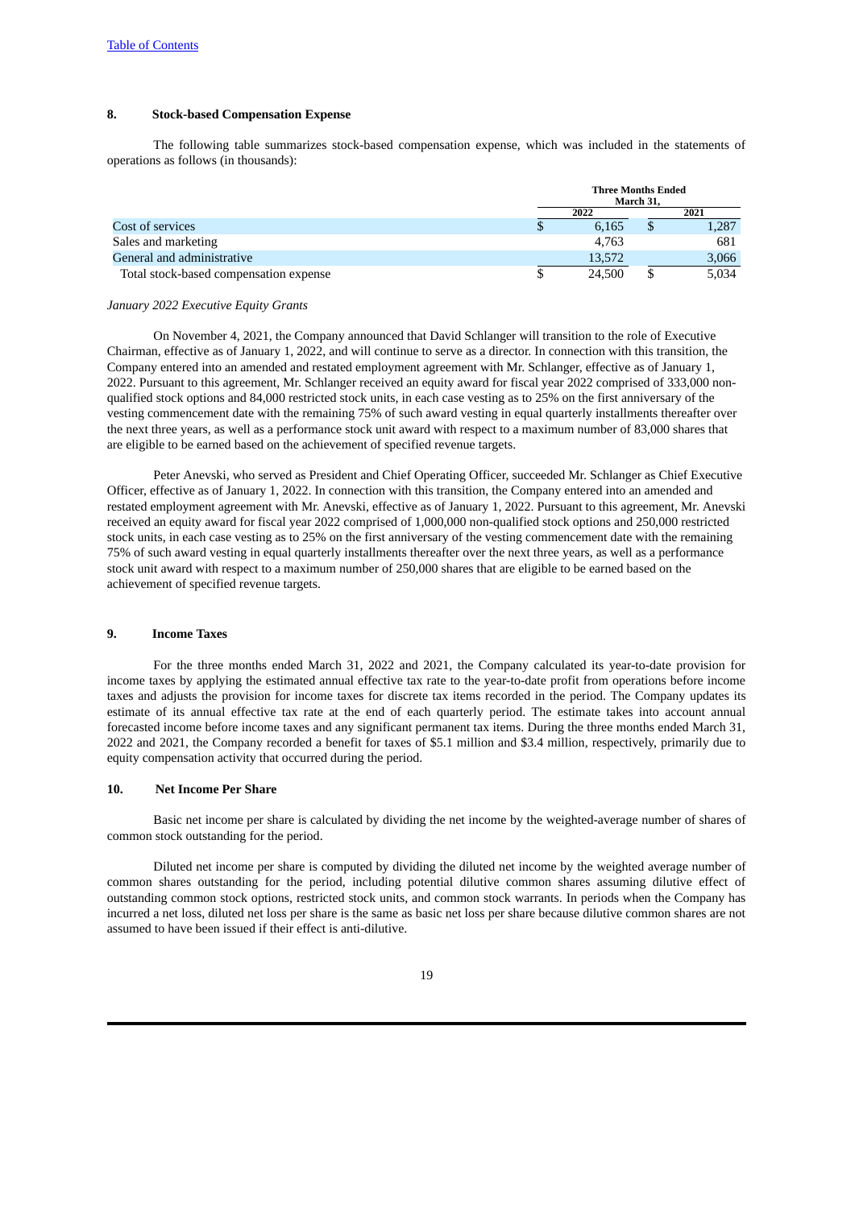#### **8. Stock-based Compensation Expense**

The following table summarizes stock-based compensation expense, which was included in the statements of operations as follows (in thousands):

|                                        | <b>Three Months Ended</b><br>March 31, |  |       |  |
|----------------------------------------|----------------------------------------|--|-------|--|
|                                        | 2022                                   |  | 2021  |  |
| Cost of services                       | 6.165                                  |  | 1,287 |  |
| Sales and marketing                    | 4.763                                  |  | 681   |  |
| General and administrative             | 13,572                                 |  | 3,066 |  |
| Total stock-based compensation expense | 24,500                                 |  | 5.034 |  |

#### *January 2022 Executive Equity Grants*

On November 4, 2021, the Company announced that David Schlanger will transition to the role of Executive Chairman, effective as of January 1, 2022, and will continue to serve as a director. In connection with this transition, the Company entered into an amended and restated employment agreement with Mr. Schlanger, effective as of January 1, 2022. Pursuant to this agreement, Mr. Schlanger received an equity award for fiscal year 2022 comprised of 333,000 nonqualified stock options and 84,000 restricted stock units, in each case vesting as to 25% on the first anniversary of the vesting commencement date with the remaining 75% of such award vesting in equal quarterly installments thereafter over the next three years, as well as a performance stock unit award with respect to a maximum number of 83,000 shares that are eligible to be earned based on the achievement of specified revenue targets.

Peter Anevski, who served as President and Chief Operating Officer, succeeded Mr. Schlanger as Chief Executive Officer, effective as of January 1, 2022. In connection with this transition, the Company entered into an amended and restated employment agreement with Mr. Anevski, effective as of January 1, 2022. Pursuant to this agreement, Mr. Anevski received an equity award for fiscal year 2022 comprised of 1,000,000 non-qualified stock options and 250,000 restricted stock units, in each case vesting as to 25% on the first anniversary of the vesting commencement date with the remaining 75% of such award vesting in equal quarterly installments thereafter over the next three years, as well as a performance stock unit award with respect to a maximum number of 250,000 shares that are eligible to be earned based on the achievement of specified revenue targets.

#### **9. Income Taxes**

For the three months ended March 31, 2022 and 2021, the Company calculated its year-to-date provision for income taxes by applying the estimated annual effective tax rate to the year-to-date profit from operations before income taxes and adjusts the provision for income taxes for discrete tax items recorded in the period. The Company updates its estimate of its annual effective tax rate at the end of each quarterly period. The estimate takes into account annual forecasted income before income taxes and any significant permanent tax items. During the three months ended March 31, 2022 and 2021, the Company recorded a benefit for taxes of \$5.1 million and \$3.4 million, respectively, primarily due to equity compensation activity that occurred during the period.

#### **10. Net Income Per Share**

Basic net income per share is calculated by dividing the net income by the weighted-average number of shares of common stock outstanding for the period.

Diluted net income per share is computed by dividing the diluted net income by the weighted average number of common shares outstanding for the period, including potential dilutive common shares assuming dilutive effect of outstanding common stock options, restricted stock units, and common stock warrants. In periods when the Company has incurred a net loss, diluted net loss per share is the same as basic net loss per share because dilutive common shares are not assumed to have been issued if their effect is anti-dilutive.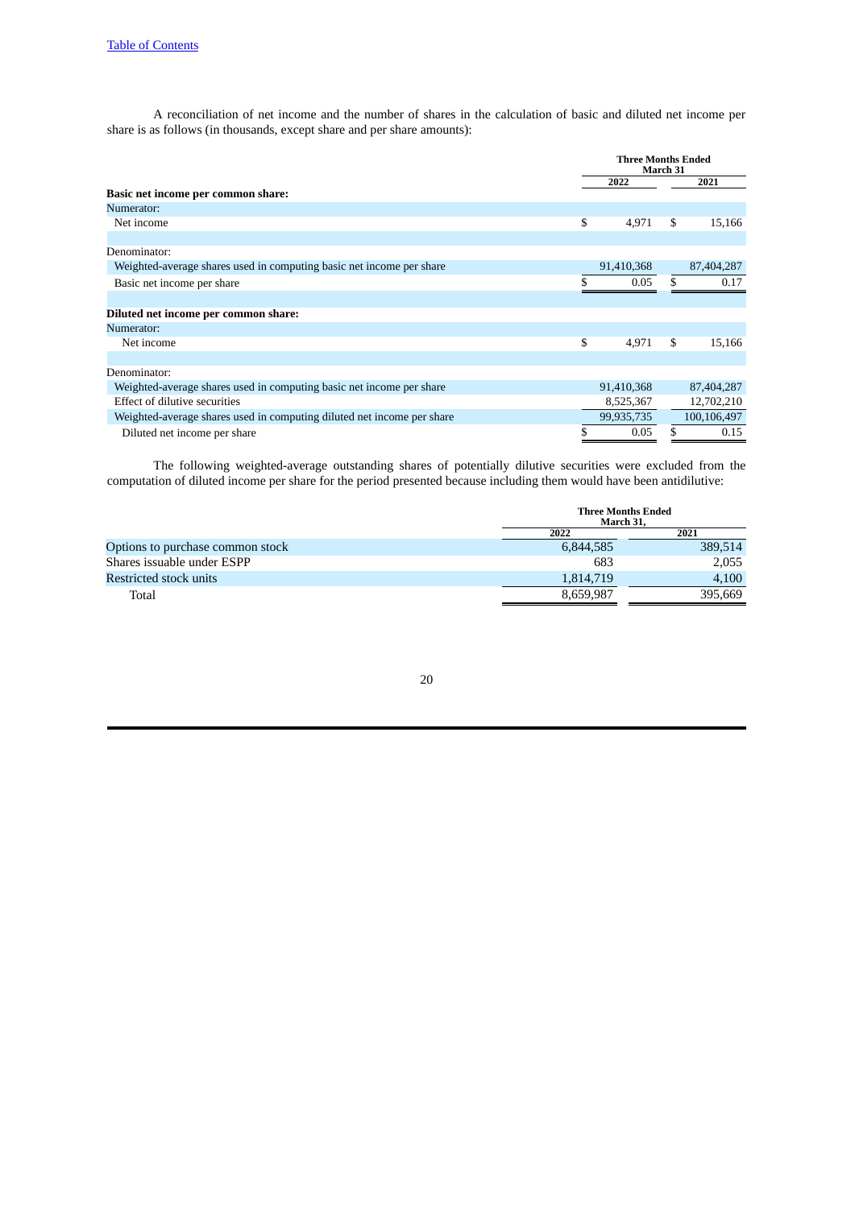A reconciliation of net income and the number of shares in the calculation of basic and diluted net income per share is as follows (in thousands, except share and per share amounts):

|                                                                        | <b>Three Months Ended</b><br>March 31 |            |    |             |  |
|------------------------------------------------------------------------|---------------------------------------|------------|----|-------------|--|
|                                                                        |                                       | 2022       |    | 2021        |  |
| Basic net income per common share:                                     |                                       |            |    |             |  |
| Numerator:                                                             |                                       |            |    |             |  |
| Net income                                                             | \$                                    | 4,971      | \$ | 15,166      |  |
|                                                                        |                                       |            |    |             |  |
| Denominator:                                                           |                                       |            |    |             |  |
| Weighted-average shares used in computing basic net income per share   |                                       | 91,410,368 |    | 87,404,287  |  |
| Basic net income per share                                             | \$                                    | 0.05       | \$ | 0.17        |  |
|                                                                        |                                       |            |    |             |  |
| Diluted net income per common share:                                   |                                       |            |    |             |  |
| Numerator:                                                             |                                       |            |    |             |  |
| Net income                                                             | \$                                    | 4,971      | \$ | 15,166      |  |
|                                                                        |                                       |            |    |             |  |
| Denominator:                                                           |                                       |            |    |             |  |
| Weighted-average shares used in computing basic net income per share   |                                       | 91,410,368 |    | 87,404,287  |  |
| Effect of dilutive securities                                          |                                       | 8,525,367  |    | 12,702,210  |  |
| Weighted-average shares used in computing diluted net income per share |                                       | 99,935,735 |    | 100,106,497 |  |
| Diluted net income per share                                           | \$                                    | 0.05       | \$ | 0.15        |  |

The following weighted-average outstanding shares of potentially dilutive securities were excluded from the computation of diluted income per share for the period presented because including them would have been antidilutive:

|                                  | <b>Three Months Ended</b><br>March 31, |         |  |  |
|----------------------------------|----------------------------------------|---------|--|--|
|                                  | 2022                                   | 2021    |  |  |
| Options to purchase common stock | 6,844,585                              | 389,514 |  |  |
| Shares issuable under ESPP       | 683                                    | 2.055   |  |  |
| Restricted stock units           | 1,814,719                              | 4.100   |  |  |
| Total                            | 8,659,987                              | 395.669 |  |  |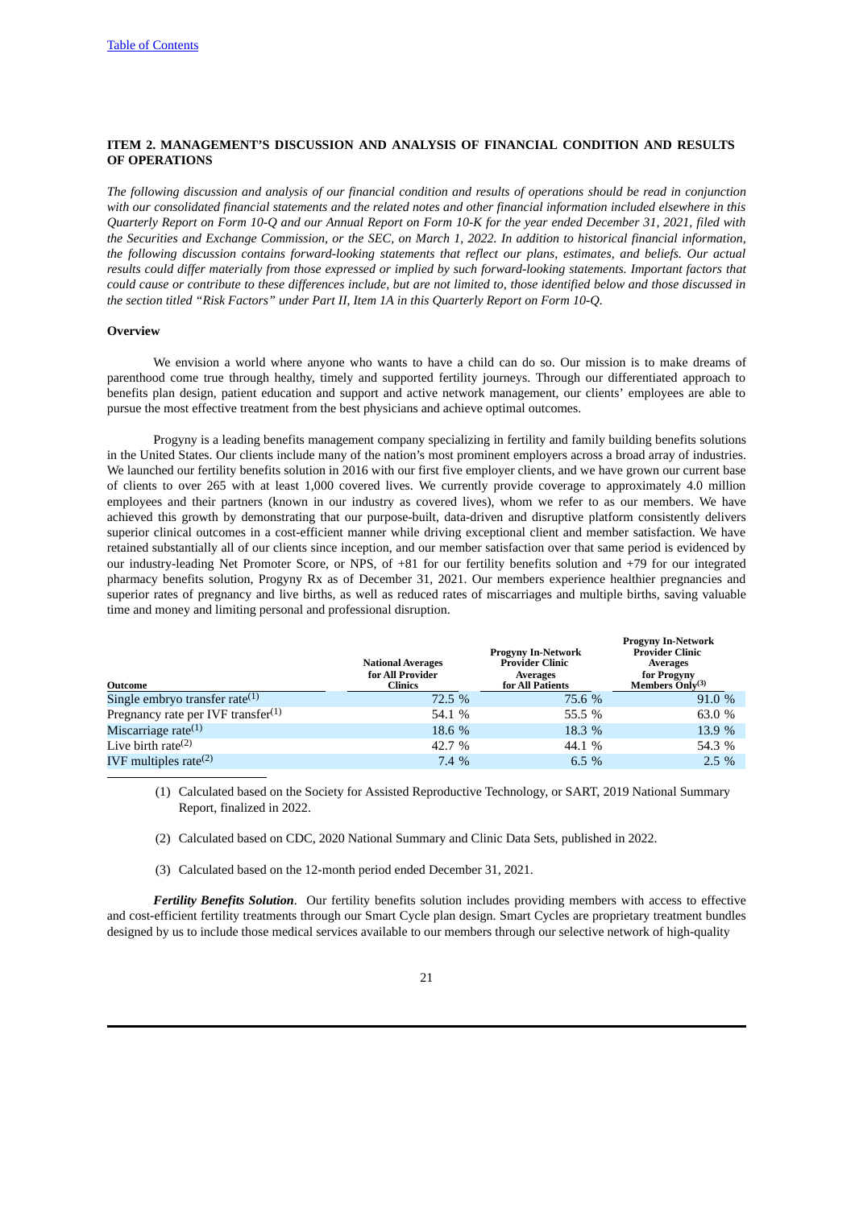#### <span id="page-20-0"></span>**ITEM 2. MANAGEMENT'S DISCUSSION AND ANALYSIS OF FINANCIAL CONDITION AND RESULTS OF OPERATIONS**

The following discussion and analysis of our financial condition and results of operations should be read in conjunction with our consolidated financial statements and the related notes and other financial information included elsewhere in this Quarterly Report on Form 10-Q and our Annual Report on Form 10-K for the year ended December 31, 2021, filed with the Securities and Exchange Commission, or the SEC, on March 1, 2022. In addition to historical financial information, *the following discussion contains forward-looking statements that reflect our plans, estimates, and beliefs. Our actual* results could differ materially from those expressed or implied by such forward-looking statements. Important factors that could cause or contribute to these differences include, but are not limited to, those identified below and those discussed in *the section titled "Risk Factors" under Part II, Item 1A in this Quarterly Report on Form 10-Q.*

#### **Overview**

We envision a world where anyone who wants to have a child can do so. Our mission is to make dreams of parenthood come true through healthy, timely and supported fertility journeys. Through our differentiated approach to benefits plan design, patient education and support and active network management, our clients' employees are able to pursue the most effective treatment from the best physicians and achieve optimal outcomes.

Progyny is a leading benefits management company specializing in fertility and family building benefits solutions in the United States. Our clients include many of the nation's most prominent employers across a broad array of industries. We launched our fertility benefits solution in 2016 with our first five employer clients, and we have grown our current base of clients to over 265 with at least 1,000 covered lives. We currently provide coverage to approximately 4.0 million employees and their partners (known in our industry as covered lives), whom we refer to as our members. We have achieved this growth by demonstrating that our purpose-built, data-driven and disruptive platform consistently delivers superior clinical outcomes in a cost-efficient manner while driving exceptional client and member satisfaction. We have retained substantially all of our clients since inception, and our member satisfaction over that same period is evidenced by our industry-leading Net Promoter Score, or NPS, of +81 for our fertility benefits solution and +79 for our integrated pharmacy benefits solution, Progyny Rx as of December 31, 2021. Our members experience healthier pregnancies and superior rates of pregnancy and live births, as well as reduced rates of miscarriages and multiple births, saving valuable time and money and limiting personal and professional disruption.

| Outcome                                        | <b>National Averages</b><br>for All Provider<br><b>Clinics</b> | <b>Progyny In-Network</b><br><b>Provider Clinic</b><br>Averages<br>for All Patients | <b>Progyny In-Network</b><br><b>Provider Clinic</b><br>Averages<br>for Progyny<br>Members Only $(3)$ |
|------------------------------------------------|----------------------------------------------------------------|-------------------------------------------------------------------------------------|------------------------------------------------------------------------------------------------------|
| Single embryo transfer rate $(1)$              | 72.5 %                                                         | 75.6 %                                                                              | 91.0 %                                                                                               |
| Pregnancy rate per IVF transfer <sup>(1)</sup> | 54.1 %                                                         | 55.5 %                                                                              | 63.0 %                                                                                               |
| Miscarriage rate $(1)$                         | 18.6 %                                                         | 18.3 %                                                                              | 13.9 %                                                                                               |
| Live birth rate $(2)$                          | 42.7 %                                                         | 44.1 %                                                                              | 54.3 %                                                                                               |
| IVF multiples rate $(2)$                       | 7.4%                                                           | 6.5 $%$                                                                             | $2.5\%$                                                                                              |

(1) Calculated based on the Society for Assisted Reproductive Technology, or SART, 2019 National Summary Report, finalized in 2022.

- (2) Calculated based on CDC, 2020 National Summary and Clinic Data Sets, published in 2022.
- (3) Calculated based on the 12-month period ended December 31, 2021.

*Fertility Benefits Solution*. Our fertility benefits solution includes providing members with access to effective and cost-efficient fertility treatments through our Smart Cycle plan design. Smart Cycles are proprietary treatment bundles designed by us to include those medical services available to our members through our selective network of high-quality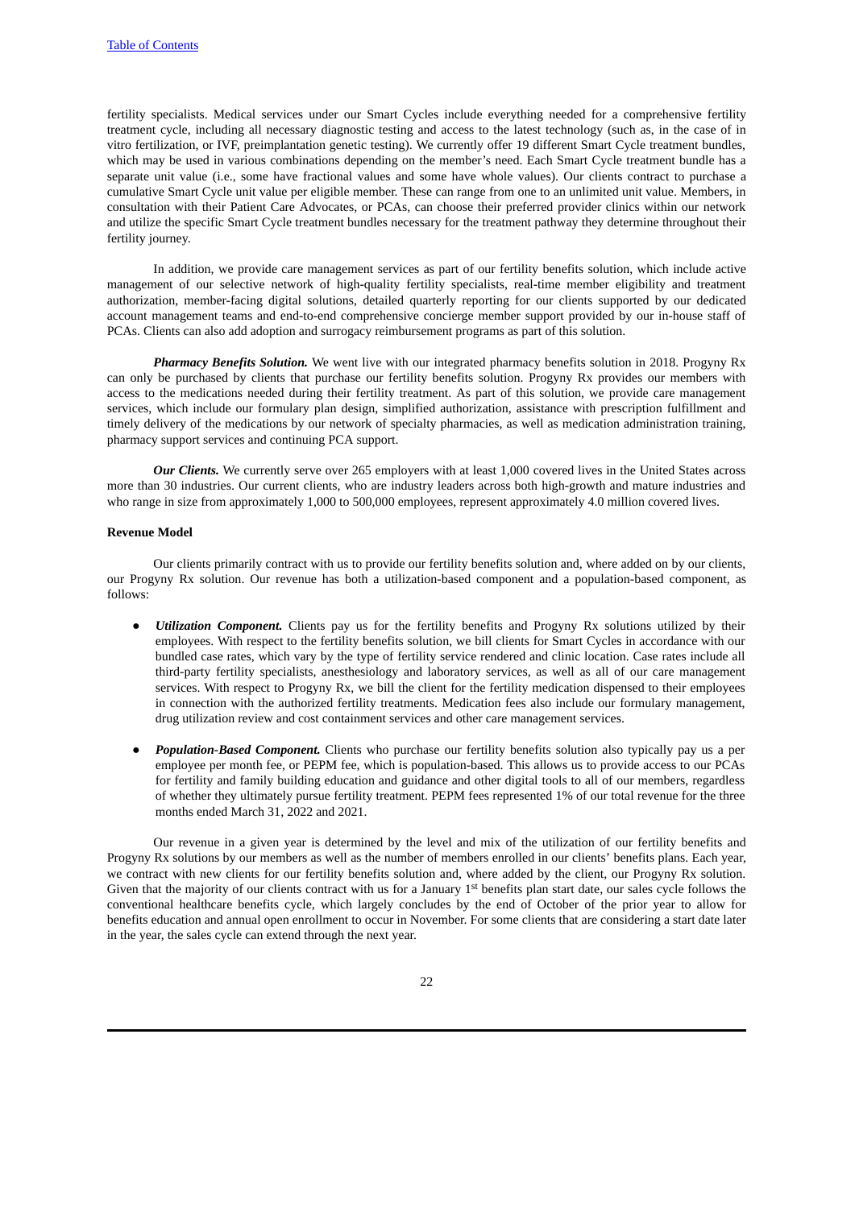fertility specialists. Medical services under our Smart Cycles include everything needed for a comprehensive fertility treatment cycle, including all necessary diagnostic testing and access to the latest technology (such as, in the case of in vitro fertilization, or IVF, preimplantation genetic testing). We currently offer 19 different Smart Cycle treatment bundles, which may be used in various combinations depending on the member's need. Each Smart Cycle treatment bundle has a separate unit value (i.e., some have fractional values and some have whole values). Our clients contract to purchase a cumulative Smart Cycle unit value per eligible member. These can range from one to an unlimited unit value. Members, in consultation with their Patient Care Advocates, or PCAs, can choose their preferred provider clinics within our network and utilize the specific Smart Cycle treatment bundles necessary for the treatment pathway they determine throughout their fertility journey.

In addition, we provide care management services as part of our fertility benefits solution, which include active management of our selective network of high-quality fertility specialists, real-time member eligibility and treatment authorization, member-facing digital solutions, detailed quarterly reporting for our clients supported by our dedicated account management teams and end-to-end comprehensive concierge member support provided by our in-house staff of PCAs. Clients can also add adoption and surrogacy reimbursement programs as part of this solution.

*Pharmacy Benefits Solution.* We went live with our integrated pharmacy benefits solution in 2018. Progyny Rx can only be purchased by clients that purchase our fertility benefits solution. Progyny Rx provides our members with access to the medications needed during their fertility treatment. As part of this solution, we provide care management services, which include our formulary plan design, simplified authorization, assistance with prescription fulfillment and timely delivery of the medications by our network of specialty pharmacies, as well as medication administration training, pharmacy support services and continuing PCA support.

*Our Clients.* We currently serve over 265 employers with at least 1,000 covered lives in the United States across more than 30 industries. Our current clients, who are industry leaders across both high-growth and mature industries and who range in size from approximately 1,000 to 500,000 employees, represent approximately 4.0 million covered lives.

#### **Revenue Model**

Our clients primarily contract with us to provide our fertility benefits solution and, where added on by our clients, our Progyny Rx solution. Our revenue has both a utilization-based component and a population-based component, as follows:

- *Utilization Component.* Clients pay us for the fertility benefits and Progyny Rx solutions utilized by their employees. With respect to the fertility benefits solution, we bill clients for Smart Cycles in accordance with our bundled case rates, which vary by the type of fertility service rendered and clinic location. Case rates include all third-party fertility specialists, anesthesiology and laboratory services, as well as all of our care management services. With respect to Progyny Rx, we bill the client for the fertility medication dispensed to their employees in connection with the authorized fertility treatments. Medication fees also include our formulary management, drug utilization review and cost containment services and other care management services.
- *Population-Based Component.* Clients who purchase our fertility benefits solution also typically pay us a per employee per month fee, or PEPM fee, which is population-based. This allows us to provide access to our PCAs for fertility and family building education and guidance and other digital tools to all of our members, regardless of whether they ultimately pursue fertility treatment. PEPM fees represented 1% of our total revenue for the three months ended March 31, 2022 and 2021.

Our revenue in a given year is determined by the level and mix of the utilization of our fertility benefits and Progyny Rx solutions by our members as well as the number of members enrolled in our clients' benefits plans. Each year, we contract with new clients for our fertility benefits solution and, where added by the client, our Progyny Rx solution. Given that the majority of our clients contract with us for a January  $1<sup>st</sup>$  benefits plan start date, our sales cycle follows the conventional healthcare benefits cycle, which largely concludes by the end of October of the prior year to allow for benefits education and annual open enrollment to occur in November. For some clients that are considering a start date later in the year, the sales cycle can extend through the next year.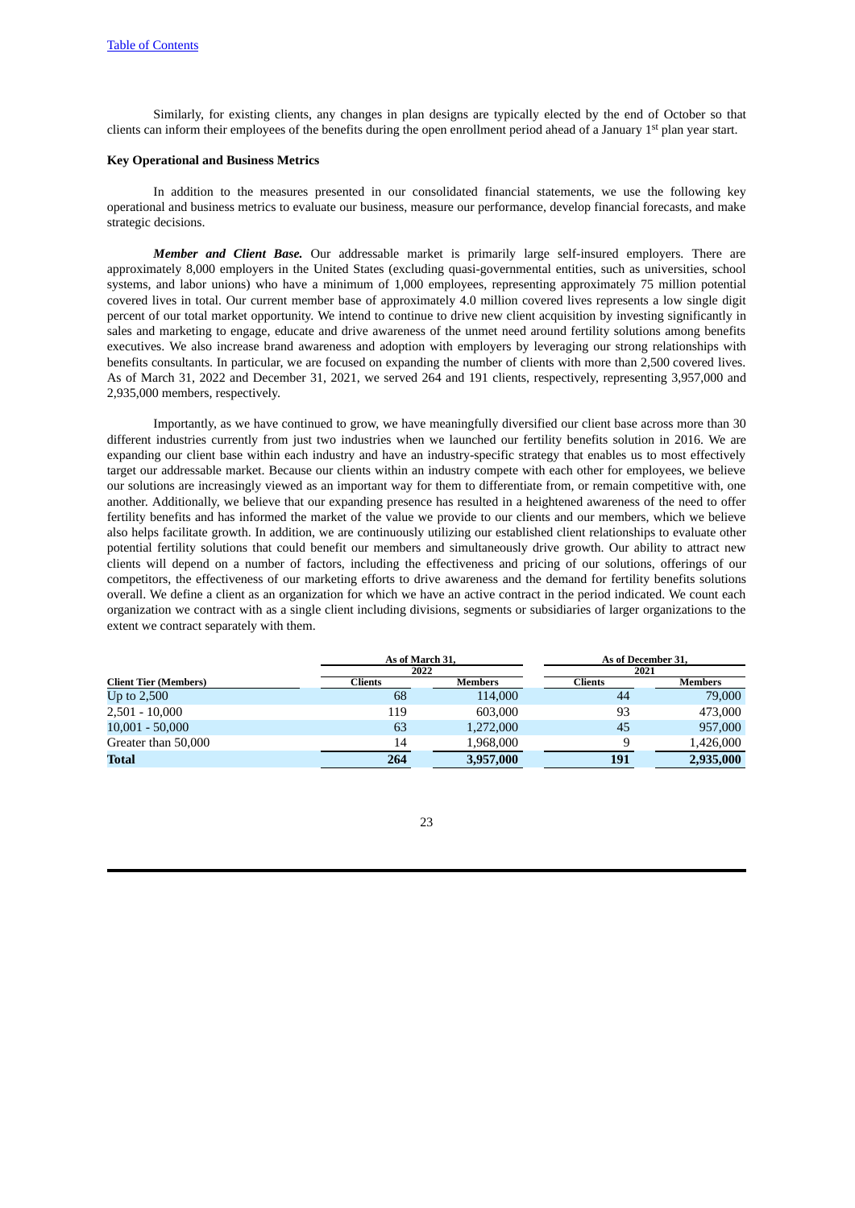Similarly, for existing clients, any changes in plan designs are typically elected by the end of October so that clients can inform their employees of the benefits during the open enrollment period ahead of a January 1<sup>st</sup> plan year start.

#### **Key Operational and Business Metrics**

In addition to the measures presented in our consolidated financial statements, we use the following key operational and business metrics to evaluate our business, measure our performance, develop financial forecasts, and make strategic decisions.

*Member and Client Base.* Our addressable market is primarily large self-insured employers. There are approximately 8,000 employers in the United States (excluding quasi-governmental entities, such as universities, school systems, and labor unions) who have a minimum of 1,000 employees, representing approximately 75 million potential covered lives in total. Our current member base of approximately 4.0 million covered lives represents a low single digit percent of our total market opportunity. We intend to continue to drive new client acquisition by investing significantly in sales and marketing to engage, educate and drive awareness of the unmet need around fertility solutions among benefits executives. We also increase brand awareness and adoption with employers by leveraging our strong relationships with benefits consultants. In particular, we are focused on expanding the number of clients with more than 2,500 covered lives. As of March 31, 2022 and December 31, 2021, we served 264 and 191 clients, respectively, representing 3,957,000 and 2,935,000 members, respectively.

Importantly, as we have continued to grow, we have meaningfully diversified our client base across more than 30 different industries currently from just two industries when we launched our fertility benefits solution in 2016. We are expanding our client base within each industry and have an industry-specific strategy that enables us to most effectively target our addressable market. Because our clients within an industry compete with each other for employees, we believe our solutions are increasingly viewed as an important way for them to differentiate from, or remain competitive with, one another. Additionally, we believe that our expanding presence has resulted in a heightened awareness of the need to offer fertility benefits and has informed the market of the value we provide to our clients and our members, which we believe also helps facilitate growth. In addition, we are continuously utilizing our established client relationships to evaluate other potential fertility solutions that could benefit our members and simultaneously drive growth. Our ability to attract new clients will depend on a number of factors, including the effectiveness and pricing of our solutions, offerings of our competitors, the effectiveness of our marketing efforts to drive awareness and the demand for fertility benefits solutions overall. We define a client as an organization for which we have an active contract in the period indicated. We count each organization we contract with as a single client including divisions, segments or subsidiaries of larger organizations to the extent we contract separately with them.

|                              | As of March 31. |                |                | As of December 31, |  |  |
|------------------------------|-----------------|----------------|----------------|--------------------|--|--|
|                              | 2022            |                | 2021           |                    |  |  |
| <b>Client Tier (Members)</b> | Clients         | <b>Members</b> | <b>Clients</b> | Members            |  |  |
| Up to $2,500$                | 68              | 114,000        | 44             | 79,000             |  |  |
| $2,501 - 10,000$             | 119             | 603,000        | 93             | 473,000            |  |  |
| $10,001 - 50,000$            | 63              | 1,272,000      | 45             | 957,000            |  |  |
| Greater than 50,000          | 14              | 1,968,000      | 9              | 1,426,000          |  |  |
| <b>Total</b>                 | 264             | 3,957,000      | 191            | 2,935,000          |  |  |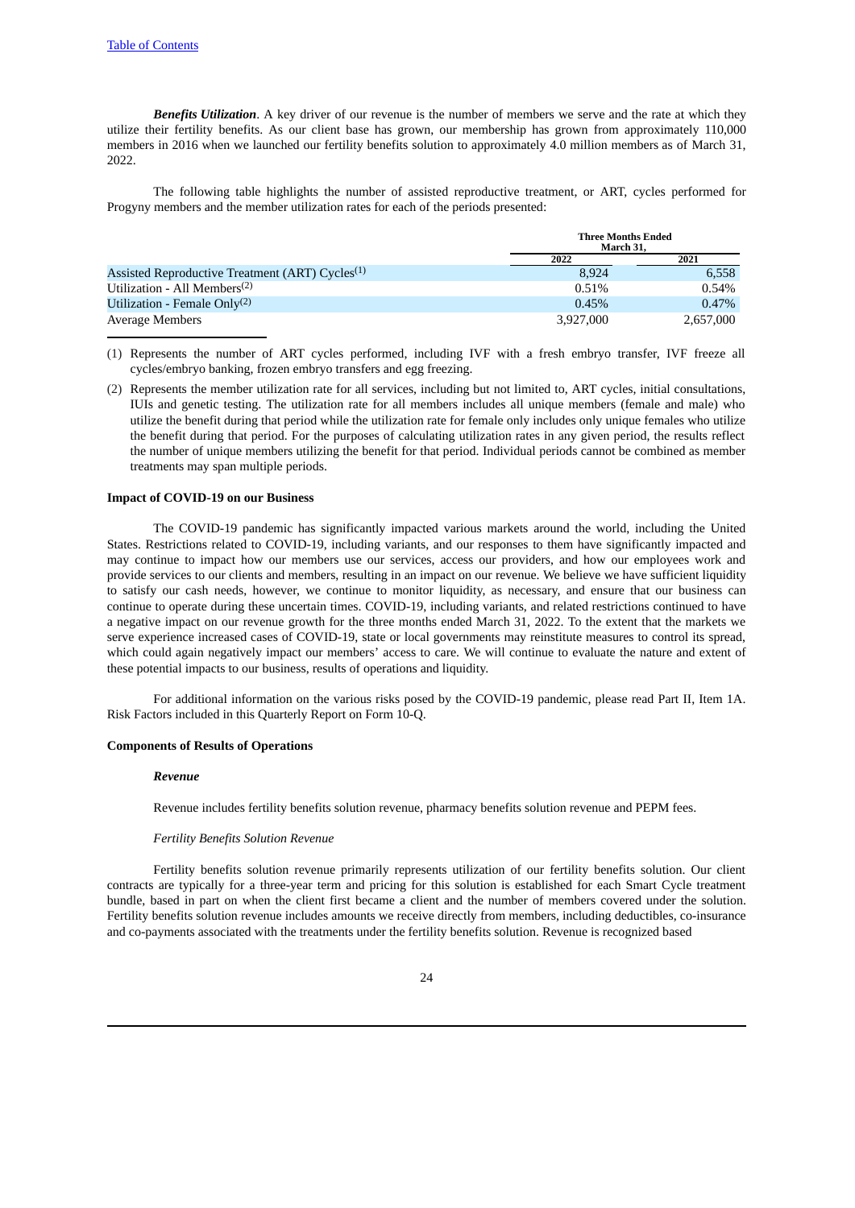*Benefits Utilization*. A key driver of our revenue is the number of members we serve and the rate at which they utilize their fertility benefits. As our client base has grown, our membership has grown from approximately 110,000 members in 2016 when we launched our fertility benefits solution to approximately 4.0 million members as of March 31, 2022.

The following table highlights the number of assisted reproductive treatment, or ART, cycles performed for Progyny members and the member utilization rates for each of the periods presented:

|                                                             |           | <b>Three Months Ended</b><br>March 31, |  |  |
|-------------------------------------------------------------|-----------|----------------------------------------|--|--|
|                                                             | 2022      | 2021                                   |  |  |
| Assisted Reproductive Treatment (ART) Cycles <sup>(1)</sup> | 8.924     | 6,558                                  |  |  |
| Utilization - All Members <sup>(2)</sup>                    | 0.51%     | 0.54%                                  |  |  |
| Utilization - Female Only <sup>(2)</sup>                    | 0.45%     | $0.47\%$                               |  |  |
| Average Members                                             | 3,927,000 | 2,657,000                              |  |  |

- (1) Represents the number of ART cycles performed, including IVF with a fresh embryo transfer, IVF freeze all cycles/embryo banking, frozen embryo transfers and egg freezing.
- (2) Represents the member utilization rate for all services, including but not limited to, ART cycles, initial consultations, IUIs and genetic testing. The utilization rate for all members includes all unique members (female and male) who utilize the benefit during that period while the utilization rate for female only includes only unique females who utilize the benefit during that period. For the purposes of calculating utilization rates in any given period, the results reflect the number of unique members utilizing the benefit for that period. Individual periods cannot be combined as member treatments may span multiple periods.

#### **Impact of COVID-19 on our Business**

The COVID-19 pandemic has significantly impacted various markets around the world, including the United States. Restrictions related to COVID-19, including variants, and our responses to them have significantly impacted and may continue to impact how our members use our services, access our providers, and how our employees work and provide services to our clients and members, resulting in an impact on our revenue. We believe we have sufficient liquidity to satisfy our cash needs, however, we continue to monitor liquidity, as necessary, and ensure that our business can continue to operate during these uncertain times. COVID-19, including variants, and related restrictions continued to have a negative impact on our revenue growth for the three months ended March 31, 2022. To the extent that the markets we serve experience increased cases of COVID-19, state or local governments may reinstitute measures to control its spread, which could again negatively impact our members' access to care. We will continue to evaluate the nature and extent of these potential impacts to our business, results of operations and liquidity.

For additional information on the various risks posed by the COVID-19 pandemic, please read Part II, Item 1A. Risk Factors included in this Quarterly Report on Form 10-Q.

#### **Components of Results of Operations**

#### *Revenue*

Revenue includes fertility benefits solution revenue, pharmacy benefits solution revenue and PEPM fees.

#### *Fertility Benefits Solution Revenue*

Fertility benefits solution revenue primarily represents utilization of our fertility benefits solution. Our client contracts are typically for a three-year term and pricing for this solution is established for each Smart Cycle treatment bundle, based in part on when the client first became a client and the number of members covered under the solution. Fertility benefits solution revenue includes amounts we receive directly from members, including deductibles, co-insurance and co-payments associated with the treatments under the fertility benefits solution. Revenue is recognized based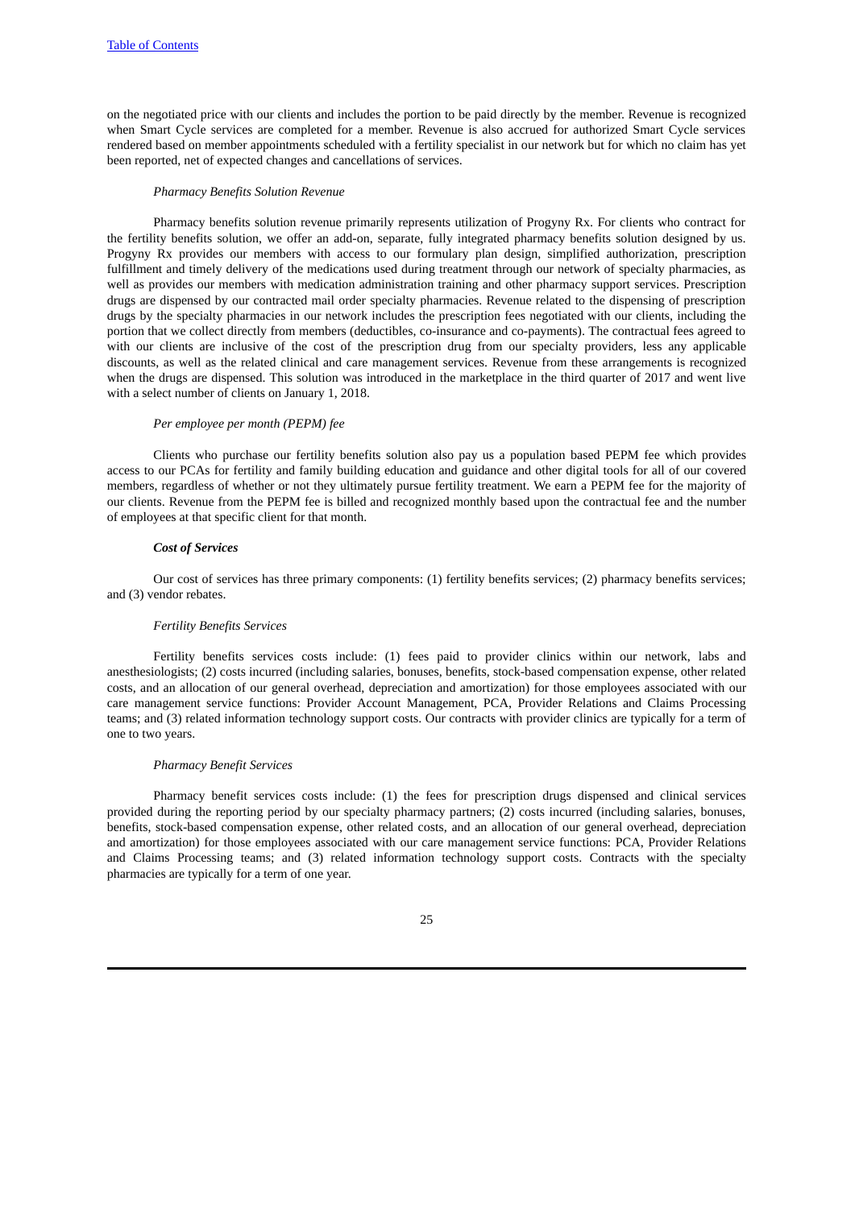on the negotiated price with our clients and includes the portion to be paid directly by the member. Revenue is recognized when Smart Cycle services are completed for a member. Revenue is also accrued for authorized Smart Cycle services rendered based on member appointments scheduled with a fertility specialist in our network but for which no claim has yet been reported, net of expected changes and cancellations of services.

#### *Pharmacy Benefits Solution Revenue*

Pharmacy benefits solution revenue primarily represents utilization of Progyny Rx. For clients who contract for the fertility benefits solution, we offer an add-on, separate, fully integrated pharmacy benefits solution designed by us. Progyny Rx provides our members with access to our formulary plan design, simplified authorization, prescription fulfillment and timely delivery of the medications used during treatment through our network of specialty pharmacies, as well as provides our members with medication administration training and other pharmacy support services. Prescription drugs are dispensed by our contracted mail order specialty pharmacies. Revenue related to the dispensing of prescription drugs by the specialty pharmacies in our network includes the prescription fees negotiated with our clients, including the portion that we collect directly from members (deductibles, co-insurance and co-payments). The contractual fees agreed to with our clients are inclusive of the cost of the prescription drug from our specialty providers, less any applicable discounts, as well as the related clinical and care management services. Revenue from these arrangements is recognized when the drugs are dispensed. This solution was introduced in the marketplace in the third quarter of 2017 and went live with a select number of clients on January 1, 2018.

#### *Per employee per month (PEPM) fee*

Clients who purchase our fertility benefits solution also pay us a population based PEPM fee which provides access to our PCAs for fertility and family building education and guidance and other digital tools for all of our covered members, regardless of whether or not they ultimately pursue fertility treatment. We earn a PEPM fee for the majority of our clients. Revenue from the PEPM fee is billed and recognized monthly based upon the contractual fee and the number of employees at that specific client for that month.

#### *Cost of Services*

Our cost of services has three primary components: (1) fertility benefits services; (2) pharmacy benefits services; and (3) vendor rebates.

#### *Fertility Benefits Services*

Fertility benefits services costs include: (1) fees paid to provider clinics within our network, labs and anesthesiologists; (2) costs incurred (including salaries, bonuses, benefits, stock-based compensation expense, other related costs, and an allocation of our general overhead, depreciation and amortization) for those employees associated with our care management service functions: Provider Account Management, PCA, Provider Relations and Claims Processing teams; and (3) related information technology support costs. Our contracts with provider clinics are typically for a term of one to two years.

#### *Pharmacy Benefit Services*

Pharmacy benefit services costs include: (1) the fees for prescription drugs dispensed and clinical services provided during the reporting period by our specialty pharmacy partners; (2) costs incurred (including salaries, bonuses, benefits, stock-based compensation expense, other related costs, and an allocation of our general overhead, depreciation and amortization) for those employees associated with our care management service functions: PCA, Provider Relations and Claims Processing teams; and (3) related information technology support costs. Contracts with the specialty pharmacies are typically for a term of one year.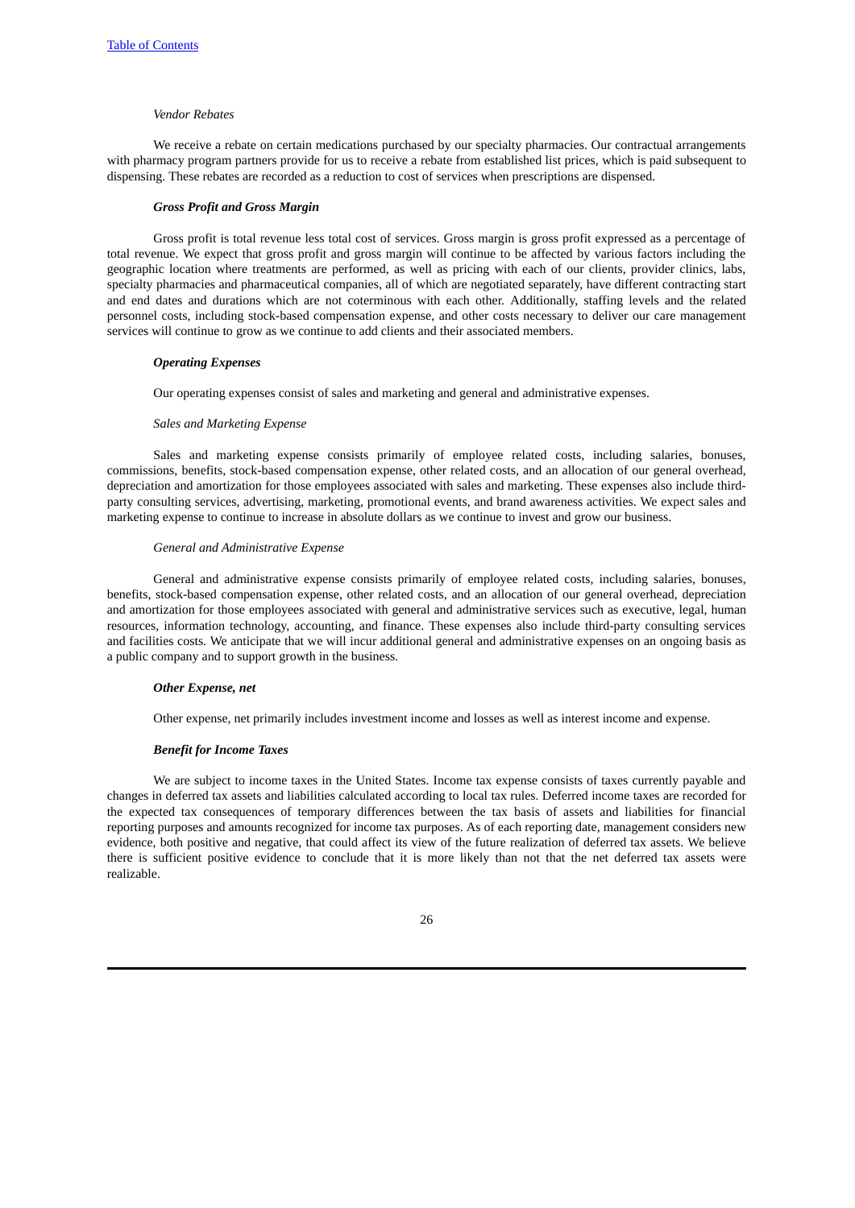#### *Vendor Rebates*

We receive a rebate on certain medications purchased by our specialty pharmacies. Our contractual arrangements with pharmacy program partners provide for us to receive a rebate from established list prices, which is paid subsequent to dispensing. These rebates are recorded as a reduction to cost of services when prescriptions are dispensed.

#### *Gross Profit and Gross Margin*

Gross profit is total revenue less total cost of services. Gross margin is gross profit expressed as a percentage of total revenue. We expect that gross profit and gross margin will continue to be affected by various factors including the geographic location where treatments are performed, as well as pricing with each of our clients, provider clinics, labs, specialty pharmacies and pharmaceutical companies, all of which are negotiated separately, have different contracting start and end dates and durations which are not coterminous with each other. Additionally, staffing levels and the related personnel costs, including stock-based compensation expense, and other costs necessary to deliver our care management services will continue to grow as we continue to add clients and their associated members.

#### *Operating Expenses*

Our operating expenses consist of sales and marketing and general and administrative expenses.

#### *Sales and Marketing Expense*

Sales and marketing expense consists primarily of employee related costs, including salaries, bonuses, commissions, benefits, stock-based compensation expense, other related costs, and an allocation of our general overhead, depreciation and amortization for those employees associated with sales and marketing. These expenses also include thirdparty consulting services, advertising, marketing, promotional events, and brand awareness activities. We expect sales and marketing expense to continue to increase in absolute dollars as we continue to invest and grow our business.

#### *General and Administrative Expense*

General and administrative expense consists primarily of employee related costs, including salaries, bonuses, benefits, stock-based compensation expense, other related costs, and an allocation of our general overhead, depreciation and amortization for those employees associated with general and administrative services such as executive, legal, human resources, information technology, accounting, and finance. These expenses also include third-party consulting services and facilities costs. We anticipate that we will incur additional general and administrative expenses on an ongoing basis as a public company and to support growth in the business.

#### *Other Expense, net*

Other expense, net primarily includes investment income and losses as well as interest income and expense.

#### *Benefit for Income Taxes*

We are subject to income taxes in the United States. Income tax expense consists of taxes currently payable and changes in deferred tax assets and liabilities calculated according to local tax rules. Deferred income taxes are recorded for the expected tax consequences of temporary differences between the tax basis of assets and liabilities for financial reporting purposes and amounts recognized for income tax purposes. As of each reporting date, management considers new evidence, both positive and negative, that could affect its view of the future realization of deferred tax assets. We believe there is sufficient positive evidence to conclude that it is more likely than not that the net deferred tax assets were realizable.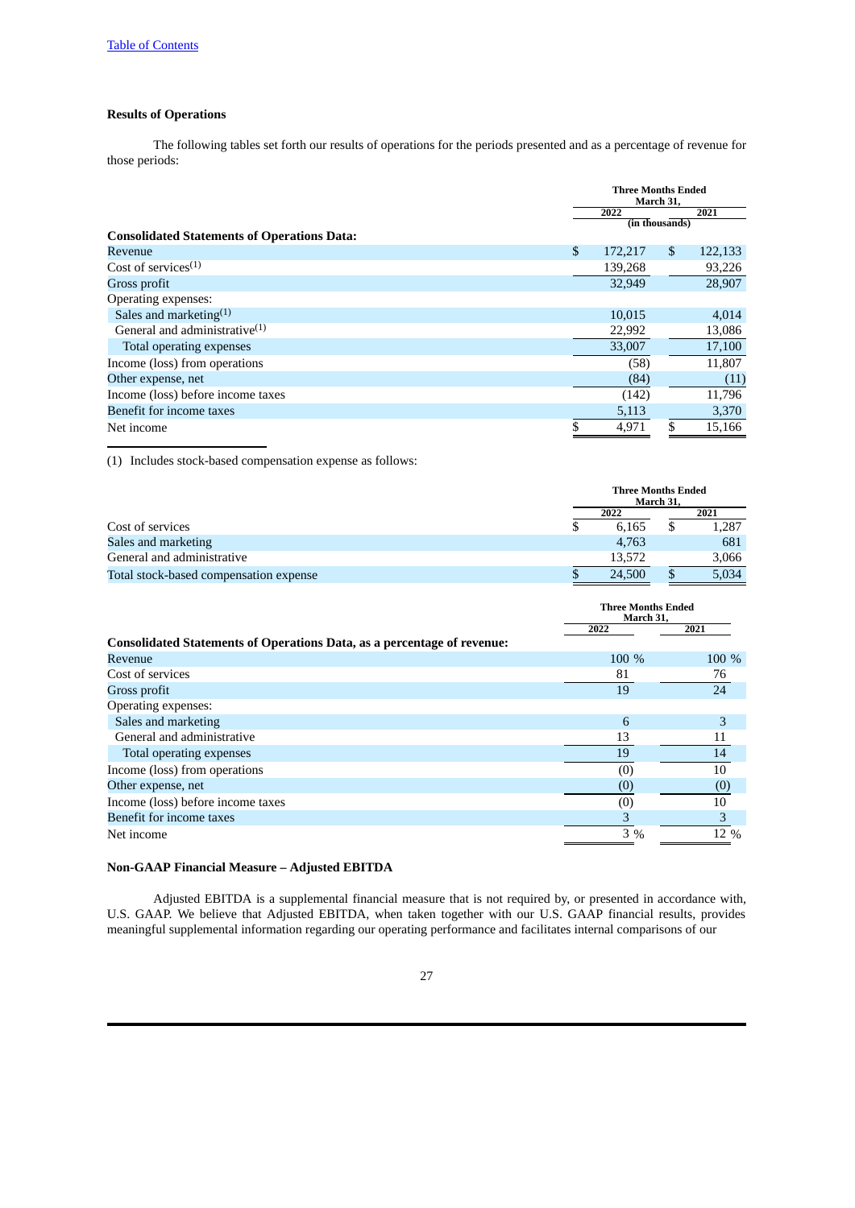## **Results of Operations**

The following tables set forth our results of operations for the periods presented and as a percentage of revenue for those periods:

|                                                    | <b>Three Months Ended</b><br>March 31, |         |                |         |
|----------------------------------------------------|----------------------------------------|---------|----------------|---------|
|                                                    |                                        | 2022    |                | 2021    |
|                                                    |                                        |         | (in thousands) |         |
| <b>Consolidated Statements of Operations Data:</b> |                                        |         |                |         |
| Revenue                                            | \$                                     | 172,217 | $\mathbb{S}$   | 122,133 |
| Cost of services $(1)$                             |                                        | 139,268 |                | 93,226  |
| Gross profit                                       |                                        | 32,949  |                | 28,907  |
| Operating expenses:                                |                                        |         |                |         |
| Sales and marketing $(1)$                          |                                        | 10,015  |                | 4,014   |
| General and administrative $(1)$                   |                                        | 22,992  |                | 13,086  |
| Total operating expenses                           |                                        | 33,007  |                | 17,100  |
| Income (loss) from operations                      |                                        | (58)    |                | 11,807  |
| Other expense, net                                 |                                        | (84)    |                | (11)    |
| Income (loss) before income taxes                  |                                        | (142)   |                | 11,796  |
| Benefit for income taxes                           |                                        | 5,113   |                | 3,370   |
| Net income                                         |                                        | 4,971   | \$             | 15,166  |

(1) Includes stock-based compensation expense as follows:

|                                        |  | <b>Three Months Ended</b><br>March 31. |  |       |  |
|----------------------------------------|--|----------------------------------------|--|-------|--|
|                                        |  | 2022                                   |  | 2021  |  |
| Cost of services                       |  | 6.165                                  |  | 1,287 |  |
| Sales and marketing                    |  | 4.763                                  |  | 681   |  |
| General and administrative             |  | 13.572                                 |  | 3,066 |  |
| Total stock-based compensation expense |  | 24,500                                 |  | 5,034 |  |

|                                                                                | <b>Three Months Ended</b><br>March 31, |       |
|--------------------------------------------------------------------------------|----------------------------------------|-------|
|                                                                                | 2022                                   | 2021  |
| <b>Consolidated Statements of Operations Data, as a percentage of revenue:</b> |                                        |       |
| Revenue                                                                        | $100\%$                                | 100 % |
| Cost of services                                                               | 81                                     | 76    |
| Gross profit                                                                   | 19                                     | 24    |
| Operating expenses:                                                            |                                        |       |
| Sales and marketing                                                            | 6                                      | 3     |
| General and administrative                                                     | 13                                     | 11    |
| Total operating expenses                                                       | 19                                     | 14    |
| Income (loss) from operations                                                  | (0)                                    | 10    |
| Other expense, net                                                             | (0)                                    | (0)   |
| Income (loss) before income taxes                                              | (0)                                    | 10    |
| Benefit for income taxes                                                       | 3                                      | 3     |
| Net income                                                                     | 3%                                     | 12 %  |

#### **Non-GAAP Financial Measure – Adjusted EBITDA**

Adjusted EBITDA is a supplemental financial measure that is not required by, or presented in accordance with, U.S. GAAP. We believe that Adjusted EBITDA, when taken together with our U.S. GAAP financial results, provides meaningful supplemental information regarding our operating performance and facilitates internal comparisons of our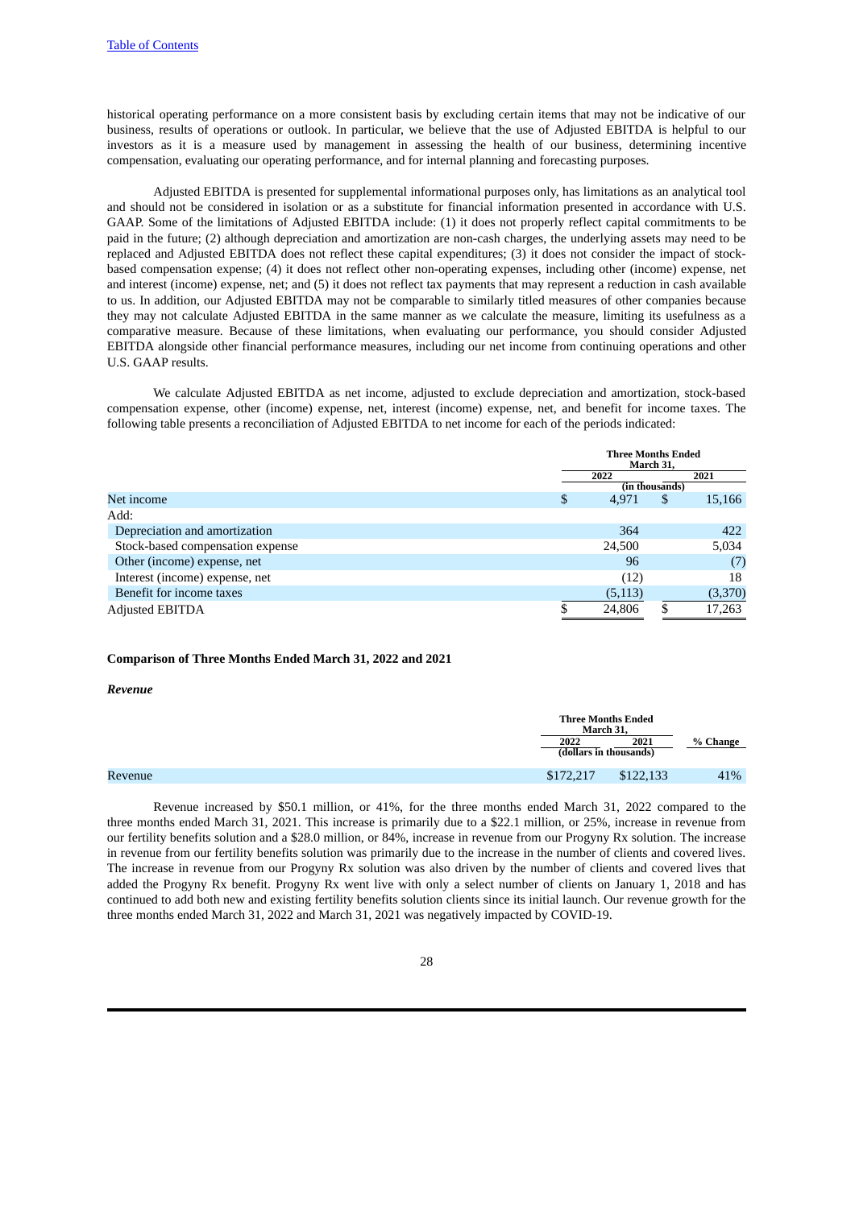historical operating performance on a more consistent basis by excluding certain items that may not be indicative of our business, results of operations or outlook. In particular, we believe that the use of Adjusted EBITDA is helpful to our investors as it is a measure used by management in assessing the health of our business, determining incentive compensation, evaluating our operating performance, and for internal planning and forecasting purposes.

Adjusted EBITDA is presented for supplemental informational purposes only, has limitations as an analytical tool and should not be considered in isolation or as a substitute for financial information presented in accordance with U.S. GAAP. Some of the limitations of Adjusted EBITDA include: (1) it does not properly reflect capital commitments to be paid in the future; (2) although depreciation and amortization are non-cash charges, the underlying assets may need to be replaced and Adjusted EBITDA does not reflect these capital expenditures; (3) it does not consider the impact of stockbased compensation expense; (4) it does not reflect other non-operating expenses, including other (income) expense, net and interest (income) expense, net; and (5) it does not reflect tax payments that may represent a reduction in cash available to us. In addition, our Adjusted EBITDA may not be comparable to similarly titled measures of other companies because they may not calculate Adjusted EBITDA in the same manner as we calculate the measure, limiting its usefulness as a comparative measure. Because of these limitations, when evaluating our performance, you should consider Adjusted EBITDA alongside other financial performance measures, including our net income from continuing operations and other U.S. GAAP results.

We calculate Adjusted EBITDA as net income, adjusted to exclude depreciation and amortization, stock-based compensation expense, other (income) expense, net, interest (income) expense, net, and benefit for income taxes. The following table presents a reconciliation of Adjusted EBITDA to net income for each of the periods indicated:

|                                  | <b>Three Months Ended</b><br>March 31, |                |         |
|----------------------------------|----------------------------------------|----------------|---------|
|                                  | 2021<br>2022                           |                |         |
|                                  |                                        | (in thousands) |         |
| Net income                       | \$<br>4,971                            | S              | 15,166  |
| Add:                             |                                        |                |         |
| Depreciation and amortization    | 364                                    |                | 422     |
| Stock-based compensation expense | 24,500                                 |                | 5,034   |
| Other (income) expense, net      | 96                                     |                | (7)     |
| Interest (income) expense, net   | (12)                                   |                | 18      |
| Benefit for income taxes         | (5, 113)                               |                | (3,370) |
| <b>Adjusted EBITDA</b>           | 24,806                                 |                | 17,263  |

#### **Comparison of Three Months Ended March 31, 2022 and 2021**

#### *Revenue*

|         |                                | <b>Three Months Ended</b><br>March 31. |          |  |
|---------|--------------------------------|----------------------------------------|----------|--|
|         | 2022<br>(dollars in thousands) | 2021                                   | % Change |  |
| Revenue | \$172,217                      | \$122,133                              | 41%      |  |

Revenue increased by \$50.1 million, or 41%, for the three months ended March 31, 2022 compared to the three months ended March 31, 2021. This increase is primarily due to a \$22.1 million, or 25%, increase in revenue from our fertility benefits solution and a \$28.0 million, or 84%, increase in revenue from our Progyny Rx solution. The increase in revenue from our fertility benefits solution was primarily due to the increase in the number of clients and covered lives. The increase in revenue from our Progyny Rx solution was also driven by the number of clients and covered lives that added the Progyny Rx benefit. Progyny Rx went live with only a select number of clients on January 1, 2018 and has continued to add both new and existing fertility benefits solution clients since its initial launch. Our revenue growth for the three months ended March 31, 2022 and March 31, 2021 was negatively impacted by COVID-19.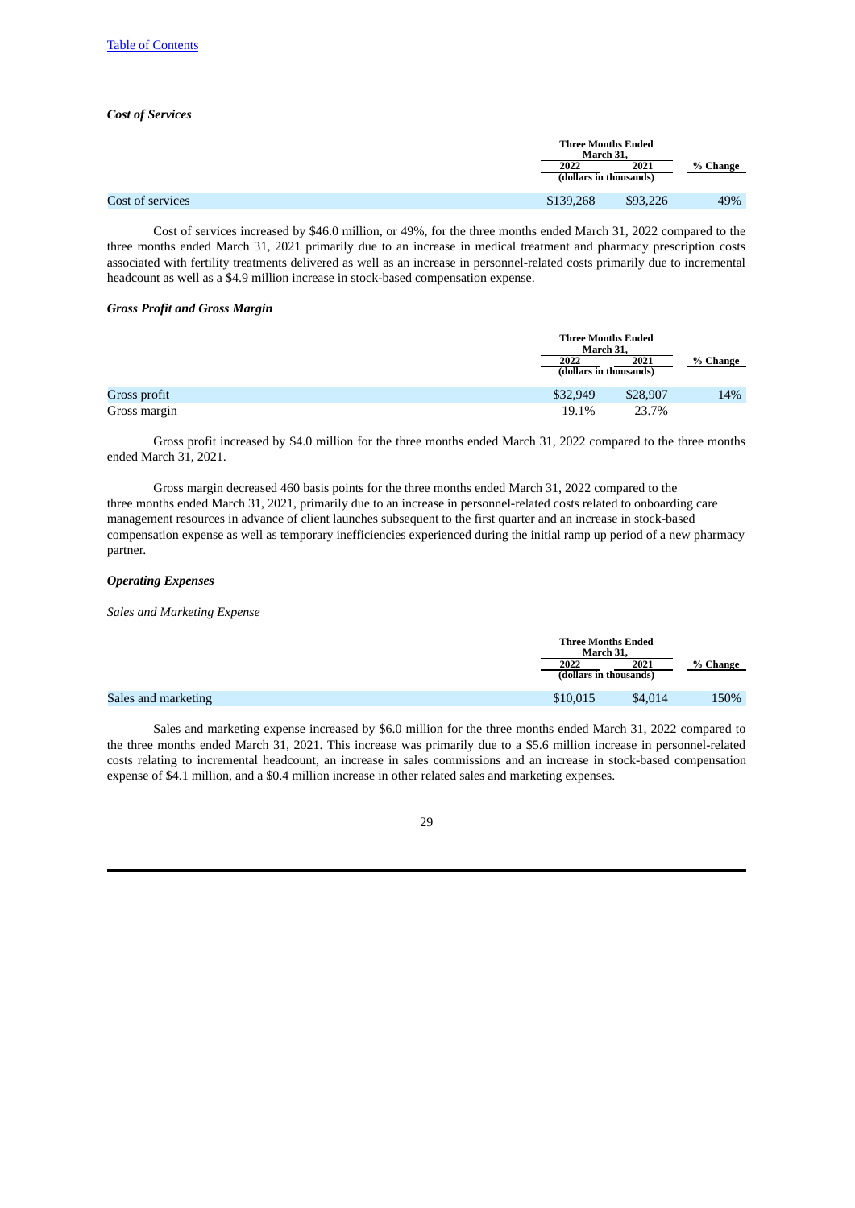#### *Cost of Services*

|                  | <b>Three Months Ended</b><br>March 31. |          |          |
|------------------|----------------------------------------|----------|----------|
|                  | 2022<br>(dollars in thousands)         | 2021     | % Change |
| Cost of services | \$139,268                              | \$93,226 | 49%      |

Cost of services increased by \$46.0 million, or 49%, for the three months ended March 31, 2022 compared to the three months ended March 31, 2021 primarily due to an increase in medical treatment and pharmacy prescription costs associated with fertility treatments delivered as well as an increase in personnel-related costs primarily due to incremental headcount as well as a \$4.9 million increase in stock-based compensation expense.

#### *Gross Profit and Gross Margin*

|              |          | <b>Three Months Ended</b><br>March 31, |          |  |
|--------------|----------|----------------------------------------|----------|--|
|              | 2022     | 2021                                   | % Change |  |
|              |          | (dollars in thousands)                 |          |  |
| Gross profit | \$32,949 | \$28,907                               | 14%      |  |
| Gross margin | 19.1%    | 23.7%                                  |          |  |

Gross profit increased by \$4.0 million for the three months ended March 31, 2022 compared to the three months ended March 31, 2021.

Gross margin decreased 460 basis points for the three months ended March 31, 2022 compared to the three months ended March 31, 2021, primarily due to an increase in personnel-related costs related to onboarding care management resources in advance of client launches subsequent to the first quarter and an increase in stock-based compensation expense as well as temporary inefficiencies experienced during the initial ramp up period of a new pharmacy partner.

#### *Operating Expenses*

*Sales and Marketing Expense*

|                     |                        | <b>Three Months Ended</b><br>March 31. |          |  |
|---------------------|------------------------|----------------------------------------|----------|--|
|                     | 2022                   | 2021                                   | % Change |  |
|                     | (dollars in thousands) |                                        |          |  |
| Sales and marketing | \$10,015               | \$4,014                                | 150%     |  |
|                     |                        |                                        |          |  |

Sales and marketing expense increased by \$6.0 million for the three months ended March 31, 2022 compared to the three months ended March 31, 2021. This increase was primarily due to a \$5.6 million increase in personnel-related costs relating to incremental headcount, an increase in sales commissions and an increase in stock-based compensation expense of \$4.1 million, and a \$0.4 million increase in other related sales and marketing expenses.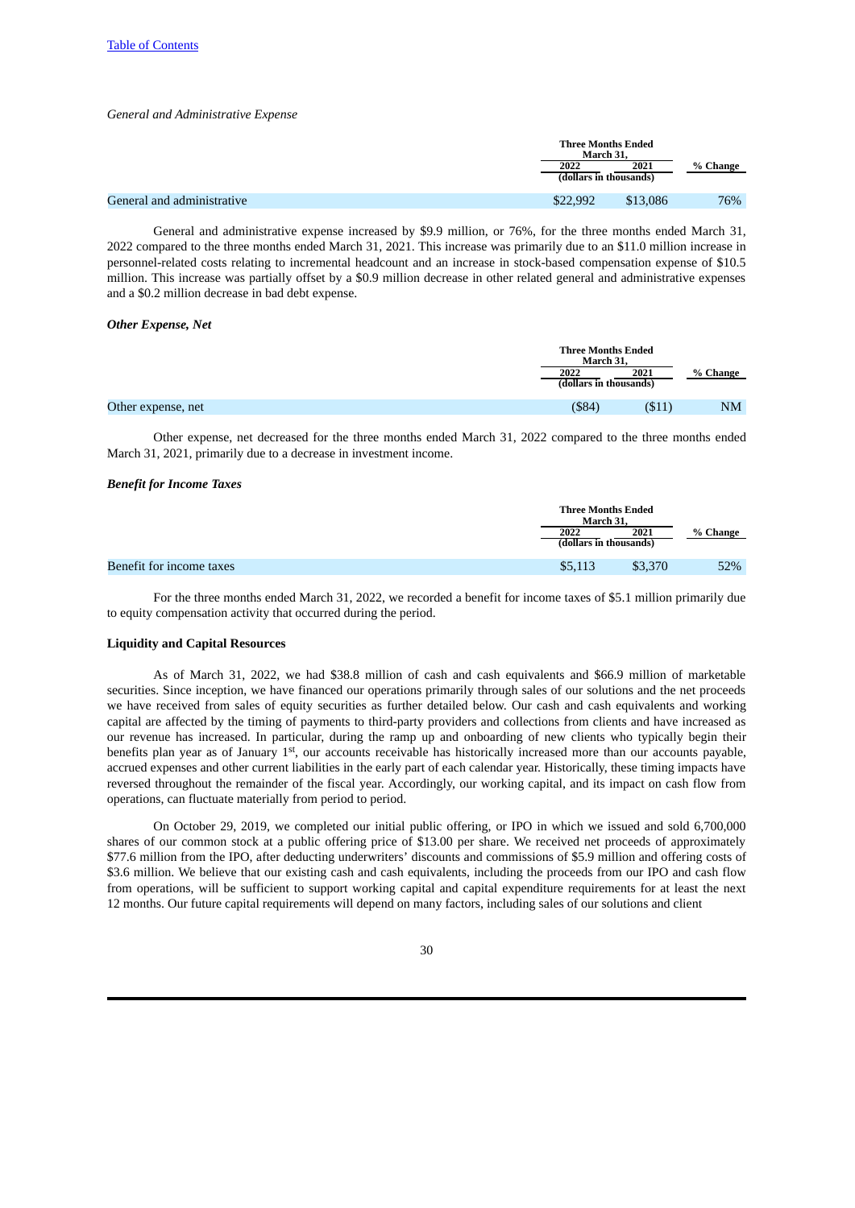#### *General and Administrative Expense*

|                            | <b>Three Months Ended</b><br>March 31. |          |          |
|----------------------------|----------------------------------------|----------|----------|
|                            | 2022                                   | 2021     | % Change |
|                            | (dollars in thousands)                 |          |          |
| General and administrative | \$22,992                               | \$13,086 | 76%      |

General and administrative expense increased by \$9.9 million, or 76%, for the three months ended March 31, 2022 compared to the three months ended March 31, 2021. This increase was primarily due to an \$11.0 million increase in personnel-related costs relating to incremental headcount and an increase in stock-based compensation expense of \$10.5 million. This increase was partially offset by a \$0.9 million decrease in other related general and administrative expenses and a \$0.2 million decrease in bad debt expense.

#### *Other Expense, Net*

|                    | <b>Three Months Ended</b><br>March 31. |        |           |
|--------------------|----------------------------------------|--------|-----------|
|                    | 2022<br>(dollars in thousands)         | 2021   | % Change  |
| Other expense, net | $($ \$84)                              | (\$11) | <b>NM</b> |

Other expense, net decreased for the three months ended March 31, 2022 compared to the three months ended March 31, 2021, primarily due to a decrease in investment income.

#### *Benefit for Income Taxes*

|                          |         | <b>Three Months Ended</b><br>March 31. |          |  |
|--------------------------|---------|----------------------------------------|----------|--|
|                          | 2022    | 2021                                   | % Change |  |
|                          |         | (dollars in thousands)                 |          |  |
| Benefit for income taxes | \$5,113 | \$3,370                                | 52%      |  |

For the three months ended March 31, 2022, we recorded a benefit for income taxes of \$5.1 million primarily due to equity compensation activity that occurred during the period.

#### **Liquidity and Capital Resources**

As of March 31, 2022, we had \$38.8 million of cash and cash equivalents and \$66.9 million of marketable securities. Since inception, we have financed our operations primarily through sales of our solutions and the net proceeds we have received from sales of equity securities as further detailed below. Our cash and cash equivalents and working capital are affected by the timing of payments to third-party providers and collections from clients and have increased as our revenue has increased. In particular, during the ramp up and onboarding of new clients who typically begin their benefits plan year as of January 1<sup>st</sup>, our accounts receivable has historically increased more than our accounts payable, accrued expenses and other current liabilities in the early part of each calendar year. Historically, these timing impacts have reversed throughout the remainder of the fiscal year. Accordingly, our working capital, and its impact on cash flow from operations, can fluctuate materially from period to period.

On October 29, 2019, we completed our initial public offering, or IPO in which we issued and sold 6,700,000 shares of our common stock at a public offering price of \$13.00 per share. We received net proceeds of approximately \$77.6 million from the IPO, after deducting underwriters' discounts and commissions of \$5.9 million and offering costs of \$3.6 million. We believe that our existing cash and cash equivalents, including the proceeds from our IPO and cash flow from operations, will be sufficient to support working capital and capital expenditure requirements for at least the next 12 months. Our future capital requirements will depend on many factors, including sales of our solutions and client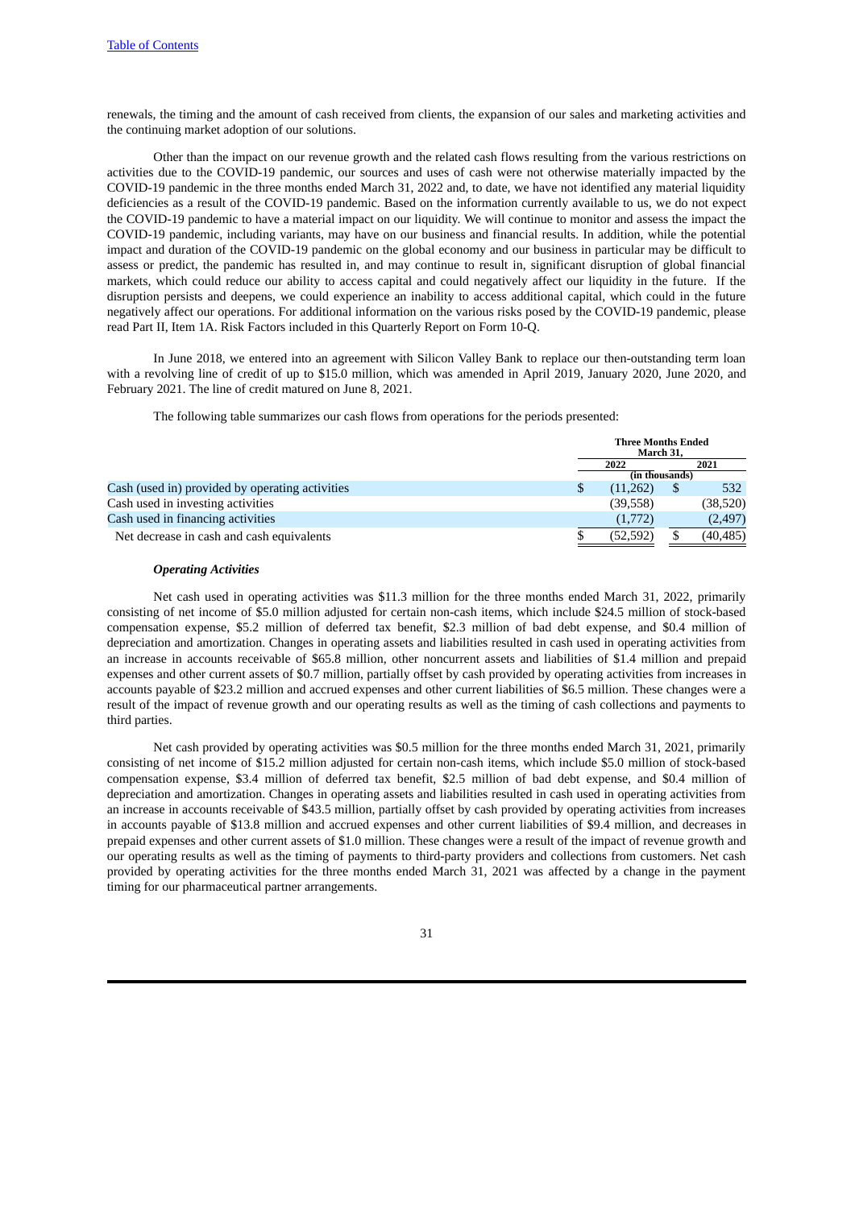renewals, the timing and the amount of cash received from clients, the expansion of our sales and marketing activities and the continuing market adoption of our solutions.

Other than the impact on our revenue growth and the related cash flows resulting from the various restrictions on activities due to the COVID-19 pandemic, our sources and uses of cash were not otherwise materially impacted by the COVID-19 pandemic in the three months ended March 31, 2022 and, to date, we have not identified any material liquidity deficiencies as a result of the COVID-19 pandemic. Based on the information currently available to us, we do not expect the COVID-19 pandemic to have a material impact on our liquidity. We will continue to monitor and assess the impact the COVID-19 pandemic, including variants, may have on our business and financial results. In addition, while the potential impact and duration of the COVID-19 pandemic on the global economy and our business in particular may be difficult to assess or predict, the pandemic has resulted in, and may continue to result in, significant disruption of global financial markets, which could reduce our ability to access capital and could negatively affect our liquidity in the future. If the disruption persists and deepens, we could experience an inability to access additional capital, which could in the future negatively affect our operations. For additional information on the various risks posed by the COVID-19 pandemic, please read Part II, Item 1A. Risk Factors included in this Quarterly Report on Form 10-Q.

In June 2018, we entered into an agreement with Silicon Valley Bank to replace our then-outstanding term loan with a revolving line of credit of up to \$15.0 million, which was amended in April 2019, January 2020, June 2020, and February 2021. The line of credit matured on June 8, 2021.

The following table summarizes our cash flows from operations for the periods presented:

|                                                 | <b>Three Months Ended</b><br>March 31, |    |           |
|-------------------------------------------------|----------------------------------------|----|-----------|
|                                                 | 2021<br>2022                           |    |           |
|                                                 | (in thousands)                         |    |           |
| Cash (used in) provided by operating activities | (11,262)                               | \$ | 532       |
| Cash used in investing activities               | (39,558)                               |    | (38, 520) |
| Cash used in financing activities               | (1,772)                                |    | (2, 497)  |
| Net decrease in cash and cash equivalents       | (52, 592)                              |    | (40, 485) |

#### *Operating Activities*

Net cash used in operating activities was \$11.3 million for the three months ended March 31, 2022, primarily consisting of net income of \$5.0 million adjusted for certain non-cash items, which include \$24.5 million of stock-based compensation expense, \$5.2 million of deferred tax benefit, \$2.3 million of bad debt expense, and \$0.4 million of depreciation and amortization. Changes in operating assets and liabilities resulted in cash used in operating activities from an increase in accounts receivable of \$65.8 million, other noncurrent assets and liabilities of \$1.4 million and prepaid expenses and other current assets of \$0.7 million, partially offset by cash provided by operating activities from increases in accounts payable of \$23.2 million and accrued expenses and other current liabilities of \$6.5 million. These changes were a result of the impact of revenue growth and our operating results as well as the timing of cash collections and payments to third parties.

Net cash provided by operating activities was \$0.5 million for the three months ended March 31, 2021, primarily consisting of net income of \$15.2 million adjusted for certain non-cash items, which include \$5.0 million of stock-based compensation expense, \$3.4 million of deferred tax benefit, \$2.5 million of bad debt expense, and \$0.4 million of depreciation and amortization. Changes in operating assets and liabilities resulted in cash used in operating activities from an increase in accounts receivable of \$43.5 million, partially offset by cash provided by operating activities from increases in accounts payable of \$13.8 million and accrued expenses and other current liabilities of \$9.4 million, and decreases in prepaid expenses and other current assets of \$1.0 million. These changes were a result of the impact of revenue growth and our operating results as well as the timing of payments to third-party providers and collections from customers. Net cash provided by operating activities for the three months ended March 31, 2021 was affected by a change in the payment timing for our pharmaceutical partner arrangements.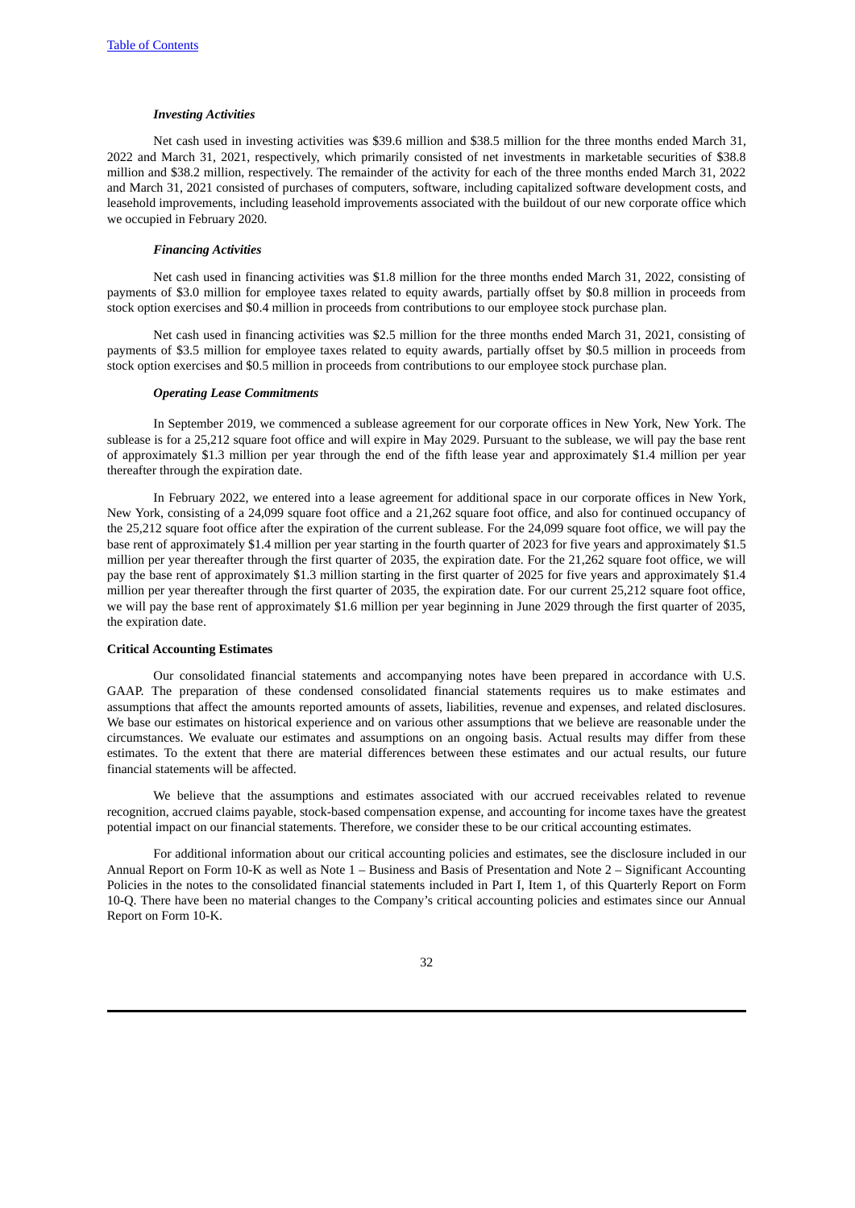#### *Investing Activities*

Net cash used in investing activities was \$39.6 million and \$38.5 million for the three months ended March 31, 2022 and March 31, 2021, respectively, which primarily consisted of net investments in marketable securities of \$38.8 million and \$38.2 million, respectively. The remainder of the activity for each of the three months ended March 31, 2022 and March 31, 2021 consisted of purchases of computers, software, including capitalized software development costs, and leasehold improvements, including leasehold improvements associated with the buildout of our new corporate office which we occupied in February 2020.

#### *Financing Activities*

Net cash used in financing activities was \$1.8 million for the three months ended March 31, 2022, consisting of payments of \$3.0 million for employee taxes related to equity awards, partially offset by \$0.8 million in proceeds from stock option exercises and \$0.4 million in proceeds from contributions to our employee stock purchase plan.

Net cash used in financing activities was \$2.5 million for the three months ended March 31, 2021, consisting of payments of \$3.5 million for employee taxes related to equity awards, partially offset by \$0.5 million in proceeds from stock option exercises and \$0.5 million in proceeds from contributions to our employee stock purchase plan.

#### *Operating Lease Commitments*

In September 2019, we commenced a sublease agreement for our corporate offices in New York, New York. The sublease is for a 25,212 square foot office and will expire in May 2029. Pursuant to the sublease, we will pay the base rent of approximately \$1.3 million per year through the end of the fifth lease year and approximately \$1.4 million per year thereafter through the expiration date.

In February 2022, we entered into a lease agreement for additional space in our corporate offices in New York, New York, consisting of a 24,099 square foot office and a 21,262 square foot office, and also for continued occupancy of the 25,212 square foot office after the expiration of the current sublease. For the 24,099 square foot office, we will pay the base rent of approximately \$1.4 million per year starting in the fourth quarter of 2023 for five years and approximately \$1.5 million per year thereafter through the first quarter of 2035, the expiration date. For the 21,262 square foot office, we will pay the base rent of approximately \$1.3 million starting in the first quarter of 2025 for five years and approximately \$1.4 million per year thereafter through the first quarter of 2035, the expiration date. For our current 25,212 square foot office, we will pay the base rent of approximately \$1.6 million per year beginning in June 2029 through the first quarter of 2035, the expiration date.

#### **Critical Accounting Estimates**

Our consolidated financial statements and accompanying notes have been prepared in accordance with U.S. GAAP. The preparation of these condensed consolidated financial statements requires us to make estimates and assumptions that affect the amounts reported amounts of assets, liabilities, revenue and expenses, and related disclosures. We base our estimates on historical experience and on various other assumptions that we believe are reasonable under the circumstances. We evaluate our estimates and assumptions on an ongoing basis. Actual results may differ from these estimates. To the extent that there are material differences between these estimates and our actual results, our future financial statements will be affected.

We believe that the assumptions and estimates associated with our accrued receivables related to revenue recognition, accrued claims payable, stock-based compensation expense, and accounting for income taxes have the greatest potential impact on our financial statements. Therefore, we consider these to be our critical accounting estimates.

For additional information about our critical accounting policies and estimates, see the disclosure included in our Annual Report on Form 10-K as well as Note 1 – Business and Basis of Presentation and Note 2 – Significant Accounting Policies in the notes to the consolidated financial statements included in Part I, Item 1, of this Quarterly Report on Form 10-Q. There have been no material changes to the Company's critical accounting policies and estimates since our Annual Report on Form 10-K.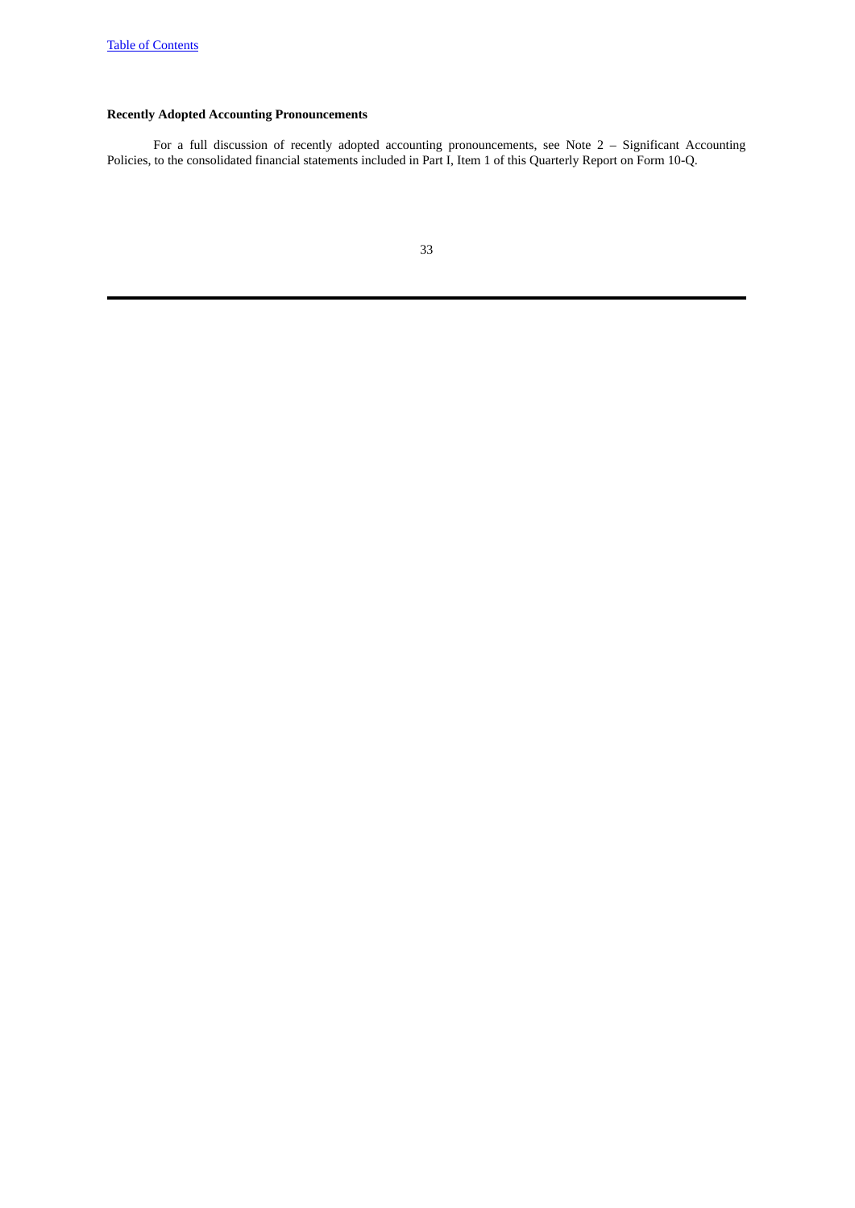## **Recently Adopted Accounting Pronouncements**

For a full discussion of recently adopted accounting pronouncements, see Note 2 – Significant Accounting Policies, to the consolidated financial statements included in Part I, Item 1 of this Quarterly Report on Form 10-Q.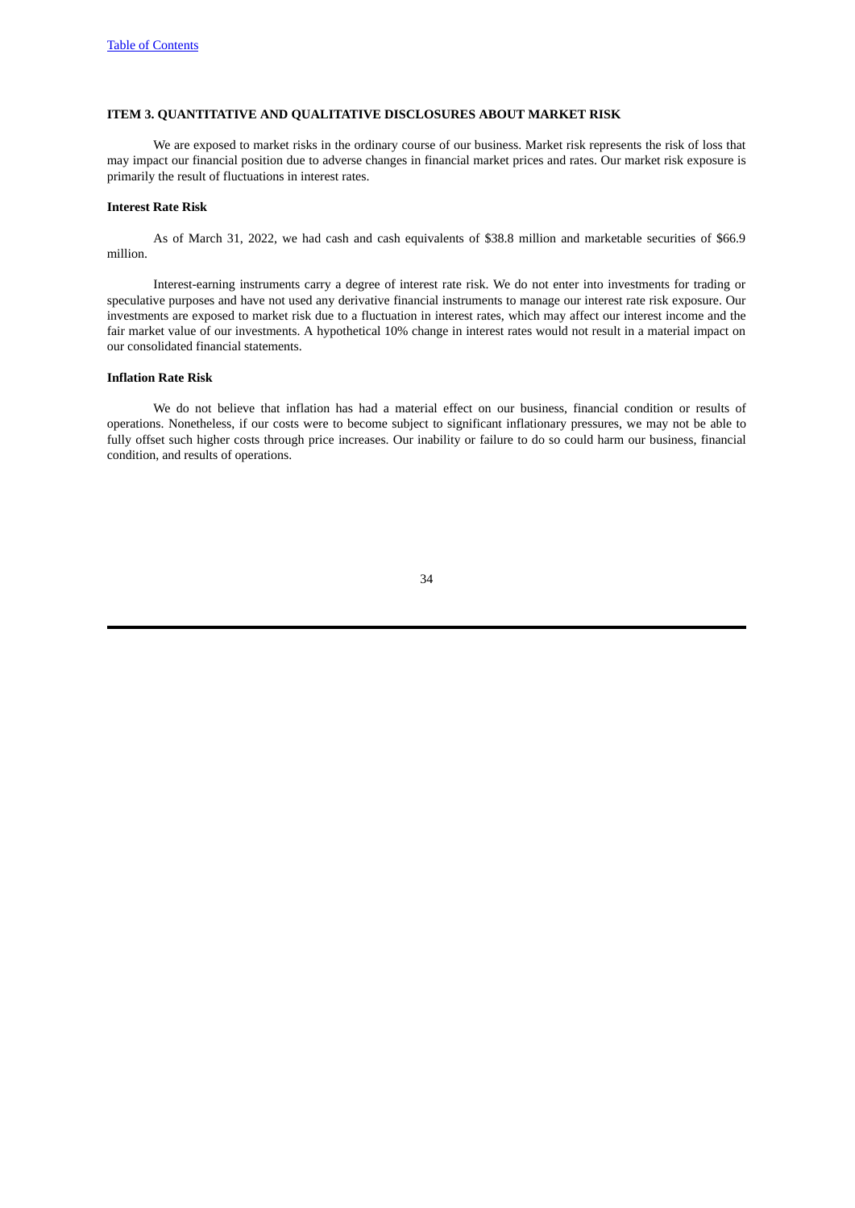#### <span id="page-33-0"></span>**ITEM 3. QUANTITATIVE AND QUALITATIVE DISCLOSURES ABOUT MARKET RISK**

We are exposed to market risks in the ordinary course of our business. Market risk represents the risk of loss that may impact our financial position due to adverse changes in financial market prices and rates. Our market risk exposure is primarily the result of fluctuations in interest rates.

#### **Interest Rate Risk**

As of March 31, 2022, we had cash and cash equivalents of \$38.8 million and marketable securities of \$66.9 million.

Interest-earning instruments carry a degree of interest rate risk. We do not enter into investments for trading or speculative purposes and have not used any derivative financial instruments to manage our interest rate risk exposure. Our investments are exposed to market risk due to a fluctuation in interest rates, which may affect our interest income and the fair market value of our investments. A hypothetical 10% change in interest rates would not result in a material impact on our consolidated financial statements.

#### **Inflation Rate Risk**

We do not believe that inflation has had a material effect on our business, financial condition or results of operations. Nonetheless, if our costs were to become subject to significant inflationary pressures, we may not be able to fully offset such higher costs through price increases. Our inability or failure to do so could harm our business, financial condition, and results of operations.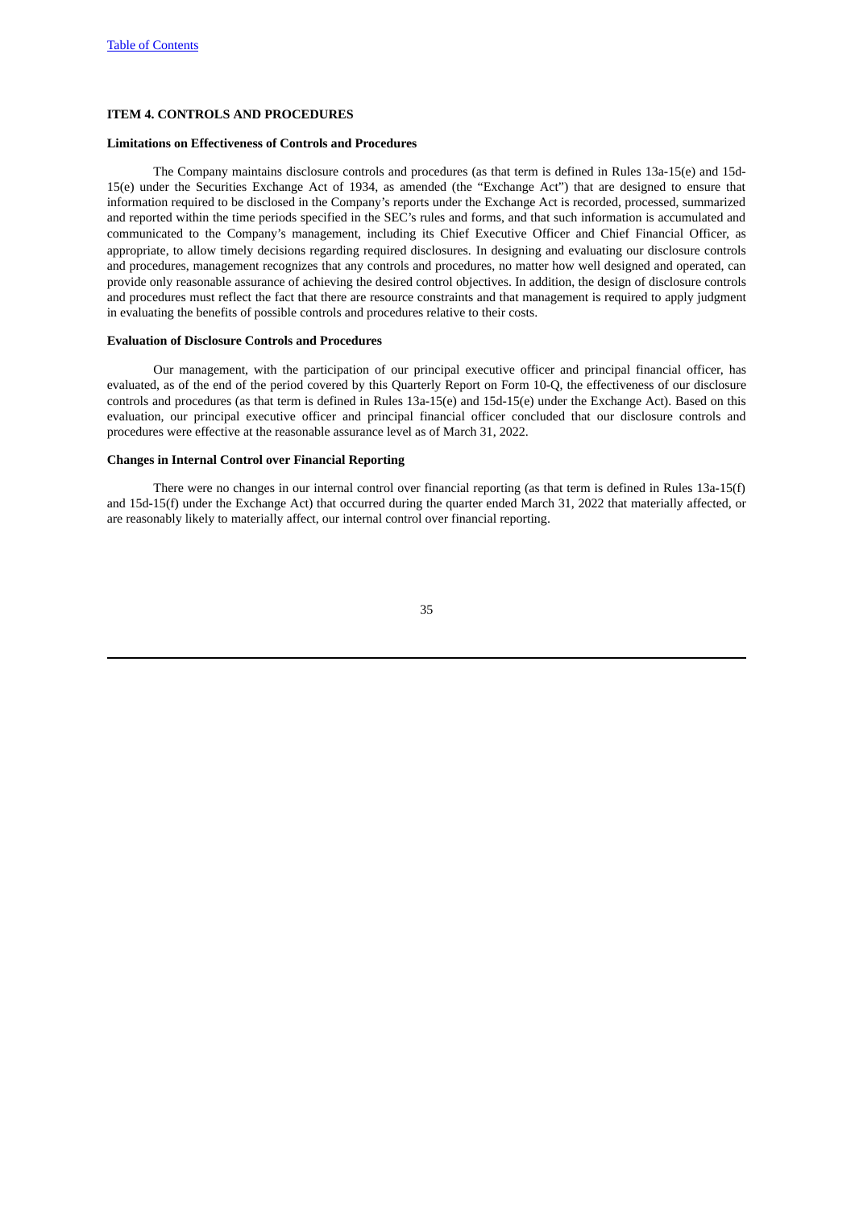#### <span id="page-34-0"></span>**ITEM 4. CONTROLS AND PROCEDURES**

## **Limitations on Effectiveness of Controls and Procedures**

The Company maintains disclosure controls and procedures (as that term is defined in Rules 13a-15(e) and 15d-15(e) under the Securities Exchange Act of 1934, as amended (the "Exchange Act") that are designed to ensure that information required to be disclosed in the Company's reports under the Exchange Act is recorded, processed, summarized and reported within the time periods specified in the SEC's rules and forms, and that such information is accumulated and communicated to the Company's management, including its Chief Executive Officer and Chief Financial Officer, as appropriate, to allow timely decisions regarding required disclosures. In designing and evaluating our disclosure controls and procedures, management recognizes that any controls and procedures, no matter how well designed and operated, can provide only reasonable assurance of achieving the desired control objectives. In addition, the design of disclosure controls and procedures must reflect the fact that there are resource constraints and that management is required to apply judgment in evaluating the benefits of possible controls and procedures relative to their costs.

#### **Evaluation of Disclosure Controls and Procedures**

Our management, with the participation of our principal executive officer and principal financial officer, has evaluated, as of the end of the period covered by this Quarterly Report on Form 10-Q, the effectiveness of our disclosure controls and procedures (as that term is defined in Rules 13a-15(e) and 15d-15(e) under the Exchange Act). Based on this evaluation, our principal executive officer and principal financial officer concluded that our disclosure controls and procedures were effective at the reasonable assurance level as of March 31, 2022.

#### **Changes in Internal Control over Financial Reporting**

There were no changes in our internal control over financial reporting (as that term is defined in Rules 13a-15(f) and 15d-15(f) under the Exchange Act) that occurred during the quarter ended March 31, 2022 that materially affected, or are reasonably likely to materially affect, our internal control over financial reporting.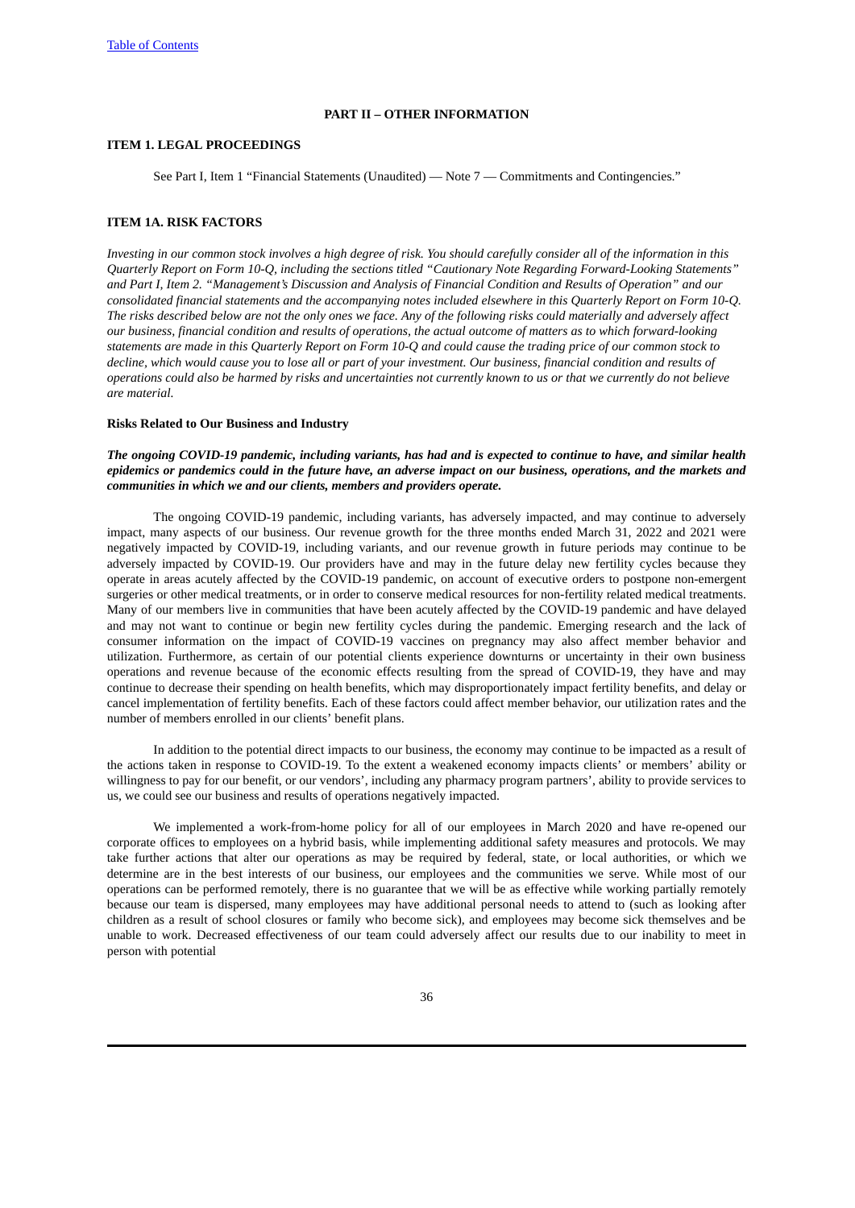#### **PART II – OTHER INFORMATION**

#### <span id="page-35-1"></span><span id="page-35-0"></span>**ITEM 1. LEGAL PROCEEDINGS**

See Part I, Item 1 "Financial Statements (Unaudited) — Note 7 — Commitments and Contingencies."

#### <span id="page-35-2"></span>**ITEM 1A. RISK FACTORS**

Investing in our common stock involves a high dearee of risk. You should carefully consider all of the information in this *Quarterly Report on Form 10-Q, including the sections titled "Cautionary Note Regarding Forward-Looking Statements"* and Part I, Item 2. "Management's Discussion and Analysis of Financial Condition and Results of Operation" and our consolidated financial statements and the accompanying notes included elsewhere in this Quarterly Report on Form 10-Q. The risks described below are not the only ones we face. Any of the following risks could materially and adversely affect our business, financial condition and results of operations, the actual outcome of matters as to which forward-looking statements are made in this Quarterly Report on Form 10-Q and could cause the tradina price of our common stock to decline, which would cause you to lose all or part of your investment. Our business, financial condition and results of operations could also be harmed by risks and uncertainties not currently known to us or that we currently do not believe *are material.*

#### **Risks Related to Our Business and Industry**

The ongoing COVID-19 pandemic, including variants, has had and is expected to continue to have, and similar health epidemics or pandemics could in the future have, an adverse impact on our business, operations, and the markets and *communities in which we and our clients, members and providers operate.*

The ongoing COVID-19 pandemic, including variants, has adversely impacted, and may continue to adversely impact, many aspects of our business. Our revenue growth for the three months ended March 31, 2022 and 2021 were negatively impacted by COVID-19, including variants, and our revenue growth in future periods may continue to be adversely impacted by COVID-19. Our providers have and may in the future delay new fertility cycles because they operate in areas acutely affected by the COVID-19 pandemic, on account of executive orders to postpone non-emergent surgeries or other medical treatments, or in order to conserve medical resources for non-fertility related medical treatments. Many of our members live in communities that have been acutely affected by the COVID-19 pandemic and have delayed and may not want to continue or begin new fertility cycles during the pandemic. Emerging research and the lack of consumer information on the impact of COVID-19 vaccines on pregnancy may also affect member behavior and utilization. Furthermore, as certain of our potential clients experience downturns or uncertainty in their own business operations and revenue because of the economic effects resulting from the spread of COVID-19, they have and may continue to decrease their spending on health benefits, which may disproportionately impact fertility benefits, and delay or cancel implementation of fertility benefits. Each of these factors could affect member behavior, our utilization rates and the number of members enrolled in our clients' benefit plans.

In addition to the potential direct impacts to our business, the economy may continue to be impacted as a result of the actions taken in response to COVID-19. To the extent a weakened economy impacts clients' or members' ability or willingness to pay for our benefit, or our vendors', including any pharmacy program partners', ability to provide services to us, we could see our business and results of operations negatively impacted.

We implemented a work-from-home policy for all of our employees in March 2020 and have re-opened our corporate offices to employees on a hybrid basis, while implementing additional safety measures and protocols. We may take further actions that alter our operations as may be required by federal, state, or local authorities, or which we determine are in the best interests of our business, our employees and the communities we serve. While most of our operations can be performed remotely, there is no guarantee that we will be as effective while working partially remotely because our team is dispersed, many employees may have additional personal needs to attend to (such as looking after children as a result of school closures or family who become sick), and employees may become sick themselves and be unable to work. Decreased effectiveness of our team could adversely affect our results due to our inability to meet in person with potential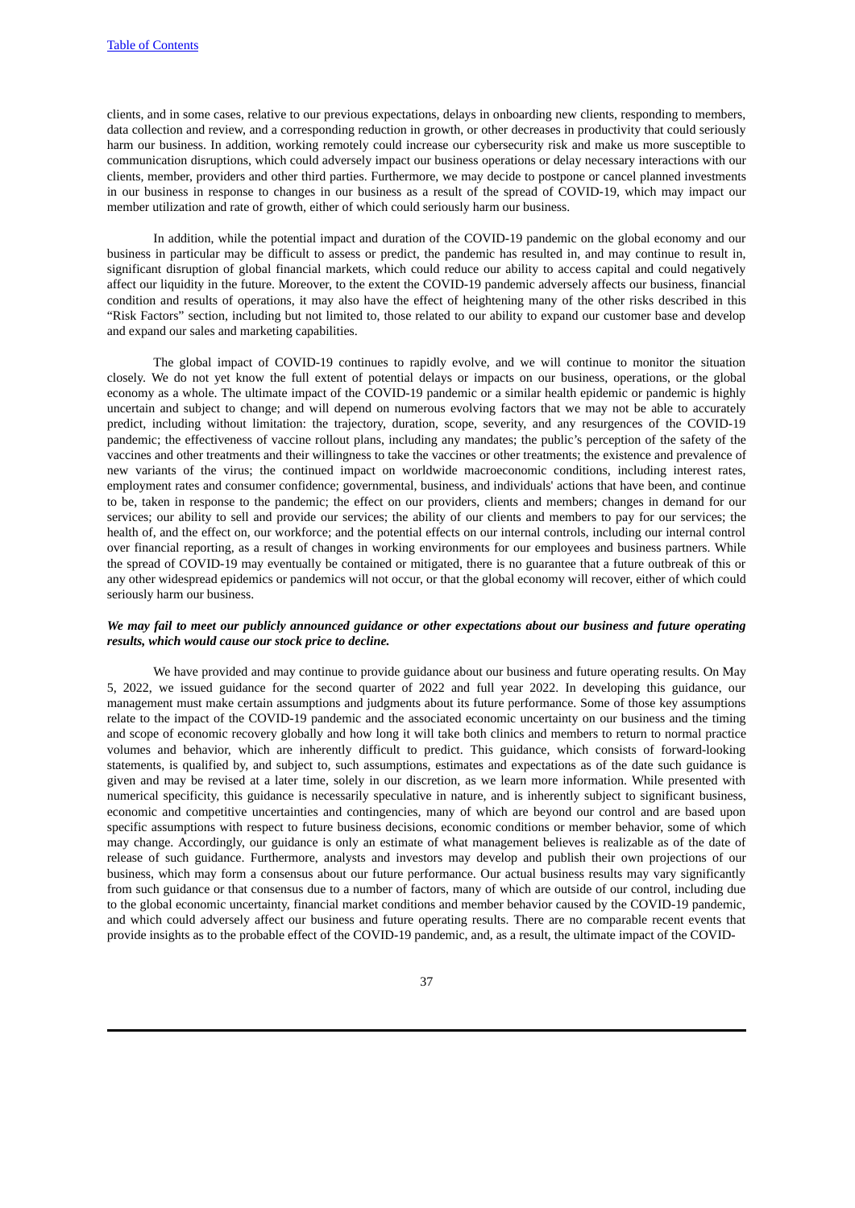clients, and in some cases, relative to our previous expectations, delays in onboarding new clients, responding to members, data collection and review, and a corresponding reduction in growth, or other decreases in productivity that could seriously harm our business. In addition, working remotely could increase our cybersecurity risk and make us more susceptible to communication disruptions, which could adversely impact our business operations or delay necessary interactions with our clients, member, providers and other third parties. Furthermore, we may decide to postpone or cancel planned investments in our business in response to changes in our business as a result of the spread of COVID-19, which may impact our member utilization and rate of growth, either of which could seriously harm our business.

In addition, while the potential impact and duration of the COVID-19 pandemic on the global economy and our business in particular may be difficult to assess or predict, the pandemic has resulted in, and may continue to result in, significant disruption of global financial markets, which could reduce our ability to access capital and could negatively affect our liquidity in the future. Moreover, to the extent the COVID-19 pandemic adversely affects our business, financial condition and results of operations, it may also have the effect of heightening many of the other risks described in this "Risk Factors" section, including but not limited to, those related to our ability to expand our customer base and develop and expand our sales and marketing capabilities.

The global impact of COVID-19 continues to rapidly evolve, and we will continue to monitor the situation closely. We do not yet know the full extent of potential delays or impacts on our business, operations, or the global economy as a whole. The ultimate impact of the COVID-19 pandemic or a similar health epidemic or pandemic is highly uncertain and subject to change; and will depend on numerous evolving factors that we may not be able to accurately predict, including without limitation: the trajectory, duration, scope, severity, and any resurgences of the COVID-19 pandemic; the effectiveness of vaccine rollout plans, including any mandates; the public's perception of the safety of the vaccines and other treatments and their willingness to take the vaccines or other treatments; the existence and prevalence of new variants of the virus; the continued impact on worldwide macroeconomic conditions, including interest rates, employment rates and consumer confidence; governmental, business, and individuals' actions that have been, and continue to be, taken in response to the pandemic; the effect on our providers, clients and members; changes in demand for our services; our ability to sell and provide our services; the ability of our clients and members to pay for our services; the health of, and the effect on, our workforce; and the potential effects on our internal controls, including our internal control over financial reporting, as a result of changes in working environments for our employees and business partners. While the spread of COVID-19 may eventually be contained or mitigated, there is no guarantee that a future outbreak of this or any other widespread epidemics or pandemics will not occur, or that the global economy will recover, either of which could seriously harm our business.

#### We may fail to meet our publicly announced guidance or other expectations about our business and future operating *results, which would cause our stock price to decline.*

We have provided and may continue to provide guidance about our business and future operating results. On May 5, 2022, we issued guidance for the second quarter of 2022 and full year 2022. In developing this guidance, our management must make certain assumptions and judgments about its future performance. Some of those key assumptions relate to the impact of the COVID-19 pandemic and the associated economic uncertainty on our business and the timing and scope of economic recovery globally and how long it will take both clinics and members to return to normal practice volumes and behavior, which are inherently difficult to predict. This guidance, which consists of forward-looking statements, is qualified by, and subject to, such assumptions, estimates and expectations as of the date such guidance is given and may be revised at a later time, solely in our discretion, as we learn more information. While presented with numerical specificity, this guidance is necessarily speculative in nature, and is inherently subject to significant business, economic and competitive uncertainties and contingencies, many of which are beyond our control and are based upon specific assumptions with respect to future business decisions, economic conditions or member behavior, some of which may change. Accordingly, our guidance is only an estimate of what management believes is realizable as of the date of release of such guidance. Furthermore, analysts and investors may develop and publish their own projections of our business, which may form a consensus about our future performance. Our actual business results may vary significantly from such guidance or that consensus due to a number of factors, many of which are outside of our control, including due to the global economic uncertainty, financial market conditions and member behavior caused by the COVID-19 pandemic, and which could adversely affect our business and future operating results. There are no comparable recent events that provide insights as to the probable effect of the COVID-19 pandemic, and, as a result, the ultimate impact of the COVID-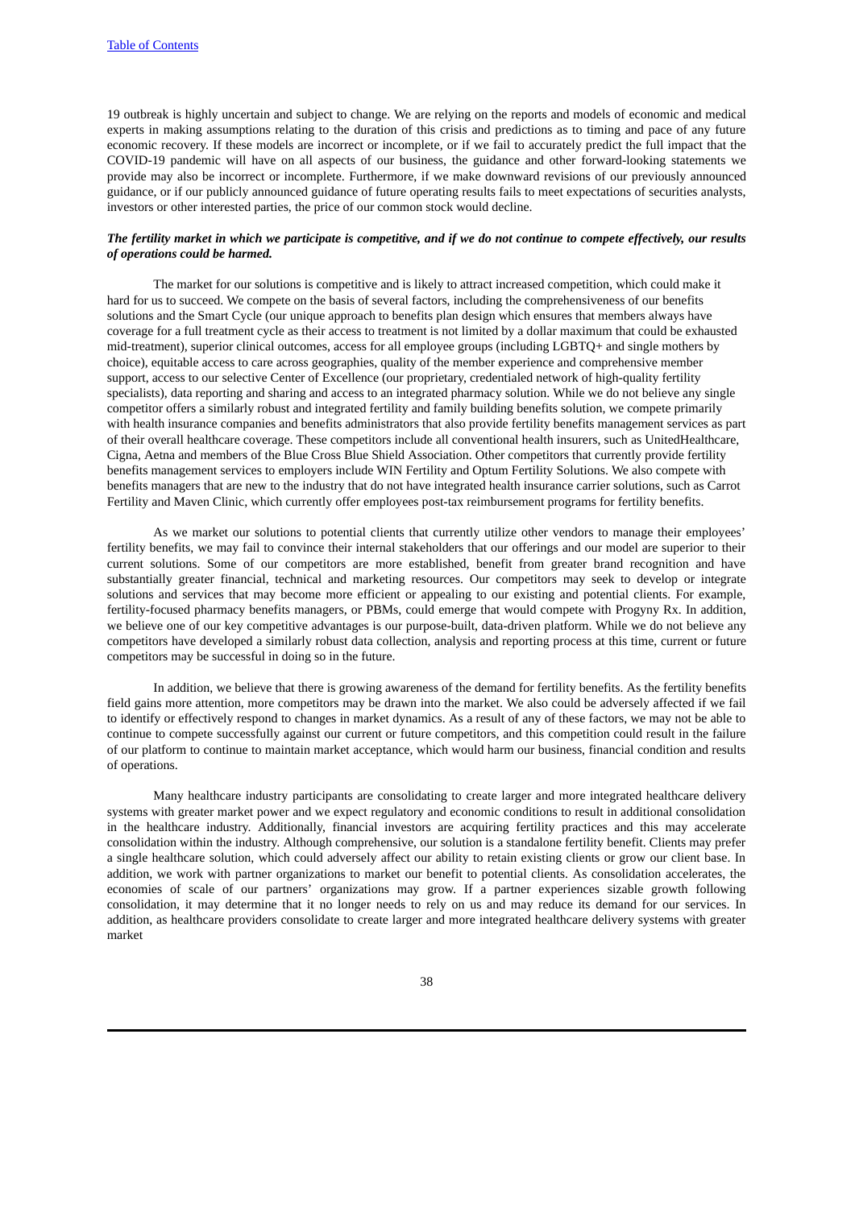19 outbreak is highly uncertain and subject to change. We are relying on the reports and models of economic and medical experts in making assumptions relating to the duration of this crisis and predictions as to timing and pace of any future economic recovery. If these models are incorrect or incomplete, or if we fail to accurately predict the full impact that the COVID-19 pandemic will have on all aspects of our business, the guidance and other forward-looking statements we provide may also be incorrect or incomplete. Furthermore, if we make downward revisions of our previously announced guidance, or if our publicly announced guidance of future operating results fails to meet expectations of securities analysts, investors or other interested parties, the price of our common stock would decline.

# The fertility market in which we participate is competitive, and if we do not continue to compete effectively, our results *of operations could be harmed.*

The market for our solutions is competitive and is likely to attract increased competition, which could make it hard for us to succeed. We compete on the basis of several factors, including the comprehensiveness of our benefits solutions and the Smart Cycle (our unique approach to benefits plan design which ensures that members always have coverage for a full treatment cycle as their access to treatment is not limited by a dollar maximum that could be exhausted mid-treatment), superior clinical outcomes, access for all employee groups (including LGBTQ+ and single mothers by choice), equitable access to care across geographies, quality of the member experience and comprehensive member support, access to our selective Center of Excellence (our proprietary, credentialed network of high-quality fertility specialists), data reporting and sharing and access to an integrated pharmacy solution. While we do not believe any single competitor offers a similarly robust and integrated fertility and family building benefits solution, we compete primarily with health insurance companies and benefits administrators that also provide fertility benefits management services as part of their overall healthcare coverage. These competitors include all conventional health insurers, such as UnitedHealthcare, Cigna, Aetna and members of the Blue Cross Blue Shield Association. Other competitors that currently provide fertility benefits management services to employers include WIN Fertility and Optum Fertility Solutions. We also compete with benefits managers that are new to the industry that do not have integrated health insurance carrier solutions, such as Carrot Fertility and Maven Clinic, which currently offer employees post-tax reimbursement programs for fertility benefits.

As we market our solutions to potential clients that currently utilize other vendors to manage their employees' fertility benefits, we may fail to convince their internal stakeholders that our offerings and our model are superior to their current solutions. Some of our competitors are more established, benefit from greater brand recognition and have substantially greater financial, technical and marketing resources. Our competitors may seek to develop or integrate solutions and services that may become more efficient or appealing to our existing and potential clients. For example, fertility-focused pharmacy benefits managers, or PBMs, could emerge that would compete with Progyny Rx. In addition, we believe one of our key competitive advantages is our purpose-built, data-driven platform. While we do not believe any competitors have developed a similarly robust data collection, analysis and reporting process at this time, current or future competitors may be successful in doing so in the future.

In addition, we believe that there is growing awareness of the demand for fertility benefits. As the fertility benefits field gains more attention, more competitors may be drawn into the market. We also could be adversely affected if we fail to identify or effectively respond to changes in market dynamics. As a result of any of these factors, we may not be able to continue to compete successfully against our current or future competitors, and this competition could result in the failure of our platform to continue to maintain market acceptance, which would harm our business, financial condition and results of operations.

Many healthcare industry participants are consolidating to create larger and more integrated healthcare delivery systems with greater market power and we expect regulatory and economic conditions to result in additional consolidation in the healthcare industry. Additionally, financial investors are acquiring fertility practices and this may accelerate consolidation within the industry. Although comprehensive, our solution is a standalone fertility benefit. Clients may prefer a single healthcare solution, which could adversely affect our ability to retain existing clients or grow our client base. In addition, we work with partner organizations to market our benefit to potential clients. As consolidation accelerates, the economies of scale of our partners' organizations may grow. If a partner experiences sizable growth following consolidation, it may determine that it no longer needs to rely on us and may reduce its demand for our services. In addition, as healthcare providers consolidate to create larger and more integrated healthcare delivery systems with greater market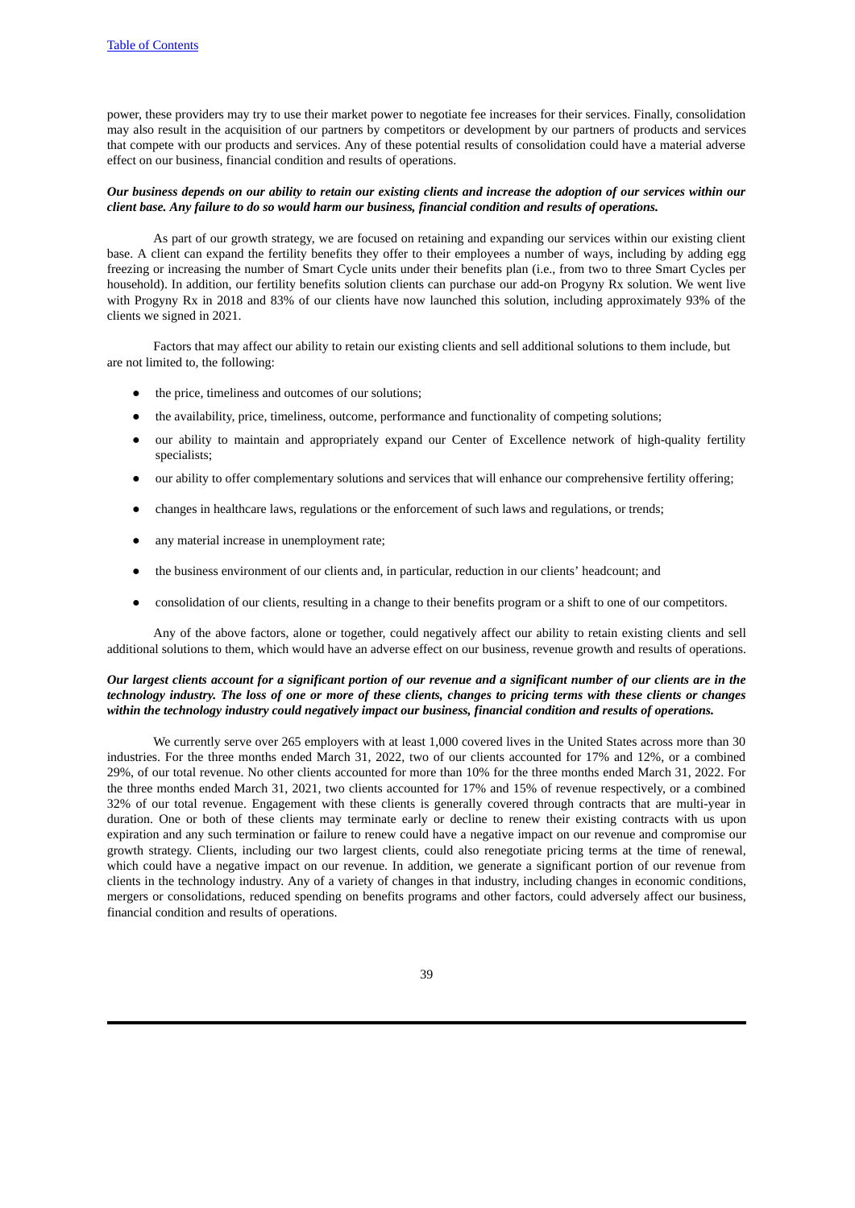power, these providers may try to use their market power to negotiate fee increases for their services. Finally, consolidation may also result in the acquisition of our partners by competitors or development by our partners of products and services that compete with our products and services. Any of these potential results of consolidation could have a material adverse effect on our business, financial condition and results of operations.

#### Our business depends on our ability to retain our existing clients and increase the adoption of our services within our *client base. Any failure to do so would harm our business, financial condition and results of operations.*

As part of our growth strategy, we are focused on retaining and expanding our services within our existing client base. A client can expand the fertility benefits they offer to their employees a number of ways, including by adding egg freezing or increasing the number of Smart Cycle units under their benefits plan (i.e., from two to three Smart Cycles per household). In addition, our fertility benefits solution clients can purchase our add-on Progyny Rx solution. We went live with Progyny Rx in 2018 and 83% of our clients have now launched this solution, including approximately 93% of the clients we signed in 2021.

Factors that may affect our ability to retain our existing clients and sell additional solutions to them include, but are not limited to, the following:

- the price, timeliness and outcomes of our solutions;
- the availability, price, timeliness, outcome, performance and functionality of competing solutions;
- our ability to maintain and appropriately expand our Center of Excellence network of high-quality fertility specialists;
- our ability to offer complementary solutions and services that will enhance our comprehensive fertility offering;
- changes in healthcare laws, regulations or the enforcement of such laws and regulations, or trends;
- any material increase in unemployment rate;
- the business environment of our clients and, in particular, reduction in our clients' headcount; and
- consolidation of our clients, resulting in a change to their benefits program or a shift to one of our competitors.

Any of the above factors, alone or together, could negatively affect our ability to retain existing clients and sell additional solutions to them, which would have an adverse effect on our business, revenue growth and results of operations.

# Our largest clients account for a significant portion of our revenue and a significant number of our clients are in the technology industry. The loss of one or more of these clients, changes to pricing terms with these clients or changes *within the technology industry could negatively impact our business, financial condition and results of operations.*

We currently serve over 265 employers with at least 1,000 covered lives in the United States across more than 30 industries. For the three months ended March 31, 2022, two of our clients accounted for 17% and 12%, or a combined 29%, of our total revenue. No other clients accounted for more than 10% for the three months ended March 31, 2022. For the three months ended March 31, 2021, two clients accounted for 17% and 15% of revenue respectively, or a combined 32% of our total revenue. Engagement with these clients is generally covered through contracts that are multi-year in duration. One or both of these clients may terminate early or decline to renew their existing contracts with us upon expiration and any such termination or failure to renew could have a negative impact on our revenue and compromise our growth strategy. Clients, including our two largest clients, could also renegotiate pricing terms at the time of renewal, which could have a negative impact on our revenue. In addition, we generate a significant portion of our revenue from clients in the technology industry. Any of a variety of changes in that industry, including changes in economic conditions, mergers or consolidations, reduced spending on benefits programs and other factors, could adversely affect our business, financial condition and results of operations.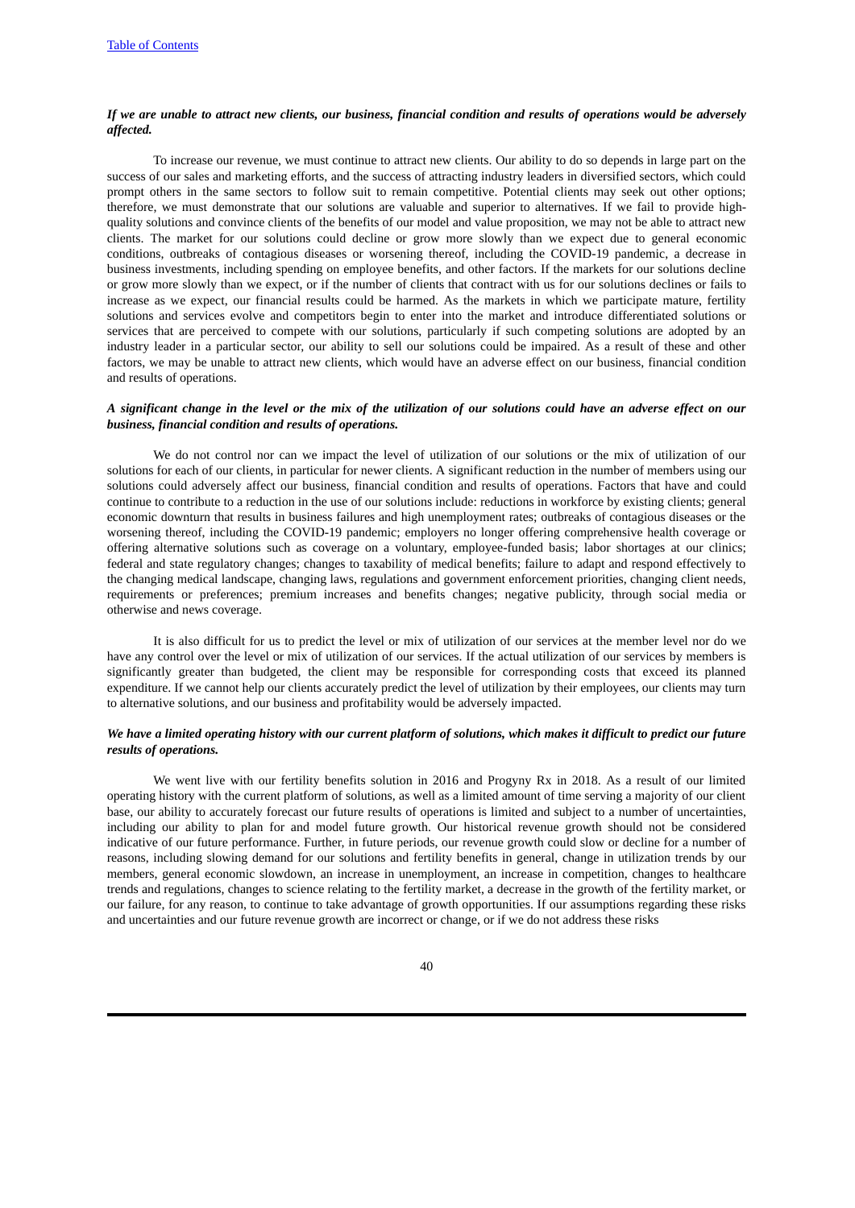#### If we are unable to attract new clients, our business, financial condition and results of operations would be adversely *affected.*

To increase our revenue, we must continue to attract new clients. Our ability to do so depends in large part on the success of our sales and marketing efforts, and the success of attracting industry leaders in diversified sectors, which could prompt others in the same sectors to follow suit to remain competitive. Potential clients may seek out other options; therefore, we must demonstrate that our solutions are valuable and superior to alternatives. If we fail to provide highquality solutions and convince clients of the benefits of our model and value proposition, we may not be able to attract new clients. The market for our solutions could decline or grow more slowly than we expect due to general economic conditions, outbreaks of contagious diseases or worsening thereof, including the COVID-19 pandemic, a decrease in business investments, including spending on employee benefits, and other factors. If the markets for our solutions decline or grow more slowly than we expect, or if the number of clients that contract with us for our solutions declines or fails to increase as we expect, our financial results could be harmed. As the markets in which we participate mature, fertility solutions and services evolve and competitors begin to enter into the market and introduce differentiated solutions or services that are perceived to compete with our solutions, particularly if such competing solutions are adopted by an industry leader in a particular sector, our ability to sell our solutions could be impaired. As a result of these and other factors, we may be unable to attract new clients, which would have an adverse effect on our business, financial condition and results of operations.

#### A significant change in the level or the mix of the utilization of our solutions could have an adverse effect on our *business, financial condition and results of operations.*

We do not control nor can we impact the level of utilization of our solutions or the mix of utilization of our solutions for each of our clients, in particular for newer clients. A significant reduction in the number of members using our solutions could adversely affect our business, financial condition and results of operations. Factors that have and could continue to contribute to a reduction in the use of our solutions include: reductions in workforce by existing clients; general economic downturn that results in business failures and high unemployment rates; outbreaks of contagious diseases or the worsening thereof, including the COVID-19 pandemic; employers no longer offering comprehensive health coverage or offering alternative solutions such as coverage on a voluntary, employee-funded basis; labor shortages at our clinics; federal and state regulatory changes; changes to taxability of medical benefits; failure to adapt and respond effectively to the changing medical landscape, changing laws, regulations and government enforcement priorities, changing client needs, requirements or preferences; premium increases and benefits changes; negative publicity, through social media or otherwise and news coverage.

It is also difficult for us to predict the level or mix of utilization of our services at the member level nor do we have any control over the level or mix of utilization of our services. If the actual utilization of our services by members is significantly greater than budgeted, the client may be responsible for corresponding costs that exceed its planned expenditure. If we cannot help our clients accurately predict the level of utilization by their employees, our clients may turn to alternative solutions, and our business and profitability would be adversely impacted.

# We have a limited operating history with our current platform of solutions, which makes it difficult to predict our future *results of operations.*

We went live with our fertility benefits solution in 2016 and Progyny Rx in 2018. As a result of our limited operating history with the current platform of solutions, as well as a limited amount of time serving a majority of our client base, our ability to accurately forecast our future results of operations is limited and subject to a number of uncertainties, including our ability to plan for and model future growth. Our historical revenue growth should not be considered indicative of our future performance. Further, in future periods, our revenue growth could slow or decline for a number of reasons, including slowing demand for our solutions and fertility benefits in general, change in utilization trends by our members, general economic slowdown, an increase in unemployment, an increase in competition, changes to healthcare trends and regulations, changes to science relating to the fertility market, a decrease in the growth of the fertility market, or our failure, for any reason, to continue to take advantage of growth opportunities. If our assumptions regarding these risks and uncertainties and our future revenue growth are incorrect or change, or if we do not address these risks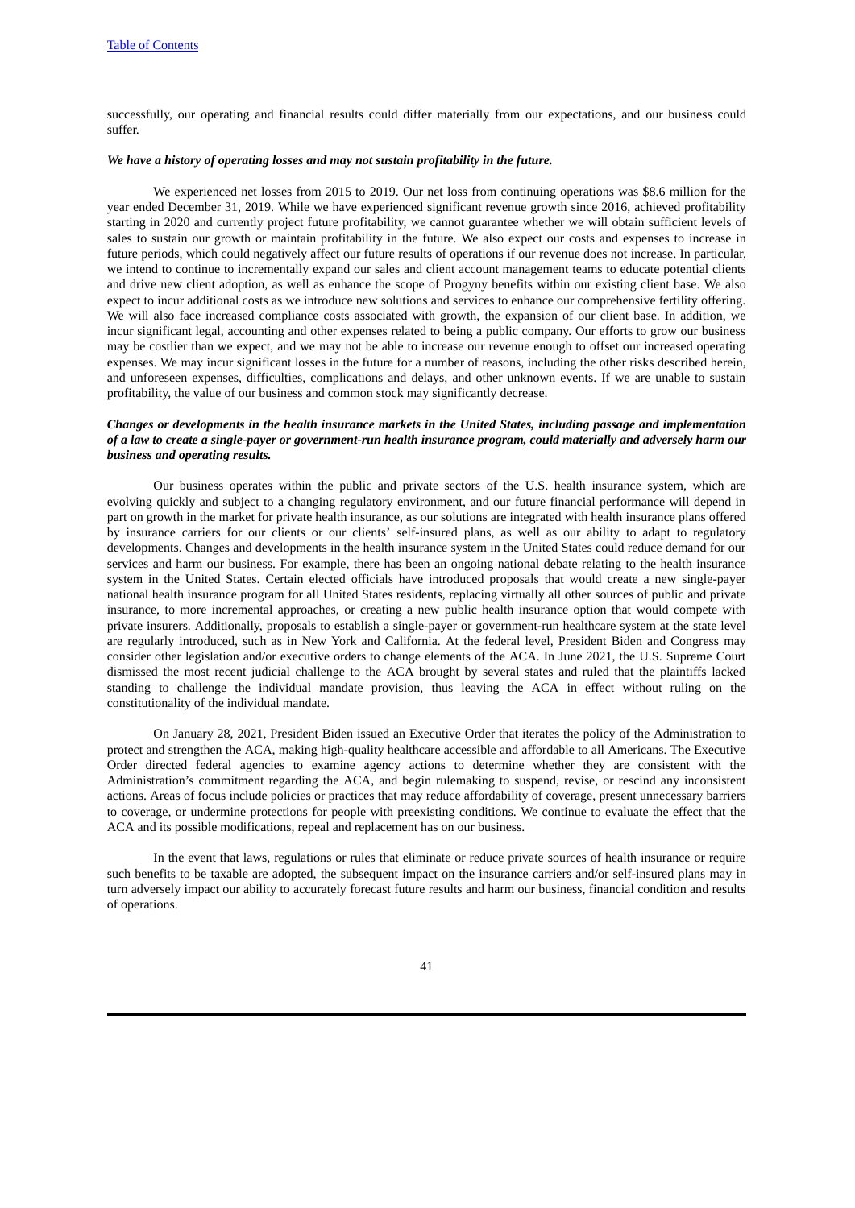successfully, our operating and financial results could differ materially from our expectations, and our business could suffer.

#### *We have a history of operating losses and may not sustain profitability in the future.*

We experienced net losses from 2015 to 2019. Our net loss from continuing operations was \$8.6 million for the year ended December 31, 2019. While we have experienced significant revenue growth since 2016, achieved profitability starting in 2020 and currently project future profitability, we cannot guarantee whether we will obtain sufficient levels of sales to sustain our growth or maintain profitability in the future. We also expect our costs and expenses to increase in future periods, which could negatively affect our future results of operations if our revenue does not increase. In particular, we intend to continue to incrementally expand our sales and client account management teams to educate potential clients and drive new client adoption, as well as enhance the scope of Progyny benefits within our existing client base. We also expect to incur additional costs as we introduce new solutions and services to enhance our comprehensive fertility offering. We will also face increased compliance costs associated with growth, the expansion of our client base. In addition, we incur significant legal, accounting and other expenses related to being a public company. Our efforts to grow our business may be costlier than we expect, and we may not be able to increase our revenue enough to offset our increased operating expenses. We may incur significant losses in the future for a number of reasons, including the other risks described herein, and unforeseen expenses, difficulties, complications and delays, and other unknown events. If we are unable to sustain profitability, the value of our business and common stock may significantly decrease.

# Changes or developments in the health insurance markets in the United States, including passage and implementation of a law to create a single-payer or government-run health insurance program, could materially and adversely harm our *business and operating results.*

Our business operates within the public and private sectors of the U.S. health insurance system, which are evolving quickly and subject to a changing regulatory environment, and our future financial performance will depend in part on growth in the market for private health insurance, as our solutions are integrated with health insurance plans offered by insurance carriers for our clients or our clients' self-insured plans, as well as our ability to adapt to regulatory developments. Changes and developments in the health insurance system in the United States could reduce demand for our services and harm our business. For example, there has been an ongoing national debate relating to the health insurance system in the United States. Certain elected officials have introduced proposals that would create a new single-payer national health insurance program for all United States residents, replacing virtually all other sources of public and private insurance, to more incremental approaches, or creating a new public health insurance option that would compete with private insurers. Additionally, proposals to establish a single-payer or government-run healthcare system at the state level are regularly introduced, such as in New York and California. At the federal level, President Biden and Congress may consider other legislation and/or executive orders to change elements of the ACA. In June 2021, the U.S. Supreme Court dismissed the most recent judicial challenge to the ACA brought by several states and ruled that the plaintiffs lacked standing to challenge the individual mandate provision, thus leaving the ACA in effect without ruling on the constitutionality of the individual mandate.

On January 28, 2021, President Biden issued an Executive Order that iterates the policy of the Administration to protect and strengthen the ACA, making high-quality healthcare accessible and affordable to all Americans. The Executive Order directed federal agencies to examine agency actions to determine whether they are consistent with the Administration's commitment regarding the ACA, and begin rulemaking to suspend, revise, or rescind any inconsistent actions. Areas of focus include policies or practices that may reduce affordability of coverage, present unnecessary barriers to coverage, or undermine protections for people with preexisting conditions. We continue to evaluate the effect that the ACA and its possible modifications, repeal and replacement has on our business.

In the event that laws, regulations or rules that eliminate or reduce private sources of health insurance or require such benefits to be taxable are adopted, the subsequent impact on the insurance carriers and/or self-insured plans may in turn adversely impact our ability to accurately forecast future results and harm our business, financial condition and results of operations.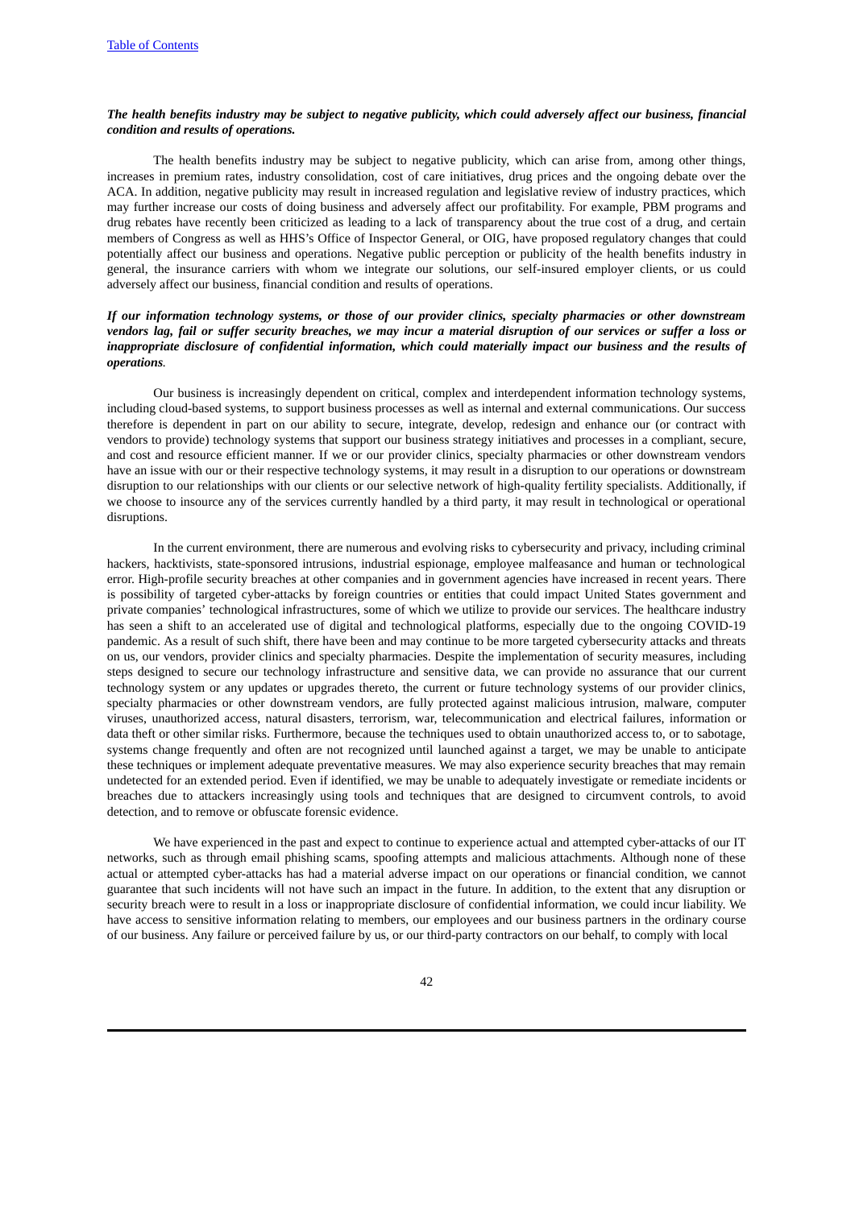### The health benefits industry may be subject to negative publicity, which could adversely affect our business, financial *condition and results of operations.*

The health benefits industry may be subject to negative publicity, which can arise from, among other things, increases in premium rates, industry consolidation, cost of care initiatives, drug prices and the ongoing debate over the ACA. In addition, negative publicity may result in increased regulation and legislative review of industry practices, which may further increase our costs of doing business and adversely affect our profitability. For example, PBM programs and drug rebates have recently been criticized as leading to a lack of transparency about the true cost of a drug, and certain members of Congress as well as HHS's Office of Inspector General, or OIG, have proposed regulatory changes that could potentially affect our business and operations. Negative public perception or publicity of the health benefits industry in general, the insurance carriers with whom we integrate our solutions, our self-insured employer clients, or us could adversely affect our business, financial condition and results of operations.

# If our information technology systems, or those of our provider clinics, specialty pharmacies or other downstream vendors lag, fail or suffer security breaches, we may incur a material disruption of our services or suffer a loss or *inappropriate disclosure of confidential information, which could materially impact our business and the results of operations.*

Our business is increasingly dependent on critical, complex and interdependent information technology systems, including cloud-based systems, to support business processes as well as internal and external communications. Our success therefore is dependent in part on our ability to secure, integrate, develop, redesign and enhance our (or contract with vendors to provide) technology systems that support our business strategy initiatives and processes in a compliant, secure, and cost and resource efficient manner. If we or our provider clinics, specialty pharmacies or other downstream vendors have an issue with our or their respective technology systems, it may result in a disruption to our operations or downstream disruption to our relationships with our clients or our selective network of high-quality fertility specialists. Additionally, if we choose to insource any of the services currently handled by a third party, it may result in technological or operational disruptions.

In the current environment, there are numerous and evolving risks to cybersecurity and privacy, including criminal hackers, hacktivists, state-sponsored intrusions, industrial espionage, employee malfeasance and human or technological error. High-profile security breaches at other companies and in government agencies have increased in recent years. There is possibility of targeted cyber-attacks by foreign countries or entities that could impact United States government and private companies' technological infrastructures, some of which we utilize to provide our services. The healthcare industry has seen a shift to an accelerated use of digital and technological platforms, especially due to the ongoing COVID-19 pandemic. As a result of such shift, there have been and may continue to be more targeted cybersecurity attacks and threats on us, our vendors, provider clinics and specialty pharmacies. Despite the implementation of security measures, including steps designed to secure our technology infrastructure and sensitive data, we can provide no assurance that our current technology system or any updates or upgrades thereto, the current or future technology systems of our provider clinics, specialty pharmacies or other downstream vendors, are fully protected against malicious intrusion, malware, computer viruses, unauthorized access, natural disasters, terrorism, war, telecommunication and electrical failures, information or data theft or other similar risks. Furthermore, because the techniques used to obtain unauthorized access to, or to sabotage, systems change frequently and often are not recognized until launched against a target, we may be unable to anticipate these techniques or implement adequate preventative measures. We may also experience security breaches that may remain undetected for an extended period. Even if identified, we may be unable to adequately investigate or remediate incidents or breaches due to attackers increasingly using tools and techniques that are designed to circumvent controls, to avoid detection, and to remove or obfuscate forensic evidence.

We have experienced in the past and expect to continue to experience actual and attempted cyber-attacks of our IT networks, such as through email phishing scams, spoofing attempts and malicious attachments. Although none of these actual or attempted cyber-attacks has had a material adverse impact on our operations or financial condition, we cannot guarantee that such incidents will not have such an impact in the future. In addition, to the extent that any disruption or security breach were to result in a loss or inappropriate disclosure of confidential information, we could incur liability. We have access to sensitive information relating to members, our employees and our business partners in the ordinary course of our business. Any failure or perceived failure by us, or our third-party contractors on our behalf, to comply with local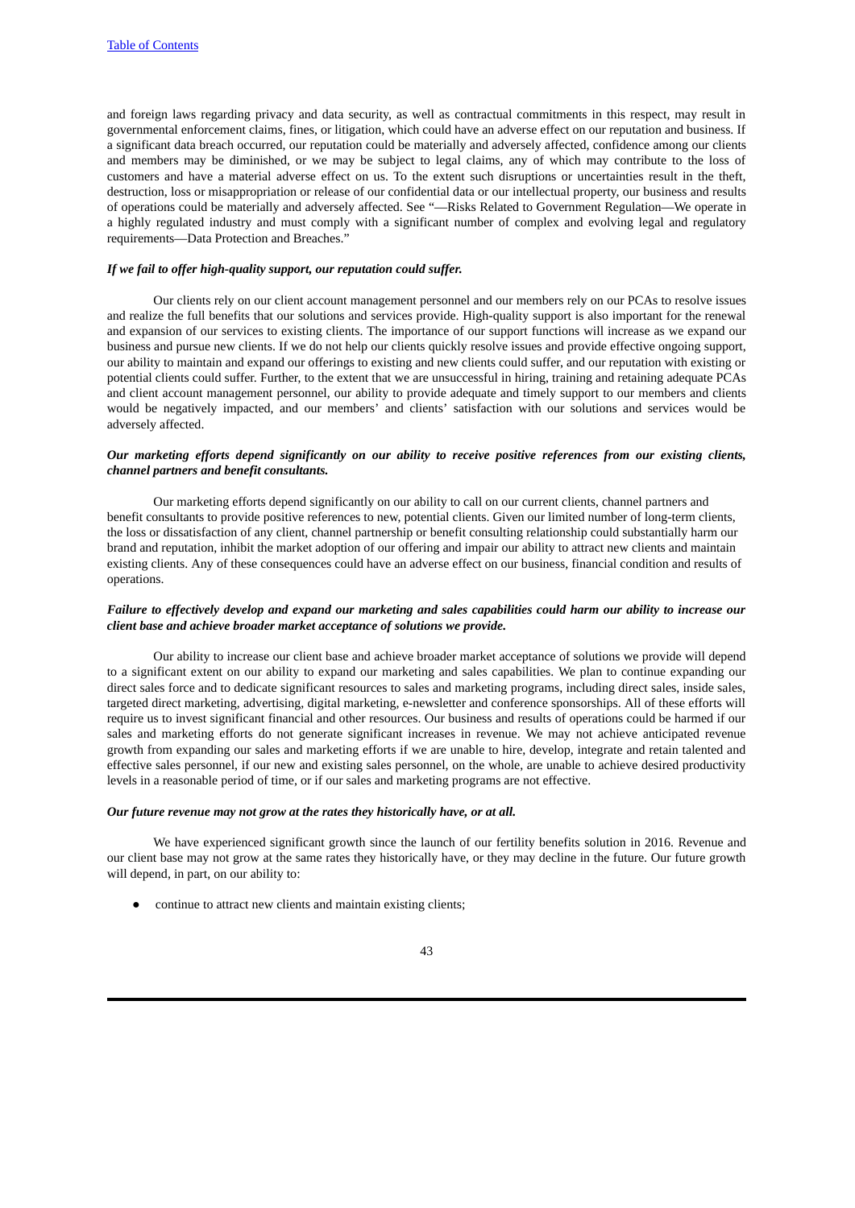and foreign laws regarding privacy and data security, as well as contractual commitments in this respect, may result in governmental enforcement claims, fines, or litigation, which could have an adverse effect on our reputation and business. If a significant data breach occurred, our reputation could be materially and adversely affected, confidence among our clients and members may be diminished, or we may be subject to legal claims, any of which may contribute to the loss of customers and have a material adverse effect on us. To the extent such disruptions or uncertainties result in the theft, destruction, loss or misappropriation or release of our confidential data or our intellectual property, our business and results of operations could be materially and adversely affected. See "—Risks Related to Government Regulation—We operate in a highly regulated industry and must comply with a significant number of complex and evolving legal and regulatory requirements—Data Protection and Breaches."

#### *If we fail to offer high-quality support, our reputation could suffer.*

Our clients rely on our client account management personnel and our members rely on our PCAs to resolve issues and realize the full benefits that our solutions and services provide. High-quality support is also important for the renewal and expansion of our services to existing clients. The importance of our support functions will increase as we expand our business and pursue new clients. If we do not help our clients quickly resolve issues and provide effective ongoing support, our ability to maintain and expand our offerings to existing and new clients could suffer, and our reputation with existing or potential clients could suffer. Further, to the extent that we are unsuccessful in hiring, training and retaining adequate PCAs and client account management personnel, our ability to provide adequate and timely support to our members and clients would be negatively impacted, and our members' and clients' satisfaction with our solutions and services would be adversely affected.

# Our marketing efforts depend significantly on our ability to receive positive references from our existing clients, *channel partners and benefit consultants.*

Our marketing efforts depend significantly on our ability to call on our current clients, channel partners and benefit consultants to provide positive references to new, potential clients. Given our limited number of long-term clients, the loss or dissatisfaction of any client, channel partnership or benefit consulting relationship could substantially harm our brand and reputation, inhibit the market adoption of our offering and impair our ability to attract new clients and maintain existing clients. Any of these consequences could have an adverse effect on our business, financial condition and results of operations.

# Failure to effectively develop and expand our marketing and sales capabilities could harm our ability to increase our *client base and achieve broader market acceptance of solutions we provide.*

Our ability to increase our client base and achieve broader market acceptance of solutions we provide will depend to a significant extent on our ability to expand our marketing and sales capabilities. We plan to continue expanding our direct sales force and to dedicate significant resources to sales and marketing programs, including direct sales, inside sales, targeted direct marketing, advertising, digital marketing, e-newsletter and conference sponsorships. All of these efforts will require us to invest significant financial and other resources. Our business and results of operations could be harmed if our sales and marketing efforts do not generate significant increases in revenue. We may not achieve anticipated revenue growth from expanding our sales and marketing efforts if we are unable to hire, develop, integrate and retain talented and effective sales personnel, if our new and existing sales personnel, on the whole, are unable to achieve desired productivity levels in a reasonable period of time, or if our sales and marketing programs are not effective.

#### *Our future revenue may not grow at the rates they historically have, or at all.*

We have experienced significant growth since the launch of our fertility benefits solution in 2016. Revenue and our client base may not grow at the same rates they historically have, or they may decline in the future. Our future growth will depend, in part, on our ability to:

continue to attract new clients and maintain existing clients;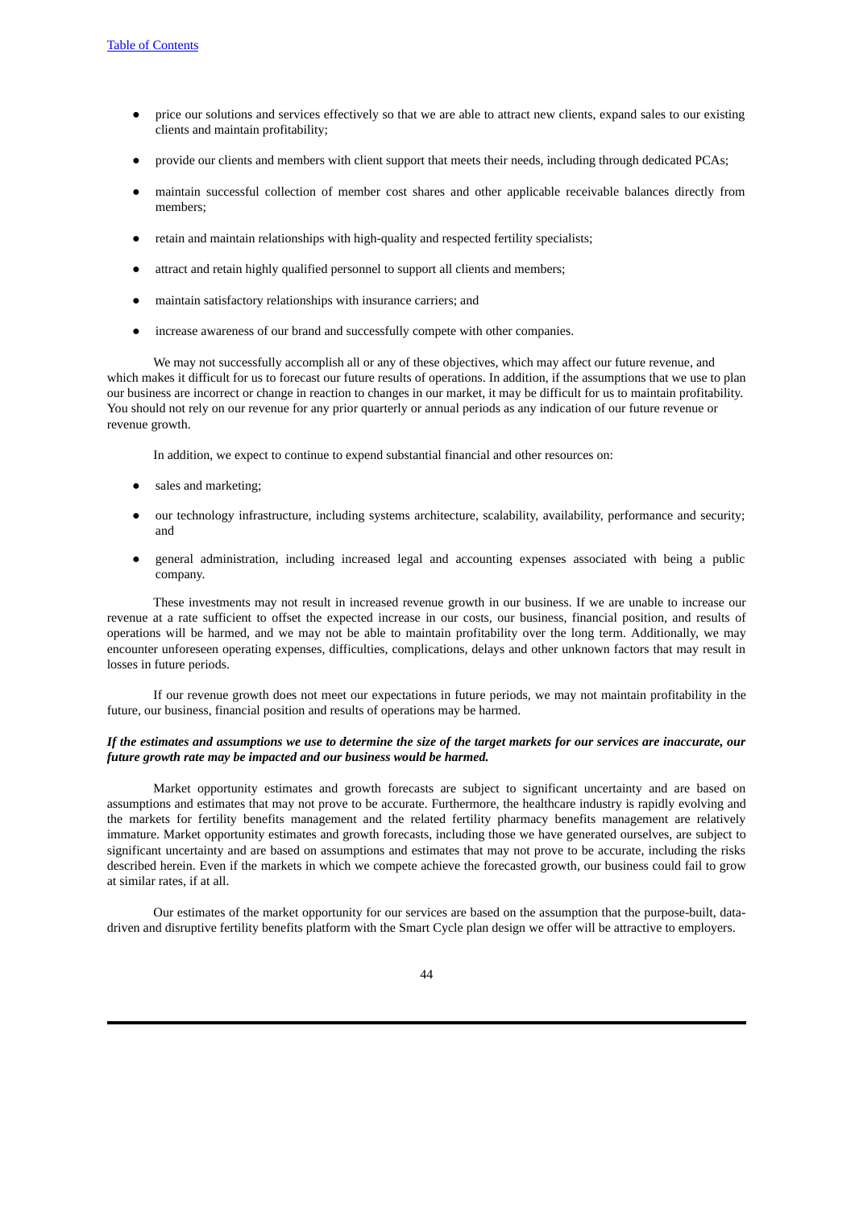- price our solutions and services effectively so that we are able to attract new clients, expand sales to our existing clients and maintain profitability;
- provide our clients and members with client support that meets their needs, including through dedicated PCAs;
- maintain successful collection of member cost shares and other applicable receivable balances directly from members;
- retain and maintain relationships with high-quality and respected fertility specialists;
- attract and retain highly qualified personnel to support all clients and members;
- maintain satisfactory relationships with insurance carriers; and
- increase awareness of our brand and successfully compete with other companies.

We may not successfully accomplish all or any of these objectives, which may affect our future revenue, and which makes it difficult for us to forecast our future results of operations. In addition, if the assumptions that we use to plan our business are incorrect or change in reaction to changes in our market, it may be difficult for us to maintain profitability. You should not rely on our revenue for any prior quarterly or annual periods as any indication of our future revenue or revenue growth.

In addition, we expect to continue to expend substantial financial and other resources on:

- sales and marketing;
- our technology infrastructure, including systems architecture, scalability, availability, performance and security; and
- general administration, including increased legal and accounting expenses associated with being a public company.

These investments may not result in increased revenue growth in our business. If we are unable to increase our revenue at a rate sufficient to offset the expected increase in our costs, our business, financial position, and results of operations will be harmed, and we may not be able to maintain profitability over the long term. Additionally, we may encounter unforeseen operating expenses, difficulties, complications, delays and other unknown factors that may result in losses in future periods.

If our revenue growth does not meet our expectations in future periods, we may not maintain profitability in the future, our business, financial position and results of operations may be harmed.

#### If the estimates and assumptions we use to determine the size of the target markets for our services are inaccurate, our *future growth rate may be impacted and our business would be harmed.*

Market opportunity estimates and growth forecasts are subject to significant uncertainty and are based on assumptions and estimates that may not prove to be accurate. Furthermore, the healthcare industry is rapidly evolving and the markets for fertility benefits management and the related fertility pharmacy benefits management are relatively immature. Market opportunity estimates and growth forecasts, including those we have generated ourselves, are subject to significant uncertainty and are based on assumptions and estimates that may not prove to be accurate, including the risks described herein. Even if the markets in which we compete achieve the forecasted growth, our business could fail to grow at similar rates, if at all.

Our estimates of the market opportunity for our services are based on the assumption that the purpose-built, datadriven and disruptive fertility benefits platform with the Smart Cycle plan design we offer will be attractive to employers.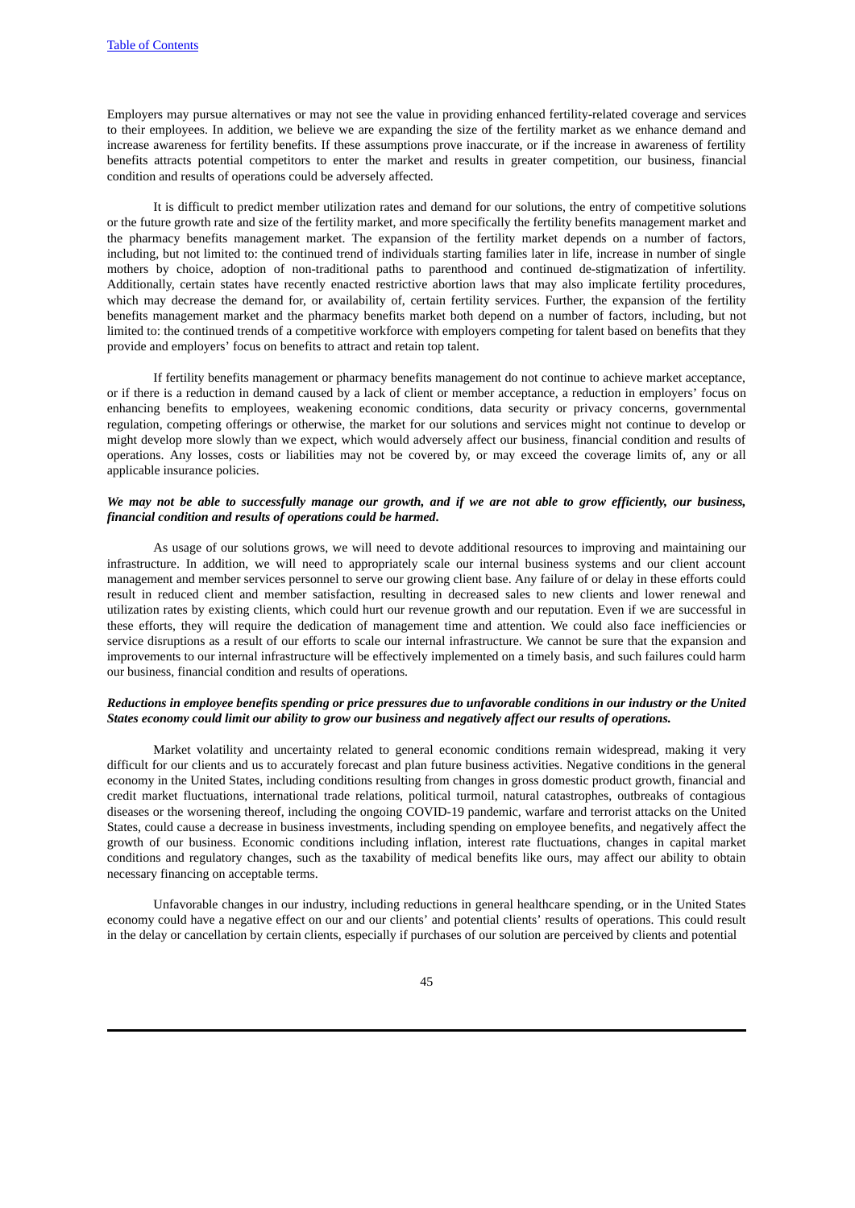Employers may pursue alternatives or may not see the value in providing enhanced fertility-related coverage and services to their employees. In addition, we believe we are expanding the size of the fertility market as we enhance demand and increase awareness for fertility benefits. If these assumptions prove inaccurate, or if the increase in awareness of fertility benefits attracts potential competitors to enter the market and results in greater competition, our business, financial condition and results of operations could be adversely affected.

It is difficult to predict member utilization rates and demand for our solutions, the entry of competitive solutions or the future growth rate and size of the fertility market, and more specifically the fertility benefits management market and the pharmacy benefits management market. The expansion of the fertility market depends on a number of factors, including, but not limited to: the continued trend of individuals starting families later in life, increase in number of single mothers by choice, adoption of non-traditional paths to parenthood and continued de-stigmatization of infertility. Additionally, certain states have recently enacted restrictive abortion laws that may also implicate fertility procedures, which may decrease the demand for, or availability of, certain fertility services. Further, the expansion of the fertility benefits management market and the pharmacy benefits market both depend on a number of factors, including, but not limited to: the continued trends of a competitive workforce with employers competing for talent based on benefits that they provide and employers' focus on benefits to attract and retain top talent.

If fertility benefits management or pharmacy benefits management do not continue to achieve market acceptance, or if there is a reduction in demand caused by a lack of client or member acceptance, a reduction in employers' focus on enhancing benefits to employees, weakening economic conditions, data security or privacy concerns, governmental regulation, competing offerings or otherwise, the market for our solutions and services might not continue to develop or might develop more slowly than we expect, which would adversely affect our business, financial condition and results of operations. Any losses, costs or liabilities may not be covered by, or may exceed the coverage limits of, any or all applicable insurance policies.

## We may not be able to successfully manage our growth, and if we are not able to grow efficiently, our business, *financial condition and results of operations could be harmed***.**

As usage of our solutions grows, we will need to devote additional resources to improving and maintaining our infrastructure. In addition, we will need to appropriately scale our internal business systems and our client account management and member services personnel to serve our growing client base. Any failure of or delay in these efforts could result in reduced client and member satisfaction, resulting in decreased sales to new clients and lower renewal and utilization rates by existing clients, which could hurt our revenue growth and our reputation. Even if we are successful in these efforts, they will require the dedication of management time and attention. We could also face inefficiencies or service disruptions as a result of our efforts to scale our internal infrastructure. We cannot be sure that the expansion and improvements to our internal infrastructure will be effectively implemented on a timely basis, and such failures could harm our business, financial condition and results of operations.

#### Reductions in employee benefits spending or price pressures due to unfavorable conditions in our industry or the United States economy could limit our ability to grow our business and negatively affect our results of operations.

Market volatility and uncertainty related to general economic conditions remain widespread, making it very difficult for our clients and us to accurately forecast and plan future business activities. Negative conditions in the general economy in the United States, including conditions resulting from changes in gross domestic product growth, financial and credit market fluctuations, international trade relations, political turmoil, natural catastrophes, outbreaks of contagious diseases or the worsening thereof, including the ongoing COVID-19 pandemic, warfare and terrorist attacks on the United States, could cause a decrease in business investments, including spending on employee benefits, and negatively affect the growth of our business. Economic conditions including inflation, interest rate fluctuations, changes in capital market conditions and regulatory changes, such as the taxability of medical benefits like ours, may affect our ability to obtain necessary financing on acceptable terms.

Unfavorable changes in our industry, including reductions in general healthcare spending, or in the United States economy could have a negative effect on our and our clients' and potential clients' results of operations. This could result in the delay or cancellation by certain clients, especially if purchases of our solution are perceived by clients and potential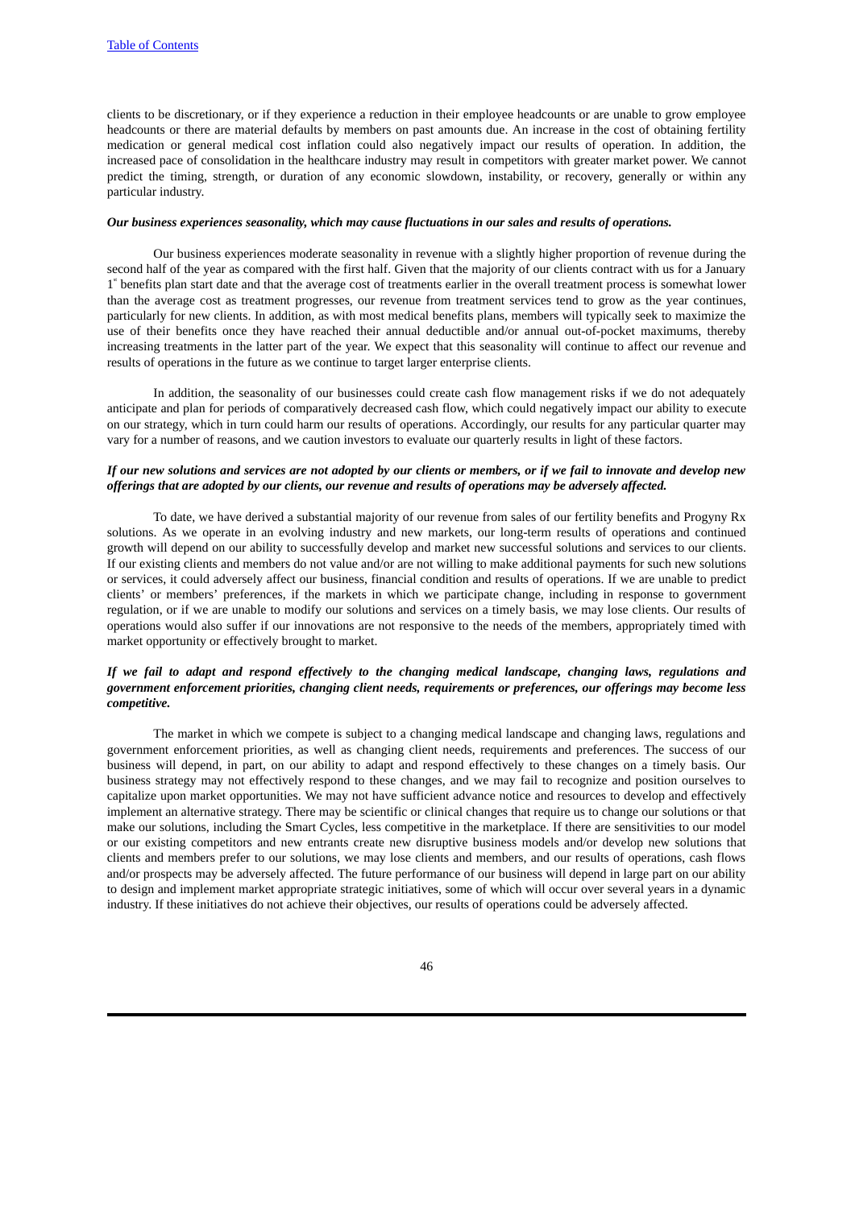clients to be discretionary, or if they experience a reduction in their employee headcounts or are unable to grow employee headcounts or there are material defaults by members on past amounts due. An increase in the cost of obtaining fertility medication or general medical cost inflation could also negatively impact our results of operation. In addition, the increased pace of consolidation in the healthcare industry may result in competitors with greater market power. We cannot predict the timing, strength, or duration of any economic slowdown, instability, or recovery, generally or within any particular industry.

#### *Our business experiences seasonality, which may cause fluctuations in our sales and results of operations.*

Our business experiences moderate seasonality in revenue with a slightly higher proportion of revenue during the second half of the year as compared with the first half. Given that the majority of our clients contract with us for a January 1<sup>"</sup> benefits plan start date and that the average cost of treatments earlier in the overall treatment process is somewhat lower than the average cost as treatment progresses, our revenue from treatment services tend to grow as the year continues, particularly for new clients. In addition, as with most medical benefits plans, members will typically seek to maximize the use of their benefits once they have reached their annual deductible and/or annual out-of-pocket maximums, thereby increasing treatments in the latter part of the year. We expect that this seasonality will continue to affect our revenue and results of operations in the future as we continue to target larger enterprise clients.

In addition, the seasonality of our businesses could create cash flow management risks if we do not adequately anticipate and plan for periods of comparatively decreased cash flow, which could negatively impact our ability to execute on our strategy, which in turn could harm our results of operations. Accordingly, our results for any particular quarter may vary for a number of reasons, and we caution investors to evaluate our quarterly results in light of these factors.

# If our new solutions and services are not adopted by our clients or members, or if we fail to innovate and develop new offerings that are adopted by our clients, our revenue and results of operations may be adversely affected.

To date, we have derived a substantial majority of our revenue from sales of our fertility benefits and Progyny Rx solutions. As we operate in an evolving industry and new markets, our long-term results of operations and continued growth will depend on our ability to successfully develop and market new successful solutions and services to our clients. If our existing clients and members do not value and/or are not willing to make additional payments for such new solutions or services, it could adversely affect our business, financial condition and results of operations. If we are unable to predict clients' or members' preferences, if the markets in which we participate change, including in response to government regulation, or if we are unable to modify our solutions and services on a timely basis, we may lose clients. Our results of operations would also suffer if our innovations are not responsive to the needs of the members, appropriately timed with market opportunity or effectively brought to market.

# If we fail to adapt and respond effectively to the changing medical landscape, changing laws, regulations and *government enforcement priorities, changing client needs, requirements or preferences, our offerings may become less competitive.*

The market in which we compete is subject to a changing medical landscape and changing laws, regulations and government enforcement priorities, as well as changing client needs, requirements and preferences. The success of our business will depend, in part, on our ability to adapt and respond effectively to these changes on a timely basis. Our business strategy may not effectively respond to these changes, and we may fail to recognize and position ourselves to capitalize upon market opportunities. We may not have sufficient advance notice and resources to develop and effectively implement an alternative strategy. There may be scientific or clinical changes that require us to change our solutions or that make our solutions, including the Smart Cycles, less competitive in the marketplace. If there are sensitivities to our model or our existing competitors and new entrants create new disruptive business models and/or develop new solutions that clients and members prefer to our solutions, we may lose clients and members, and our results of operations, cash flows and/or prospects may be adversely affected. The future performance of our business will depend in large part on our ability to design and implement market appropriate strategic initiatives, some of which will occur over several years in a dynamic industry. If these initiatives do not achieve their objectives, our results of operations could be adversely affected.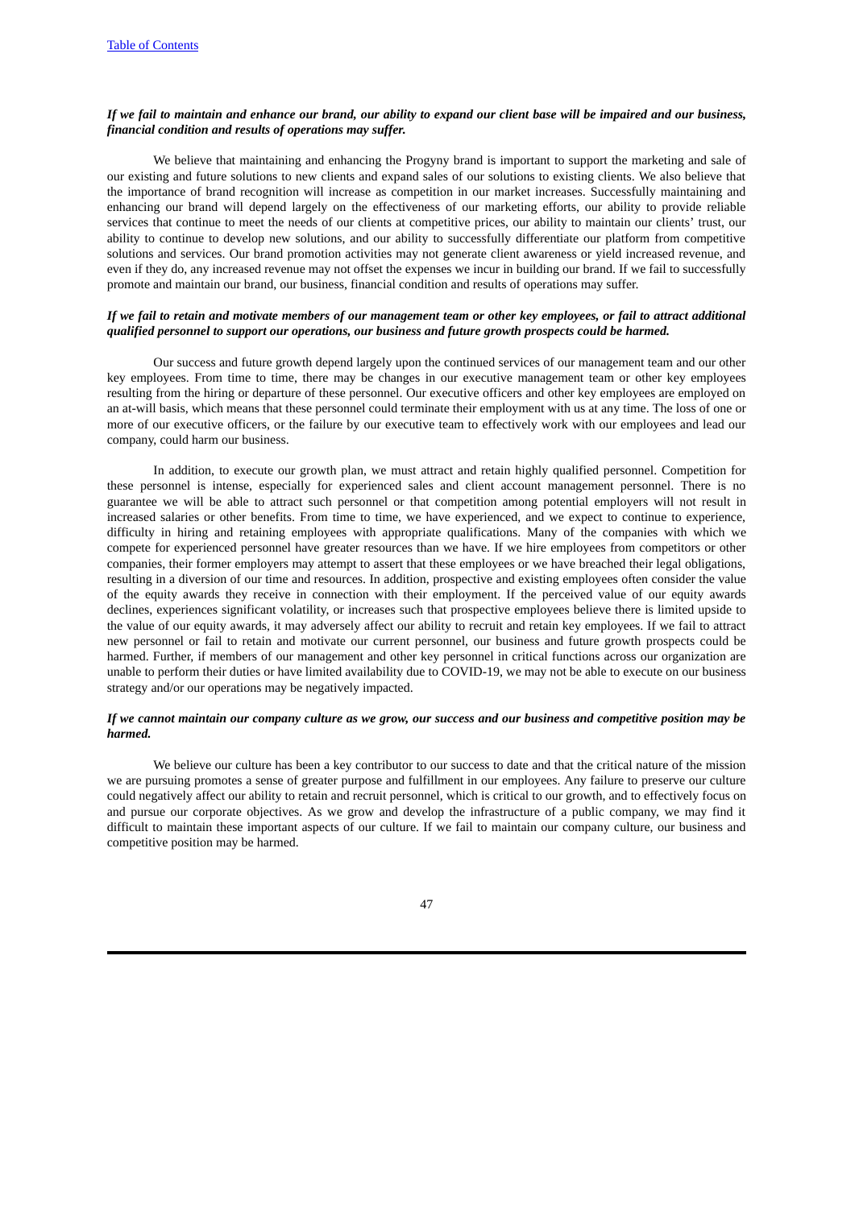## If we fail to maintain and enhance our brand, our ability to expand our client base will be impaired and our business, *financial condition and results of operations may suffer.*

We believe that maintaining and enhancing the Progyny brand is important to support the marketing and sale of our existing and future solutions to new clients and expand sales of our solutions to existing clients. We also believe that the importance of brand recognition will increase as competition in our market increases. Successfully maintaining and enhancing our brand will depend largely on the effectiveness of our marketing efforts, our ability to provide reliable services that continue to meet the needs of our clients at competitive prices, our ability to maintain our clients' trust, our ability to continue to develop new solutions, and our ability to successfully differentiate our platform from competitive solutions and services. Our brand promotion activities may not generate client awareness or yield increased revenue, and even if they do, any increased revenue may not offset the expenses we incur in building our brand. If we fail to successfully promote and maintain our brand, our business, financial condition and results of operations may suffer.

# If we fail to retain and motivate members of our management team or other key employees, or fail to attract additional *qualified personnel to support our operations, our business and future growth prospects could be harmed.*

Our success and future growth depend largely upon the continued services of our management team and our other key employees. From time to time, there may be changes in our executive management team or other key employees resulting from the hiring or departure of these personnel. Our executive officers and other key employees are employed on an at-will basis, which means that these personnel could terminate their employment with us at any time. The loss of one or more of our executive officers, or the failure by our executive team to effectively work with our employees and lead our company, could harm our business.

In addition, to execute our growth plan, we must attract and retain highly qualified personnel. Competition for these personnel is intense, especially for experienced sales and client account management personnel. There is no guarantee we will be able to attract such personnel or that competition among potential employers will not result in increased salaries or other benefits. From time to time, we have experienced, and we expect to continue to experience, difficulty in hiring and retaining employees with appropriate qualifications. Many of the companies with which we compete for experienced personnel have greater resources than we have. If we hire employees from competitors or other companies, their former employers may attempt to assert that these employees or we have breached their legal obligations, resulting in a diversion of our time and resources. In addition, prospective and existing employees often consider the value of the equity awards they receive in connection with their employment. If the perceived value of our equity awards declines, experiences significant volatility, or increases such that prospective employees believe there is limited upside to the value of our equity awards, it may adversely affect our ability to recruit and retain key employees. If we fail to attract new personnel or fail to retain and motivate our current personnel, our business and future growth prospects could be harmed. Further, if members of our management and other key personnel in critical functions across our organization are unable to perform their duties or have limited availability due to COVID-19, we may not be able to execute on our business strategy and/or our operations may be negatively impacted.

#### If we cannot maintain our company culture as we grow, our success and our business and competitive position may be *harmed.*

We believe our culture has been a key contributor to our success to date and that the critical nature of the mission we are pursuing promotes a sense of greater purpose and fulfillment in our employees. Any failure to preserve our culture could negatively affect our ability to retain and recruit personnel, which is critical to our growth, and to effectively focus on and pursue our corporate objectives. As we grow and develop the infrastructure of a public company, we may find it difficult to maintain these important aspects of our culture. If we fail to maintain our company culture, our business and competitive position may be harmed.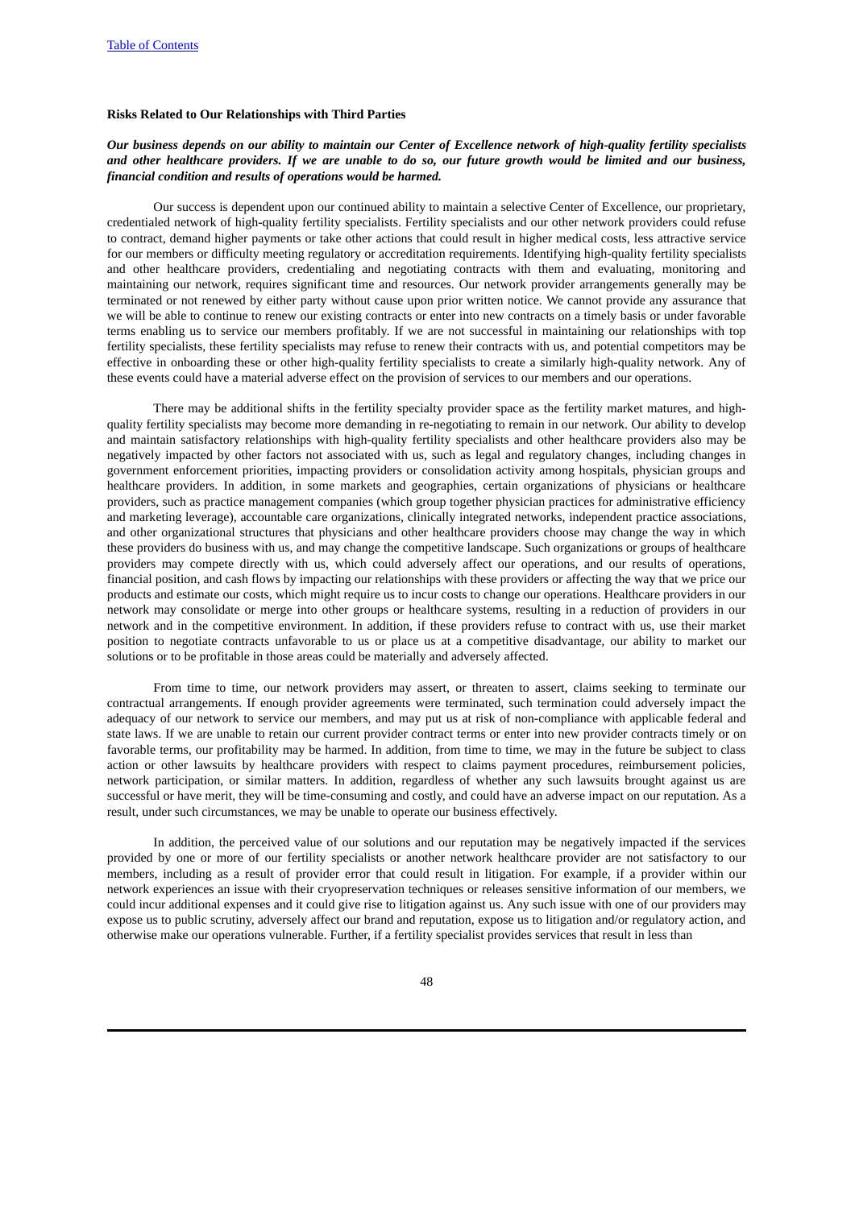#### **Risks Related to Our Relationships with Third Parties**

## Our business depends on our ability to maintain our Center of Excellence network of high-quality fertility specialists and other healthcare providers. If we are unable to do so, our future growth would be limited and our business, *financial condition and results of operations would be harmed.*

Our success is dependent upon our continued ability to maintain a selective Center of Excellence, our proprietary, credentialed network of high-quality fertility specialists. Fertility specialists and our other network providers could refuse to contract, demand higher payments or take other actions that could result in higher medical costs, less attractive service for our members or difficulty meeting regulatory or accreditation requirements. Identifying high-quality fertility specialists and other healthcare providers, credentialing and negotiating contracts with them and evaluating, monitoring and maintaining our network, requires significant time and resources. Our network provider arrangements generally may be terminated or not renewed by either party without cause upon prior written notice. We cannot provide any assurance that we will be able to continue to renew our existing contracts or enter into new contracts on a timely basis or under favorable terms enabling us to service our members profitably. If we are not successful in maintaining our relationships with top fertility specialists, these fertility specialists may refuse to renew their contracts with us, and potential competitors may be effective in onboarding these or other high-quality fertility specialists to create a similarly high-quality network. Any of these events could have a material adverse effect on the provision of services to our members and our operations.

There may be additional shifts in the fertility specialty provider space as the fertility market matures, and highquality fertility specialists may become more demanding in re-negotiating to remain in our network. Our ability to develop and maintain satisfactory relationships with high-quality fertility specialists and other healthcare providers also may be negatively impacted by other factors not associated with us, such as legal and regulatory changes, including changes in government enforcement priorities, impacting providers or consolidation activity among hospitals, physician groups and healthcare providers. In addition, in some markets and geographies, certain organizations of physicians or healthcare providers, such as practice management companies (which group together physician practices for administrative efficiency and marketing leverage), accountable care organizations, clinically integrated networks, independent practice associations, and other organizational structures that physicians and other healthcare providers choose may change the way in which these providers do business with us, and may change the competitive landscape. Such organizations or groups of healthcare providers may compete directly with us, which could adversely affect our operations, and our results of operations, financial position, and cash flows by impacting our relationships with these providers or affecting the way that we price our products and estimate our costs, which might require us to incur costs to change our operations. Healthcare providers in our network may consolidate or merge into other groups or healthcare systems, resulting in a reduction of providers in our network and in the competitive environment. In addition, if these providers refuse to contract with us, use their market position to negotiate contracts unfavorable to us or place us at a competitive disadvantage, our ability to market our solutions or to be profitable in those areas could be materially and adversely affected.

From time to time, our network providers may assert, or threaten to assert, claims seeking to terminate our contractual arrangements. If enough provider agreements were terminated, such termination could adversely impact the adequacy of our network to service our members, and may put us at risk of non-compliance with applicable federal and state laws. If we are unable to retain our current provider contract terms or enter into new provider contracts timely or on favorable terms, our profitability may be harmed. In addition, from time to time, we may in the future be subject to class action or other lawsuits by healthcare providers with respect to claims payment procedures, reimbursement policies, network participation, or similar matters. In addition, regardless of whether any such lawsuits brought against us are successful or have merit, they will be time-consuming and costly, and could have an adverse impact on our reputation. As a result, under such circumstances, we may be unable to operate our business effectively.

In addition, the perceived value of our solutions and our reputation may be negatively impacted if the services provided by one or more of our fertility specialists or another network healthcare provider are not satisfactory to our members, including as a result of provider error that could result in litigation. For example, if a provider within our network experiences an issue with their cryopreservation techniques or releases sensitive information of our members, we could incur additional expenses and it could give rise to litigation against us. Any such issue with one of our providers may expose us to public scrutiny, adversely affect our brand and reputation, expose us to litigation and/or regulatory action, and otherwise make our operations vulnerable. Further, if a fertility specialist provides services that result in less than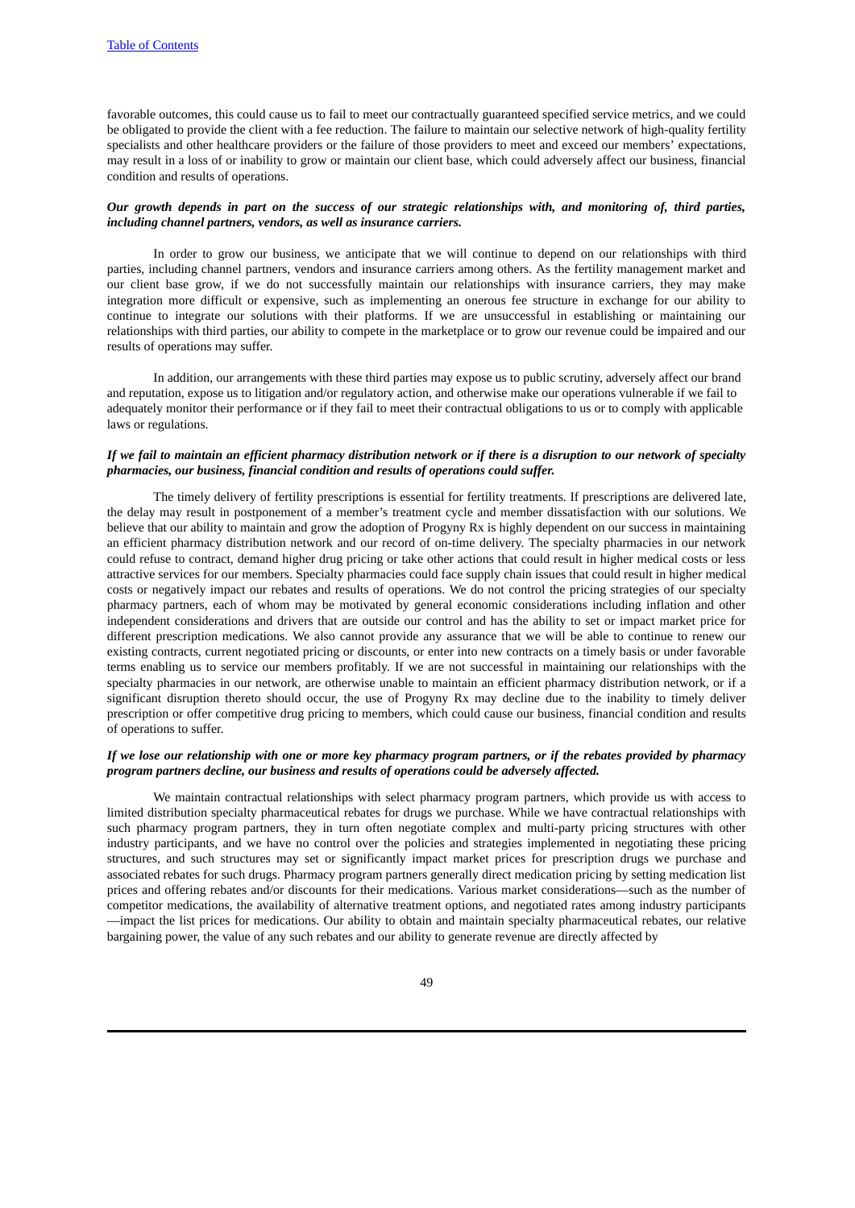favorable outcomes, this could cause us to fail to meet our contractually guaranteed specified service metrics, and we could be obligated to provide the client with a fee reduction. The failure to maintain our selective network of high-quality fertility specialists and other healthcare providers or the failure of those providers to meet and exceed our members' expectations, may result in a loss of or inability to grow or maintain our client base, which could adversely affect our business, financial condition and results of operations.

#### Our growth depends in part on the success of our strategic relationships with, and monitoring of, third parties, *including channel partners, vendors, as well as insurance carriers.*

In order to grow our business, we anticipate that we will continue to depend on our relationships with third parties, including channel partners, vendors and insurance carriers among others. As the fertility management market and our client base grow, if we do not successfully maintain our relationships with insurance carriers, they may make integration more difficult or expensive, such as implementing an onerous fee structure in exchange for our ability to continue to integrate our solutions with their platforms. If we are unsuccessful in establishing or maintaining our relationships with third parties, our ability to compete in the marketplace or to grow our revenue could be impaired and our results of operations may suffer.

In addition, our arrangements with these third parties may expose us to public scrutiny, adversely affect our brand and reputation, expose us to litigation and/or regulatory action, and otherwise make our operations vulnerable if we fail to adequately monitor their performance or if they fail to meet their contractual obligations to us or to comply with applicable laws or regulations.

# If we fail to maintain an efficient pharmacy distribution network or if there is a disruption to our network of specialty *pharmacies, our business, financial condition and results of operations could suffer.*

The timely delivery of fertility prescriptions is essential for fertility treatments. If prescriptions are delivered late, the delay may result in postponement of a member's treatment cycle and member dissatisfaction with our solutions. We believe that our ability to maintain and grow the adoption of Progyny Rx is highly dependent on our success in maintaining an efficient pharmacy distribution network and our record of on-time delivery. The specialty pharmacies in our network could refuse to contract, demand higher drug pricing or take other actions that could result in higher medical costs or less attractive services for our members. Specialty pharmacies could face supply chain issues that could result in higher medical costs or negatively impact our rebates and results of operations. We do not control the pricing strategies of our specialty pharmacy partners, each of whom may be motivated by general economic considerations including inflation and other independent considerations and drivers that are outside our control and has the ability to set or impact market price for different prescription medications. We also cannot provide any assurance that we will be able to continue to renew our existing contracts, current negotiated pricing or discounts, or enter into new contracts on a timely basis or under favorable terms enabling us to service our members profitably. If we are not successful in maintaining our relationships with the specialty pharmacies in our network, are otherwise unable to maintain an efficient pharmacy distribution network, or if a significant disruption thereto should occur, the use of Progyny Rx may decline due to the inability to timely deliver prescription or offer competitive drug pricing to members, which could cause our business, financial condition and results of operations to suffer.

#### If we lose our relationship with one or more key pharmacy program partners, or if the rebates provided by pharmacy *program partners decline, our business and results of operations could be adversely affected.*

We maintain contractual relationships with select pharmacy program partners, which provide us with access to limited distribution specialty pharmaceutical rebates for drugs we purchase. While we have contractual relationships with such pharmacy program partners, they in turn often negotiate complex and multi-party pricing structures with other industry participants, and we have no control over the policies and strategies implemented in negotiating these pricing structures, and such structures may set or significantly impact market prices for prescription drugs we purchase and associated rebates for such drugs. Pharmacy program partners generally direct medication pricing by setting medication list prices and offering rebates and/or discounts for their medications. Various market considerations—such as the number of competitor medications, the availability of alternative treatment options, and negotiated rates among industry participants —impact the list prices for medications. Our ability to obtain and maintain specialty pharmaceutical rebates, our relative bargaining power, the value of any such rebates and our ability to generate revenue are directly affected by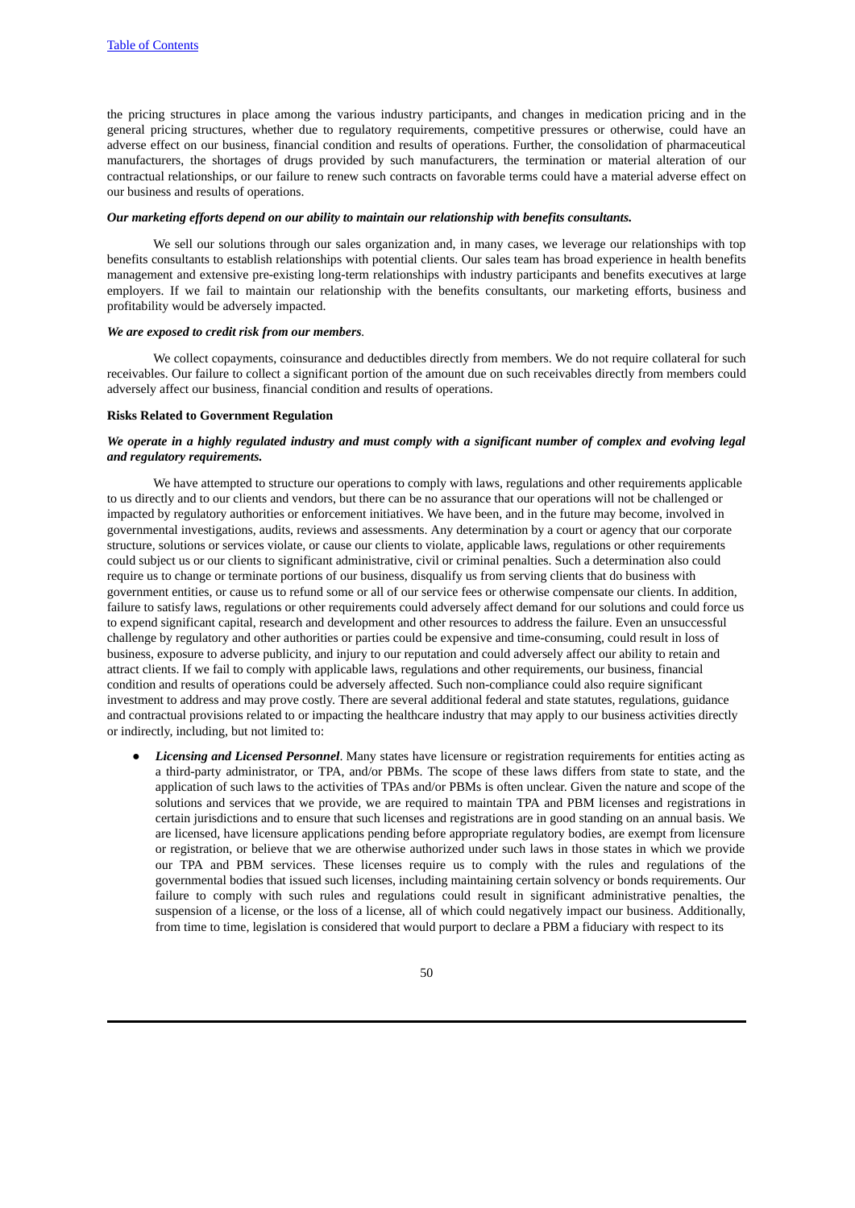the pricing structures in place among the various industry participants, and changes in medication pricing and in the general pricing structures, whether due to regulatory requirements, competitive pressures or otherwise, could have an adverse effect on our business, financial condition and results of operations. Further, the consolidation of pharmaceutical manufacturers, the shortages of drugs provided by such manufacturers, the termination or material alteration of our contractual relationships, or our failure to renew such contracts on favorable terms could have a material adverse effect on our business and results of operations.

# *Our marketing efforts depend on our ability to maintain our relationship with benefits consultants.*

We sell our solutions through our sales organization and, in many cases, we leverage our relationships with top benefits consultants to establish relationships with potential clients. Our sales team has broad experience in health benefits management and extensive pre-existing long-term relationships with industry participants and benefits executives at large employers. If we fail to maintain our relationship with the benefits consultants, our marketing efforts, business and profitability would be adversely impacted.

#### *We are exposed to credit risk from our members.*

We collect copayments, coinsurance and deductibles directly from members. We do not require collateral for such receivables. Our failure to collect a significant portion of the amount due on such receivables directly from members could adversely affect our business, financial condition and results of operations.

#### **Risks Related to Government Regulation**

#### We operate in a highly regulated industry and must comply with a significant number of complex and evolving legal *and regulatory requirements.*

We have attempted to structure our operations to comply with laws, regulations and other requirements applicable to us directly and to our clients and vendors, but there can be no assurance that our operations will not be challenged or impacted by regulatory authorities or enforcement initiatives. We have been, and in the future may become, involved in governmental investigations, audits, reviews and assessments. Any determination by a court or agency that our corporate structure, solutions or services violate, or cause our clients to violate, applicable laws, regulations or other requirements could subject us or our clients to significant administrative, civil or criminal penalties. Such a determination also could require us to change or terminate portions of our business, disqualify us from serving clients that do business with government entities, or cause us to refund some or all of our service fees or otherwise compensate our clients. In addition, failure to satisfy laws, regulations or other requirements could adversely affect demand for our solutions and could force us to expend significant capital, research and development and other resources to address the failure. Even an unsuccessful challenge by regulatory and other authorities or parties could be expensive and time-consuming, could result in loss of business, exposure to adverse publicity, and injury to our reputation and could adversely affect our ability to retain and attract clients. If we fail to comply with applicable laws, regulations and other requirements, our business, financial condition and results of operations could be adversely affected. Such non-compliance could also require significant investment to address and may prove costly. There are several additional federal and state statutes, regulations, guidance and contractual provisions related to or impacting the healthcare industry that may apply to our business activities directly or indirectly, including, but not limited to:

● *Licensing and Licensed Personnel*. Many states have licensure or registration requirements for entities acting as a third-party administrator, or TPA, and/or PBMs. The scope of these laws differs from state to state, and the application of such laws to the activities of TPAs and/or PBMs is often unclear. Given the nature and scope of the solutions and services that we provide, we are required to maintain TPA and PBM licenses and registrations in certain jurisdictions and to ensure that such licenses and registrations are in good standing on an annual basis. We are licensed, have licensure applications pending before appropriate regulatory bodies, are exempt from licensure or registration, or believe that we are otherwise authorized under such laws in those states in which we provide our TPA and PBM services. These licenses require us to comply with the rules and regulations of the governmental bodies that issued such licenses, including maintaining certain solvency or bonds requirements. Our failure to comply with such rules and regulations could result in significant administrative penalties, the suspension of a license, or the loss of a license, all of which could negatively impact our business. Additionally, from time to time, legislation is considered that would purport to declare a PBM a fiduciary with respect to its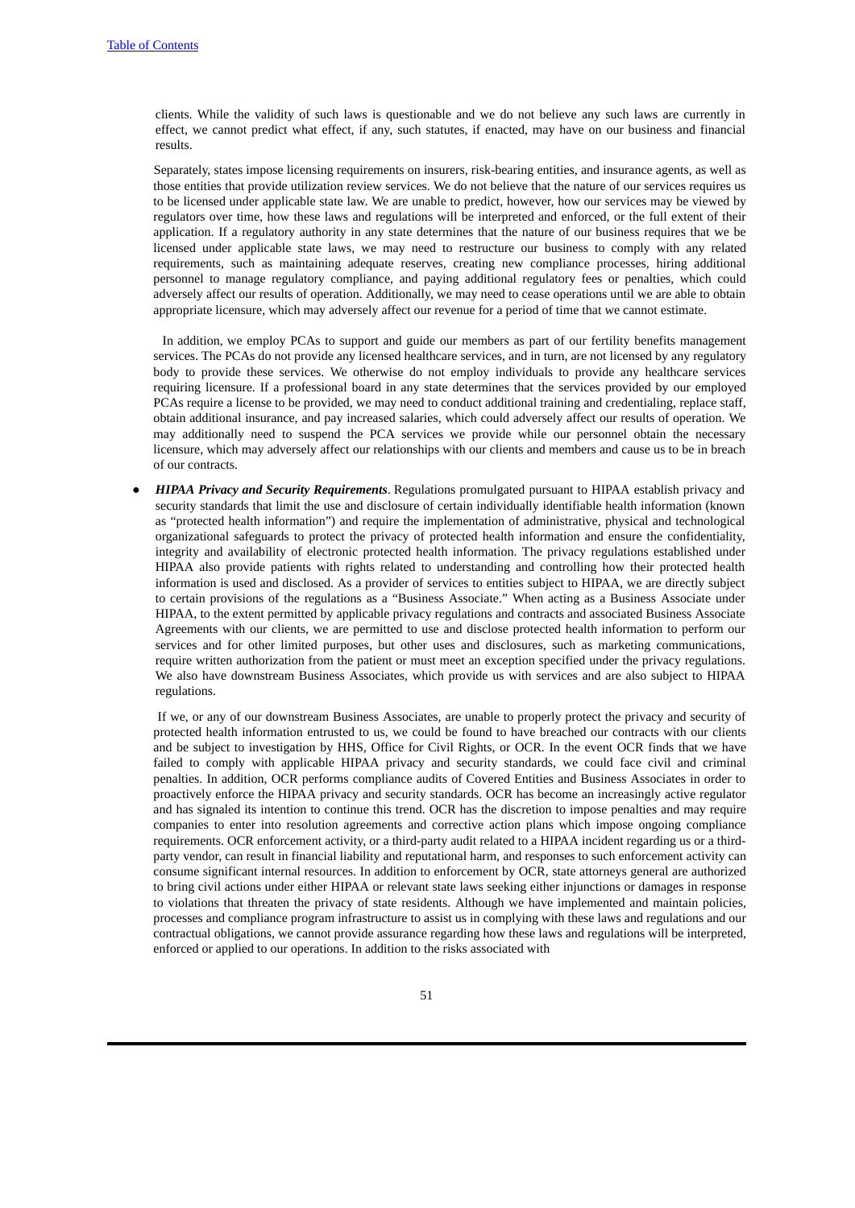clients. While the validity of such laws is questionable and we do not believe any such laws are currently in effect, we cannot predict what effect, if any, such statutes, if enacted, may have on our business and financial results.

Separately, states impose licensing requirements on insurers, risk-bearing entities, and insurance agents, as well as those entities that provide utilization review services. We do not believe that the nature of our services requires us to be licensed under applicable state law. We are unable to predict, however, how our services may be viewed by regulators over time, how these laws and regulations will be interpreted and enforced, or the full extent of their application. If a regulatory authority in any state determines that the nature of our business requires that we be licensed under applicable state laws, we may need to restructure our business to comply with any related requirements, such as maintaining adequate reserves, creating new compliance processes, hiring additional personnel to manage regulatory compliance, and paying additional regulatory fees or penalties, which could adversely affect our results of operation. Additionally, we may need to cease operations until we are able to obtain appropriate licensure, which may adversely affect our revenue for a period of time that we cannot estimate.

In addition, we employ PCAs to support and guide our members as part of our fertility benefits management services. The PCAs do not provide any licensed healthcare services, and in turn, are not licensed by any regulatory body to provide these services. We otherwise do not employ individuals to provide any healthcare services requiring licensure. If a professional board in any state determines that the services provided by our employed PCAs require a license to be provided, we may need to conduct additional training and credentialing, replace staff, obtain additional insurance, and pay increased salaries, which could adversely affect our results of operation. We may additionally need to suspend the PCA services we provide while our personnel obtain the necessary licensure, which may adversely affect our relationships with our clients and members and cause us to be in breach of our contracts.

● *HIPAA Privacy and Security Requirements*. Regulations promulgated pursuant to HIPAA establish privacy and security standards that limit the use and disclosure of certain individually identifiable health information (known as "protected health information") and require the implementation of administrative, physical and technological organizational safeguards to protect the privacy of protected health information and ensure the confidentiality, integrity and availability of electronic protected health information. The privacy regulations established under HIPAA also provide patients with rights related to understanding and controlling how their protected health information is used and disclosed. As a provider of services to entities subject to HIPAA, we are directly subject to certain provisions of the regulations as a "Business Associate." When acting as a Business Associate under HIPAA, to the extent permitted by applicable privacy regulations and contracts and associated Business Associate Agreements with our clients, we are permitted to use and disclose protected health information to perform our services and for other limited purposes, but other uses and disclosures, such as marketing communications, require written authorization from the patient or must meet an exception specified under the privacy regulations. We also have downstream Business Associates, which provide us with services and are also subject to HIPAA regulations.

If we, or any of our downstream Business Associates, are unable to properly protect the privacy and security of protected health information entrusted to us, we could be found to have breached our contracts with our clients and be subject to investigation by HHS, Office for Civil Rights, or OCR. In the event OCR finds that we have failed to comply with applicable HIPAA privacy and security standards, we could face civil and criminal penalties. In addition, OCR performs compliance audits of Covered Entities and Business Associates in order to proactively enforce the HIPAA privacy and security standards. OCR has become an increasingly active regulator and has signaled its intention to continue this trend. OCR has the discretion to impose penalties and may require companies to enter into resolution agreements and corrective action plans which impose ongoing compliance requirements. OCR enforcement activity, or a third-party audit related to a HIPAA incident regarding us or a thirdparty vendor, can result in financial liability and reputational harm, and responses to such enforcement activity can consume significant internal resources. In addition to enforcement by OCR, state attorneys general are authorized to bring civil actions under either HIPAA or relevant state laws seeking either injunctions or damages in response to violations that threaten the privacy of state residents. Although we have implemented and maintain policies, processes and compliance program infrastructure to assist us in complying with these laws and regulations and our contractual obligations, we cannot provide assurance regarding how these laws and regulations will be interpreted, enforced or applied to our operations. In addition to the risks associated with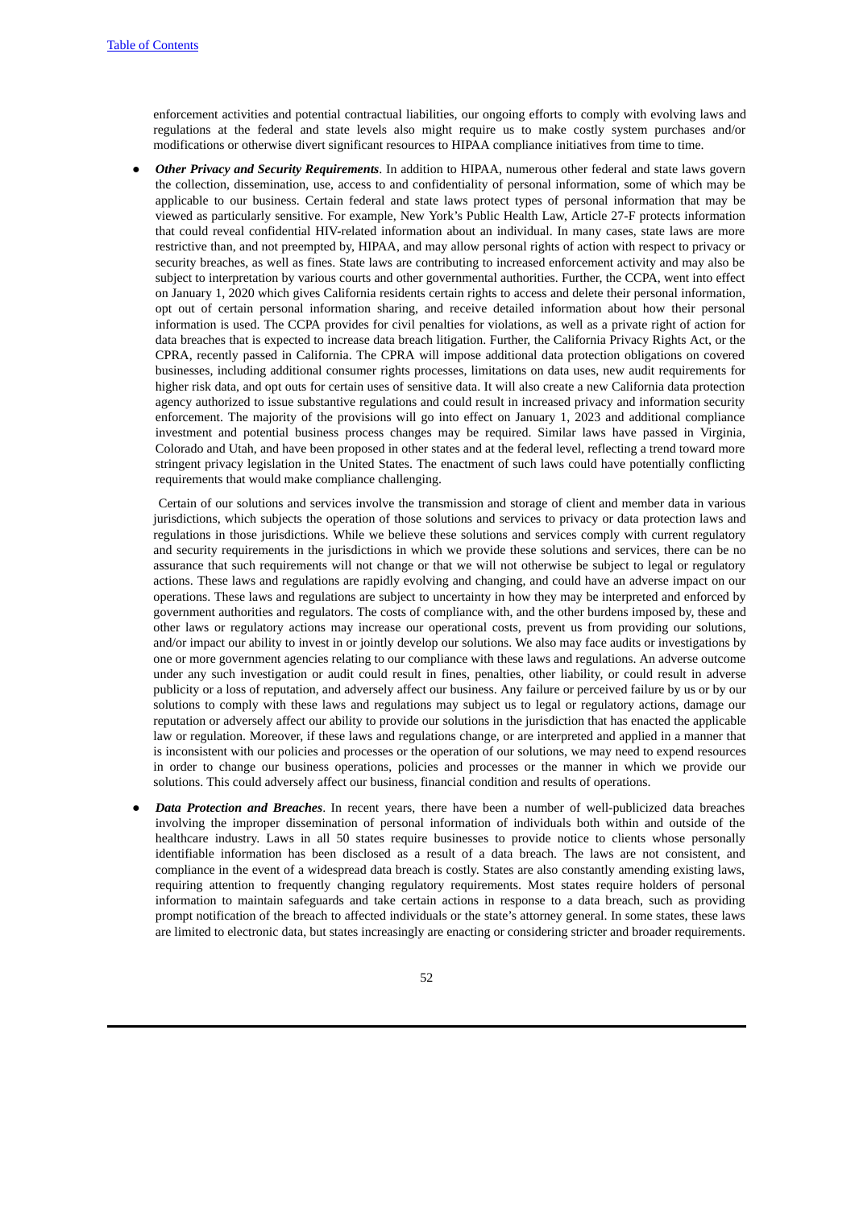enforcement activities and potential contractual liabilities, our ongoing efforts to comply with evolving laws and regulations at the federal and state levels also might require us to make costly system purchases and/or modifications or otherwise divert significant resources to HIPAA compliance initiatives from time to time.

● *Other Privacy and Security Requirements*. In addition to HIPAA, numerous other federal and state laws govern the collection, dissemination, use, access to and confidentiality of personal information, some of which may be applicable to our business. Certain federal and state laws protect types of personal information that may be viewed as particularly sensitive. For example, New York's Public Health Law, Article 27-F protects information that could reveal confidential HIV-related information about an individual. In many cases, state laws are more restrictive than, and not preempted by, HIPAA, and may allow personal rights of action with respect to privacy or security breaches, as well as fines. State laws are contributing to increased enforcement activity and may also be subject to interpretation by various courts and other governmental authorities. Further, the CCPA, went into effect on January 1, 2020 which gives California residents certain rights to access and delete their personal information, opt out of certain personal information sharing, and receive detailed information about how their personal information is used. The CCPA provides for civil penalties for violations, as well as a private right of action for data breaches that is expected to increase data breach litigation. Further, the California Privacy Rights Act, or the CPRA, recently passed in California. The CPRA will impose additional data protection obligations on covered businesses, including additional consumer rights processes, limitations on data uses, new audit requirements for higher risk data, and opt outs for certain uses of sensitive data. It will also create a new California data protection agency authorized to issue substantive regulations and could result in increased privacy and information security enforcement. The majority of the provisions will go into effect on January 1, 2023 and additional compliance investment and potential business process changes may be required. Similar laws have passed in Virginia, Colorado and Utah, and have been proposed in other states and at the federal level, reflecting a trend toward more stringent privacy legislation in the United States. The enactment of such laws could have potentially conflicting requirements that would make compliance challenging.

Certain of our solutions and services involve the transmission and storage of client and member data in various jurisdictions, which subjects the operation of those solutions and services to privacy or data protection laws and regulations in those jurisdictions. While we believe these solutions and services comply with current regulatory and security requirements in the jurisdictions in which we provide these solutions and services, there can be no assurance that such requirements will not change or that we will not otherwise be subject to legal or regulatory actions. These laws and regulations are rapidly evolving and changing, and could have an adverse impact on our operations. These laws and regulations are subject to uncertainty in how they may be interpreted and enforced by government authorities and regulators. The costs of compliance with, and the other burdens imposed by, these and other laws or regulatory actions may increase our operational costs, prevent us from providing our solutions, and/or impact our ability to invest in or jointly develop our solutions. We also may face audits or investigations by one or more government agencies relating to our compliance with these laws and regulations. An adverse outcome under any such investigation or audit could result in fines, penalties, other liability, or could result in adverse publicity or a loss of reputation, and adversely affect our business. Any failure or perceived failure by us or by our solutions to comply with these laws and regulations may subject us to legal or regulatory actions, damage our reputation or adversely affect our ability to provide our solutions in the jurisdiction that has enacted the applicable law or regulation. Moreover, if these laws and regulations change, or are interpreted and applied in a manner that is inconsistent with our policies and processes or the operation of our solutions, we may need to expend resources in order to change our business operations, policies and processes or the manner in which we provide our solutions. This could adversely affect our business, financial condition and results of operations.

● *Data Protection and Breaches*. In recent years, there have been a number of well-publicized data breaches involving the improper dissemination of personal information of individuals both within and outside of the healthcare industry. Laws in all 50 states require businesses to provide notice to clients whose personally identifiable information has been disclosed as a result of a data breach. The laws are not consistent, and compliance in the event of a widespread data breach is costly. States are also constantly amending existing laws, requiring attention to frequently changing regulatory requirements. Most states require holders of personal information to maintain safeguards and take certain actions in response to a data breach, such as providing prompt notification of the breach to affected individuals or the state's attorney general. In some states, these laws are limited to electronic data, but states increasingly are enacting or considering stricter and broader requirements.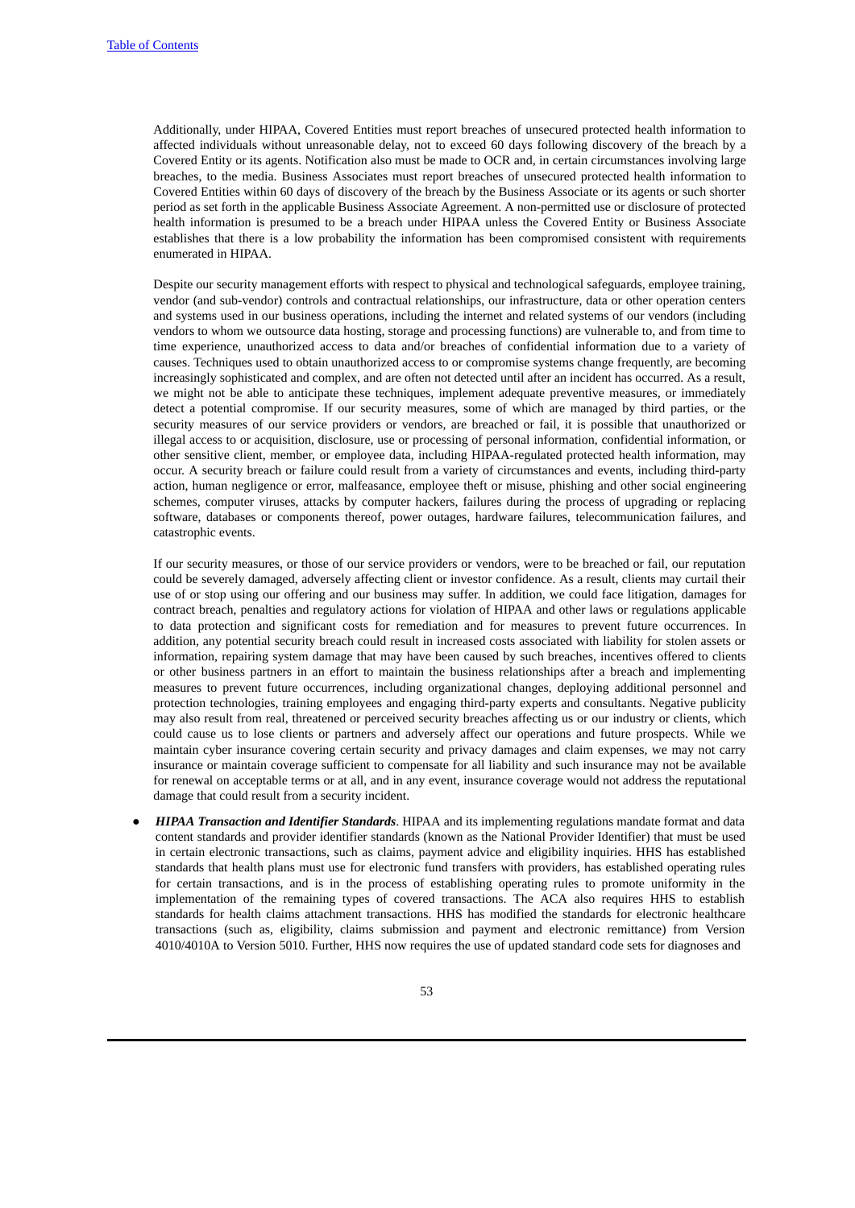Additionally, under HIPAA, Covered Entities must report breaches of unsecured protected health information to affected individuals without unreasonable delay, not to exceed 60 days following discovery of the breach by a Covered Entity or its agents. Notification also must be made to OCR and, in certain circumstances involving large breaches, to the media. Business Associates must report breaches of unsecured protected health information to Covered Entities within 60 days of discovery of the breach by the Business Associate or its agents or such shorter period as set forth in the applicable Business Associate Agreement. A non-permitted use or disclosure of protected health information is presumed to be a breach under HIPAA unless the Covered Entity or Business Associate establishes that there is a low probability the information has been compromised consistent with requirements enumerated in HIPAA.

Despite our security management efforts with respect to physical and technological safeguards, employee training, vendor (and sub-vendor) controls and contractual relationships, our infrastructure, data or other operation centers and systems used in our business operations, including the internet and related systems of our vendors (including vendors to whom we outsource data hosting, storage and processing functions) are vulnerable to, and from time to time experience, unauthorized access to data and/or breaches of confidential information due to a variety of causes. Techniques used to obtain unauthorized access to or compromise systems change frequently, are becoming increasingly sophisticated and complex, and are often not detected until after an incident has occurred. As a result, we might not be able to anticipate these techniques, implement adequate preventive measures, or immediately detect a potential compromise. If our security measures, some of which are managed by third parties, or the security measures of our service providers or vendors, are breached or fail, it is possible that unauthorized or illegal access to or acquisition, disclosure, use or processing of personal information, confidential information, or other sensitive client, member, or employee data, including HIPAA-regulated protected health information, may occur. A security breach or failure could result from a variety of circumstances and events, including third-party action, human negligence or error, malfeasance, employee theft or misuse, phishing and other social engineering schemes, computer viruses, attacks by computer hackers, failures during the process of upgrading or replacing software, databases or components thereof, power outages, hardware failures, telecommunication failures, and catastrophic events.

If our security measures, or those of our service providers or vendors, were to be breached or fail, our reputation could be severely damaged, adversely affecting client or investor confidence. As a result, clients may curtail their use of or stop using our offering and our business may suffer. In addition, we could face litigation, damages for contract breach, penalties and regulatory actions for violation of HIPAA and other laws or regulations applicable to data protection and significant costs for remediation and for measures to prevent future occurrences. In addition, any potential security breach could result in increased costs associated with liability for stolen assets or information, repairing system damage that may have been caused by such breaches, incentives offered to clients or other business partners in an effort to maintain the business relationships after a breach and implementing measures to prevent future occurrences, including organizational changes, deploying additional personnel and protection technologies, training employees and engaging third-party experts and consultants. Negative publicity may also result from real, threatened or perceived security breaches affecting us or our industry or clients, which could cause us to lose clients or partners and adversely affect our operations and future prospects. While we maintain cyber insurance covering certain security and privacy damages and claim expenses, we may not carry insurance or maintain coverage sufficient to compensate for all liability and such insurance may not be available for renewal on acceptable terms or at all, and in any event, insurance coverage would not address the reputational damage that could result from a security incident.

● *HIPAA Transaction and Identifier Standards*. HIPAA and its implementing regulations mandate format and data content standards and provider identifier standards (known as the National Provider Identifier) that must be used in certain electronic transactions, such as claims, payment advice and eligibility inquiries. HHS has established standards that health plans must use for electronic fund transfers with providers, has established operating rules for certain transactions, and is in the process of establishing operating rules to promote uniformity in the implementation of the remaining types of covered transactions. The ACA also requires HHS to establish standards for health claims attachment transactions. HHS has modified the standards for electronic healthcare transactions (such as, eligibility, claims submission and payment and electronic remittance) from Version 4010/4010A to Version 5010. Further, HHS now requires the use of updated standard code sets for diagnoses and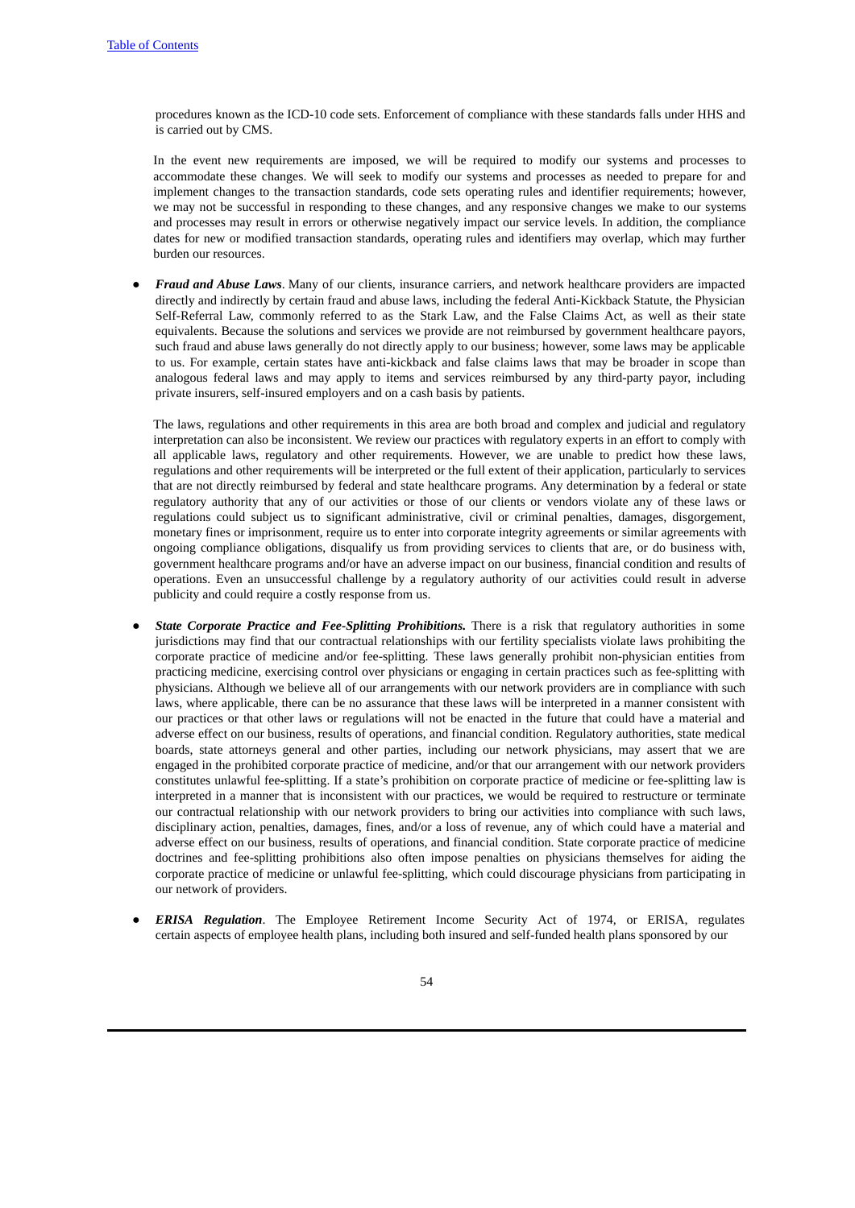procedures known as the ICD-10 code sets. Enforcement of compliance with these standards falls under HHS and is carried out by CMS.

In the event new requirements are imposed, we will be required to modify our systems and processes to accommodate these changes. We will seek to modify our systems and processes as needed to prepare for and implement changes to the transaction standards, code sets operating rules and identifier requirements; however, we may not be successful in responding to these changes, and any responsive changes we make to our systems and processes may result in errors or otherwise negatively impact our service levels. In addition, the compliance dates for new or modified transaction standards, operating rules and identifiers may overlap, which may further burden our resources.

● *Fraud and Abuse Laws*. Many of our clients, insurance carriers, and network healthcare providers are impacted directly and indirectly by certain fraud and abuse laws, including the federal Anti-Kickback Statute, the Physician Self-Referral Law, commonly referred to as the Stark Law, and the False Claims Act, as well as their state equivalents. Because the solutions and services we provide are not reimbursed by government healthcare payors, such fraud and abuse laws generally do not directly apply to our business; however, some laws may be applicable to us. For example, certain states have anti-kickback and false claims laws that may be broader in scope than analogous federal laws and may apply to items and services reimbursed by any third-party payor, including private insurers, self-insured employers and on a cash basis by patients.

The laws, regulations and other requirements in this area are both broad and complex and judicial and regulatory interpretation can also be inconsistent. We review our practices with regulatory experts in an effort to comply with all applicable laws, regulatory and other requirements. However, we are unable to predict how these laws, regulations and other requirements will be interpreted or the full extent of their application, particularly to services that are not directly reimbursed by federal and state healthcare programs. Any determination by a federal or state regulatory authority that any of our activities or those of our clients or vendors violate any of these laws or regulations could subject us to significant administrative, civil or criminal penalties, damages, disgorgement, monetary fines or imprisonment, require us to enter into corporate integrity agreements or similar agreements with ongoing compliance obligations, disqualify us from providing services to clients that are, or do business with, government healthcare programs and/or have an adverse impact on our business, financial condition and results of operations. Even an unsuccessful challenge by a regulatory authority of our activities could result in adverse publicity and could require a costly response from us.

- *State Corporate Practice and Fee-Splitting Prohibitions.* There is a risk that regulatory authorities in some jurisdictions may find that our contractual relationships with our fertility specialists violate laws prohibiting the corporate practice of medicine and/or fee-splitting. These laws generally prohibit non-physician entities from practicing medicine, exercising control over physicians or engaging in certain practices such as fee-splitting with physicians. Although we believe all of our arrangements with our network providers are in compliance with such laws, where applicable, there can be no assurance that these laws will be interpreted in a manner consistent with our practices or that other laws or regulations will not be enacted in the future that could have a material and adverse effect on our business, results of operations, and financial condition. Regulatory authorities, state medical boards, state attorneys general and other parties, including our network physicians, may assert that we are engaged in the prohibited corporate practice of medicine, and/or that our arrangement with our network providers constitutes unlawful fee-splitting. If a state's prohibition on corporate practice of medicine or fee-splitting law is interpreted in a manner that is inconsistent with our practices, we would be required to restructure or terminate our contractual relationship with our network providers to bring our activities into compliance with such laws, disciplinary action, penalties, damages, fines, and/or a loss of revenue, any of which could have a material and adverse effect on our business, results of operations, and financial condition. State corporate practice of medicine doctrines and fee-splitting prohibitions also often impose penalties on physicians themselves for aiding the corporate practice of medicine or unlawful fee-splitting, which could discourage physicians from participating in our network of providers.
- *ERISA Regulation*. The Employee Retirement Income Security Act of 1974, or ERISA, regulates certain aspects of employee health plans, including both insured and self-funded health plans sponsored by our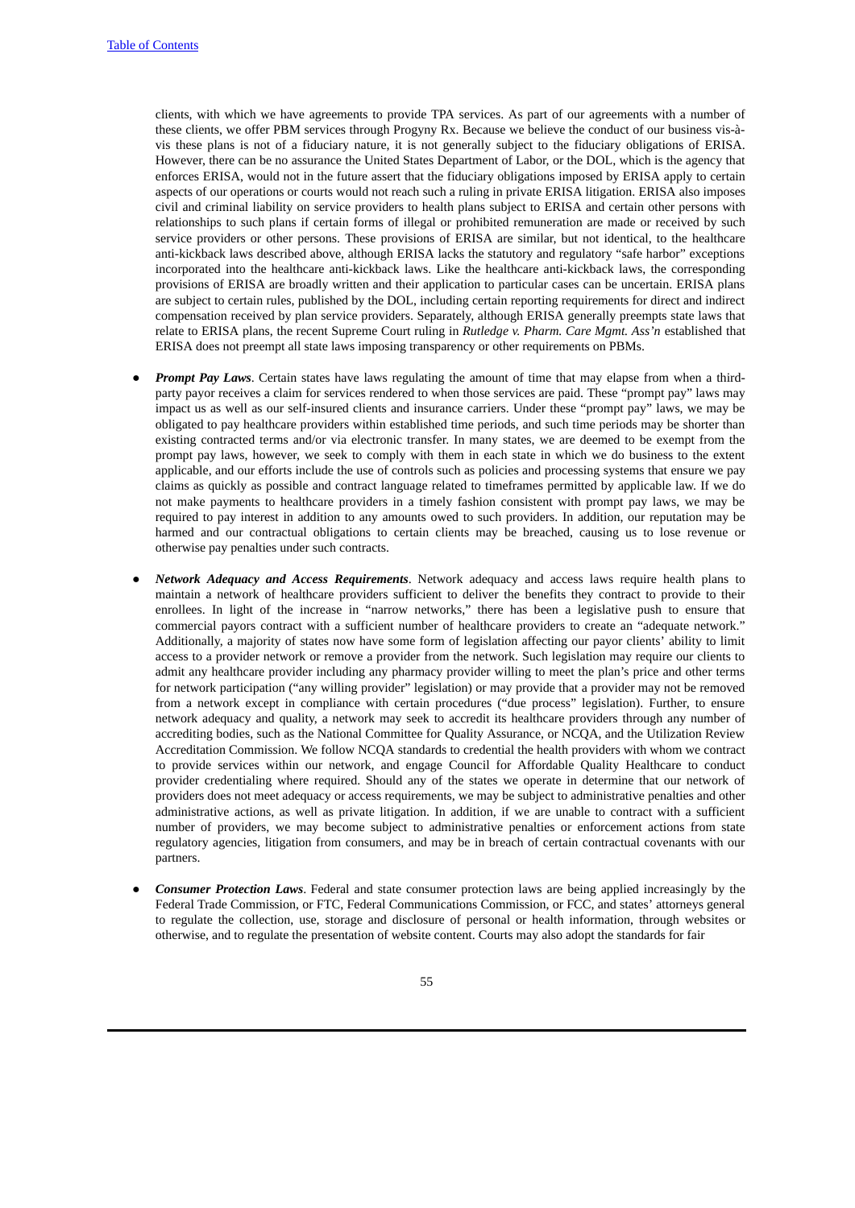clients, with which we have agreements to provide TPA services. As part of our agreements with a number of these clients, we offer PBM services through Progyny Rx. Because we believe the conduct of our business vis-àvis these plans is not of a fiduciary nature, it is not generally subject to the fiduciary obligations of ERISA. However, there can be no assurance the United States Department of Labor, or the DOL, which is the agency that enforces ERISA, would not in the future assert that the fiduciary obligations imposed by ERISA apply to certain aspects of our operations or courts would not reach such a ruling in private ERISA litigation. ERISA also imposes civil and criminal liability on service providers to health plans subject to ERISA and certain other persons with relationships to such plans if certain forms of illegal or prohibited remuneration are made or received by such service providers or other persons. These provisions of ERISA are similar, but not identical, to the healthcare anti-kickback laws described above, although ERISA lacks the statutory and regulatory "safe harbor" exceptions incorporated into the healthcare anti-kickback laws. Like the healthcare anti-kickback laws, the corresponding provisions of ERISA are broadly written and their application to particular cases can be uncertain. ERISA plans are subject to certain rules, published by the DOL, including certain reporting requirements for direct and indirect compensation received by plan service providers. Separately, although ERISA generally preempts state laws that relate to ERISA plans, the recent Supreme Court ruling in *Rutledge v. Pharm. Care Mgmt. Ass'n* established that ERISA does not preempt all state laws imposing transparency or other requirements on PBMs.

- *Prompt Pay Laws*. Certain states have laws regulating the amount of time that may elapse from when a thirdparty payor receives a claim for services rendered to when those services are paid. These "prompt pay" laws may impact us as well as our self-insured clients and insurance carriers. Under these "prompt pay" laws, we may be obligated to pay healthcare providers within established time periods, and such time periods may be shorter than existing contracted terms and/or via electronic transfer. In many states, we are deemed to be exempt from the prompt pay laws, however, we seek to comply with them in each state in which we do business to the extent applicable, and our efforts include the use of controls such as policies and processing systems that ensure we pay claims as quickly as possible and contract language related to timeframes permitted by applicable law. If we do not make payments to healthcare providers in a timely fashion consistent with prompt pay laws, we may be required to pay interest in addition to any amounts owed to such providers. In addition, our reputation may be harmed and our contractual obligations to certain clients may be breached, causing us to lose revenue or otherwise pay penalties under such contracts.
- *Network Adequacy and Access Requirements*. Network adequacy and access laws require health plans to maintain a network of healthcare providers sufficient to deliver the benefits they contract to provide to their enrollees. In light of the increase in "narrow networks," there has been a legislative push to ensure that commercial payors contract with a sufficient number of healthcare providers to create an "adequate network." Additionally, a majority of states now have some form of legislation affecting our payor clients' ability to limit access to a provider network or remove a provider from the network. Such legislation may require our clients to admit any healthcare provider including any pharmacy provider willing to meet the plan's price and other terms for network participation ("any willing provider" legislation) or may provide that a provider may not be removed from a network except in compliance with certain procedures ("due process" legislation). Further, to ensure network adequacy and quality, a network may seek to accredit its healthcare providers through any number of accrediting bodies, such as the National Committee for Quality Assurance, or NCQA, and the Utilization Review Accreditation Commission. We follow NCQA standards to credential the health providers with whom we contract to provide services within our network, and engage Council for Affordable Quality Healthcare to conduct provider credentialing where required. Should any of the states we operate in determine that our network of providers does not meet adequacy or access requirements, we may be subject to administrative penalties and other administrative actions, as well as private litigation. In addition, if we are unable to contract with a sufficient number of providers, we may become subject to administrative penalties or enforcement actions from state regulatory agencies, litigation from consumers, and may be in breach of certain contractual covenants with our partners.
- *Consumer Protection Laws*. Federal and state consumer protection laws are being applied increasingly by the Federal Trade Commission, or FTC, Federal Communications Commission, or FCC, and states' attorneys general to regulate the collection, use, storage and disclosure of personal or health information, through websites or otherwise, and to regulate the presentation of website content. Courts may also adopt the standards for fair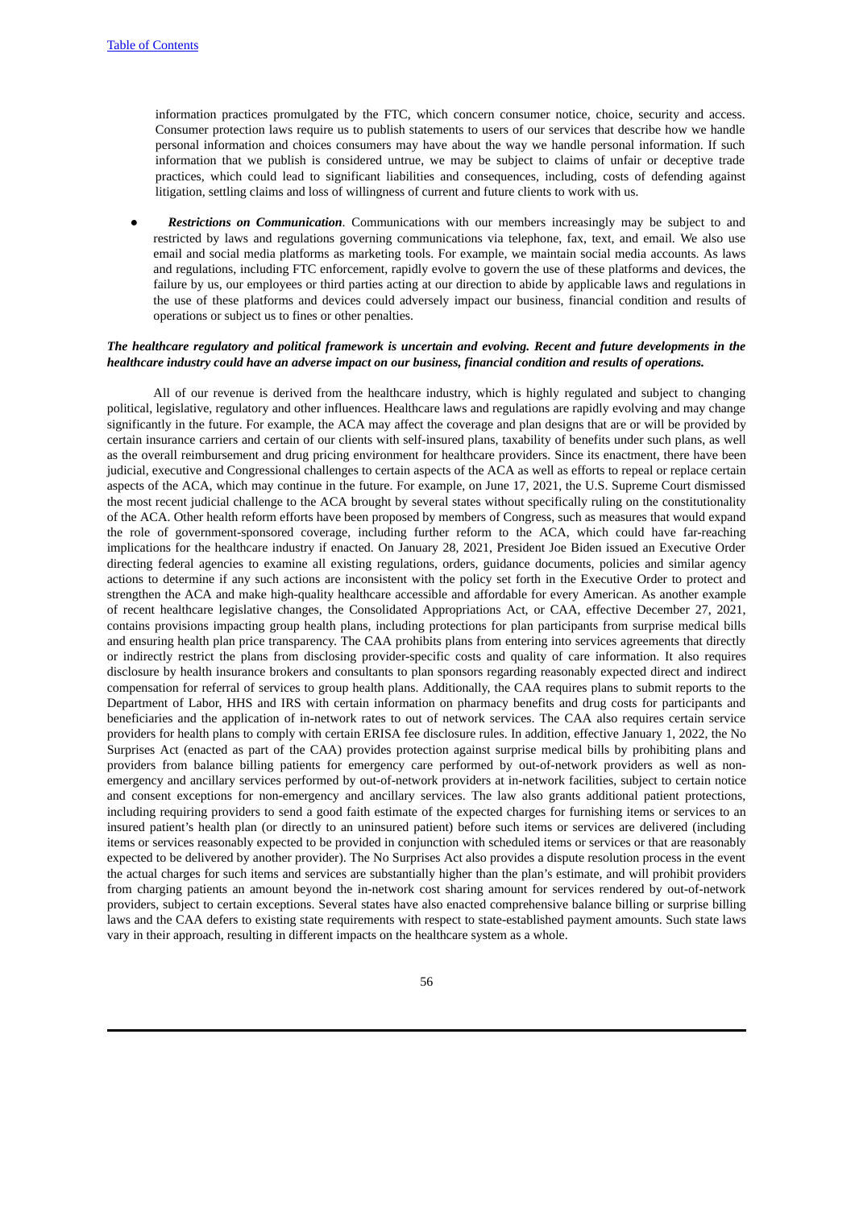information practices promulgated by the FTC, which concern consumer notice, choice, security and access. Consumer protection laws require us to publish statements to users of our services that describe how we handle personal information and choices consumers may have about the way we handle personal information. If such information that we publish is considered untrue, we may be subject to claims of unfair or deceptive trade practices, which could lead to significant liabilities and consequences, including, costs of defending against litigation, settling claims and loss of willingness of current and future clients to work with us.

**Restrictions on** *Communication*. Communications with our members increasingly may be subject to and restricted by laws and regulations governing communications via telephone, fax, text, and email. We also use email and social media platforms as marketing tools. For example, we maintain social media accounts. As laws and regulations, including FTC enforcement, rapidly evolve to govern the use of these platforms and devices, the failure by us, our employees or third parties acting at our direction to abide by applicable laws and regulations in the use of these platforms and devices could adversely impact our business, financial condition and results of operations or subject us to fines or other penalties.

# The healthcare regulatory and political framework is uncertain and evolving. Recent and future developments in the *healthcare industry could have an adverse impact on our business, financial condition and results of operations.*

All of our revenue is derived from the healthcare industry, which is highly regulated and subject to changing political, legislative, regulatory and other influences. Healthcare laws and regulations are rapidly evolving and may change significantly in the future. For example, the ACA may affect the coverage and plan designs that are or will be provided by certain insurance carriers and certain of our clients with self-insured plans, taxability of benefits under such plans, as well as the overall reimbursement and drug pricing environment for healthcare providers. Since its enactment, there have been judicial, executive and Congressional challenges to certain aspects of the ACA as well as efforts to repeal or replace certain aspects of the ACA, which may continue in the future. For example, on June 17, 2021, the U.S. Supreme Court dismissed the most recent judicial challenge to the ACA brought by several states without specifically ruling on the constitutionality of the ACA. Other health reform efforts have been proposed by members of Congress, such as measures that would expand the role of government-sponsored coverage, including further reform to the ACA, which could have far-reaching implications for the healthcare industry if enacted. On January 28, 2021, President Joe Biden issued an Executive Order directing federal agencies to examine all existing regulations, orders, guidance documents, policies and similar agency actions to determine if any such actions are inconsistent with the policy set forth in the Executive Order to protect and strengthen the ACA and make high-quality healthcare accessible and affordable for every American. As another example of recent healthcare legislative changes, the Consolidated Appropriations Act, or CAA, effective December 27, 2021, contains provisions impacting group health plans, including protections for plan participants from surprise medical bills and ensuring health plan price transparency. The CAA prohibits plans from entering into services agreements that directly or indirectly restrict the plans from disclosing provider-specific costs and quality of care information. It also requires disclosure by health insurance brokers and consultants to plan sponsors regarding reasonably expected direct and indirect compensation for referral of services to group health plans. Additionally, the CAA requires plans to submit reports to the Department of Labor, HHS and IRS with certain information on pharmacy benefits and drug costs for participants and beneficiaries and the application of in-network rates to out of network services. The CAA also requires certain service providers for health plans to comply with certain ERISA fee disclosure rules. In addition, effective January 1, 2022, the No Surprises Act (enacted as part of the CAA) provides protection against surprise medical bills by prohibiting plans and providers from balance billing patients for emergency care performed by out-of-network providers as well as nonemergency and ancillary services performed by out-of-network providers at in-network facilities, subject to certain notice and consent exceptions for non-emergency and ancillary services. The law also grants additional patient protections, including requiring providers to send a good faith estimate of the expected charges for furnishing items or services to an insured patient's health plan (or directly to an uninsured patient) before such items or services are delivered (including items or services reasonably expected to be provided in conjunction with scheduled items or services or that are reasonably expected to be delivered by another provider). The No Surprises Act also provides a dispute resolution process in the event the actual charges for such items and services are substantially higher than the plan's estimate, and will prohibit providers from charging patients an amount beyond the in-network cost sharing amount for services rendered by out-of-network providers, subject to certain exceptions. Several states have also enacted comprehensive balance billing or surprise billing laws and the CAA defers to existing state requirements with respect to state-established payment amounts. Such state laws vary in their approach, resulting in different impacts on the healthcare system as a whole.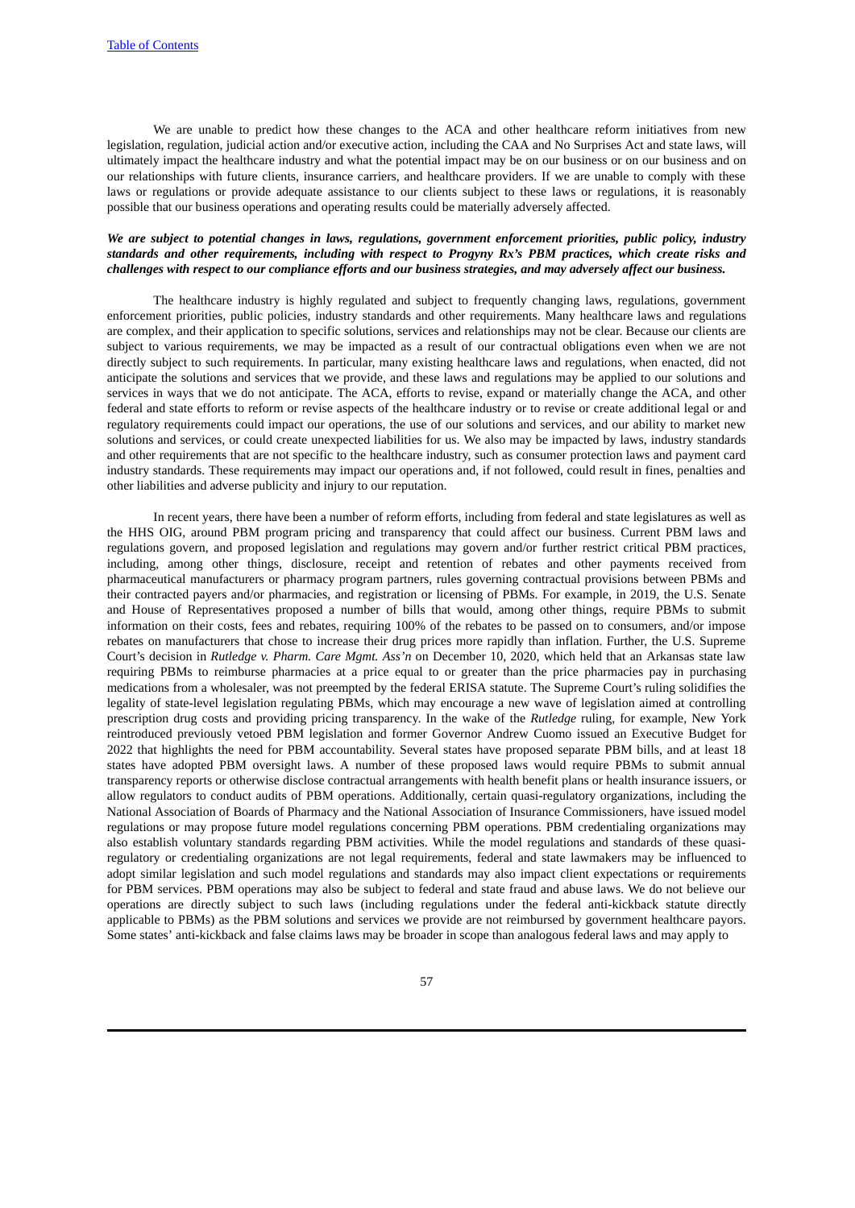We are unable to predict how these changes to the ACA and other healthcare reform initiatives from new legislation, regulation, judicial action and/or executive action, including the CAA and No Surprises Act and state laws, will ultimately impact the healthcare industry and what the potential impact may be on our business or on our business and on our relationships with future clients, insurance carriers, and healthcare providers. If we are unable to comply with these laws or regulations or provide adequate assistance to our clients subject to these laws or regulations, it is reasonably possible that our business operations and operating results could be materially adversely affected.

# *We are subject to potential changes in laws, regulations, government enforcement priorities, public policy, industry standards and other requirements, including with respect to Progyny Rx's PBM practices, which create risks and* challenges with respect to our compliance efforts and our business strategies, and may adversely affect our business.

The healthcare industry is highly regulated and subject to frequently changing laws, regulations, government enforcement priorities, public policies, industry standards and other requirements. Many healthcare laws and regulations are complex, and their application to specific solutions, services and relationships may not be clear. Because our clients are subject to various requirements, we may be impacted as a result of our contractual obligations even when we are not directly subject to such requirements. In particular, many existing healthcare laws and regulations, when enacted, did not anticipate the solutions and services that we provide, and these laws and regulations may be applied to our solutions and services in ways that we do not anticipate. The ACA, efforts to revise, expand or materially change the ACA, and other federal and state efforts to reform or revise aspects of the healthcare industry or to revise or create additional legal or and regulatory requirements could impact our operations, the use of our solutions and services, and our ability to market new solutions and services, or could create unexpected liabilities for us. We also may be impacted by laws, industry standards and other requirements that are not specific to the healthcare industry, such as consumer protection laws and payment card industry standards. These requirements may impact our operations and, if not followed, could result in fines, penalties and other liabilities and adverse publicity and injury to our reputation.

In recent years, there have been a number of reform efforts, including from federal and state legislatures as well as the HHS OIG, around PBM program pricing and transparency that could affect our business. Current PBM laws and regulations govern, and proposed legislation and regulations may govern and/or further restrict critical PBM practices, including, among other things, disclosure, receipt and retention of rebates and other payments received from pharmaceutical manufacturers or pharmacy program partners, rules governing contractual provisions between PBMs and their contracted payers and/or pharmacies, and registration or licensing of PBMs. For example, in 2019, the U.S. Senate and House of Representatives proposed a number of bills that would, among other things, require PBMs to submit information on their costs, fees and rebates, requiring 100% of the rebates to be passed on to consumers, and/or impose rebates on manufacturers that chose to increase their drug prices more rapidly than inflation. Further, the U.S. Supreme Court's decision in *Rutledge v. Pharm. Care Mgmt. Ass'n* on December 10, 2020, which held that an Arkansas state law requiring PBMs to reimburse pharmacies at a price equal to or greater than the price pharmacies pay in purchasing medications from a wholesaler, was not preempted by the federal ERISA statute. The Supreme Court's ruling solidifies the legality of state-level legislation regulating PBMs, which may encourage a new wave of legislation aimed at controlling prescription drug costs and providing pricing transparency. In the wake of the *Rutledge* ruling, for example, New York reintroduced previously vetoed PBM legislation and former Governor Andrew Cuomo issued an Executive Budget for 2022 that highlights the need for PBM accountability. Several states have proposed separate PBM bills, and at least 18 states have adopted PBM oversight laws. A number of these proposed laws would require PBMs to submit annual transparency reports or otherwise disclose contractual arrangements with health benefit plans or health insurance issuers, or allow regulators to conduct audits of PBM operations. Additionally, certain quasi-regulatory organizations, including the National Association of Boards of Pharmacy and the National Association of Insurance Commissioners, have issued model regulations or may propose future model regulations concerning PBM operations. PBM credentialing organizations may also establish voluntary standards regarding PBM activities. While the model regulations and standards of these quasiregulatory or credentialing organizations are not legal requirements, federal and state lawmakers may be influenced to adopt similar legislation and such model regulations and standards may also impact client expectations or requirements for PBM services. PBM operations may also be subject to federal and state fraud and abuse laws. We do not believe our operations are directly subject to such laws (including regulations under the federal anti-kickback statute directly applicable to PBMs) as the PBM solutions and services we provide are not reimbursed by government healthcare payors. Some states' anti-kickback and false claims laws may be broader in scope than analogous federal laws and may apply to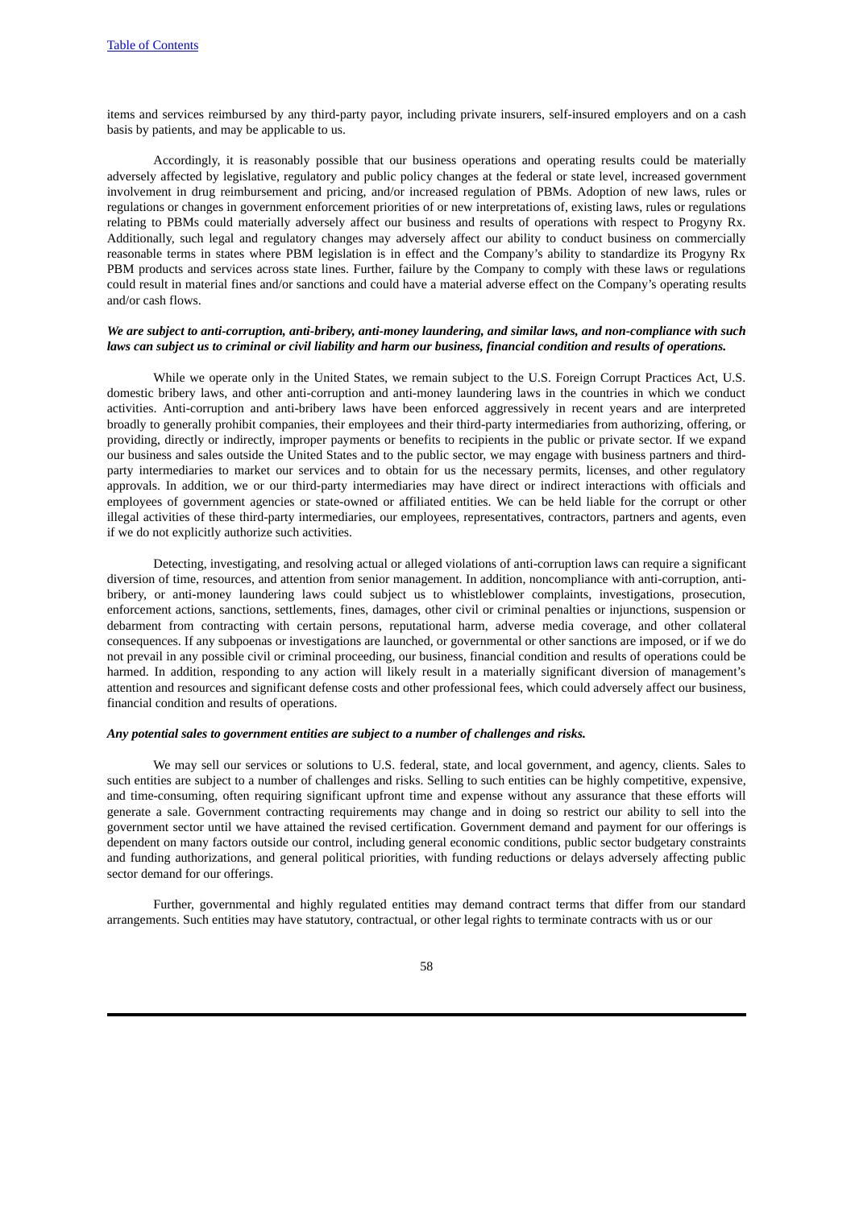items and services reimbursed by any third-party payor, including private insurers, self-insured employers and on a cash basis by patients, and may be applicable to us.

Accordingly, it is reasonably possible that our business operations and operating results could be materially adversely affected by legislative, regulatory and public policy changes at the federal or state level, increased government involvement in drug reimbursement and pricing, and/or increased regulation of PBMs. Adoption of new laws, rules or regulations or changes in government enforcement priorities of or new interpretations of, existing laws, rules or regulations relating to PBMs could materially adversely affect our business and results of operations with respect to Progyny Rx. Additionally, such legal and regulatory changes may adversely affect our ability to conduct business on commercially reasonable terms in states where PBM legislation is in effect and the Company's ability to standardize its Progyny Rx PBM products and services across state lines. Further, failure by the Company to comply with these laws or regulations could result in material fines and/or sanctions and could have a material adverse effect on the Company's operating results and/or cash flows.

#### *We are subject to anti-corruption, anti-bribery, anti-money laundering, and similar laws, and non-compliance with such* laws can subject us to criminal or civil liability and harm our business, financial condition and results of operations.

While we operate only in the United States, we remain subject to the U.S. Foreign Corrupt Practices Act, U.S. domestic bribery laws, and other anti-corruption and anti-money laundering laws in the countries in which we conduct activities. Anti-corruption and anti-bribery laws have been enforced aggressively in recent years and are interpreted broadly to generally prohibit companies, their employees and their third-party intermediaries from authorizing, offering, or providing, directly or indirectly, improper payments or benefits to recipients in the public or private sector. If we expand our business and sales outside the United States and to the public sector, we may engage with business partners and thirdparty intermediaries to market our services and to obtain for us the necessary permits, licenses, and other regulatory approvals. In addition, we or our third-party intermediaries may have direct or indirect interactions with officials and employees of government agencies or state-owned or affiliated entities. We can be held liable for the corrupt or other illegal activities of these third-party intermediaries, our employees, representatives, contractors, partners and agents, even if we do not explicitly authorize such activities.

Detecting, investigating, and resolving actual or alleged violations of anti-corruption laws can require a significant diversion of time, resources, and attention from senior management. In addition, noncompliance with anti-corruption, antibribery, or anti-money laundering laws could subject us to whistleblower complaints, investigations, prosecution, enforcement actions, sanctions, settlements, fines, damages, other civil or criminal penalties or injunctions, suspension or debarment from contracting with certain persons, reputational harm, adverse media coverage, and other collateral consequences. If any subpoenas or investigations are launched, or governmental or other sanctions are imposed, or if we do not prevail in any possible civil or criminal proceeding, our business, financial condition and results of operations could be harmed. In addition, responding to any action will likely result in a materially significant diversion of management's attention and resources and significant defense costs and other professional fees, which could adversely affect our business, financial condition and results of operations.

#### *Any potential sales to government entities are subject to a number of challenges and risks.*

We may sell our services or solutions to U.S. federal, state, and local government, and agency, clients. Sales to such entities are subject to a number of challenges and risks. Selling to such entities can be highly competitive, expensive, and time-consuming, often requiring significant upfront time and expense without any assurance that these efforts will generate a sale. Government contracting requirements may change and in doing so restrict our ability to sell into the government sector until we have attained the revised certification. Government demand and payment for our offerings is dependent on many factors outside our control, including general economic conditions, public sector budgetary constraints and funding authorizations, and general political priorities, with funding reductions or delays adversely affecting public sector demand for our offerings.

Further, governmental and highly regulated entities may demand contract terms that differ from our standard arrangements. Such entities may have statutory, contractual, or other legal rights to terminate contracts with us or our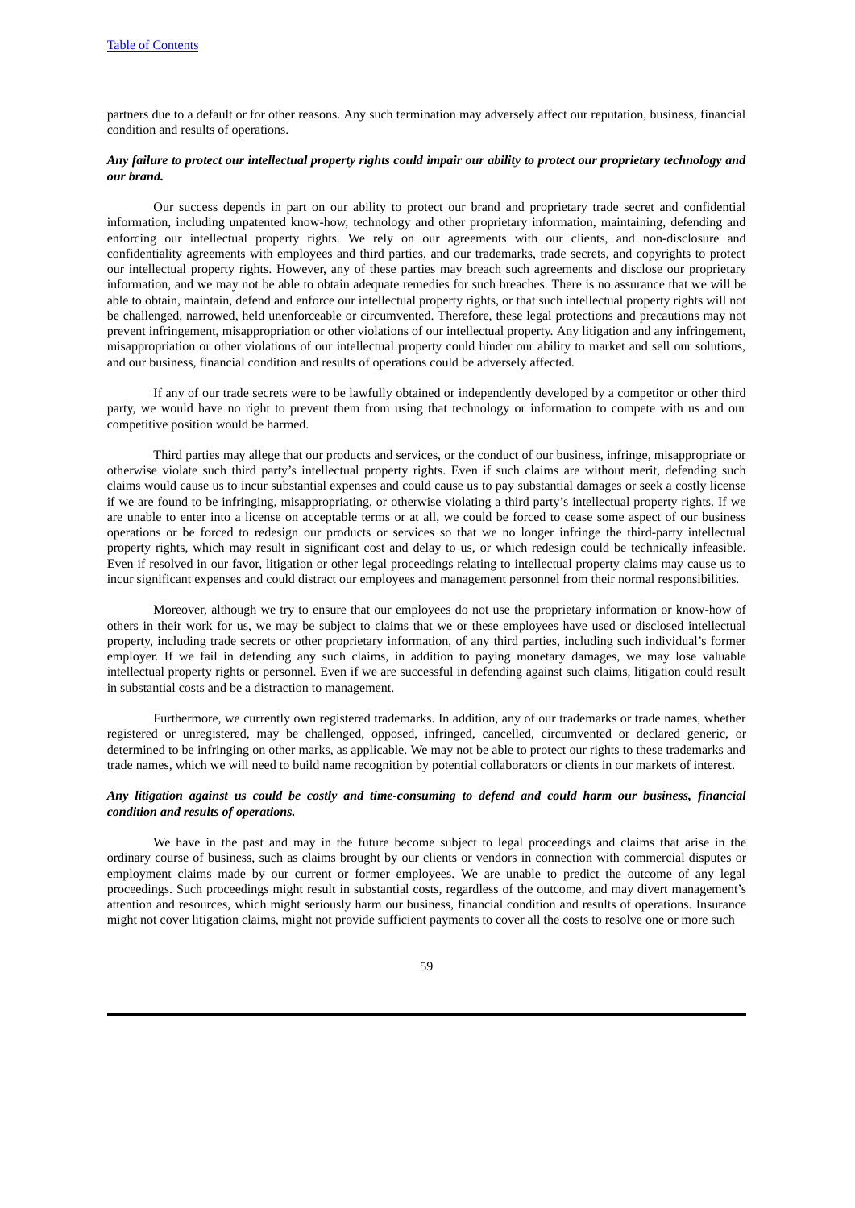partners due to a default or for other reasons. Any such termination may adversely affect our reputation, business, financial condition and results of operations.

# Any failure to protect our intellectual property rights could impair our ability to protect our proprietary technology and *our brand.*

Our success depends in part on our ability to protect our brand and proprietary trade secret and confidential information, including unpatented know-how, technology and other proprietary information, maintaining, defending and enforcing our intellectual property rights. We rely on our agreements with our clients, and non-disclosure and confidentiality agreements with employees and third parties, and our trademarks, trade secrets, and copyrights to protect our intellectual property rights. However, any of these parties may breach such agreements and disclose our proprietary information, and we may not be able to obtain adequate remedies for such breaches. There is no assurance that we will be able to obtain, maintain, defend and enforce our intellectual property rights, or that such intellectual property rights will not be challenged, narrowed, held unenforceable or circumvented. Therefore, these legal protections and precautions may not prevent infringement, misappropriation or other violations of our intellectual property. Any litigation and any infringement, misappropriation or other violations of our intellectual property could hinder our ability to market and sell our solutions, and our business, financial condition and results of operations could be adversely affected.

If any of our trade secrets were to be lawfully obtained or independently developed by a competitor or other third party, we would have no right to prevent them from using that technology or information to compete with us and our competitive position would be harmed.

Third parties may allege that our products and services, or the conduct of our business, infringe, misappropriate or otherwise violate such third party's intellectual property rights. Even if such claims are without merit, defending such claims would cause us to incur substantial expenses and could cause us to pay substantial damages or seek a costly license if we are found to be infringing, misappropriating, or otherwise violating a third party's intellectual property rights. If we are unable to enter into a license on acceptable terms or at all, we could be forced to cease some aspect of our business operations or be forced to redesign our products or services so that we no longer infringe the third-party intellectual property rights, which may result in significant cost and delay to us, or which redesign could be technically infeasible. Even if resolved in our favor, litigation or other legal proceedings relating to intellectual property claims may cause us to incur significant expenses and could distract our employees and management personnel from their normal responsibilities.

Moreover, although we try to ensure that our employees do not use the proprietary information or know-how of others in their work for us, we may be subject to claims that we or these employees have used or disclosed intellectual property, including trade secrets or other proprietary information, of any third parties, including such individual's former employer. If we fail in defending any such claims, in addition to paying monetary damages, we may lose valuable intellectual property rights or personnel. Even if we are successful in defending against such claims, litigation could result in substantial costs and be a distraction to management.

Furthermore, we currently own registered trademarks. In addition, any of our trademarks or trade names, whether registered or unregistered, may be challenged, opposed, infringed, cancelled, circumvented or declared generic, or determined to be infringing on other marks, as applicable. We may not be able to protect our rights to these trademarks and trade names, which we will need to build name recognition by potential collaborators or clients in our markets of interest.

# Any litigation against us could be costly and time-consuming to defend and could harm our business, financial *condition and results of operations.*

We have in the past and may in the future become subject to legal proceedings and claims that arise in the ordinary course of business, such as claims brought by our clients or vendors in connection with commercial disputes or employment claims made by our current or former employees. We are unable to predict the outcome of any legal proceedings. Such proceedings might result in substantial costs, regardless of the outcome, and may divert management's attention and resources, which might seriously harm our business, financial condition and results of operations. Insurance might not cover litigation claims, might not provide sufficient payments to cover all the costs to resolve one or more such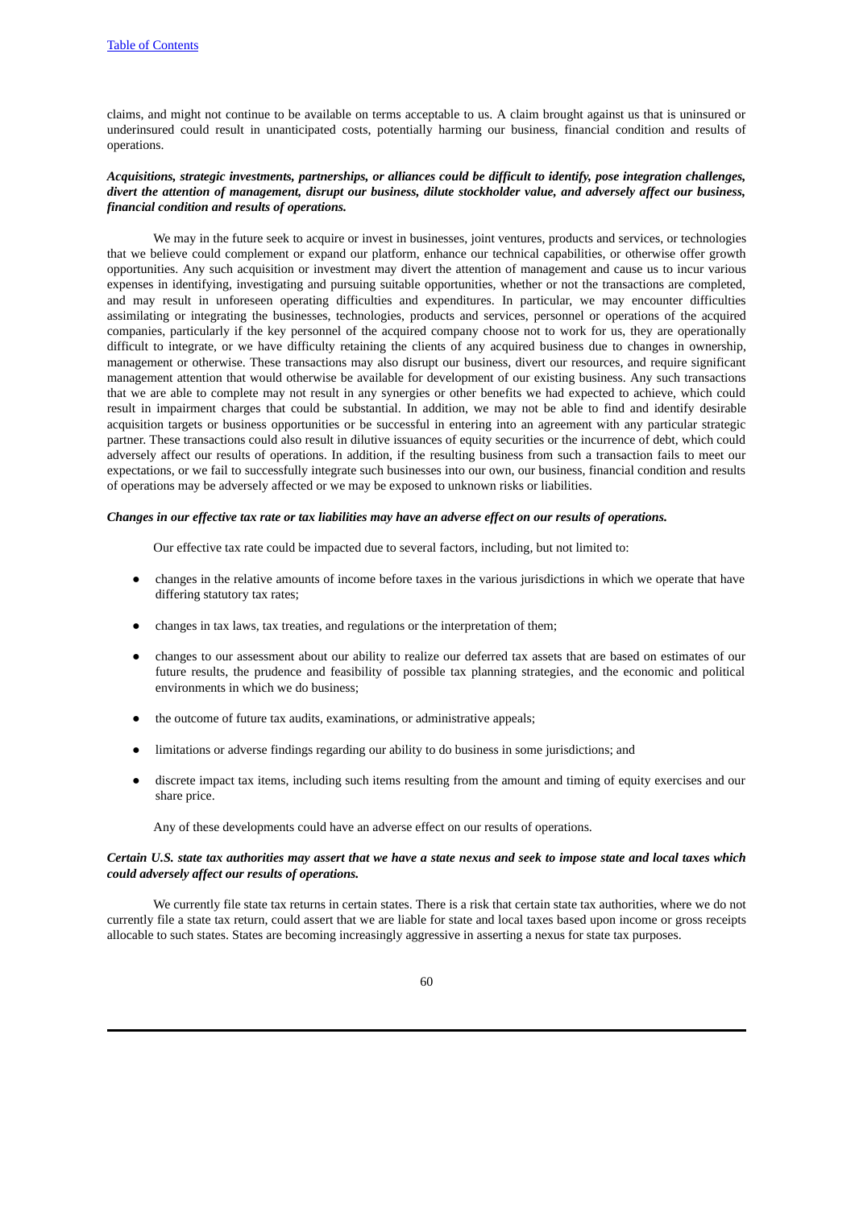claims, and might not continue to be available on terms acceptable to us. A claim brought against us that is uninsured or underinsured could result in unanticipated costs, potentially harming our business, financial condition and results of operations.

# *Acquisitions, strategic investments, partnerships, or alliances could be difficult to identify, pose integration challenges,* divert the attention of management, disrupt our business, dilute stockholder value, and adversely affect our business, *financial condition and results of operations.*

We may in the future seek to acquire or invest in businesses, joint ventures, products and services, or technologies that we believe could complement or expand our platform, enhance our technical capabilities, or otherwise offer growth opportunities. Any such acquisition or investment may divert the attention of management and cause us to incur various expenses in identifying, investigating and pursuing suitable opportunities, whether or not the transactions are completed, and may result in unforeseen operating difficulties and expenditures. In particular, we may encounter difficulties assimilating or integrating the businesses, technologies, products and services, personnel or operations of the acquired companies, particularly if the key personnel of the acquired company choose not to work for us, they are operationally difficult to integrate, or we have difficulty retaining the clients of any acquired business due to changes in ownership, management or otherwise. These transactions may also disrupt our business, divert our resources, and require significant management attention that would otherwise be available for development of our existing business. Any such transactions that we are able to complete may not result in any synergies or other benefits we had expected to achieve, which could result in impairment charges that could be substantial. In addition, we may not be able to find and identify desirable acquisition targets or business opportunities or be successful in entering into an agreement with any particular strategic partner. These transactions could also result in dilutive issuances of equity securities or the incurrence of debt, which could adversely affect our results of operations. In addition, if the resulting business from such a transaction fails to meet our expectations, or we fail to successfully integrate such businesses into our own, our business, financial condition and results of operations may be adversely affected or we may be exposed to unknown risks or liabilities.

#### Changes in our effective tax rate or tax liabilities may have an adverse effect on our results of operations.

Our effective tax rate could be impacted due to several factors, including, but not limited to:

- changes in the relative amounts of income before taxes in the various jurisdictions in which we operate that have differing statutory tax rates;
- changes in tax laws, tax treaties, and regulations or the interpretation of them;
- changes to our assessment about our ability to realize our deferred tax assets that are based on estimates of our future results, the prudence and feasibility of possible tax planning strategies, and the economic and political environments in which we do business;
- the outcome of future tax audits, examinations, or administrative appeals;
- limitations or adverse findings regarding our ability to do business in some jurisdictions; and
- discrete impact tax items, including such items resulting from the amount and timing of equity exercises and our share price.

Any of these developments could have an adverse effect on our results of operations.

### Certain U.S. state tax authorities may assert that we have a state nexus and seek to impose state and local taxes which *could adversely affect our results of operations.*

We currently file state tax returns in certain states. There is a risk that certain state tax authorities, where we do not currently file a state tax return, could assert that we are liable for state and local taxes based upon income or gross receipts allocable to such states. States are becoming increasingly aggressive in asserting a nexus for state tax purposes.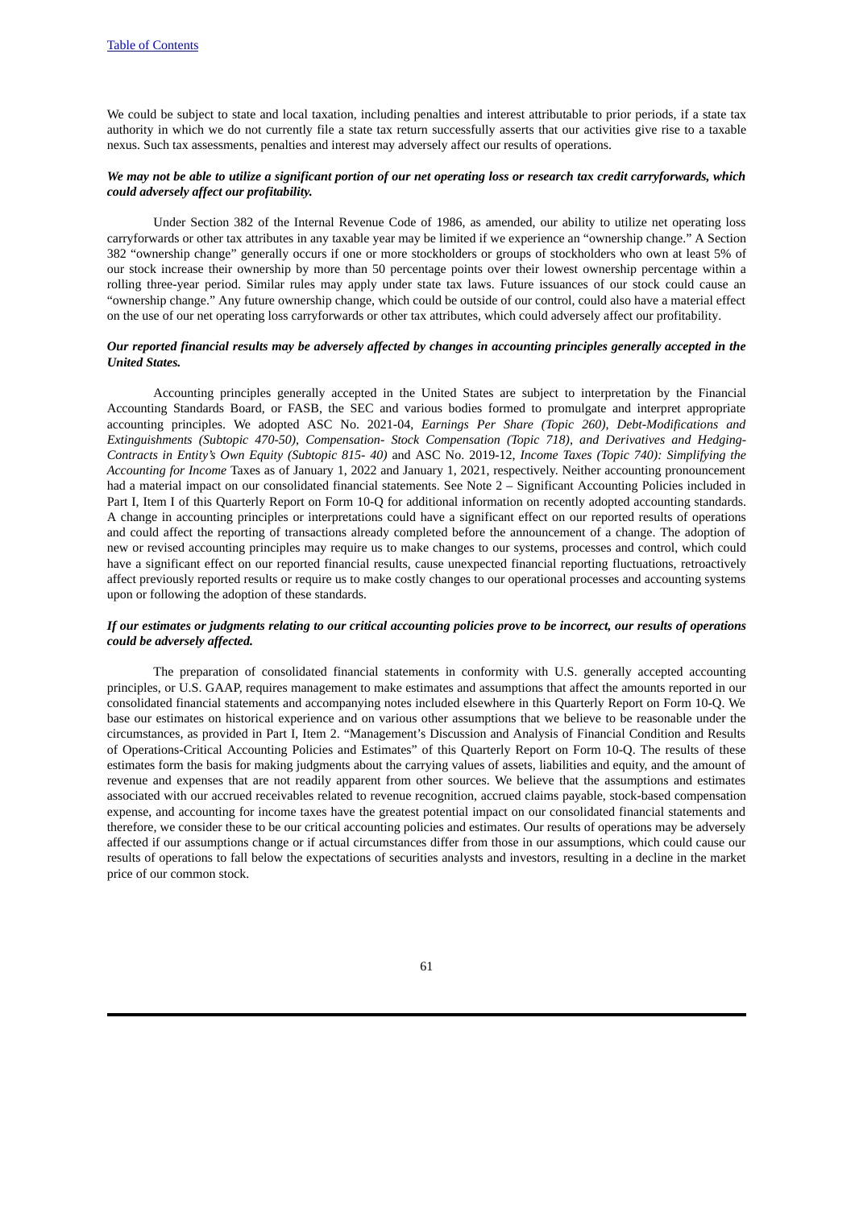We could be subject to state and local taxation, including penalties and interest attributable to prior periods, if a state tax authority in which we do not currently file a state tax return successfully asserts that our activities give rise to a taxable nexus. Such tax assessments, penalties and interest may adversely affect our results of operations.

#### We may not be able to utilize a significant portion of our net operating loss or research tax credit carryforwards, which *could adversely affect our profitability.*

Under Section 382 of the Internal Revenue Code of 1986, as amended, our ability to utilize net operating loss carryforwards or other tax attributes in any taxable year may be limited if we experience an "ownership change." A Section 382 "ownership change" generally occurs if one or more stockholders or groups of stockholders who own at least 5% of our stock increase their ownership by more than 50 percentage points over their lowest ownership percentage within a rolling three-year period. Similar rules may apply under state tax laws. Future issuances of our stock could cause an "ownership change." Any future ownership change, which could be outside of our control, could also have a material effect on the use of our net operating loss carryforwards or other tax attributes, which could adversely affect our profitability.

#### Our reported financial results may be adversely affected by changes in accounting principles generally accepted in the *United States.*

Accounting principles generally accepted in the United States are subject to interpretation by the Financial Accounting Standards Board, or FASB, the SEC and various bodies formed to promulgate and interpret appropriate accounting principles. We adopted ASC No. 2021-04, *Earnings Per Share (Topic 260), Debt-Modifications and Extinguishments (Subtopic 470-50), Compensation- Stock Compensation (Topic 718), and Derivatives and Hedging-Contracts in Entity's Own Equity (Subtopic 815- 40)* and ASC No. 2019-12, *Income Taxes (Topic 740): Simplifying the Accounting for Income* Taxes as of January 1, 2022 and January 1, 2021, respectively. Neither accounting pronouncement had a material impact on our consolidated financial statements. See Note 2 – Significant Accounting Policies included in Part I, Item I of this Quarterly Report on Form 10-Q for additional information on recently adopted accounting standards. A change in accounting principles or interpretations could have a significant effect on our reported results of operations and could affect the reporting of transactions already completed before the announcement of a change. The adoption of new or revised accounting principles may require us to make changes to our systems, processes and control, which could have a significant effect on our reported financial results, cause unexpected financial reporting fluctuations, retroactively affect previously reported results or require us to make costly changes to our operational processes and accounting systems upon or following the adoption of these standards.

#### If our estimates or judgments relating to our critical accounting policies prove to be incorrect, our results of operations *could be adversely affected.*

The preparation of consolidated financial statements in conformity with U.S. generally accepted accounting principles, or U.S. GAAP, requires management to make estimates and assumptions that affect the amounts reported in our consolidated financial statements and accompanying notes included elsewhere in this Quarterly Report on Form 10-Q. We base our estimates on historical experience and on various other assumptions that we believe to be reasonable under the circumstances, as provided in Part I, Item 2. "Management's Discussion and Analysis of Financial Condition and Results of Operations-Critical Accounting Policies and Estimates" of this Quarterly Report on Form 10-Q. The results of these estimates form the basis for making judgments about the carrying values of assets, liabilities and equity, and the amount of revenue and expenses that are not readily apparent from other sources. We believe that the assumptions and estimates associated with our accrued receivables related to revenue recognition, accrued claims payable, stock-based compensation expense, and accounting for income taxes have the greatest potential impact on our consolidated financial statements and therefore, we consider these to be our critical accounting policies and estimates. Our results of operations may be adversely affected if our assumptions change or if actual circumstances differ from those in our assumptions, which could cause our results of operations to fall below the expectations of securities analysts and investors, resulting in a decline in the market price of our common stock.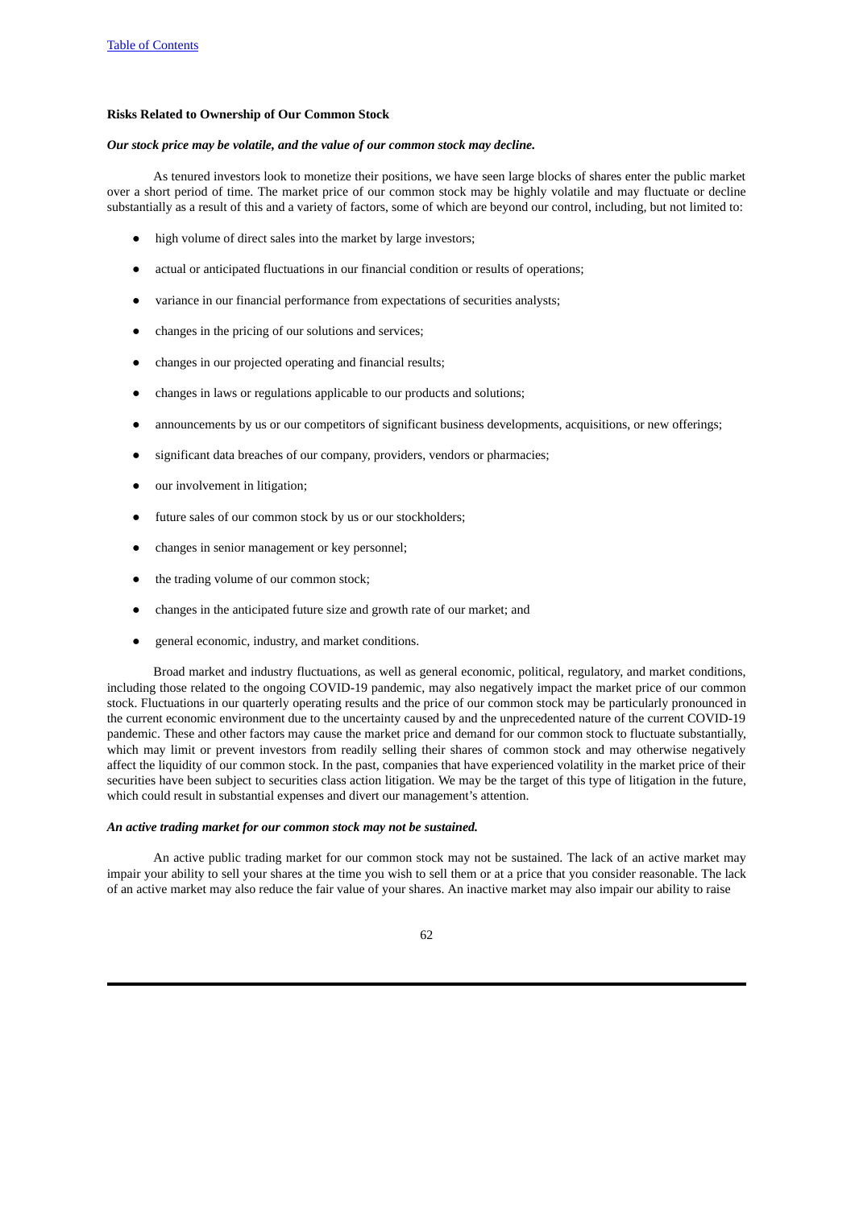#### **Risks Related to Ownership of Our Common Stock**

#### *Our stock price may be volatile, and the value of our common stock may decline.*

As tenured investors look to monetize their positions, we have seen large blocks of shares enter the public market over a short period of time. The market price of our common stock may be highly volatile and may fluctuate or decline substantially as a result of this and a variety of factors, some of which are beyond our control, including, but not limited to:

- high volume of direct sales into the market by large investors;
- actual or anticipated fluctuations in our financial condition or results of operations;
- variance in our financial performance from expectations of securities analysts;
- changes in the pricing of our solutions and services;
- changes in our projected operating and financial results;
- changes in laws or regulations applicable to our products and solutions;
- announcements by us or our competitors of significant business developments, acquisitions, or new offerings;
- significant data breaches of our company, providers, vendors or pharmacies;
- our involvement in litigation;
- future sales of our common stock by us or our stockholders;
- changes in senior management or key personnel;
- the trading volume of our common stock;
- changes in the anticipated future size and growth rate of our market; and
- general economic, industry, and market conditions.

Broad market and industry fluctuations, as well as general economic, political, regulatory, and market conditions, including those related to the ongoing COVID-19 pandemic, may also negatively impact the market price of our common stock. Fluctuations in our quarterly operating results and the price of our common stock may be particularly pronounced in the current economic environment due to the uncertainty caused by and the unprecedented nature of the current COVID-19 pandemic. These and other factors may cause the market price and demand for our common stock to fluctuate substantially, which may limit or prevent investors from readily selling their shares of common stock and may otherwise negatively affect the liquidity of our common stock. In the past, companies that have experienced volatility in the market price of their securities have been subject to securities class action litigation. We may be the target of this type of litigation in the future, which could result in substantial expenses and divert our management's attention.

# *An active trading market for our common stock may not be sustained.*

An active public trading market for our common stock may not be sustained. The lack of an active market may impair your ability to sell your shares at the time you wish to sell them or at a price that you consider reasonable. The lack of an active market may also reduce the fair value of your shares. An inactive market may also impair our ability to raise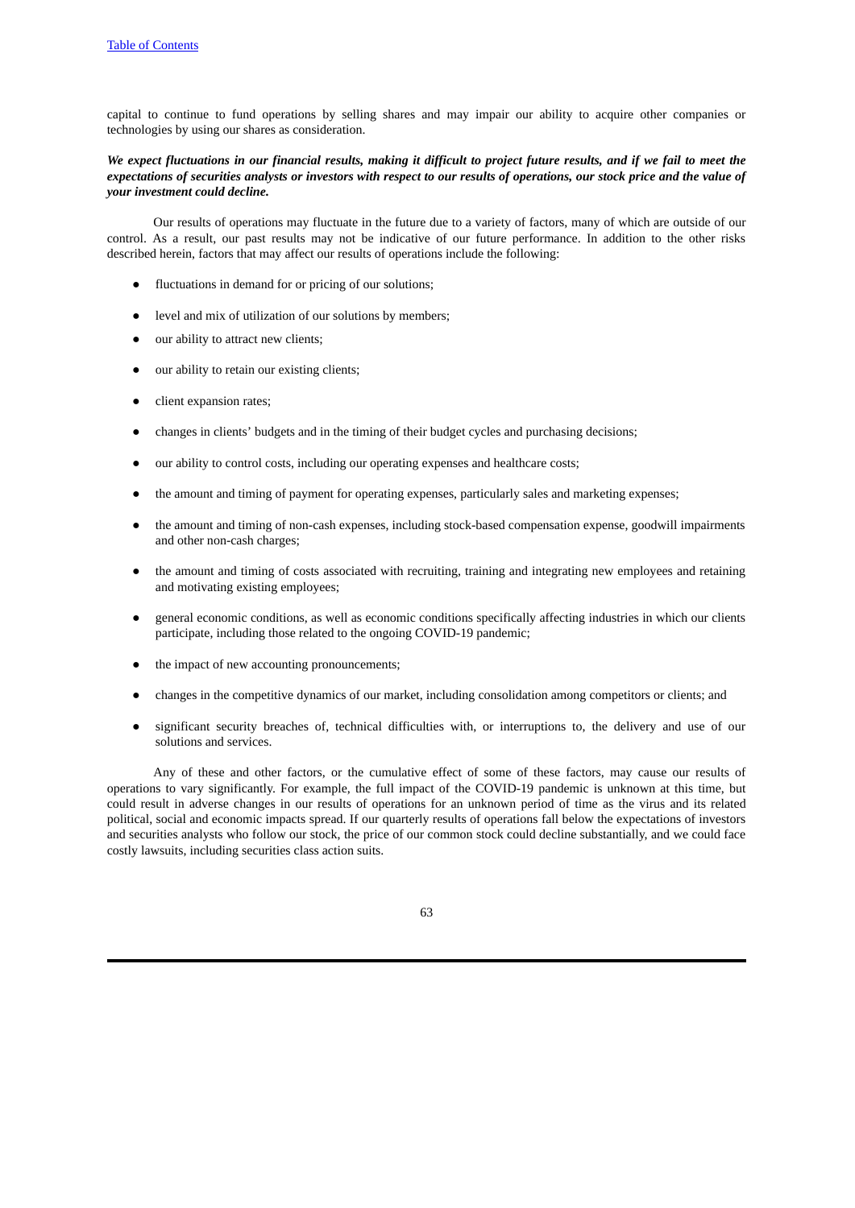capital to continue to fund operations by selling shares and may impair our ability to acquire other companies or technologies by using our shares as consideration.

## We expect fluctuations in our financial results, making it difficult to project future results, and if we fail to meet the expectations of securities analysts or investors with respect to our results of operations, our stock price and the value of *your investment could decline.*

Our results of operations may fluctuate in the future due to a variety of factors, many of which are outside of our control. As a result, our past results may not be indicative of our future performance. In addition to the other risks described herein, factors that may affect our results of operations include the following:

- fluctuations in demand for or pricing of our solutions;
- level and mix of utilization of our solutions by members;
- our ability to attract new clients;
- our ability to retain our existing clients;
- client expansion rates;
- changes in clients' budgets and in the timing of their budget cycles and purchasing decisions;
- our ability to control costs, including our operating expenses and healthcare costs;
- the amount and timing of payment for operating expenses, particularly sales and marketing expenses;
- the amount and timing of non-cash expenses, including stock-based compensation expense, goodwill impairments and other non-cash charges;
- the amount and timing of costs associated with recruiting, training and integrating new employees and retaining and motivating existing employees;
- general economic conditions, as well as economic conditions specifically affecting industries in which our clients participate, including those related to the ongoing COVID-19 pandemic;
- the impact of new accounting pronouncements;
- changes in the competitive dynamics of our market, including consolidation among competitors or clients; and
- significant security breaches of, technical difficulties with, or interruptions to, the delivery and use of our solutions and services.

Any of these and other factors, or the cumulative effect of some of these factors, may cause our results of operations to vary significantly. For example, the full impact of the COVID-19 pandemic is unknown at this time, but could result in adverse changes in our results of operations for an unknown period of time as the virus and its related political, social and economic impacts spread. If our quarterly results of operations fall below the expectations of investors and securities analysts who follow our stock, the price of our common stock could decline substantially, and we could face costly lawsuits, including securities class action suits.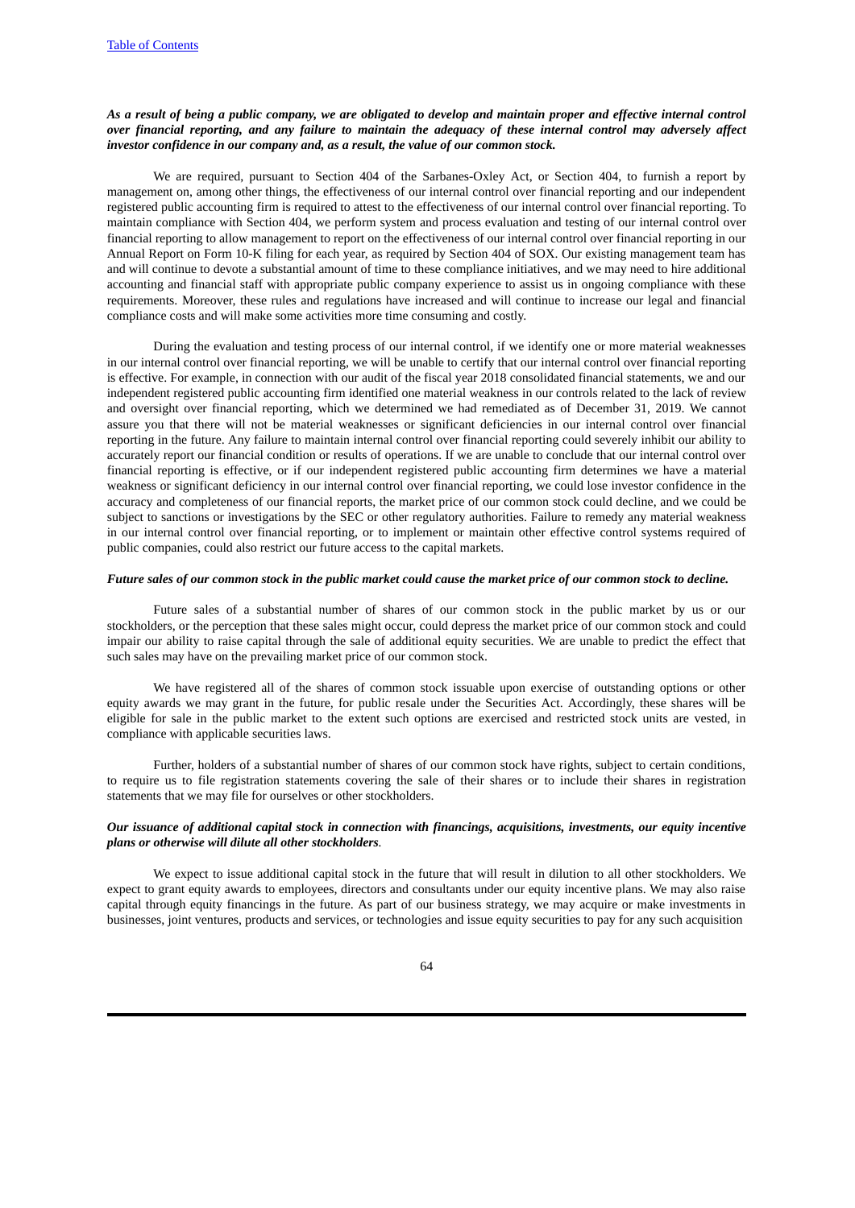# As a result of being a public company, we are obligated to develop and maintain proper and effective internal control over financial reporting, and any failure to maintain the adequacy of these internal control may adversely affect *investor confidence in our company and, as a result, the value of our common stock.*

We are required, pursuant to Section 404 of the Sarbanes-Oxley Act, or Section 404, to furnish a report by management on, among other things, the effectiveness of our internal control over financial reporting and our independent registered public accounting firm is required to attest to the effectiveness of our internal control over financial reporting. To maintain compliance with Section 404, we perform system and process evaluation and testing of our internal control over financial reporting to allow management to report on the effectiveness of our internal control over financial reporting in our Annual Report on Form 10-K filing for each year, as required by Section 404 of SOX. Our existing management team has and will continue to devote a substantial amount of time to these compliance initiatives, and we may need to hire additional accounting and financial staff with appropriate public company experience to assist us in ongoing compliance with these requirements. Moreover, these rules and regulations have increased and will continue to increase our legal and financial compliance costs and will make some activities more time consuming and costly.

During the evaluation and testing process of our internal control, if we identify one or more material weaknesses in our internal control over financial reporting, we will be unable to certify that our internal control over financial reporting is effective. For example, in connection with our audit of the fiscal year 2018 consolidated financial statements, we and our independent registered public accounting firm identified one material weakness in our controls related to the lack of review and oversight over financial reporting, which we determined we had remediated as of December 31, 2019. We cannot assure you that there will not be material weaknesses or significant deficiencies in our internal control over financial reporting in the future. Any failure to maintain internal control over financial reporting could severely inhibit our ability to accurately report our financial condition or results of operations. If we are unable to conclude that our internal control over financial reporting is effective, or if our independent registered public accounting firm determines we have a material weakness or significant deficiency in our internal control over financial reporting, we could lose investor confidence in the accuracy and completeness of our financial reports, the market price of our common stock could decline, and we could be subject to sanctions or investigations by the SEC or other regulatory authorities. Failure to remedy any material weakness in our internal control over financial reporting, or to implement or maintain other effective control systems required of public companies, could also restrict our future access to the capital markets.

#### Future sales of our common stock in the public market could cause the market price of our common stock to decline.

Future sales of a substantial number of shares of our common stock in the public market by us or our stockholders, or the perception that these sales might occur, could depress the market price of our common stock and could impair our ability to raise capital through the sale of additional equity securities. We are unable to predict the effect that such sales may have on the prevailing market price of our common stock.

We have registered all of the shares of common stock issuable upon exercise of outstanding options or other equity awards we may grant in the future, for public resale under the Securities Act. Accordingly, these shares will be eligible for sale in the public market to the extent such options are exercised and restricted stock units are vested, in compliance with applicable securities laws.

Further, holders of a substantial number of shares of our common stock have rights, subject to certain conditions, to require us to file registration statements covering the sale of their shares or to include their shares in registration statements that we may file for ourselves or other stockholders.

# *Our issuance of additional capital stock in connection with financings, acquisitions, investments, our equity incentive plans or otherwise will dilute all other stockholders.*

We expect to issue additional capital stock in the future that will result in dilution to all other stockholders. We expect to grant equity awards to employees, directors and consultants under our equity incentive plans. We may also raise capital through equity financings in the future. As part of our business strategy, we may acquire or make investments in businesses, joint ventures, products and services, or technologies and issue equity securities to pay for any such acquisition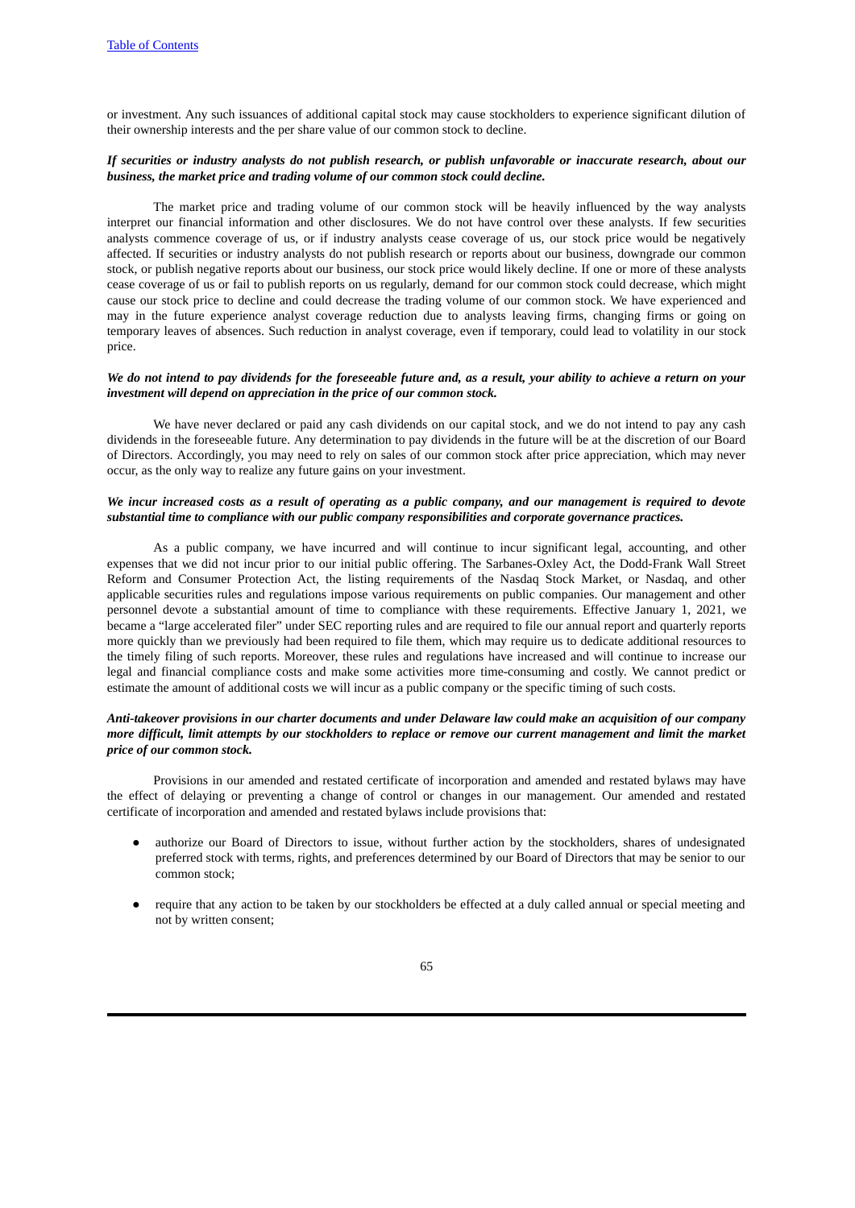or investment. Any such issuances of additional capital stock may cause stockholders to experience significant dilution of their ownership interests and the per share value of our common stock to decline.

## If securities or industry analysts do not publish research, or publish unfavorable or inaccurate research, about our *business, the market price and trading volume of our common stock could decline.*

The market price and trading volume of our common stock will be heavily influenced by the way analysts interpret our financial information and other disclosures. We do not have control over these analysts. If few securities analysts commence coverage of us, or if industry analysts cease coverage of us, our stock price would be negatively affected. If securities or industry analysts do not publish research or reports about our business, downgrade our common stock, or publish negative reports about our business, our stock price would likely decline. If one or more of these analysts cease coverage of us or fail to publish reports on us regularly, demand for our common stock could decrease, which might cause our stock price to decline and could decrease the trading volume of our common stock. We have experienced and may in the future experience analyst coverage reduction due to analysts leaving firms, changing firms or going on temporary leaves of absences. Such reduction in analyst coverage, even if temporary, could lead to volatility in our stock price.

#### We do not intend to pay dividends for the foreseeable future and, as a result, your ability to achieve a return on your *investment will depend on appreciation in the price of our common stock.*

We have never declared or paid any cash dividends on our capital stock, and we do not intend to pay any cash dividends in the foreseeable future. Any determination to pay dividends in the future will be at the discretion of our Board of Directors. Accordingly, you may need to rely on sales of our common stock after price appreciation, which may never occur, as the only way to realize any future gains on your investment.

# We incur increased costs as a result of operating as a public company, and our management is required to devote *substantial time to compliance with our public company responsibilities and corporate governance practices.*

As a public company, we have incurred and will continue to incur significant legal, accounting, and other expenses that we did not incur prior to our initial public offering. The Sarbanes-Oxley Act, the Dodd-Frank Wall Street Reform and Consumer Protection Act, the listing requirements of the Nasdaq Stock Market, or Nasdaq, and other applicable securities rules and regulations impose various requirements on public companies. Our management and other personnel devote a substantial amount of time to compliance with these requirements. Effective January 1, 2021, we became a "large accelerated filer" under SEC reporting rules and are required to file our annual report and quarterly reports more quickly than we previously had been required to file them, which may require us to dedicate additional resources to the timely filing of such reports. Moreover, these rules and regulations have increased and will continue to increase our legal and financial compliance costs and make some activities more time-consuming and costly. We cannot predict or estimate the amount of additional costs we will incur as a public company or the specific timing of such costs.

# Anti-takeover provisions in our charter documents and under Delaware law could make an acquisition of our company more difficult. limit attempts by our stockholders to replace or remove our current management and limit the market *price of our common stock.*

Provisions in our amended and restated certificate of incorporation and amended and restated bylaws may have the effect of delaying or preventing a change of control or changes in our management. Our amended and restated certificate of incorporation and amended and restated bylaws include provisions that:

- authorize our Board of Directors to issue, without further action by the stockholders, shares of undesignated preferred stock with terms, rights, and preferences determined by our Board of Directors that may be senior to our common stock;
- require that any action to be taken by our stockholders be effected at a duly called annual or special meeting and not by written consent;

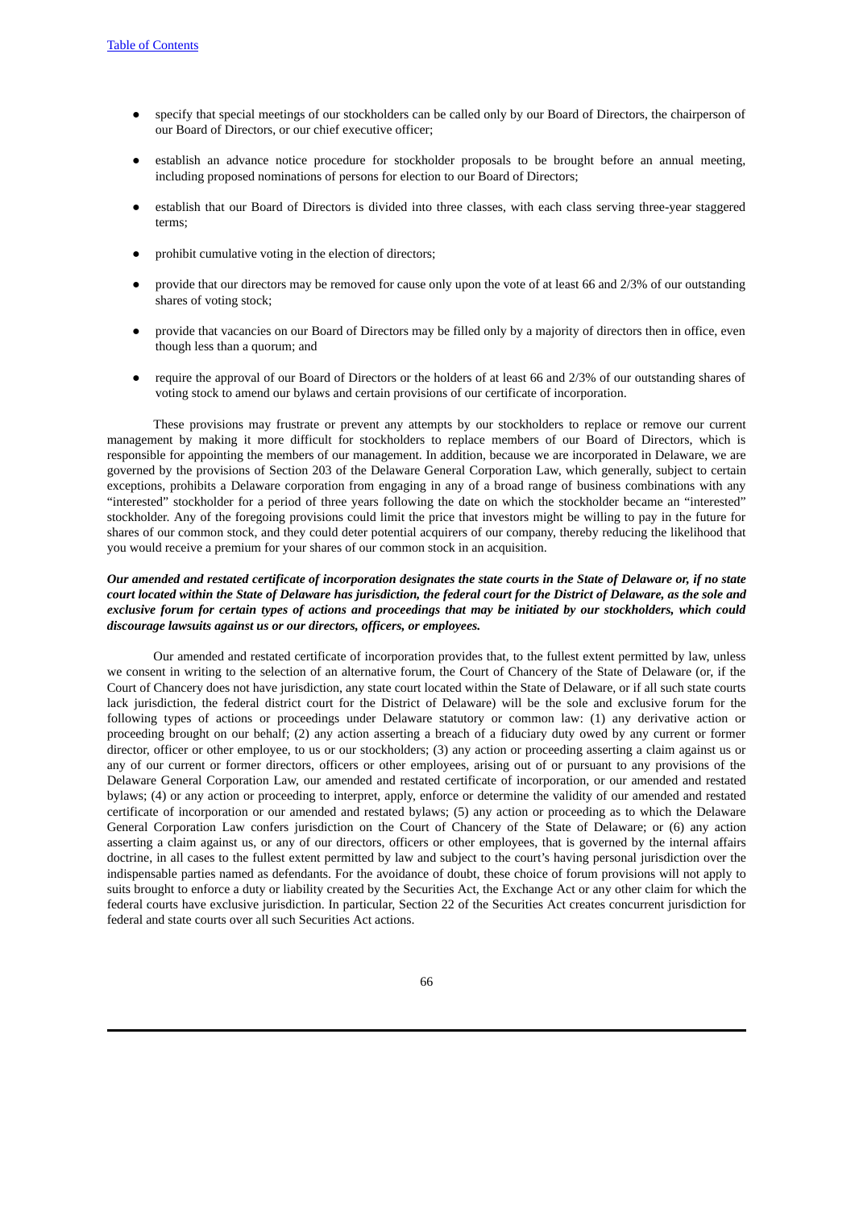- specify that special meetings of our stockholders can be called only by our Board of Directors, the chairperson of our Board of Directors, or our chief executive officer;
- establish an advance notice procedure for stockholder proposals to be brought before an annual meeting, including proposed nominations of persons for election to our Board of Directors;
- establish that our Board of Directors is divided into three classes, with each class serving three-year staggered terms;
- prohibit cumulative voting in the election of directors;
- provide that our directors may be removed for cause only upon the vote of at least 66 and 2/3% of our outstanding shares of voting stock;
- provide that vacancies on our Board of Directors may be filled only by a majority of directors then in office, even though less than a quorum; and
- require the approval of our Board of Directors or the holders of at least 66 and 2/3% of our outstanding shares of voting stock to amend our bylaws and certain provisions of our certificate of incorporation.

These provisions may frustrate or prevent any attempts by our stockholders to replace or remove our current management by making it more difficult for stockholders to replace members of our Board of Directors, which is responsible for appointing the members of our management. In addition, because we are incorporated in Delaware, we are governed by the provisions of Section 203 of the Delaware General Corporation Law, which generally, subject to certain exceptions, prohibits a Delaware corporation from engaging in any of a broad range of business combinations with any "interested" stockholder for a period of three years following the date on which the stockholder became an "interested" stockholder. Any of the foregoing provisions could limit the price that investors might be willing to pay in the future for shares of our common stock, and they could deter potential acquirers of our company, thereby reducing the likelihood that you would receive a premium for your shares of our common stock in an acquisition.

# Our amended and restated certificate of incorporation designates the state courts in the State of Delaware or, if no state court located within the State of Delaware has jurisdiction, the federal court for the District of Delaware, as the sole and exclusive forum for certain types of actions and proceedings that may be initiated by our stockholders, which could *discourage lawsuits against us or our directors, officers, or employees.*

Our amended and restated certificate of incorporation provides that, to the fullest extent permitted by law, unless we consent in writing to the selection of an alternative forum, the Court of Chancery of the State of Delaware (or, if the Court of Chancery does not have jurisdiction, any state court located within the State of Delaware, or if all such state courts lack jurisdiction, the federal district court for the District of Delaware) will be the sole and exclusive forum for the following types of actions or proceedings under Delaware statutory or common law: (1) any derivative action or proceeding brought on our behalf; (2) any action asserting a breach of a fiduciary duty owed by any current or former director, officer or other employee, to us or our stockholders; (3) any action or proceeding asserting a claim against us or any of our current or former directors, officers or other employees, arising out of or pursuant to any provisions of the Delaware General Corporation Law, our amended and restated certificate of incorporation, or our amended and restated bylaws; (4) or any action or proceeding to interpret, apply, enforce or determine the validity of our amended and restated certificate of incorporation or our amended and restated bylaws; (5) any action or proceeding as to which the Delaware General Corporation Law confers jurisdiction on the Court of Chancery of the State of Delaware; or (6) any action asserting a claim against us, or any of our directors, officers or other employees, that is governed by the internal affairs doctrine, in all cases to the fullest extent permitted by law and subject to the court's having personal jurisdiction over the indispensable parties named as defendants. For the avoidance of doubt, these choice of forum provisions will not apply to suits brought to enforce a duty or liability created by the Securities Act, the Exchange Act or any other claim for which the federal courts have exclusive jurisdiction. In particular, Section 22 of the Securities Act creates concurrent jurisdiction for federal and state courts over all such Securities Act actions.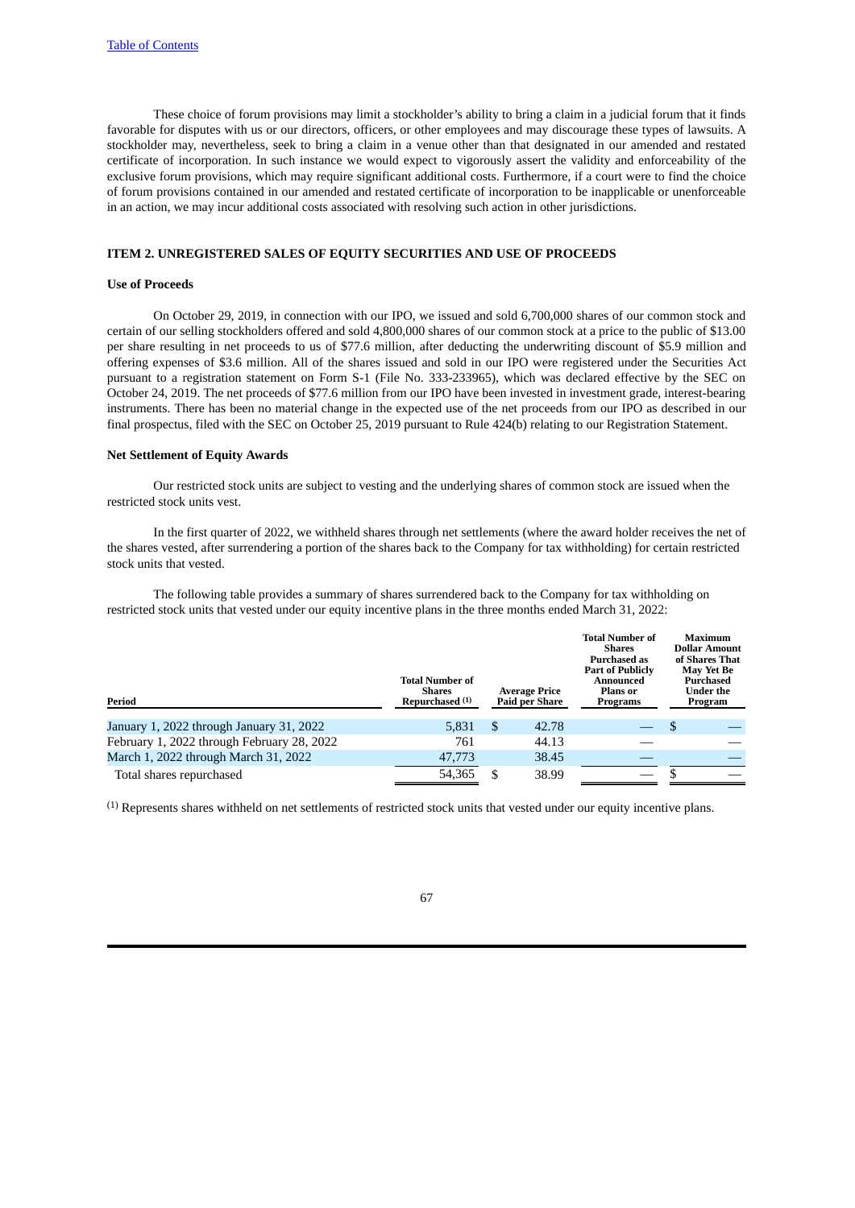These choice of forum provisions may limit a stockholder's ability to bring a claim in a judicial forum that it finds favorable for disputes with us or our directors, officers, or other employees and may discourage these types of lawsuits. A stockholder may, nevertheless, seek to bring a claim in a venue other than that designated in our amended and restated certificate of incorporation. In such instance we would expect to vigorously assert the validity and enforceability of the exclusive forum provisions, which may require significant additional costs. Furthermore, if a court were to find the choice of forum provisions contained in our amended and restated certificate of incorporation to be inapplicable or unenforceable in an action, we may incur additional costs associated with resolving such action in other jurisdictions.

#### **ITEM 2. UNREGISTERED SALES OF EQUITY SECURITIES AND USE OF PROCEEDS**

#### **Use of Proceeds**

On October 29, 2019, in connection with our IPO, we issued and sold 6,700,000 shares of our common stock and certain of our selling stockholders offered and sold 4,800,000 shares of our common stock at a price to the public of \$13.00 per share resulting in net proceeds to us of \$77.6 million, after deducting the underwriting discount of \$5.9 million and offering expenses of \$3.6 million. All of the shares issued and sold in our IPO were registered under the Securities Act pursuant to a registration statement on Form S-1 (File No. 333-233965), which was declared effective by the SEC on October 24, 2019. The net proceeds of \$77.6 million from our IPO have been invested in investment grade, interest-bearing instruments. There has been no material change in the expected use of the net proceeds from our IPO as described in our final prospectus, filed with the SEC on October 25, 2019 pursuant to Rule 424(b) relating to our Registration Statement.

#### **Net Settlement of Equity Awards**

Our restricted stock units are subject to vesting and the underlying shares of common stock are issued when the restricted stock units vest.

In the first quarter of 2022, we withheld shares through net settlements (where the award holder receives the net of the shares vested, after surrendering a portion of the shares back to the Company for tax withholding) for certain restricted stock units that vested.

The following table provides a summary of shares surrendered back to the Company for tax withholding on restricted stock units that vested under our equity incentive plans in the three months ended March 31, 2022:

| Period                                     | <b>Total Number of</b><br><b>Shares</b><br>Repurchased <sup>(1)</sup> |   | <b>Average Price</b><br>Paid per Share | <b>Total Number of</b><br><b>Shares</b><br>Purchased as<br><b>Part of Publicly</b><br>Announced<br>Plans or<br>Programs |    | <b>Maximum</b><br><b>Dollar Amount</b><br>of Shares That<br>May Yet Be<br>Purchased<br>Under the<br>Program |
|--------------------------------------------|-----------------------------------------------------------------------|---|----------------------------------------|-------------------------------------------------------------------------------------------------------------------------|----|-------------------------------------------------------------------------------------------------------------|
| January 1, 2022 through January 31, 2022   | 5,831                                                                 | S | 42.78                                  |                                                                                                                         | -S |                                                                                                             |
| February 1, 2022 through February 28, 2022 | 761                                                                   |   | 44.13                                  |                                                                                                                         |    |                                                                                                             |
| March 1, 2022 through March 31, 2022       | 47,773                                                                |   | 38.45                                  |                                                                                                                         |    |                                                                                                             |
| Total shares repurchased                   | 54.365                                                                |   | 38.99                                  |                                                                                                                         |    |                                                                                                             |

(1) Represents shares withheld on net settlements of restricted stock units that vested under our equity incentive plans.

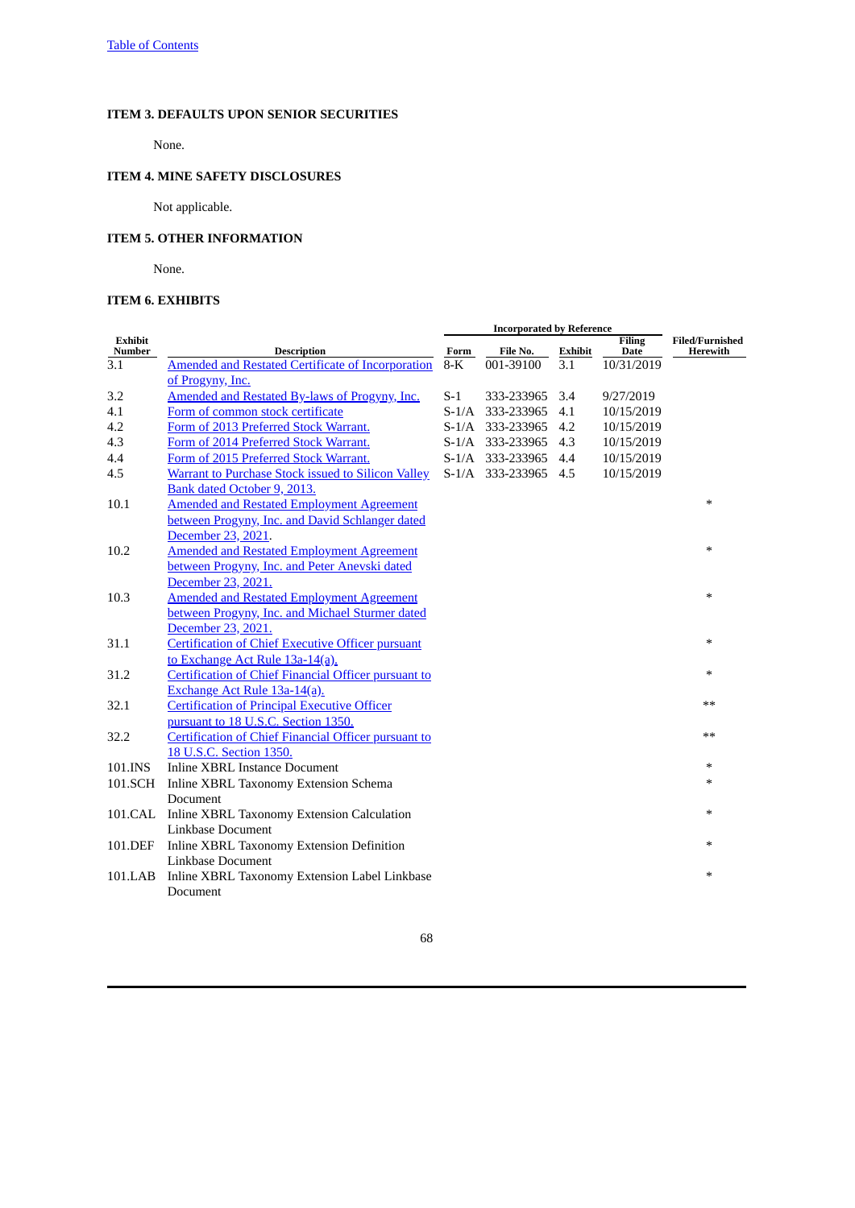# **ITEM 3. DEFAULTS UPON SENIOR SECURITIES**

None.

# **ITEM 4. MINE SAFETY DISCLOSURES**

Not applicable.

# **ITEM 5. OTHER INFORMATION**

None.

# **ITEM 6. EXHIBITS**

| <b>Exhibit</b><br>Number | <b>Description</b>                                          | Form  | File No.             | Exhibit | <b>Filing</b><br>Date | <b>Filed/Furnished</b><br>Herewith |
|--------------------------|-------------------------------------------------------------|-------|----------------------|---------|-----------------------|------------------------------------|
| 3.1                      | <b>Amended and Restated Certificate of Incorporation</b>    | $8-K$ | 001-39100            | 3.1     | 10/31/2019            |                                    |
|                          | of Progyny, Inc.                                            |       |                      |         |                       |                                    |
| 3.2                      | Amended and Restated By-laws of Progyny, Inc.               | $S-1$ | 333-233965           | 3.4     | 9/27/2019             |                                    |
| 4.1                      | Form of common stock certificate                            |       | S-1/A 333-233965     | 4.1     | 10/15/2019            |                                    |
| 4.2                      | Form of 2013 Preferred Stock Warrant.                       |       | S-1/A 333-233965     | 4.2     | 10/15/2019            |                                    |
| 4.3                      | Form of 2014 Preferred Stock Warrant.                       |       | S-1/A 333-233965     | 4.3     | 10/15/2019            |                                    |
| 4.4                      | Form of 2015 Preferred Stock Warrant.                       |       | S-1/A 333-233965     | 4.4     | 10/15/2019            |                                    |
| 4.5                      | <b>Warrant to Purchase Stock issued to Silicon Valley</b>   |       | S-1/A 333-233965 4.5 |         | 10/15/2019            |                                    |
|                          | Bank dated October 9, 2013.                                 |       |                      |         |                       |                                    |
| 10.1                     | <b>Amended and Restated Employment Agreement</b>            |       |                      |         |                       | $\ast$                             |
|                          | between Progyny, Inc. and David Schlanger dated             |       |                      |         |                       |                                    |
|                          | December 23, 2021.                                          |       |                      |         |                       |                                    |
| 10.2                     | <b>Amended and Restated Employment Agreement</b>            |       |                      |         |                       | $\ast$                             |
|                          | between Progyny, Inc. and Peter Anevski dated               |       |                      |         |                       |                                    |
|                          | December 23, 2021.                                          |       |                      |         |                       |                                    |
| 10.3                     | <b>Amended and Restated Employment Agreement</b>            |       |                      |         |                       | $\ast$                             |
|                          | between Progyny, Inc. and Michael Sturmer dated             |       |                      |         |                       |                                    |
|                          | December 23, 2021.                                          |       |                      |         |                       |                                    |
| 31.1                     | <b>Certification of Chief Executive Officer pursuant</b>    |       |                      |         |                       | $\ast$                             |
|                          | to Exchange Act Rule 13a-14(a).                             |       |                      |         |                       |                                    |
| 31.2                     | <b>Certification of Chief Financial Officer pursuant to</b> |       |                      |         |                       | $\ast$                             |
|                          | Exchange Act Rule 13a-14(a).                                |       |                      |         |                       |                                    |
| 32.1                     | <b>Certification of Principal Executive Officer</b>         |       |                      |         |                       | $**$                               |
|                          | pursuant to 18 U.S.C. Section 1350.                         |       |                      |         |                       |                                    |
| 32.2                     | Certification of Chief Financial Officer pursuant to        |       |                      |         |                       | **                                 |
|                          | 18 U.S.C. Section 1350.                                     |       |                      |         |                       |                                    |
| 101.INS                  | <b>Inline XBRL Instance Document</b>                        |       |                      |         |                       | ∗                                  |
| 101.SCH                  | Inline XBRL Taxonomy Extension Schema                       |       |                      |         |                       | $\ast$                             |
|                          | Document                                                    |       |                      |         |                       |                                    |
|                          | 101.CAL Inline XBRL Taxonomy Extension Calculation          |       |                      |         |                       | $\ast$                             |
|                          | Linkbase Document                                           |       |                      |         |                       |                                    |
| 101.DEF                  | Inline XBRL Taxonomy Extension Definition                   |       |                      |         |                       | $\ast$                             |
|                          | Linkbase Document                                           |       |                      |         |                       |                                    |
| 101.LAB                  | Inline XBRL Taxonomy Extension Label Linkbase               |       |                      |         |                       | $\ast$                             |
|                          | Document                                                    |       |                      |         |                       |                                    |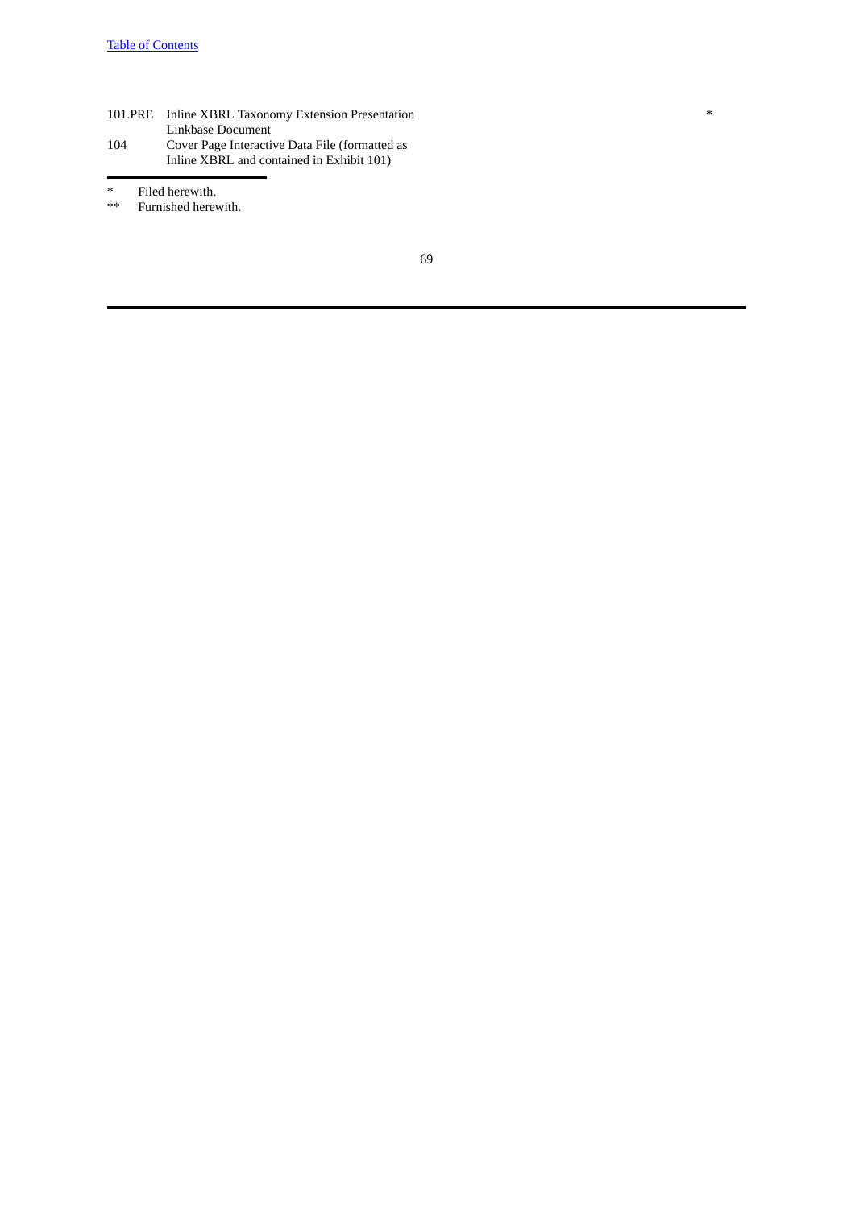101.PRE Inline XBRL Taxonomy Extension Presentation Linkbase Document 104 Cover Page Interactive Data File (formatted as Inline XBRL and contained in Exhibit 101)

\* Filed herewith.<br>\*\* Furnished herev

Furnished herewith.

69

\*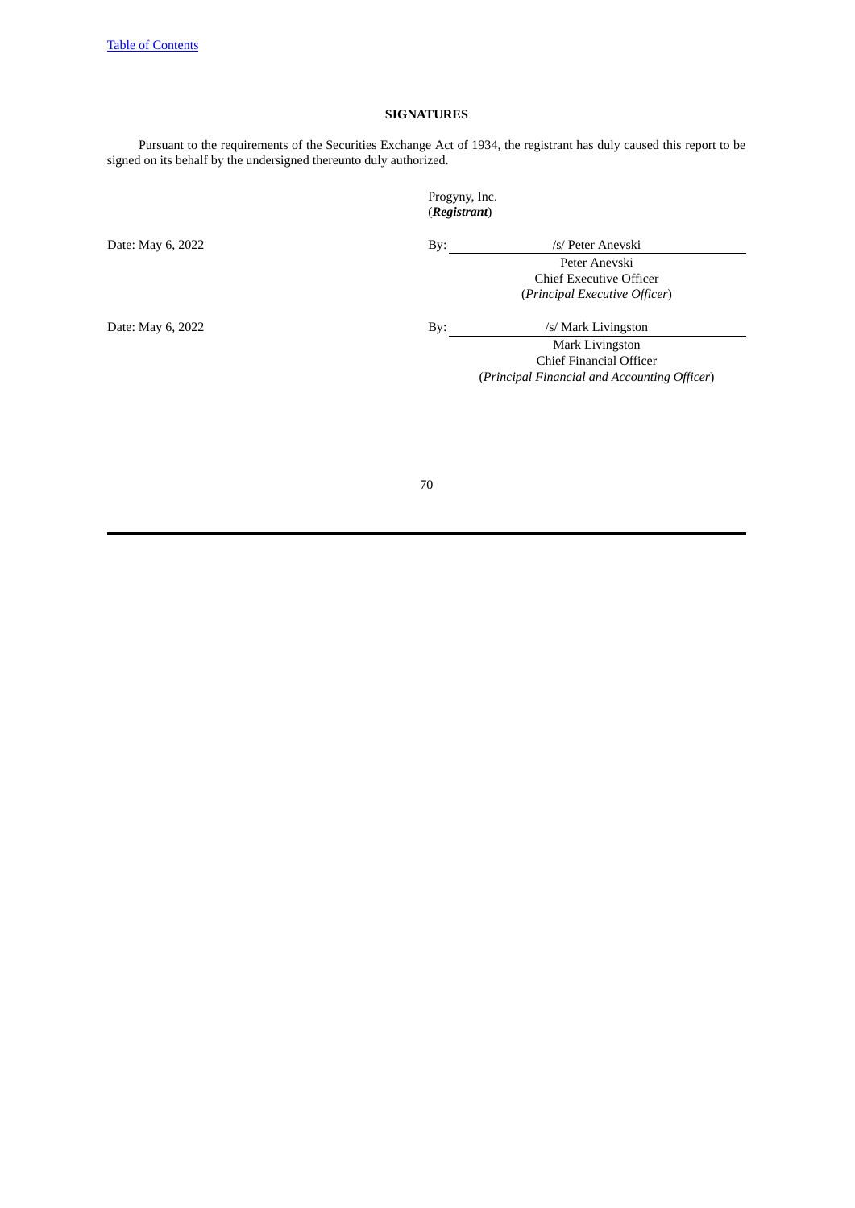# **SIGNATURES**

Pursuant to the requirements of the Securities Exchange Act of 1934, the registrant has duly caused this report to be signed on its behalf by the undersigned thereunto duly authorized.

# Progyny, Inc. (*Registrant*)

Date: May 6, 2022 By: /s/ Peter Anevski Peter Anevski Chief Executive Officer (*Principal Executive Officer*)

Date: May 6, 2022 By: /s/ Mark Livingston

Mark Livingston Chief Financial Officer (*Principal Financial and Accounting Officer*)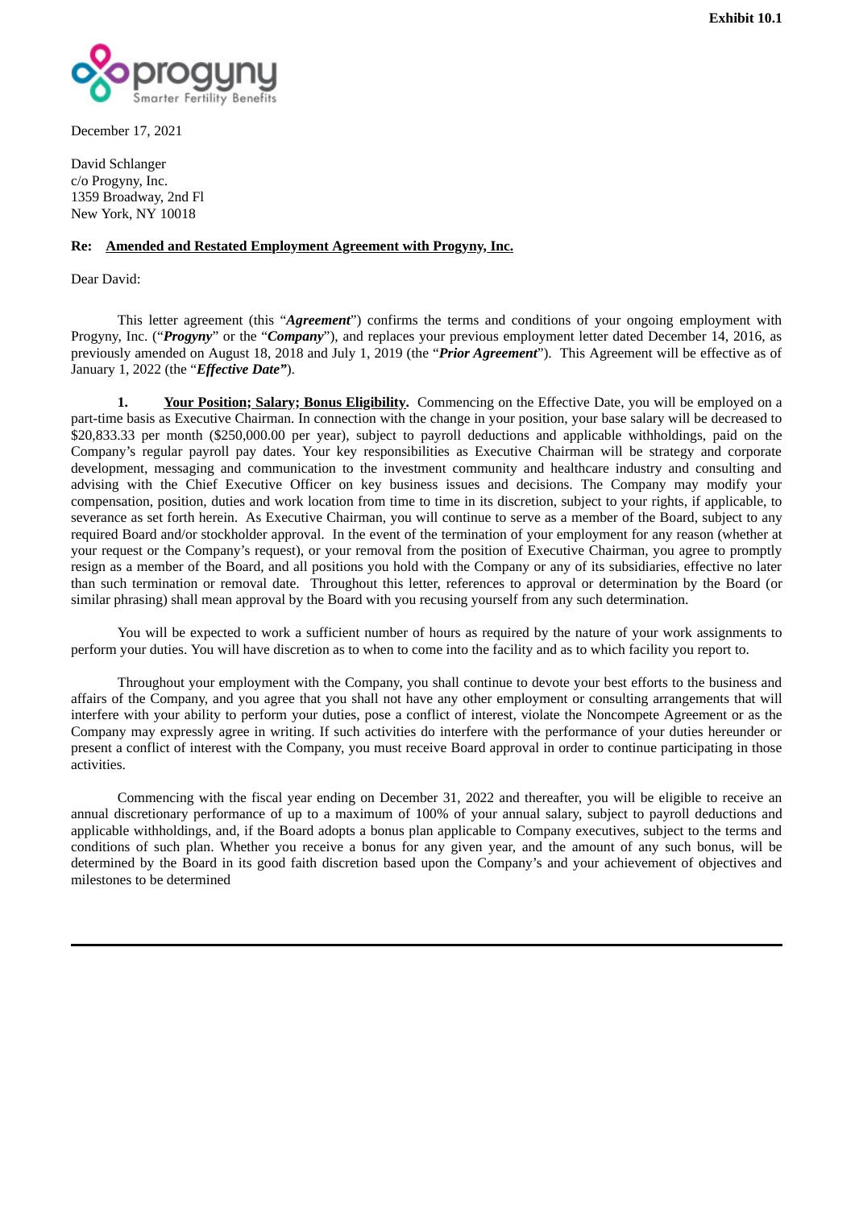<span id="page-70-0"></span>

December 17, 2021

David Schlanger c/o Progyny, Inc. 1359 Broadway, 2nd Fl New York, NY 10018

# **Re: Amended and Restated Employment Agreement with Progyny, Inc.**

Dear David:

This letter agreement (this "*Agreement*") confirms the terms and conditions of your ongoing employment with Progyny, Inc. ("*Progyny*" or the "*Company*"), and replaces your previous employment letter dated December 14, 2016, as previously amended on August 18, 2018 and July 1, 2019 (the "*Prior Agreement*"). This Agreement will be effective as of January 1, 2022 (the "*Effective Date"*).

**1. Your Position; Salary; Bonus Eligibility.** Commencing on the Effective Date, you will be employed on a part-time basis as Executive Chairman. In connection with the change in your position, your base salary will be decreased to \$20,833.33 per month (\$250,000.00 per year), subject to payroll deductions and applicable withholdings, paid on the Company's regular payroll pay dates. Your key responsibilities as Executive Chairman will be strategy and corporate development, messaging and communication to the investment community and healthcare industry and consulting and advising with the Chief Executive Officer on key business issues and decisions. The Company may modify your compensation, position, duties and work location from time to time in its discretion, subject to your rights, if applicable, to severance as set forth herein. As Executive Chairman, you will continue to serve as a member of the Board, subject to any required Board and/or stockholder approval. In the event of the termination of your employment for any reason (whether at your request or the Company's request), or your removal from the position of Executive Chairman, you agree to promptly resign as a member of the Board, and all positions you hold with the Company or any of its subsidiaries, effective no later than such termination or removal date. Throughout this letter, references to approval or determination by the Board (or similar phrasing) shall mean approval by the Board with you recusing yourself from any such determination.

You will be expected to work a sufficient number of hours as required by the nature of your work assignments to perform your duties. You will have discretion as to when to come into the facility and as to which facility you report to.

Throughout your employment with the Company, you shall continue to devote your best efforts to the business and affairs of the Company, and you agree that you shall not have any other employment or consulting arrangements that will interfere with your ability to perform your duties, pose a conflict of interest, violate the Noncompete Agreement or as the Company may expressly agree in writing. If such activities do interfere with the performance of your duties hereunder or present a conflict of interest with the Company, you must receive Board approval in order to continue participating in those activities.

Commencing with the fiscal year ending on December 31, 2022 and thereafter, you will be eligible to receive an annual discretionary performance of up to a maximum of 100% of your annual salary, subject to payroll deductions and applicable withholdings, and, if the Board adopts a bonus plan applicable to Company executives, subject to the terms and conditions of such plan. Whether you receive a bonus for any given year, and the amount of any such bonus, will be determined by the Board in its good faith discretion based upon the Company's and your achievement of objectives and milestones to be determined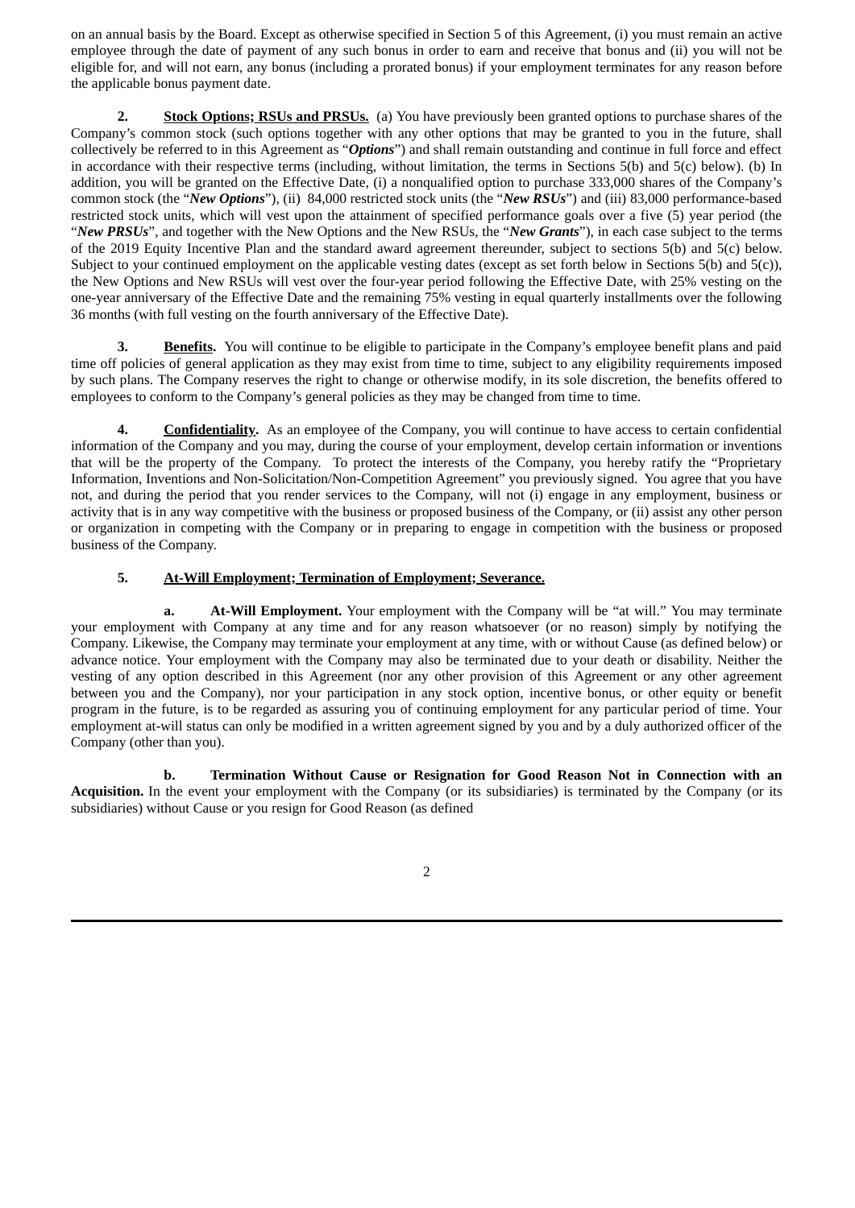on an annual basis by the Board. Except as otherwise specified in Section 5 of this Agreement, (i) you must remain an active employee through the date of payment of any such bonus in order to earn and receive that bonus and (ii) you will not be eligible for, and will not earn, any bonus (including a prorated bonus) if your employment terminates for any reason before the applicable bonus payment date.

**2. Stock Options; RSUs and PRSUs.** (a) You have previously been granted options to purchase shares of the Company's common stock (such options together with any other options that may be granted to you in the future, shall collectively be referred to in this Agreement as "*Options*") and shall remain outstanding and continue in full force and effect in accordance with their respective terms (including, without limitation, the terms in Sections 5(b) and 5(c) below). (b) In addition, you will be granted on the Effective Date, (i) a nonqualified option to purchase 333,000 shares of the Company's common stock (the "*New Options*"), (ii) 84,000 restricted stock units (the "*New RSUs*") and (iii) 83,000 performance-based restricted stock units, which will vest upon the attainment of specified performance goals over a five (5) year period (the "*New PRSUs*", and together with the New Options and the New RSUs, the "*New Grants*"), in each case subject to the terms of the 2019 Equity Incentive Plan and the standard award agreement thereunder, subject to sections 5(b) and 5(c) below. Subject to your continued employment on the applicable vesting dates (except as set forth below in Sections 5(b) and 5(c)), the New Options and New RSUs will vest over the four-year period following the Effective Date, with 25% vesting on the one-year anniversary of the Effective Date and the remaining 75% vesting in equal quarterly installments over the following 36 months (with full vesting on the fourth anniversary of the Effective Date).

**3. Benefits.** You will continue to be eligible to participate in the Company's employee benefit plans and paid time off policies of general application as they may exist from time to time, subject to any eligibility requirements imposed by such plans. The Company reserves the right to change or otherwise modify, in its sole discretion, the benefits offered to employees to conform to the Company's general policies as they may be changed from time to time.

**4. Confidentiality.** As an employee of the Company, you will continue to have access to certain confidential information of the Company and you may, during the course of your employment, develop certain information or inventions that will be the property of the Company. To protect the interests of the Company, you hereby ratify the "Proprietary Information, Inventions and Non-Solicitation/Non-Competition Agreement" you previously signed. You agree that you have not, and during the period that you render services to the Company, will not (i) engage in any employment, business or activity that is in any way competitive with the business or proposed business of the Company, or (ii) assist any other person or organization in competing with the Company or in preparing to engage in competition with the business or proposed business of the Company.

# **5. At-Will Employment; Termination of Employment; Severance.**

**a. At-Will Employment.** Your employment with the Company will be "at will." You may terminate your employment with Company at any time and for any reason whatsoever (or no reason) simply by notifying the Company. Likewise, the Company may terminate your employment at any time, with or without Cause (as defined below) or advance notice. Your employment with the Company may also be terminated due to your death or disability. Neither the vesting of any option described in this Agreement (nor any other provision of this Agreement or any other agreement between you and the Company), nor your participation in any stock option, incentive bonus, or other equity or benefit program in the future, is to be regarded as assuring you of continuing employment for any particular period of time. Your employment at-will status can only be modified in a written agreement signed by you and by a duly authorized officer of the Company (other than you).

**b. Termination Without Cause or Resignation for Good Reason Not in Connection with an Acquisition.** In the event your employment with the Company (or its subsidiaries) is terminated by the Company (or its subsidiaries) without Cause or you resign for Good Reason (as defined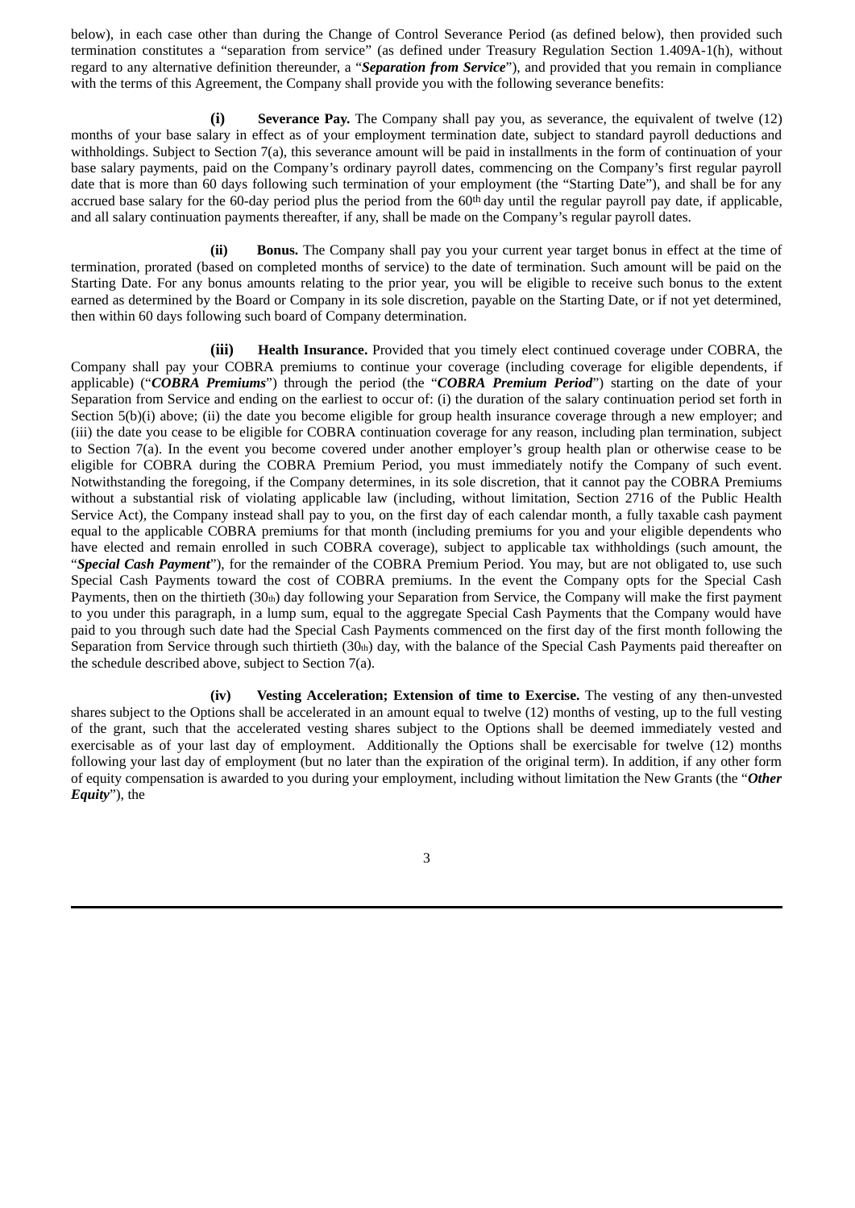below), in each case other than during the Change of Control Severance Period (as defined below), then provided such termination constitutes a "separation from service" (as defined under Treasury Regulation Section 1.409A-1(h), without regard to any alternative definition thereunder, a "*Separation from Service*"), and provided that you remain in compliance with the terms of this Agreement, the Company shall provide you with the following severance benefits:

**(i) Severance Pay.** The Company shall pay you, as severance, the equivalent of twelve (12) months of your base salary in effect as of your employment termination date, subject to standard payroll deductions and withholdings. Subject to Section 7(a), this severance amount will be paid in installments in the form of continuation of your base salary payments, paid on the Company's ordinary payroll dates, commencing on the Company's first regular payroll date that is more than 60 days following such termination of your employment (the "Starting Date"), and shall be for any accrued base salary for the 60-day period plus the period from the 60th day until the regular payroll pay date, if applicable, and all salary continuation payments thereafter, if any, shall be made on the Company's regular payroll dates.

**(ii) Bonus.** The Company shall pay you your current year target bonus in effect at the time of termination, prorated (based on completed months of service) to the date of termination. Such amount will be paid on the Starting Date. For any bonus amounts relating to the prior year, you will be eligible to receive such bonus to the extent earned as determined by the Board or Company in its sole discretion, payable on the Starting Date, or if not yet determined, then within 60 days following such board of Company determination.

**(iii) Health Insurance.** Provided that you timely elect continued coverage under COBRA, the Company shall pay your COBRA premiums to continue your coverage (including coverage for eligible dependents, if applicable) ("*COBRA Premiums*") through the period (the "*COBRA Premium Period*") starting on the date of your Separation from Service and ending on the earliest to occur of: (i) the duration of the salary continuation period set forth in Section 5(b)(i) above; (ii) the date you become eligible for group health insurance coverage through a new employer; and (iii) the date you cease to be eligible for COBRA continuation coverage for any reason, including plan termination, subject to Section 7(a). In the event you become covered under another employer's group health plan or otherwise cease to be eligible for COBRA during the COBRA Premium Period, you must immediately notify the Company of such event. Notwithstanding the foregoing, if the Company determines, in its sole discretion, that it cannot pay the COBRA Premiums without a substantial risk of violating applicable law (including, without limitation, Section 2716 of the Public Health Service Act), the Company instead shall pay to you, on the first day of each calendar month, a fully taxable cash payment equal to the applicable COBRA premiums for that month (including premiums for you and your eligible dependents who have elected and remain enrolled in such COBRA coverage), subject to applicable tax withholdings (such amount, the "*Special Cash Payment*"), for the remainder of the COBRA Premium Period. You may, but are not obligated to, use such Special Cash Payments toward the cost of COBRA premiums. In the event the Company opts for the Special Cash Payments, then on the thirtieth  $(30<sub>th</sub>)$  day following your Separation from Service, the Company will make the first payment to you under this paragraph, in a lump sum, equal to the aggregate Special Cash Payments that the Company would have paid to you through such date had the Special Cash Payments commenced on the first day of the first month following the Separation from Service through such thirtieth  $(30<sub>th</sub>)$  day, with the balance of the Special Cash Payments paid thereafter on the schedule described above, subject to Section 7(a).

**(iv) Vesting Acceleration; Extension of time to Exercise.** The vesting of any then-unvested shares subject to the Options shall be accelerated in an amount equal to twelve (12) months of vesting, up to the full vesting of the grant, such that the accelerated vesting shares subject to the Options shall be deemed immediately vested and exercisable as of your last day of employment. Additionally the Options shall be exercisable for twelve (12) months following your last day of employment (but no later than the expiration of the original term). In addition, if any other form of equity compensation is awarded to you during your employment, including without limitation the New Grants (the "*Other Equity*"), the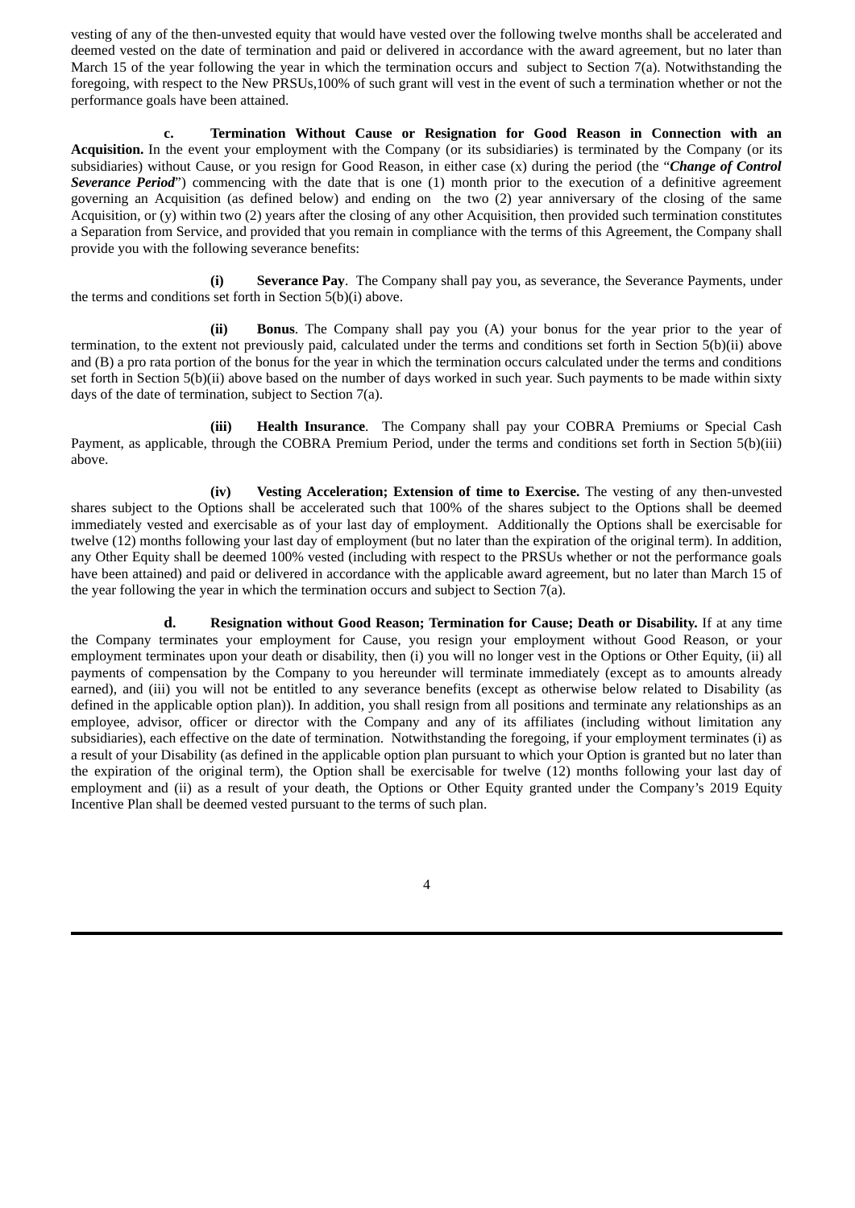vesting of any of the then-unvested equity that would have vested over the following twelve months shall be accelerated and deemed vested on the date of termination and paid or delivered in accordance with the award agreement, but no later than March 15 of the year following the year in which the termination occurs and subject to Section 7(a). Notwithstanding the foregoing, with respect to the New PRSUs,100% of such grant will vest in the event of such a termination whether or not the performance goals have been attained.

**c. Termination Without Cause or Resignation for Good Reason in Connection with an Acquisition.** In the event your employment with the Company (or its subsidiaries) is terminated by the Company (or its subsidiaries) without Cause, or you resign for Good Reason, in either case (x) during the period (the "*Change of Control Severance Period*") commencing with the date that is one (1) month prior to the execution of a definitive agreement governing an Acquisition (as defined below) and ending on the two (2) year anniversary of the closing of the same Acquisition, or (y) within two (2) years after the closing of any other Acquisition, then provided such termination constitutes a Separation from Service, and provided that you remain in compliance with the terms of this Agreement, the Company shall provide you with the following severance benefits:

**(i) Severance Pay**. The Company shall pay you, as severance, the Severance Payments, under the terms and conditions set forth in Section 5(b)(i) above.

**(ii) Bonus**. The Company shall pay you (A) your bonus for the year prior to the year of termination, to the extent not previously paid, calculated under the terms and conditions set forth in Section 5(b)(ii) above and (B) a pro rata portion of the bonus for the year in which the termination occurs calculated under the terms and conditions set forth in Section 5(b)(ii) above based on the number of days worked in such year. Such payments to be made within sixty days of the date of termination, subject to Section 7(a).

**(iii) Health Insurance**. The Company shall pay your COBRA Premiums or Special Cash Payment, as applicable, through the COBRA Premium Period, under the terms and conditions set forth in Section 5(b)(iii) above.

**(iv) Vesting Acceleration; Extension of time to Exercise.** The vesting of any then-unvested shares subject to the Options shall be accelerated such that 100% of the shares subject to the Options shall be deemed immediately vested and exercisable as of your last day of employment. Additionally the Options shall be exercisable for twelve (12) months following your last day of employment (but no later than the expiration of the original term). In addition, any Other Equity shall be deemed 100% vested (including with respect to the PRSUs whether or not the performance goals have been attained) and paid or delivered in accordance with the applicable award agreement, but no later than March 15 of the year following the year in which the termination occurs and subject to Section 7(a).

**d. Resignation without Good Reason; Termination for Cause; Death or Disability.** If at any time the Company terminates your employment for Cause, you resign your employment without Good Reason, or your employment terminates upon your death or disability, then (i) you will no longer vest in the Options or Other Equity, (ii) all payments of compensation by the Company to you hereunder will terminate immediately (except as to amounts already earned), and (iii) you will not be entitled to any severance benefits (except as otherwise below related to Disability (as defined in the applicable option plan)). In addition, you shall resign from all positions and terminate any relationships as an employee, advisor, officer or director with the Company and any of its affiliates (including without limitation any subsidiaries), each effective on the date of termination. Notwithstanding the foregoing, if your employment terminates (i) as a result of your Disability (as defined in the applicable option plan pursuant to which your Option is granted but no later than the expiration of the original term), the Option shall be exercisable for twelve (12) months following your last day of employment and (ii) as a result of your death, the Options or Other Equity granted under the Company's 2019 Equity Incentive Plan shall be deemed vested pursuant to the terms of such plan.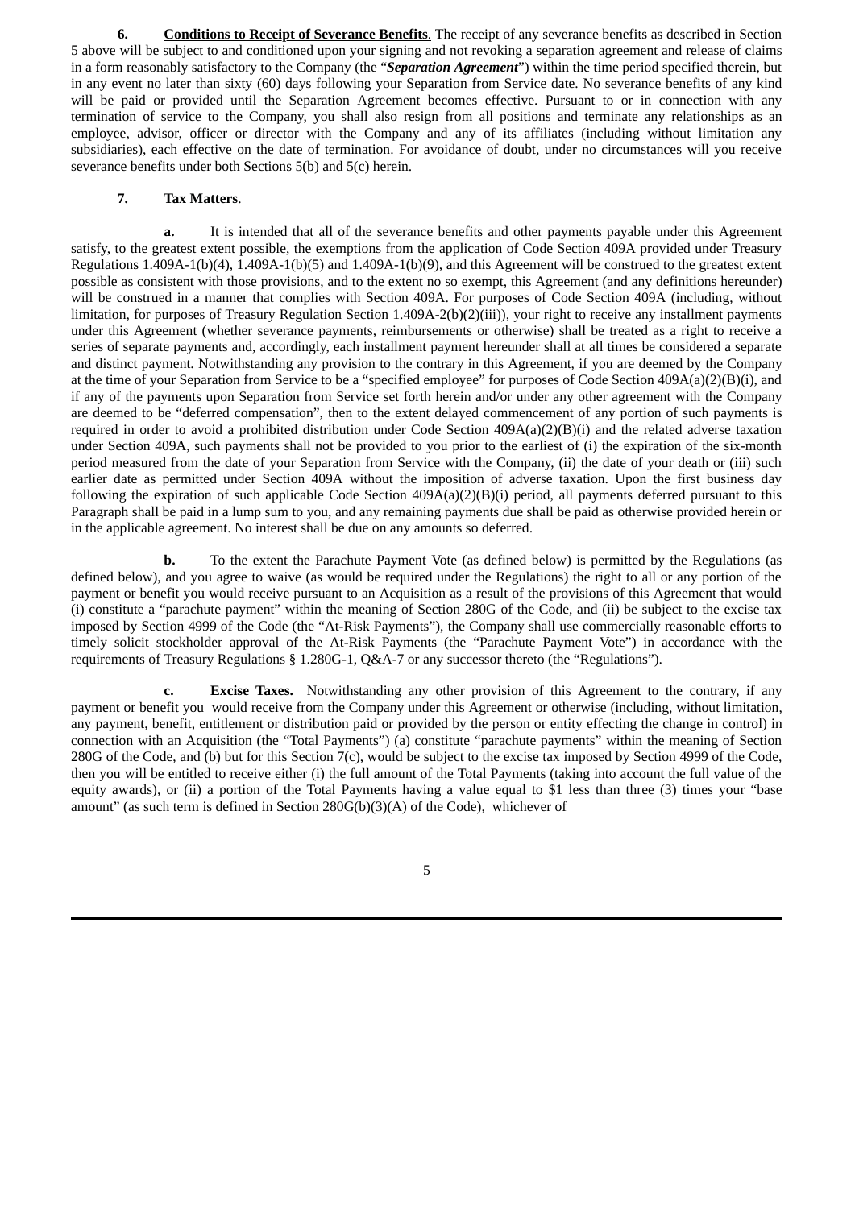**6. Conditions to Receipt of Severance Benefits**. The receipt of any severance benefits as described in Section 5 above will be subject to and conditioned upon your signing and not revoking a separation agreement and release of claims in a form reasonably satisfactory to the Company (the "*Separation Agreement*") within the time period specified therein, but in any event no later than sixty (60) days following your Separation from Service date. No severance benefits of any kind will be paid or provided until the Separation Agreement becomes effective. Pursuant to or in connection with any termination of service to the Company, you shall also resign from all positions and terminate any relationships as an employee, advisor, officer or director with the Company and any of its affiliates (including without limitation any subsidiaries), each effective on the date of termination. For avoidance of doubt, under no circumstances will you receive severance benefits under both Sections 5(b) and 5(c) herein.

## **7. Tax Matters**.

**a.** It is intended that all of the severance benefits and other payments payable under this Agreement satisfy, to the greatest extent possible, the exemptions from the application of Code Section 409A provided under Treasury Regulations 1.409A-1(b)(4), 1.409A-1(b)(5) and 1.409A-1(b)(9), and this Agreement will be construed to the greatest extent possible as consistent with those provisions, and to the extent no so exempt, this Agreement (and any definitions hereunder) will be construed in a manner that complies with Section 409A. For purposes of Code Section 409A (including, without limitation, for purposes of Treasury Regulation Section 1.409A-2(b)(2)(iii)), your right to receive any installment payments under this Agreement (whether severance payments, reimbursements or otherwise) shall be treated as a right to receive a series of separate payments and, accordingly, each installment payment hereunder shall at all times be considered a separate and distinct payment. Notwithstanding any provision to the contrary in this Agreement, if you are deemed by the Company at the time of your Separation from Service to be a "specified employee" for purposes of Code Section 409A(a)(2)(B)(i), and if any of the payments upon Separation from Service set forth herein and/or under any other agreement with the Company are deemed to be "deferred compensation", then to the extent delayed commencement of any portion of such payments is required in order to avoid a prohibited distribution under Code Section 409A(a)(2)(B)(i) and the related adverse taxation under Section 409A, such payments shall not be provided to you prior to the earliest of (i) the expiration of the six-month period measured from the date of your Separation from Service with the Company, (ii) the date of your death or (iii) such earlier date as permitted under Section 409A without the imposition of adverse taxation. Upon the first business day following the expiration of such applicable Code Section  $409A(a)(2)(B)(i)$  period, all payments deferred pursuant to this Paragraph shall be paid in a lump sum to you, and any remaining payments due shall be paid as otherwise provided herein or in the applicable agreement. No interest shall be due on any amounts so deferred.

**b.** To the extent the Parachute Payment Vote (as defined below) is permitted by the Regulations (as defined below), and you agree to waive (as would be required under the Regulations) the right to all or any portion of the payment or benefit you would receive pursuant to an Acquisition as a result of the provisions of this Agreement that would (i) constitute a "parachute payment" within the meaning of Section 280G of the Code, and (ii) be subject to the excise tax imposed by Section 4999 of the Code (the "At-Risk Payments"), the Company shall use commercially reasonable efforts to timely solicit stockholder approval of the At-Risk Payments (the "Parachute Payment Vote") in accordance with the requirements of Treasury Regulations § 1.280G-1, Q&A-7 or any successor thereto (the "Regulations").

**c. Excise Taxes.** Notwithstanding any other provision of this Agreement to the contrary, if any payment or benefit you would receive from the Company under this Agreement or otherwise (including, without limitation, any payment, benefit, entitlement or distribution paid or provided by the person or entity effecting the change in control) in connection with an Acquisition (the "Total Payments") (a) constitute "parachute payments" within the meaning of Section 280G of the Code, and (b) but for this Section 7(c), would be subject to the excise tax imposed by Section 4999 of the Code, then you will be entitled to receive either (i) the full amount of the Total Payments (taking into account the full value of the equity awards), or (ii) a portion of the Total Payments having a value equal to \$1 less than three (3) times your "base amount" (as such term is defined in Section 280G(b)(3)(A) of the Code), whichever of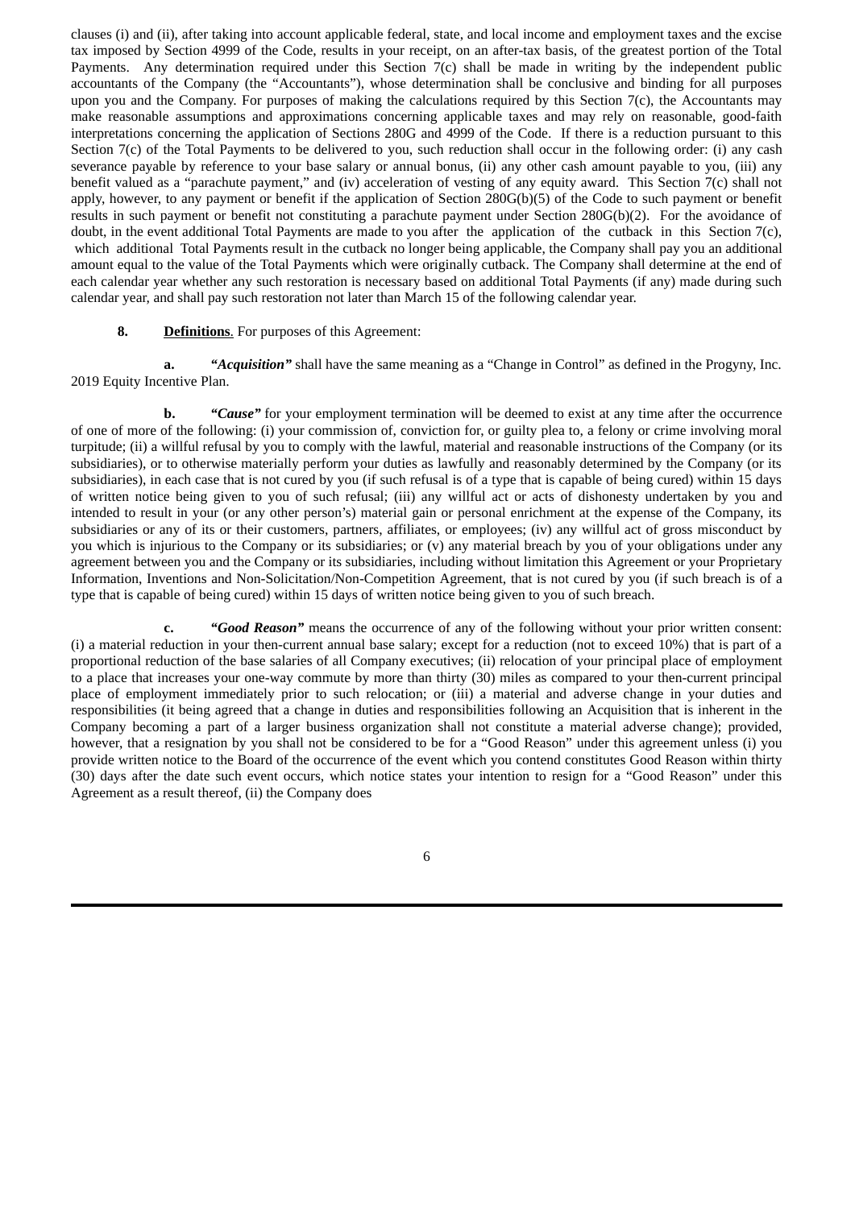clauses (i) and (ii), after taking into account applicable federal, state, and local income and employment taxes and the excise tax imposed by Section 4999 of the Code, results in your receipt, on an after-tax basis, of the greatest portion of the Total Payments. Any determination required under this Section 7(c) shall be made in writing by the independent public accountants of the Company (the "Accountants"), whose determination shall be conclusive and binding for all purposes upon you and the Company. For purposes of making the calculations required by this Section 7(c), the Accountants may make reasonable assumptions and approximations concerning applicable taxes and may rely on reasonable, good-faith interpretations concerning the application of Sections 280G and 4999 of the Code. If there is a reduction pursuant to this Section 7(c) of the Total Payments to be delivered to you, such reduction shall occur in the following order: (i) any cash severance payable by reference to your base salary or annual bonus, (ii) any other cash amount payable to you, (iii) any benefit valued as a "parachute payment," and (iv) acceleration of vesting of any equity award. This Section 7(c) shall not apply, however, to any payment or benefit if the application of Section 280G(b)(5) of the Code to such payment or benefit results in such payment or benefit not constituting a parachute payment under Section 280G(b)(2). For the avoidance of doubt, in the event additional Total Payments are made to you after the application of the cutback in this Section 7(c), which additional Total Payments result in the cutback no longer being applicable, the Company shall pay you an additional amount equal to the value of the Total Payments which were originally cutback. The Company shall determine at the end of each calendar year whether any such restoration is necessary based on additional Total Payments (if any) made during such calendar year, and shall pay such restoration not later than March 15 of the following calendar year.

#### **8. Definitions**. For purposes of this Agreement:

**a.** *"Acquisition"* shall have the same meaning as a "Change in Control" as defined in the Progyny, Inc. 2019 Equity Incentive Plan.

**b.** *"Cause"* for your employment termination will be deemed to exist at any time after the occurrence of one of more of the following: (i) your commission of, conviction for, or guilty plea to, a felony or crime involving moral turpitude; (ii) a willful refusal by you to comply with the lawful, material and reasonable instructions of the Company (or its subsidiaries), or to otherwise materially perform your duties as lawfully and reasonably determined by the Company (or its subsidiaries), in each case that is not cured by you (if such refusal is of a type that is capable of being cured) within 15 days of written notice being given to you of such refusal; (iii) any willful act or acts of dishonesty undertaken by you and intended to result in your (or any other person's) material gain or personal enrichment at the expense of the Company, its subsidiaries or any of its or their customers, partners, affiliates, or employees; (iv) any willful act of gross misconduct by you which is injurious to the Company or its subsidiaries; or (v) any material breach by you of your obligations under any agreement between you and the Company or its subsidiaries, including without limitation this Agreement or your Proprietary Information, Inventions and Non-Solicitation/Non-Competition Agreement, that is not cured by you (if such breach is of a type that is capable of being cured) within 15 days of written notice being given to you of such breach.

**c.** *"Good Reason"* means the occurrence of any of the following without your prior written consent: (i) a material reduction in your then-current annual base salary; except for a reduction (not to exceed 10%) that is part of a proportional reduction of the base salaries of all Company executives; (ii) relocation of your principal place of employment to a place that increases your one-way commute by more than thirty (30) miles as compared to your then-current principal place of employment immediately prior to such relocation; or (iii) a material and adverse change in your duties and responsibilities (it being agreed that a change in duties and responsibilities following an Acquisition that is inherent in the Company becoming a part of a larger business organization shall not constitute a material adverse change); provided, however, that a resignation by you shall not be considered to be for a "Good Reason" under this agreement unless (i) you provide written notice to the Board of the occurrence of the event which you contend constitutes Good Reason within thirty (30) days after the date such event occurs, which notice states your intention to resign for a "Good Reason" under this Agreement as a result thereof, (ii) the Company does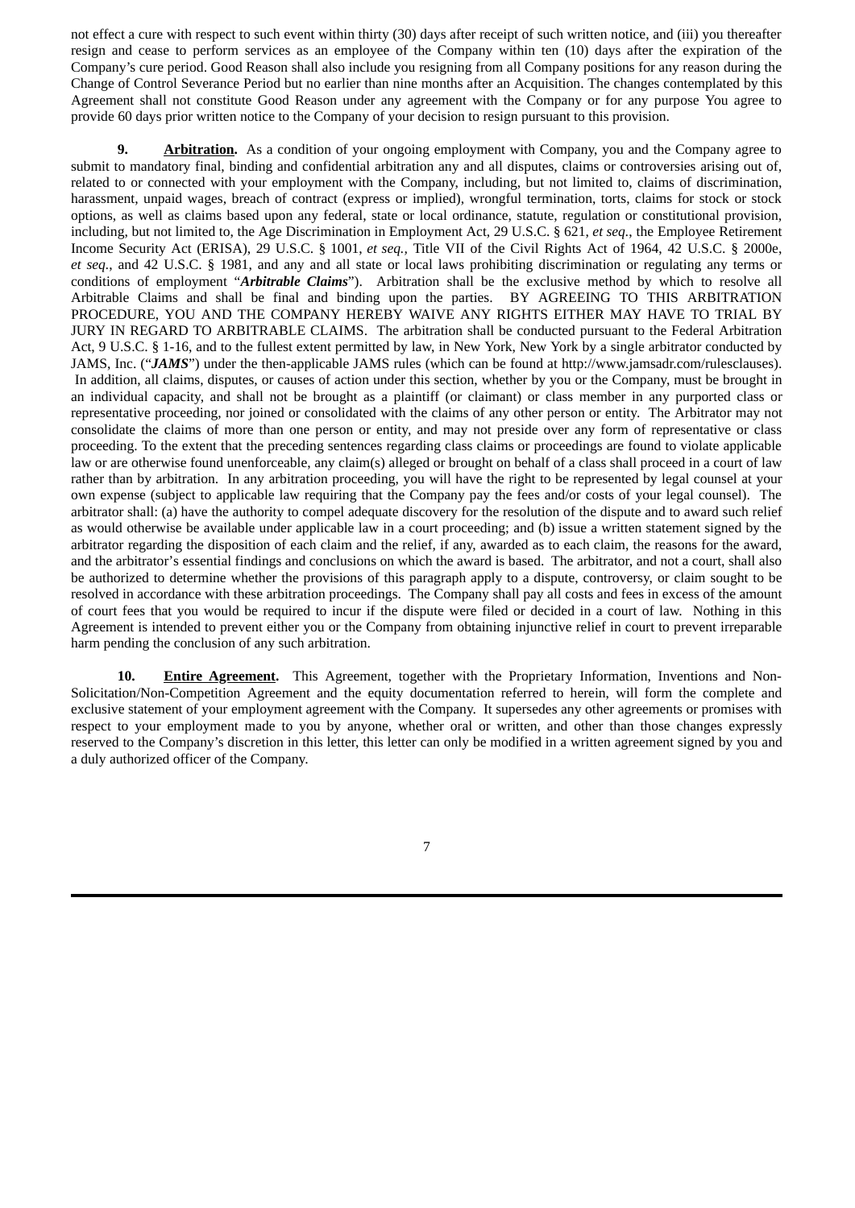not effect a cure with respect to such event within thirty (30) days after receipt of such written notice, and (iii) you thereafter resign and cease to perform services as an employee of the Company within ten (10) days after the expiration of the Company's cure period. Good Reason shall also include you resigning from all Company positions for any reason during the Change of Control Severance Period but no earlier than nine months after an Acquisition. The changes contemplated by this Agreement shall not constitute Good Reason under any agreement with the Company or for any purpose You agree to provide 60 days prior written notice to the Company of your decision to resign pursuant to this provision.

**9. Arbitration.** As a condition of your ongoing employment with Company, you and the Company agree to submit to mandatory final, binding and confidential arbitration any and all disputes, claims or controversies arising out of, related to or connected with your employment with the Company, including, but not limited to, claims of discrimination, harassment, unpaid wages, breach of contract (express or implied), wrongful termination, torts, claims for stock or stock options, as well as claims based upon any federal, state or local ordinance, statute, regulation or constitutional provision, including, but not limited to, the Age Discrimination in Employment Act, 29 U.S.C. § 621, *et seq.*, the Employee Retirement Income Security Act (ERISA), 29 U.S.C. § 1001, *et seq.,* Title VII of the Civil Rights Act of 1964, 42 U.S.C. § 2000e, *et seq.*, and 42 U.S.C. § 1981, and any and all state or local laws prohibiting discrimination or regulating any terms or conditions of employment "*Arbitrable Claims*"). Arbitration shall be the exclusive method by which to resolve all Arbitrable Claims and shall be final and binding upon the parties. BY AGREEING TO THIS ARBITRATION PROCEDURE, YOU AND THE COMPANY HEREBY WAIVE ANY RIGHTS EITHER MAY HAVE TO TRIAL BY JURY IN REGARD TO ARBITRABLE CLAIMS. The arbitration shall be conducted pursuant to the Federal Arbitration Act, 9 U.S.C. § 1-16, and to the fullest extent permitted by law, in New York, New York by a single arbitrator conducted by JAMS, Inc. ("*JAMS*") under the then-applicable JAMS rules (which can be found at http://www.jamsadr.com/rulesclauses). In addition, all claims, disputes, or causes of action under this section, whether by you or the Company, must be brought in an individual capacity, and shall not be brought as a plaintiff (or claimant) or class member in any purported class or representative proceeding, nor joined or consolidated with the claims of any other person or entity. The Arbitrator may not consolidate the claims of more than one person or entity, and may not preside over any form of representative or class proceeding. To the extent that the preceding sentences regarding class claims or proceedings are found to violate applicable law or are otherwise found unenforceable, any claim(s) alleged or brought on behalf of a class shall proceed in a court of law rather than by arbitration. In any arbitration proceeding, you will have the right to be represented by legal counsel at your own expense (subject to applicable law requiring that the Company pay the fees and/or costs of your legal counsel). The arbitrator shall: (a) have the authority to compel adequate discovery for the resolution of the dispute and to award such relief as would otherwise be available under applicable law in a court proceeding; and (b) issue a written statement signed by the arbitrator regarding the disposition of each claim and the relief, if any, awarded as to each claim, the reasons for the award, and the arbitrator's essential findings and conclusions on which the award is based. The arbitrator, and not a court, shall also be authorized to determine whether the provisions of this paragraph apply to a dispute, controversy, or claim sought to be resolved in accordance with these arbitration proceedings. The Company shall pay all costs and fees in excess of the amount of court fees that you would be required to incur if the dispute were filed or decided in a court of law. Nothing in this Agreement is intended to prevent either you or the Company from obtaining injunctive relief in court to prevent irreparable harm pending the conclusion of any such arbitration.

**10. Entire Agreement.** This Agreement, together with the Proprietary Information, Inventions and Non-Solicitation/Non-Competition Agreement and the equity documentation referred to herein, will form the complete and exclusive statement of your employment agreement with the Company. It supersedes any other agreements or promises with respect to your employment made to you by anyone, whether oral or written, and other than those changes expressly reserved to the Company's discretion in this letter, this letter can only be modified in a written agreement signed by you and a duly authorized officer of the Company.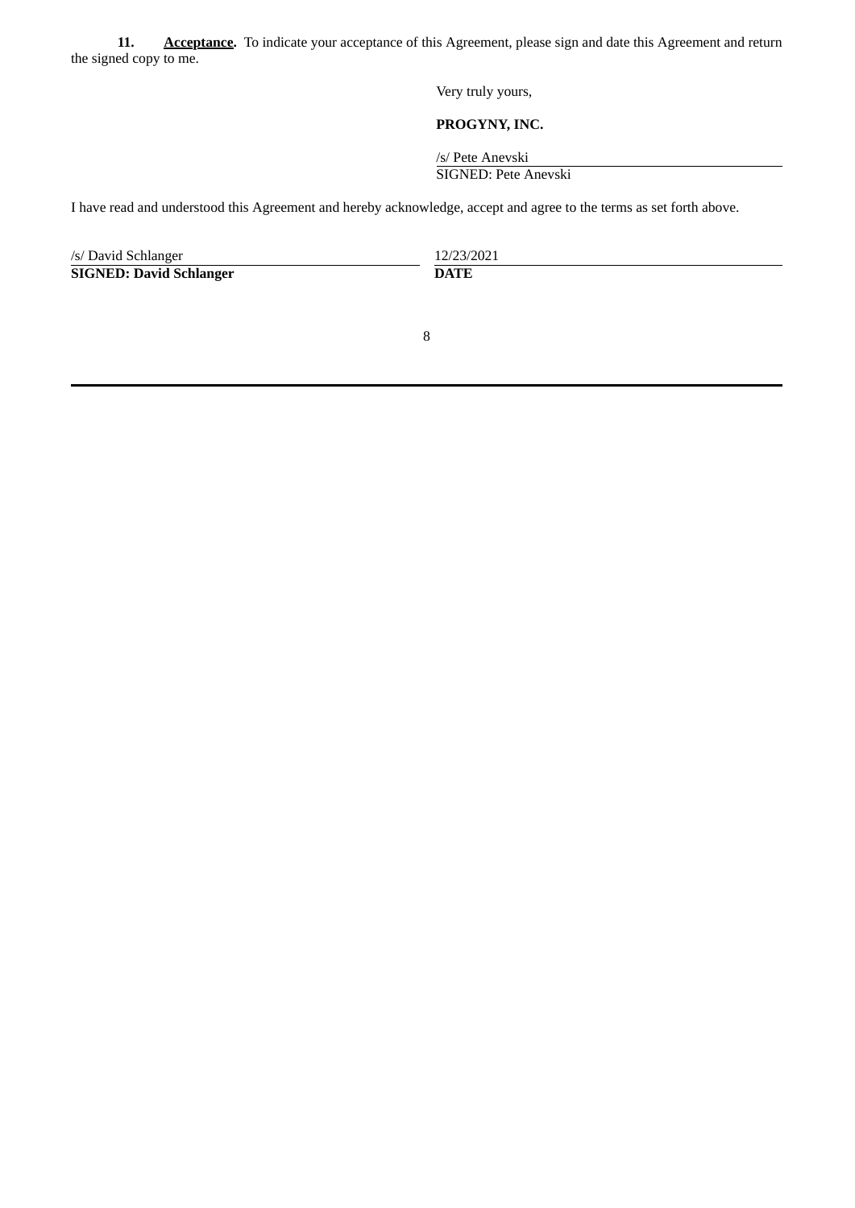**11. Acceptance.** To indicate your acceptance of this Agreement, please sign and date this Agreement and return the signed copy to me.

Very truly yours,

# **PROGYNY, INC.**

/s/ Pete Anevski

SIGNED: Pete Anevski

I have read and understood this Agreement and hereby acknowledge, accept and agree to the terms as set forth above.

| /s/ David Schlanger            | 12/23/2021  |
|--------------------------------|-------------|
| <b>SIGNED: David Schlanger</b> | <b>DATE</b> |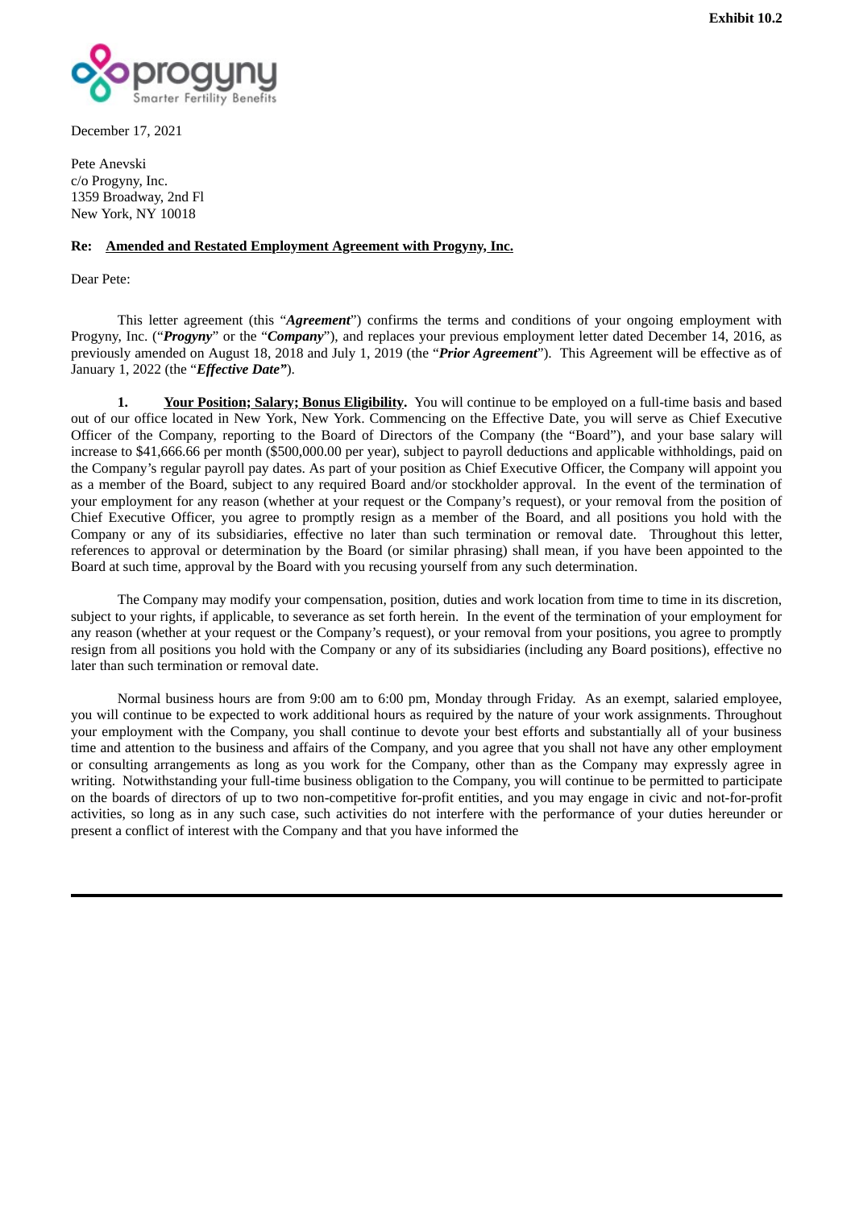

December 17, 2021

Pete Anevski c/o Progyny, Inc. 1359 Broadway, 2nd Fl New York, NY 10018

## **Re: Amended and Restated Employment Agreement with Progyny, Inc.**

Dear Pete:

This letter agreement (this "*Agreement*") confirms the terms and conditions of your ongoing employment with Progyny, Inc. ("*Progyny*" or the "*Company*"), and replaces your previous employment letter dated December 14, 2016, as previously amended on August 18, 2018 and July 1, 2019 (the "*Prior Agreement*"). This Agreement will be effective as of January 1, 2022 (the "*Effective Date"*).

**1. Your Position; Salary; Bonus Eligibility.** You will continue to be employed on a full-time basis and based out of our office located in New York, New York. Commencing on the Effective Date, you will serve as Chief Executive Officer of the Company, reporting to the Board of Directors of the Company (the "Board"), and your base salary will increase to \$41,666.66 per month (\$500,000.00 per year), subject to payroll deductions and applicable withholdings, paid on the Company's regular payroll pay dates. As part of your position as Chief Executive Officer, the Company will appoint you as a member of the Board, subject to any required Board and/or stockholder approval. In the event of the termination of your employment for any reason (whether at your request or the Company's request), or your removal from the position of Chief Executive Officer, you agree to promptly resign as a member of the Board, and all positions you hold with the Company or any of its subsidiaries, effective no later than such termination or removal date. Throughout this letter, references to approval or determination by the Board (or similar phrasing) shall mean, if you have been appointed to the Board at such time, approval by the Board with you recusing yourself from any such determination.

The Company may modify your compensation, position, duties and work location from time to time in its discretion, subject to your rights, if applicable, to severance as set forth herein. In the event of the termination of your employment for any reason (whether at your request or the Company's request), or your removal from your positions, you agree to promptly resign from all positions you hold with the Company or any of its subsidiaries (including any Board positions), effective no later than such termination or removal date.

Normal business hours are from 9:00 am to 6:00 pm, Monday through Friday. As an exempt, salaried employee, you will continue to be expected to work additional hours as required by the nature of your work assignments. Throughout your employment with the Company, you shall continue to devote your best efforts and substantially all of your business time and attention to the business and affairs of the Company, and you agree that you shall not have any other employment or consulting arrangements as long as you work for the Company, other than as the Company may expressly agree in writing. Notwithstanding your full-time business obligation to the Company, you will continue to be permitted to participate on the boards of directors of up to two non-competitive for-profit entities, and you may engage in civic and not-for-profit activities, so long as in any such case, such activities do not interfere with the performance of your duties hereunder or present a conflict of interest with the Company and that you have informed the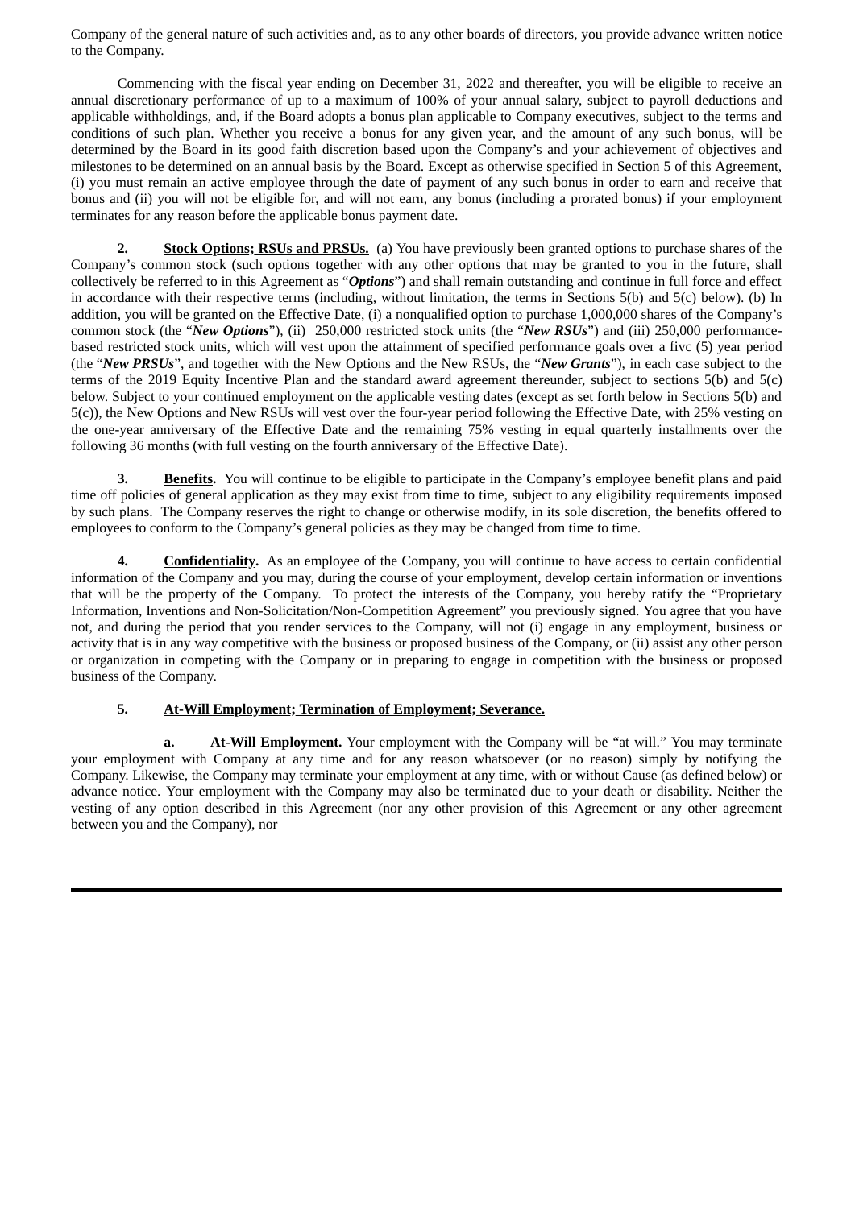Company of the general nature of such activities and, as to any other boards of directors, you provide advance written notice to the Company.

Commencing with the fiscal year ending on December 31, 2022 and thereafter, you will be eligible to receive an annual discretionary performance of up to a maximum of 100% of your annual salary, subject to payroll deductions and applicable withholdings, and, if the Board adopts a bonus plan applicable to Company executives, subject to the terms and conditions of such plan. Whether you receive a bonus for any given year, and the amount of any such bonus, will be determined by the Board in its good faith discretion based upon the Company's and your achievement of objectives and milestones to be determined on an annual basis by the Board. Except as otherwise specified in Section 5 of this Agreement, (i) you must remain an active employee through the date of payment of any such bonus in order to earn and receive that bonus and (ii) you will not be eligible for, and will not earn, any bonus (including a prorated bonus) if your employment terminates for any reason before the applicable bonus payment date.

**2. Stock Options; RSUs and PRSUs.** (a) You have previously been granted options to purchase shares of the Company's common stock (such options together with any other options that may be granted to you in the future, shall collectively be referred to in this Agreement as "*Options*") and shall remain outstanding and continue in full force and effect in accordance with their respective terms (including, without limitation, the terms in Sections 5(b) and 5(c) below). (b) In addition, you will be granted on the Effective Date, (i) a nonqualified option to purchase 1,000,000 shares of the Company's common stock (the "*New Options*"), (ii) 250,000 restricted stock units (the "*New RSUs*") and (iii) 250,000 performancebased restricted stock units, which will vest upon the attainment of specified performance goals over a fivc (5) year period (the "*New PRSUs*", and together with the New Options and the New RSUs, the "*New Grants*"), in each case subject to the terms of the 2019 Equity Incentive Plan and the standard award agreement thereunder, subject to sections 5(b) and 5(c) below. Subject to your continued employment on the applicable vesting dates (except as set forth below in Sections 5(b) and 5(c)), the New Options and New RSUs will vest over the four-year period following the Effective Date, with 25% vesting on the one-year anniversary of the Effective Date and the remaining 75% vesting in equal quarterly installments over the following 36 months (with full vesting on the fourth anniversary of the Effective Date).

**3. Benefits.** You will continue to be eligible to participate in the Company's employee benefit plans and paid time off policies of general application as they may exist from time to time, subject to any eligibility requirements imposed by such plans. The Company reserves the right to change or otherwise modify, in its sole discretion, the benefits offered to employees to conform to the Company's general policies as they may be changed from time to time.

**4. Confidentiality.** As an employee of the Company, you will continue to have access to certain confidential information of the Company and you may, during the course of your employment, develop certain information or inventions that will be the property of the Company. To protect the interests of the Company, you hereby ratify the "Proprietary Information, Inventions and Non-Solicitation/Non-Competition Agreement" you previously signed. You agree that you have not, and during the period that you render services to the Company, will not (i) engage in any employment, business or activity that is in any way competitive with the business or proposed business of the Company, or (ii) assist any other person or organization in competing with the Company or in preparing to engage in competition with the business or proposed business of the Company.

#### **5. At-Will Employment; Termination of Employment; Severance.**

**a. At-Will Employment.** Your employment with the Company will be "at will." You may terminate your employment with Company at any time and for any reason whatsoever (or no reason) simply by notifying the Company. Likewise, the Company may terminate your employment at any time, with or without Cause (as defined below) or advance notice. Your employment with the Company may also be terminated due to your death or disability. Neither the vesting of any option described in this Agreement (nor any other provision of this Agreement or any other agreement between you and the Company), nor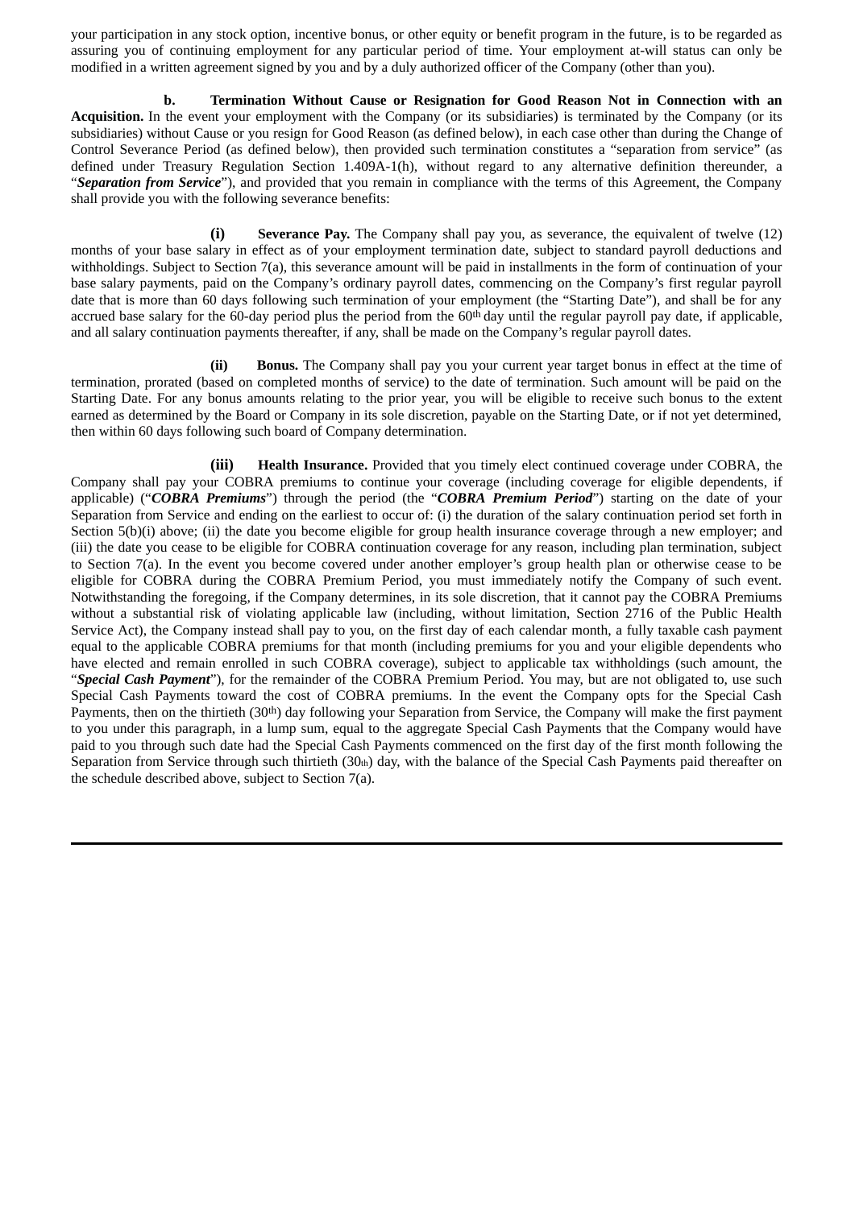your participation in any stock option, incentive bonus, or other equity or benefit program in the future, is to be regarded as assuring you of continuing employment for any particular period of time. Your employment at-will status can only be modified in a written agreement signed by you and by a duly authorized officer of the Company (other than you).

**b. Termination Without Cause or Resignation for Good Reason Not in Connection with an Acquisition.** In the event your employment with the Company (or its subsidiaries) is terminated by the Company (or its subsidiaries) without Cause or you resign for Good Reason (as defined below), in each case other than during the Change of Control Severance Period (as defined below), then provided such termination constitutes a "separation from service" (as defined under Treasury Regulation Section 1.409A-1(h), without regard to any alternative definition thereunder, a "*Separation from Service*"), and provided that you remain in compliance with the terms of this Agreement, the Company shall provide you with the following severance benefits:

**(i) Severance Pay.** The Company shall pay you, as severance, the equivalent of twelve (12) months of your base salary in effect as of your employment termination date, subject to standard payroll deductions and withholdings. Subject to Section 7(a), this severance amount will be paid in installments in the form of continuation of your base salary payments, paid on the Company's ordinary payroll dates, commencing on the Company's first regular payroll date that is more than 60 days following such termination of your employment (the "Starting Date"), and shall be for any accrued base salary for the 60-day period plus the period from the  $60<sup>th</sup>$  day until the regular payroll pay date, if applicable, and all salary continuation payments thereafter, if any, shall be made on the Company's regular payroll dates.

**(ii) Bonus.** The Company shall pay you your current year target bonus in effect at the time of termination, prorated (based on completed months of service) to the date of termination. Such amount will be paid on the Starting Date. For any bonus amounts relating to the prior year, you will be eligible to receive such bonus to the extent earned as determined by the Board or Company in its sole discretion, payable on the Starting Date, or if not yet determined, then within 60 days following such board of Company determination.

**(iii) Health Insurance.** Provided that you timely elect continued coverage under COBRA, the Company shall pay your COBRA premiums to continue your coverage (including coverage for eligible dependents, if applicable) ("*COBRA Premiums*") through the period (the "*COBRA Premium Period*") starting on the date of your Separation from Service and ending on the earliest to occur of: (i) the duration of the salary continuation period set forth in Section 5(b)(i) above; (ii) the date you become eligible for group health insurance coverage through a new employer; and (iii) the date you cease to be eligible for COBRA continuation coverage for any reason, including plan termination, subject to Section 7(a). In the event you become covered under another employer's group health plan or otherwise cease to be eligible for COBRA during the COBRA Premium Period, you must immediately notify the Company of such event. Notwithstanding the foregoing, if the Company determines, in its sole discretion, that it cannot pay the COBRA Premiums without a substantial risk of violating applicable law (including, without limitation, Section 2716 of the Public Health Service Act), the Company instead shall pay to you, on the first day of each calendar month, a fully taxable cash payment equal to the applicable COBRA premiums for that month (including premiums for you and your eligible dependents who have elected and remain enrolled in such COBRA coverage), subject to applicable tax withholdings (such amount, the "*Special Cash Payment*"), for the remainder of the COBRA Premium Period. You may, but are not obligated to, use such Special Cash Payments toward the cost of COBRA premiums. In the event the Company opts for the Special Cash Payments, then on the thirtieth (30<sup>th</sup>) day following your Separation from Service, the Company will make the first payment to you under this paragraph, in a lump sum, equal to the aggregate Special Cash Payments that the Company would have paid to you through such date had the Special Cash Payments commenced on the first day of the first month following the Separation from Service through such thirtieth  $(30<sub>th</sub>)$  day, with the balance of the Special Cash Payments paid thereafter on the schedule described above, subject to Section 7(a).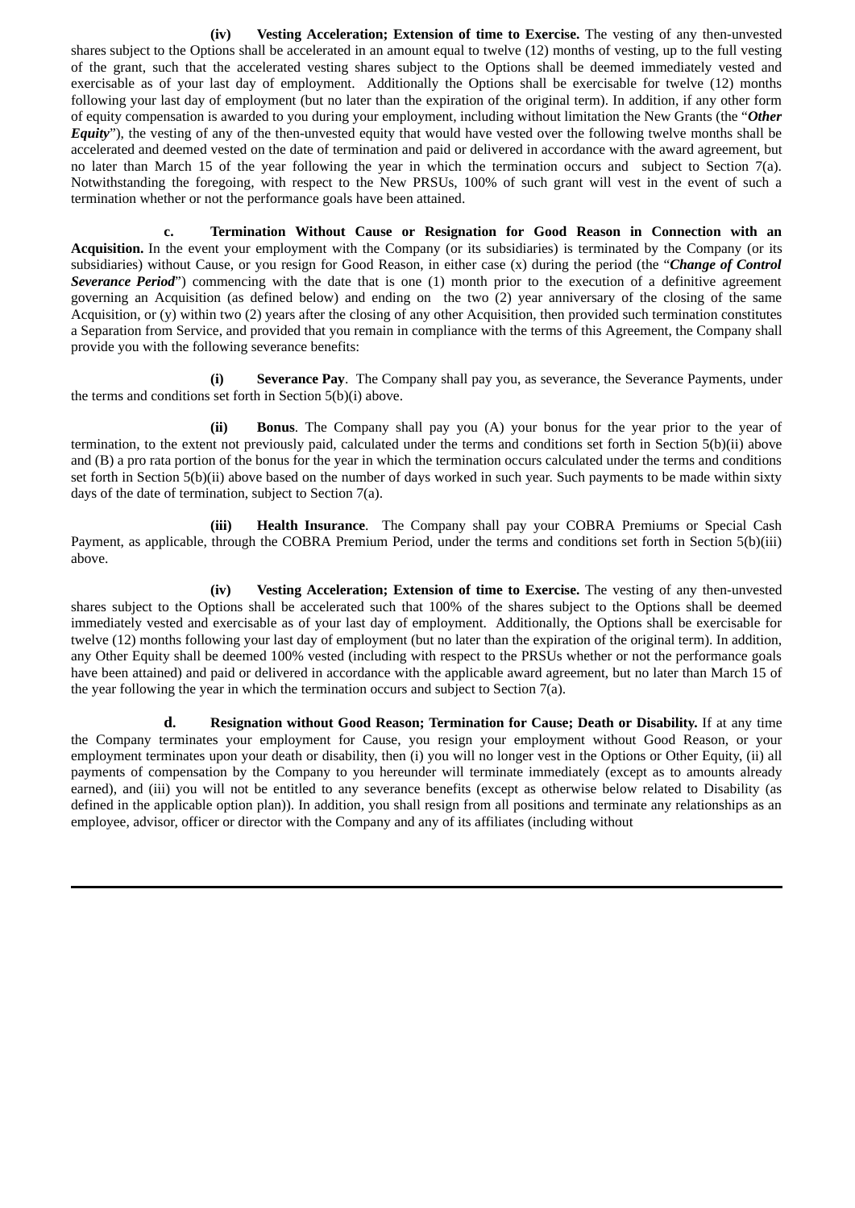**(iv) Vesting Acceleration; Extension of time to Exercise.** The vesting of any then-unvested shares subject to the Options shall be accelerated in an amount equal to twelve (12) months of vesting, up to the full vesting of the grant, such that the accelerated vesting shares subject to the Options shall be deemed immediately vested and exercisable as of your last day of employment. Additionally the Options shall be exercisable for twelve (12) months following your last day of employment (but no later than the expiration of the original term). In addition, if any other form of equity compensation is awarded to you during your employment, including without limitation the New Grants (the "*Other Equity*"), the vesting of any of the then-unvested equity that would have vested over the following twelve months shall be accelerated and deemed vested on the date of termination and paid or delivered in accordance with the award agreement, but no later than March 15 of the year following the year in which the termination occurs and subject to Section 7(a). Notwithstanding the foregoing, with respect to the New PRSUs, 100% of such grant will vest in the event of such a termination whether or not the performance goals have been attained.

**c. Termination Without Cause or Resignation for Good Reason in Connection with an Acquisition.** In the event your employment with the Company (or its subsidiaries) is terminated by the Company (or its subsidiaries) without Cause, or you resign for Good Reason, in either case (x) during the period (the "*Change of Control Severance Period*") commencing with the date that is one (1) month prior to the execution of a definitive agreement governing an Acquisition (as defined below) and ending on the two (2) year anniversary of the closing of the same Acquisition, or (y) within two (2) years after the closing of any other Acquisition, then provided such termination constitutes a Separation from Service, and provided that you remain in compliance with the terms of this Agreement, the Company shall provide you with the following severance benefits:

**(i) Severance Pay**. The Company shall pay you, as severance, the Severance Payments, under the terms and conditions set forth in Section 5(b)(i) above.

**(ii) Bonus**. The Company shall pay you (A) your bonus for the year prior to the year of termination, to the extent not previously paid, calculated under the terms and conditions set forth in Section 5(b)(ii) above and (B) a pro rata portion of the bonus for the year in which the termination occurs calculated under the terms and conditions set forth in Section 5(b)(ii) above based on the number of days worked in such year. Such payments to be made within sixty days of the date of termination, subject to Section 7(a).

**(iii) Health Insurance**. The Company shall pay your COBRA Premiums or Special Cash Payment, as applicable, through the COBRA Premium Period, under the terms and conditions set forth in Section 5(b)(iii) above.

**(iv) Vesting Acceleration; Extension of time to Exercise.** The vesting of any then-unvested shares subject to the Options shall be accelerated such that 100% of the shares subject to the Options shall be deemed immediately vested and exercisable as of your last day of employment. Additionally, the Options shall be exercisable for twelve (12) months following your last day of employment (but no later than the expiration of the original term). In addition, any Other Equity shall be deemed 100% vested (including with respect to the PRSUs whether or not the performance goals have been attained) and paid or delivered in accordance with the applicable award agreement, but no later than March 15 of the year following the year in which the termination occurs and subject to Section 7(a).

**d. Resignation without Good Reason; Termination for Cause; Death or Disability.** If at any time the Company terminates your employment for Cause, you resign your employment without Good Reason, or your employment terminates upon your death or disability, then (i) you will no longer vest in the Options or Other Equity, (ii) all payments of compensation by the Company to you hereunder will terminate immediately (except as to amounts already earned), and (iii) you will not be entitled to any severance benefits (except as otherwise below related to Disability (as defined in the applicable option plan)). In addition, you shall resign from all positions and terminate any relationships as an employee, advisor, officer or director with the Company and any of its affiliates (including without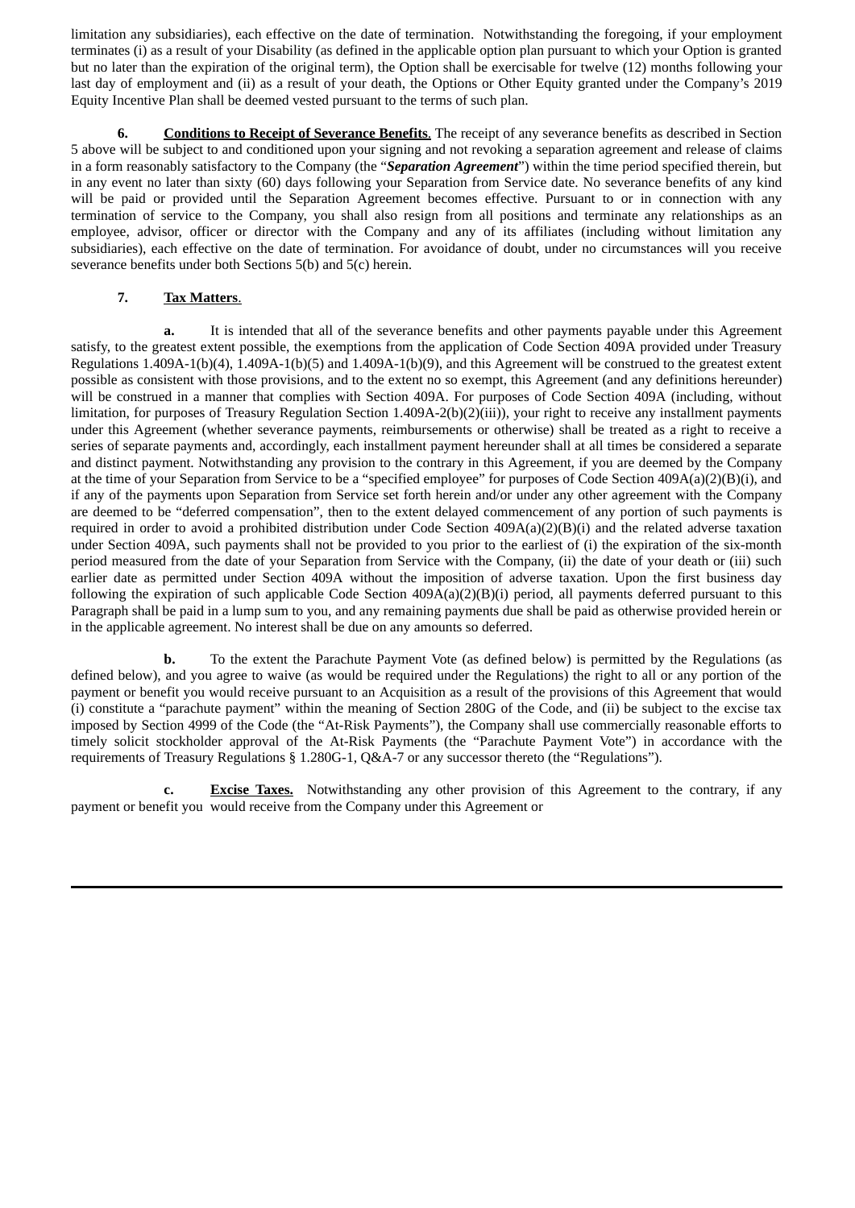limitation any subsidiaries), each effective on the date of termination. Notwithstanding the foregoing, if your employment terminates (i) as a result of your Disability (as defined in the applicable option plan pursuant to which your Option is granted but no later than the expiration of the original term), the Option shall be exercisable for twelve (12) months following your last day of employment and (ii) as a result of your death, the Options or Other Equity granted under the Company's 2019 Equity Incentive Plan shall be deemed vested pursuant to the terms of such plan.

**6. Conditions to Receipt of Severance Benefits**. The receipt of any severance benefits as described in Section 5 above will be subject to and conditioned upon your signing and not revoking a separation agreement and release of claims in a form reasonably satisfactory to the Company (the "*Separation Agreement*") within the time period specified therein, but in any event no later than sixty (60) days following your Separation from Service date. No severance benefits of any kind will be paid or provided until the Separation Agreement becomes effective. Pursuant to or in connection with any termination of service to the Company, you shall also resign from all positions and terminate any relationships as an employee, advisor, officer or director with the Company and any of its affiliates (including without limitation any subsidiaries), each effective on the date of termination. For avoidance of doubt, under no circumstances will you receive severance benefits under both Sections 5(b) and 5(c) herein.

# **7. Tax Matters**.

**a.** It is intended that all of the severance benefits and other payments payable under this Agreement satisfy, to the greatest extent possible, the exemptions from the application of Code Section 409A provided under Treasury Regulations 1.409A-1(b)(4), 1.409A-1(b)(5) and 1.409A-1(b)(9), and this Agreement will be construed to the greatest extent possible as consistent with those provisions, and to the extent no so exempt, this Agreement (and any definitions hereunder) will be construed in a manner that complies with Section 409A. For purposes of Code Section 409A (including, without limitation, for purposes of Treasury Regulation Section 1.409A-2(b)(2)(iii)), your right to receive any installment payments under this Agreement (whether severance payments, reimbursements or otherwise) shall be treated as a right to receive a series of separate payments and, accordingly, each installment payment hereunder shall at all times be considered a separate and distinct payment. Notwithstanding any provision to the contrary in this Agreement, if you are deemed by the Company at the time of your Separation from Service to be a "specified employee" for purposes of Code Section 409A(a)(2)(B)(i), and if any of the payments upon Separation from Service set forth herein and/or under any other agreement with the Company are deemed to be "deferred compensation", then to the extent delayed commencement of any portion of such payments is required in order to avoid a prohibited distribution under Code Section  $409A(a)(2)(B)(i)$  and the related adverse taxation under Section 409A, such payments shall not be provided to you prior to the earliest of (i) the expiration of the six-month period measured from the date of your Separation from Service with the Company, (ii) the date of your death or (iii) such earlier date as permitted under Section 409A without the imposition of adverse taxation. Upon the first business day following the expiration of such applicable Code Section 409A(a)(2)(B)(i) period, all payments deferred pursuant to this Paragraph shall be paid in a lump sum to you, and any remaining payments due shall be paid as otherwise provided herein or in the applicable agreement. No interest shall be due on any amounts so deferred.

**b.** To the extent the Parachute Payment Vote (as defined below) is permitted by the Regulations (as defined below), and you agree to waive (as would be required under the Regulations) the right to all or any portion of the payment or benefit you would receive pursuant to an Acquisition as a result of the provisions of this Agreement that would (i) constitute a "parachute payment" within the meaning of Section 280G of the Code, and (ii) be subject to the excise tax imposed by Section 4999 of the Code (the "At-Risk Payments"), the Company shall use commercially reasonable efforts to timely solicit stockholder approval of the At-Risk Payments (the "Parachute Payment Vote") in accordance with the requirements of Treasury Regulations § 1.280G-1, Q&A-7 or any successor thereto (the "Regulations").

**c. Excise Taxes.** Notwithstanding any other provision of this Agreement to the contrary, if any payment or benefit you would receive from the Company under this Agreement or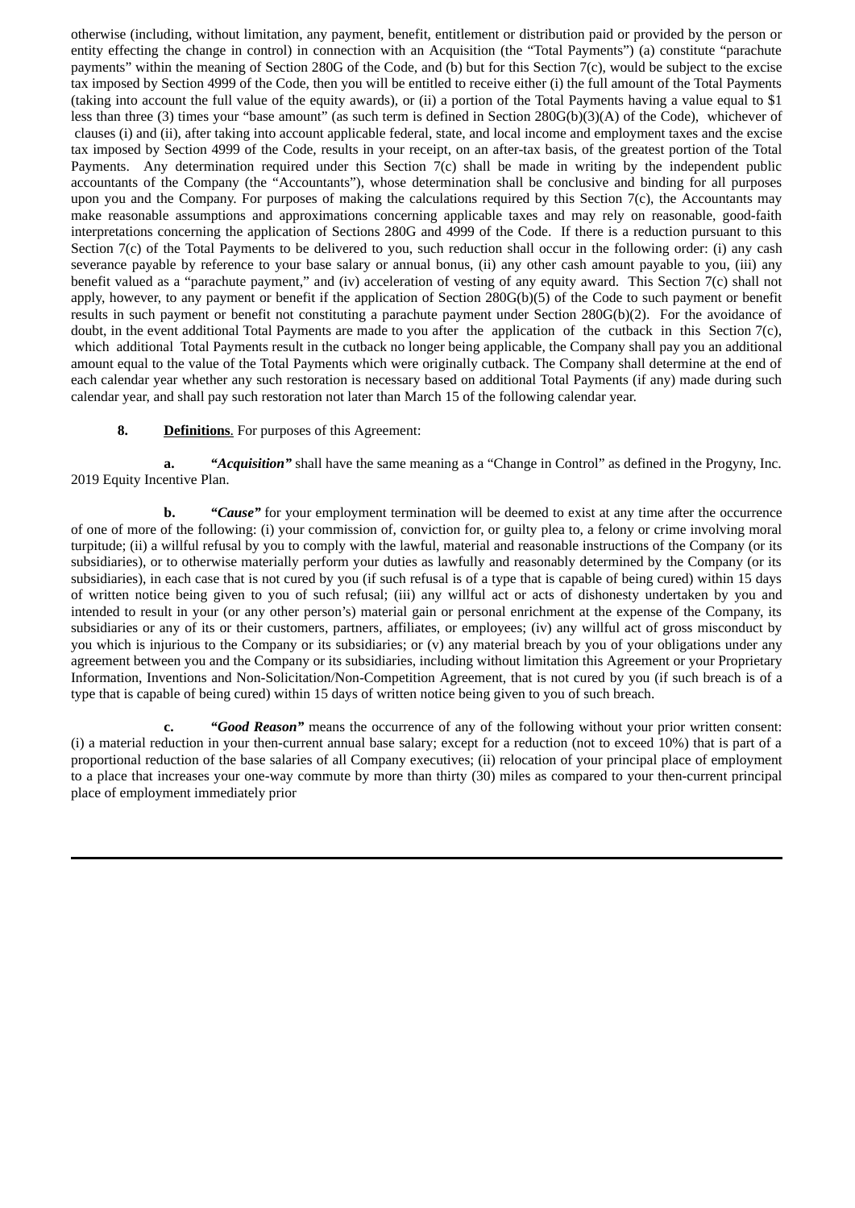otherwise (including, without limitation, any payment, benefit, entitlement or distribution paid or provided by the person or entity effecting the change in control) in connection with an Acquisition (the "Total Payments") (a) constitute "parachute payments" within the meaning of Section 280G of the Code, and (b) but for this Section 7(c), would be subject to the excise tax imposed by Section 4999 of the Code, then you will be entitled to receive either (i) the full amount of the Total Payments (taking into account the full value of the equity awards), or (ii) a portion of the Total Payments having a value equal to \$1 less than three (3) times your "base amount" (as such term is defined in Section 280G(b)(3)(A) of the Code), whichever of clauses (i) and (ii), after taking into account applicable federal, state, and local income and employment taxes and the excise tax imposed by Section 4999 of the Code, results in your receipt, on an after-tax basis, of the greatest portion of the Total Payments. Any determination required under this Section 7(c) shall be made in writing by the independent public accountants of the Company (the "Accountants"), whose determination shall be conclusive and binding for all purposes upon you and the Company. For purposes of making the calculations required by this Section 7(c), the Accountants may make reasonable assumptions and approximations concerning applicable taxes and may rely on reasonable, good-faith interpretations concerning the application of Sections 280G and 4999 of the Code. If there is a reduction pursuant to this Section 7(c) of the Total Payments to be delivered to you, such reduction shall occur in the following order: (i) any cash severance payable by reference to your base salary or annual bonus, (ii) any other cash amount payable to you, (iii) any benefit valued as a "parachute payment," and (iv) acceleration of vesting of any equity award. This Section 7(c) shall not apply, however, to any payment or benefit if the application of Section 280G(b)(5) of the Code to such payment or benefit results in such payment or benefit not constituting a parachute payment under Section 280G(b)(2). For the avoidance of doubt, in the event additional Total Payments are made to you after the application of the cutback in this Section 7(c), which additional Total Payments result in the cutback no longer being applicable, the Company shall pay you an additional amount equal to the value of the Total Payments which were originally cutback. The Company shall determine at the end of each calendar year whether any such restoration is necessary based on additional Total Payments (if any) made during such calendar year, and shall pay such restoration not later than March 15 of the following calendar year.

### **8. Definitions**. For purposes of this Agreement:

**a.** *"Acquisition"* shall have the same meaning as a "Change in Control" as defined in the Progyny, Inc. 2019 Equity Incentive Plan.

**b.** *"Cause"* for your employment termination will be deemed to exist at any time after the occurrence of one of more of the following: (i) your commission of, conviction for, or guilty plea to, a felony or crime involving moral turpitude; (ii) a willful refusal by you to comply with the lawful, material and reasonable instructions of the Company (or its subsidiaries), or to otherwise materially perform your duties as lawfully and reasonably determined by the Company (or its subsidiaries), in each case that is not cured by you (if such refusal is of a type that is capable of being cured) within 15 days of written notice being given to you of such refusal; (iii) any willful act or acts of dishonesty undertaken by you and intended to result in your (or any other person's) material gain or personal enrichment at the expense of the Company, its subsidiaries or any of its or their customers, partners, affiliates, or employees; (iv) any willful act of gross misconduct by you which is injurious to the Company or its subsidiaries; or (v) any material breach by you of your obligations under any agreement between you and the Company or its subsidiaries, including without limitation this Agreement or your Proprietary Information, Inventions and Non-Solicitation/Non-Competition Agreement, that is not cured by you (if such breach is of a type that is capable of being cured) within 15 days of written notice being given to you of such breach.

**c.** *"Good Reason"* means the occurrence of any of the following without your prior written consent: (i) a material reduction in your then-current annual base salary; except for a reduction (not to exceed 10%) that is part of a proportional reduction of the base salaries of all Company executives; (ii) relocation of your principal place of employment to a place that increases your one-way commute by more than thirty (30) miles as compared to your then-current principal place of employment immediately prior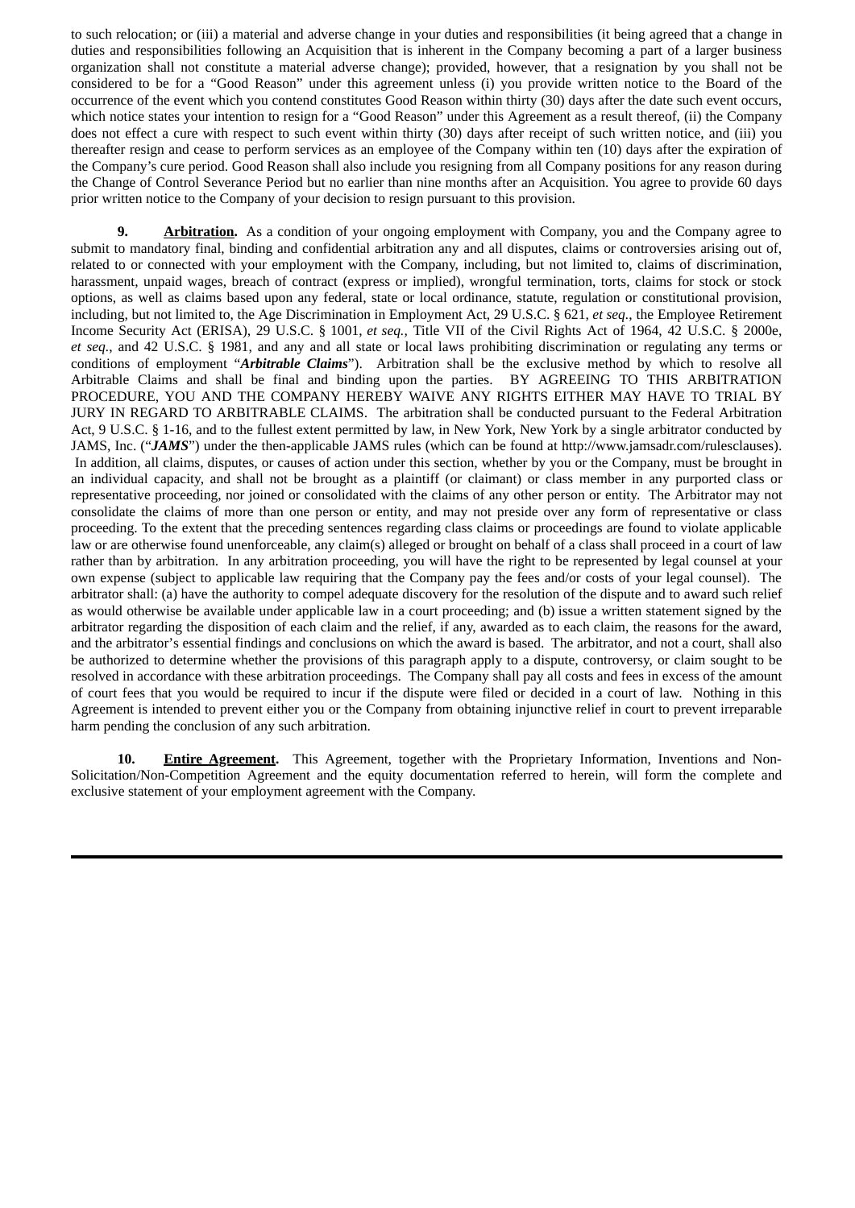to such relocation; or (iii) a material and adverse change in your duties and responsibilities (it being agreed that a change in duties and responsibilities following an Acquisition that is inherent in the Company becoming a part of a larger business organization shall not constitute a material adverse change); provided, however, that a resignation by you shall not be considered to be for a "Good Reason" under this agreement unless (i) you provide written notice to the Board of the occurrence of the event which you contend constitutes Good Reason within thirty (30) days after the date such event occurs, which notice states your intention to resign for a "Good Reason" under this Agreement as a result thereof, (ii) the Company does not effect a cure with respect to such event within thirty (30) days after receipt of such written notice, and (iii) you thereafter resign and cease to perform services as an employee of the Company within ten (10) days after the expiration of the Company's cure period. Good Reason shall also include you resigning from all Company positions for any reason during the Change of Control Severance Period but no earlier than nine months after an Acquisition. You agree to provide 60 days prior written notice to the Company of your decision to resign pursuant to this provision.

**9. Arbitration.** As a condition of your ongoing employment with Company, you and the Company agree to submit to mandatory final, binding and confidential arbitration any and all disputes, claims or controversies arising out of, related to or connected with your employment with the Company, including, but not limited to, claims of discrimination, harassment, unpaid wages, breach of contract (express or implied), wrongful termination, torts, claims for stock or stock options, as well as claims based upon any federal, state or local ordinance, statute, regulation or constitutional provision, including, but not limited to, the Age Discrimination in Employment Act, 29 U.S.C. § 621, *et seq.*, the Employee Retirement Income Security Act (ERISA), 29 U.S.C. § 1001, *et seq.,* Title VII of the Civil Rights Act of 1964, 42 U.S.C. § 2000e, *et seq.*, and 42 U.S.C. § 1981, and any and all state or local laws prohibiting discrimination or regulating any terms or conditions of employment "*Arbitrable Claims*"). Arbitration shall be the exclusive method by which to resolve all Arbitrable Claims and shall be final and binding upon the parties. BY AGREEING TO THIS ARBITRATION PROCEDURE, YOU AND THE COMPANY HEREBY WAIVE ANY RIGHTS EITHER MAY HAVE TO TRIAL BY JURY IN REGARD TO ARBITRABLE CLAIMS. The arbitration shall be conducted pursuant to the Federal Arbitration Act, 9 U.S.C. § 1-16, and to the fullest extent permitted by law, in New York, New York by a single arbitrator conducted by JAMS, Inc. ("*JAMS*") under the then-applicable JAMS rules (which can be found at http://www.jamsadr.com/rulesclauses). In addition, all claims, disputes, or causes of action under this section, whether by you or the Company, must be brought in an individual capacity, and shall not be brought as a plaintiff (or claimant) or class member in any purported class or representative proceeding, nor joined or consolidated with the claims of any other person or entity. The Arbitrator may not consolidate the claims of more than one person or entity, and may not preside over any form of representative or class proceeding. To the extent that the preceding sentences regarding class claims or proceedings are found to violate applicable law or are otherwise found unenforceable, any claim(s) alleged or brought on behalf of a class shall proceed in a court of law rather than by arbitration. In any arbitration proceeding, you will have the right to be represented by legal counsel at your own expense (subject to applicable law requiring that the Company pay the fees and/or costs of your legal counsel). The arbitrator shall: (a) have the authority to compel adequate discovery for the resolution of the dispute and to award such relief as would otherwise be available under applicable law in a court proceeding; and (b) issue a written statement signed by the arbitrator regarding the disposition of each claim and the relief, if any, awarded as to each claim, the reasons for the award, and the arbitrator's essential findings and conclusions on which the award is based. The arbitrator, and not a court, shall also be authorized to determine whether the provisions of this paragraph apply to a dispute, controversy, or claim sought to be resolved in accordance with these arbitration proceedings. The Company shall pay all costs and fees in excess of the amount of court fees that you would be required to incur if the dispute were filed or decided in a court of law. Nothing in this Agreement is intended to prevent either you or the Company from obtaining injunctive relief in court to prevent irreparable harm pending the conclusion of any such arbitration.

**10. Entire Agreement.** This Agreement, together with the Proprietary Information, Inventions and Non-Solicitation/Non-Competition Agreement and the equity documentation referred to herein, will form the complete and exclusive statement of your employment agreement with the Company.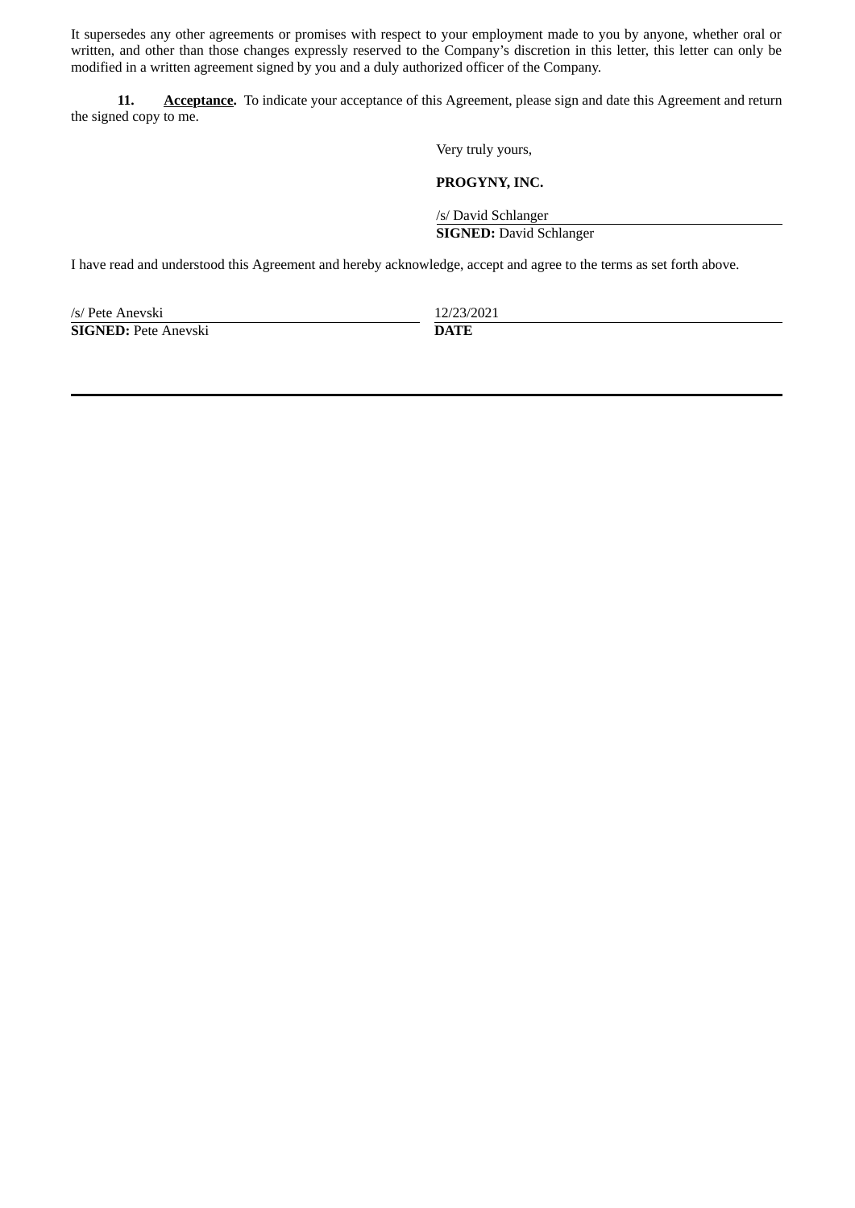It supersedes any other agreements or promises with respect to your employment made to you by anyone, whether oral or written, and other than those changes expressly reserved to the Company's discretion in this letter, this letter can only be modified in a written agreement signed by you and a duly authorized officer of the Company.

**11. Acceptance.** To indicate your acceptance of this Agreement, please sign and date this Agreement and return the signed copy to me.

Very truly yours,

**PROGYNY, INC.**

/s/ David Schlanger

**SIGNED:** David Schlanger

I have read and understood this Agreement and hereby acknowledge, accept and agree to the terms as set forth above.

/s/ Pete Anevski 12/23/2021 **SIGNED:** Pete Anevski **DATE**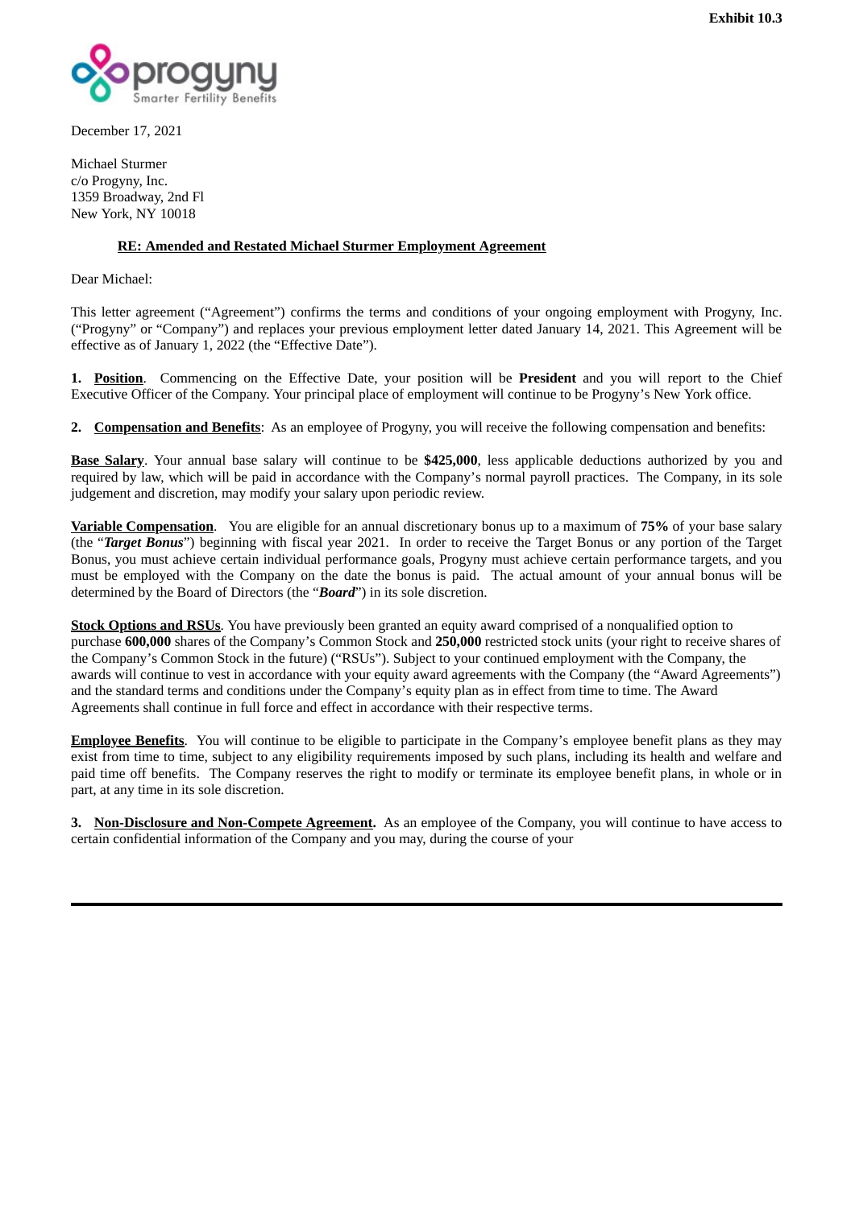

December 17, 2021

Michael Sturmer c/o Progyny, Inc. 1359 Broadway, 2nd Fl New York, NY 10018

## **RE: Amended and Restated Michael Sturmer Employment Agreement**

Dear Michael:

This letter agreement ("Agreement") confirms the terms and conditions of your ongoing employment with Progyny, Inc. ("Progyny" or "Company") and replaces your previous employment letter dated January 14, 2021. This Agreement will be effective as of January 1, 2022 (the "Effective Date").

**1. Position**. Commencing on the Effective Date, your position will be **President** and you will report to the Chief Executive Officer of the Company. Your principal place of employment will continue to be Progyny's New York office.

**2. Compensation and Benefits**: As an employee of Progyny, you will receive the following compensation and benefits:

**Base Salary**. Your annual base salary will continue to be **\$425,000**, less applicable deductions authorized by you and required by law, which will be paid in accordance with the Company's normal payroll practices. The Company, in its sole judgement and discretion, may modify your salary upon periodic review.

**Variable Compensation**. You are eligible for an annual discretionary bonus up to a maximum of **75%** of your base salary (the "*Target Bonus*") beginning with fiscal year 2021. In order to receive the Target Bonus or any portion of the Target Bonus, you must achieve certain individual performance goals, Progyny must achieve certain performance targets, and you must be employed with the Company on the date the bonus is paid. The actual amount of your annual bonus will be determined by the Board of Directors (the "*Board*") in its sole discretion.

**Stock Options and RSUs**. You have previously been granted an equity award comprised of a nonqualified option to purchase **600,000** shares of the Company's Common Stock and **250,000** restricted stock units (your right to receive shares of the Company's Common Stock in the future) ("RSUs"). Subject to your continued employment with the Company, the awards will continue to vest in accordance with your equity award agreements with the Company (the "Award Agreements") and the standard terms and conditions under the Company's equity plan as in effect from time to time. The Award Agreements shall continue in full force and effect in accordance with their respective terms.

**Employee Benefits**. You will continue to be eligible to participate in the Company's employee benefit plans as they may exist from time to time, subject to any eligibility requirements imposed by such plans, including its health and welfare and paid time off benefits. The Company reserves the right to modify or terminate its employee benefit plans, in whole or in part, at any time in its sole discretion.

**3. Non-Disclosure and Non-Compete Agreement.** As an employee of the Company, you will continue to have access to certain confidential information of the Company and you may, during the course of your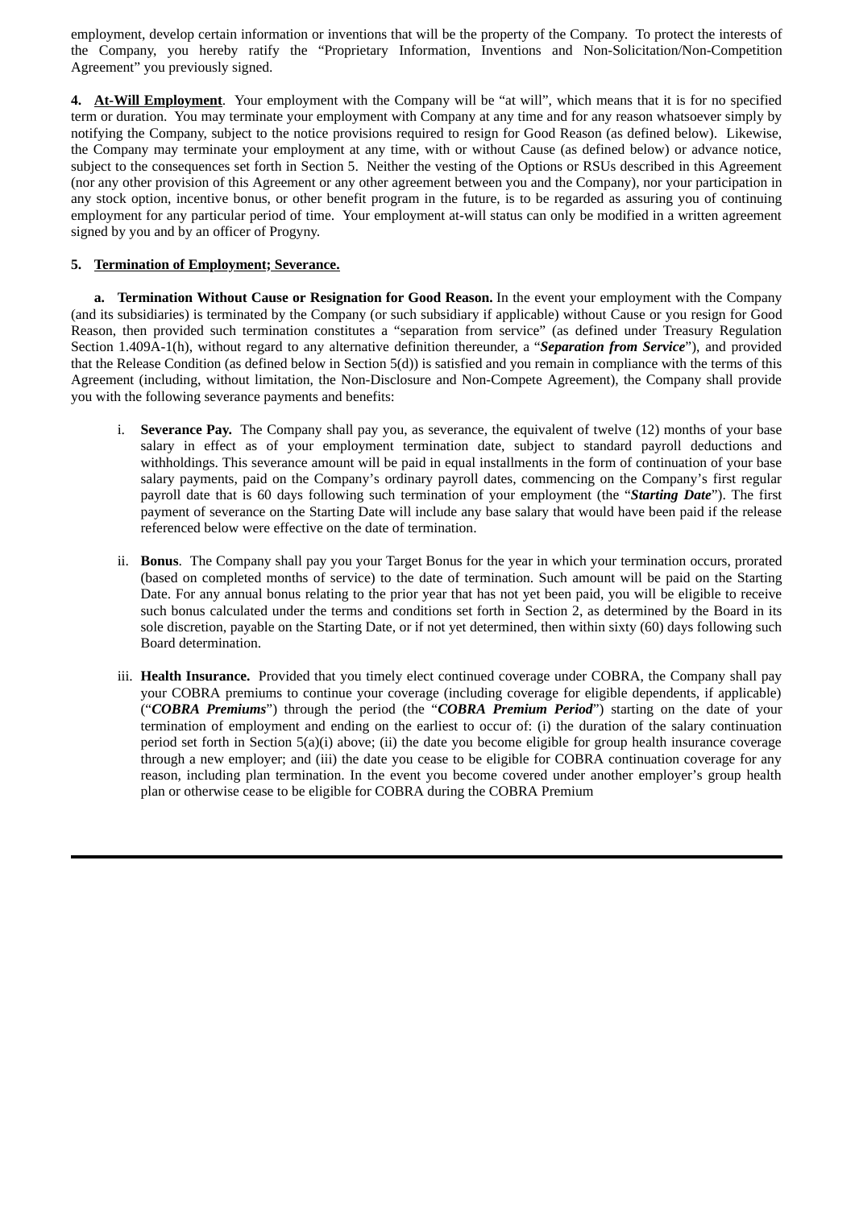employment, develop certain information or inventions that will be the property of the Company. To protect the interests of the Company, you hereby ratify the "Proprietary Information, Inventions and Non-Solicitation/Non-Competition Agreement" you previously signed.

**4. At-Will Employment**. Your employment with the Company will be "at will", which means that it is for no specified term or duration. You may terminate your employment with Company at any time and for any reason whatsoever simply by notifying the Company, subject to the notice provisions required to resign for Good Reason (as defined below). Likewise, the Company may terminate your employment at any time, with or without Cause (as defined below) or advance notice, subject to the consequences set forth in Section 5. Neither the vesting of the Options or RSUs described in this Agreement (nor any other provision of this Agreement or any other agreement between you and the Company), nor your participation in any stock option, incentive bonus, or other benefit program in the future, is to be regarded as assuring you of continuing employment for any particular period of time. Your employment at-will status can only be modified in a written agreement signed by you and by an officer of Progyny.

## **5. Termination of Employment; Severance.**

**a. Termination Without Cause or Resignation for Good Reason.** In the event your employment with the Company (and its subsidiaries) is terminated by the Company (or such subsidiary if applicable) without Cause or you resign for Good Reason, then provided such termination constitutes a "separation from service" (as defined under Treasury Regulation Section 1.409A-1(h), without regard to any alternative definition thereunder, a "*Separation from Service*"), and provided that the Release Condition (as defined below in Section 5(d)) is satisfied and you remain in compliance with the terms of this Agreement (including, without limitation, the Non-Disclosure and Non-Compete Agreement), the Company shall provide you with the following severance payments and benefits:

- i. **Severance Pay.** The Company shall pay you, as severance, the equivalent of twelve (12) months of your base salary in effect as of your employment termination date, subject to standard payroll deductions and withholdings. This severance amount will be paid in equal installments in the form of continuation of your base salary payments, paid on the Company's ordinary payroll dates, commencing on the Company's first regular payroll date that is 60 days following such termination of your employment (the "*Starting Date*"). The first payment of severance on the Starting Date will include any base salary that would have been paid if the release referenced below were effective on the date of termination.
- ii. **Bonus**. The Company shall pay you your Target Bonus for the year in which your termination occurs, prorated (based on completed months of service) to the date of termination. Such amount will be paid on the Starting Date. For any annual bonus relating to the prior year that has not yet been paid, you will be eligible to receive such bonus calculated under the terms and conditions set forth in Section 2, as determined by the Board in its sole discretion, payable on the Starting Date, or if not yet determined, then within sixty (60) days following such Board determination.
- iii. **Health Insurance.** Provided that you timely elect continued coverage under COBRA, the Company shall pay your COBRA premiums to continue your coverage (including coverage for eligible dependents, if applicable) ("*COBRA Premiums*") through the period (the "*COBRA Premium Period*") starting on the date of your termination of employment and ending on the earliest to occur of: (i) the duration of the salary continuation period set forth in Section 5(a)(i) above; (ii) the date you become eligible for group health insurance coverage through a new employer; and (iii) the date you cease to be eligible for COBRA continuation coverage for any reason, including plan termination. In the event you become covered under another employer's group health plan or otherwise cease to be eligible for COBRA during the COBRA Premium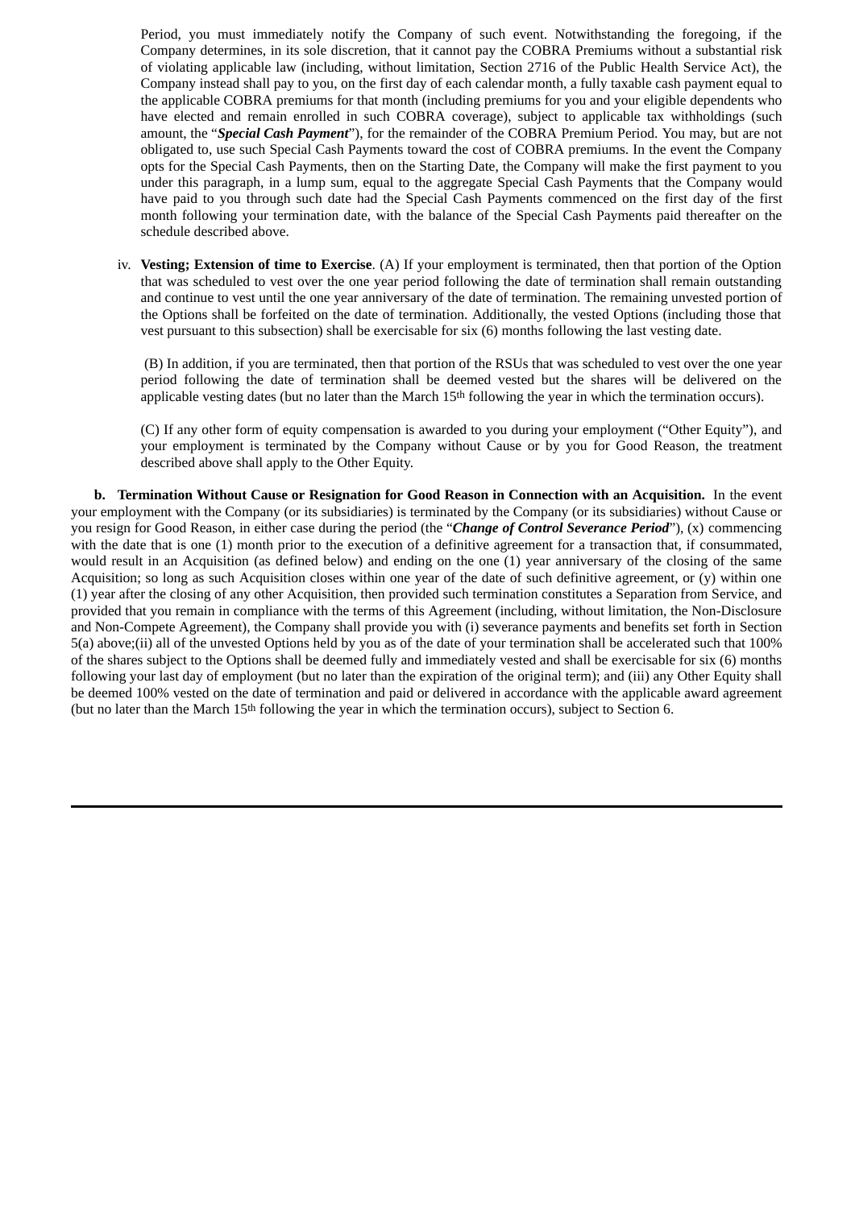Period, you must immediately notify the Company of such event. Notwithstanding the foregoing, if the Company determines, in its sole discretion, that it cannot pay the COBRA Premiums without a substantial risk of violating applicable law (including, without limitation, Section 2716 of the Public Health Service Act), the Company instead shall pay to you, on the first day of each calendar month, a fully taxable cash payment equal to the applicable COBRA premiums for that month (including premiums for you and your eligible dependents who have elected and remain enrolled in such COBRA coverage), subject to applicable tax withholdings (such amount, the "*Special Cash Payment*"), for the remainder of the COBRA Premium Period. You may, but are not obligated to, use such Special Cash Payments toward the cost of COBRA premiums. In the event the Company opts for the Special Cash Payments, then on the Starting Date, the Company will make the first payment to you under this paragraph, in a lump sum, equal to the aggregate Special Cash Payments that the Company would have paid to you through such date had the Special Cash Payments commenced on the first day of the first month following your termination date, with the balance of the Special Cash Payments paid thereafter on the schedule described above.

iv. **Vesting; Extension of time to Exercise**. (A) If your employment is terminated, then that portion of the Option that was scheduled to vest over the one year period following the date of termination shall remain outstanding and continue to vest until the one year anniversary of the date of termination. The remaining unvested portion of the Options shall be forfeited on the date of termination. Additionally, the vested Options (including those that vest pursuant to this subsection) shall be exercisable for six (6) months following the last vesting date.

(B) In addition, if you are terminated, then that portion of the RSUs that was scheduled to vest over the one year period following the date of termination shall be deemed vested but the shares will be delivered on the applicable vesting dates (but no later than the March  $15<sup>th</sup>$  following the year in which the termination occurs).

(C) If any other form of equity compensation is awarded to you during your employment ("Other Equity"), and your employment is terminated by the Company without Cause or by you for Good Reason, the treatment described above shall apply to the Other Equity.

**b. Termination Without Cause or Resignation for Good Reason in Connection with an Acquisition.** In the event your employment with the Company (or its subsidiaries) is terminated by the Company (or its subsidiaries) without Cause or you resign for Good Reason, in either case during the period (the "*Change of Control Severance Period*"), (x) commencing with the date that is one (1) month prior to the execution of a definitive agreement for a transaction that, if consummated, would result in an Acquisition (as defined below) and ending on the one (1) year anniversary of the closing of the same Acquisition; so long as such Acquisition closes within one year of the date of such definitive agreement, or (y) within one (1) year after the closing of any other Acquisition, then provided such termination constitutes a Separation from Service, and provided that you remain in compliance with the terms of this Agreement (including, without limitation, the Non-Disclosure and Non-Compete Agreement), the Company shall provide you with (i) severance payments and benefits set forth in Section 5(a) above;(ii) all of the unvested Options held by you as of the date of your termination shall be accelerated such that 100% of the shares subject to the Options shall be deemed fully and immediately vested and shall be exercisable for six (6) months following your last day of employment (but no later than the expiration of the original term); and (iii) any Other Equity shall be deemed 100% vested on the date of termination and paid or delivered in accordance with the applicable award agreement (but no later than the March 15th following the year in which the termination occurs), subject to Section 6.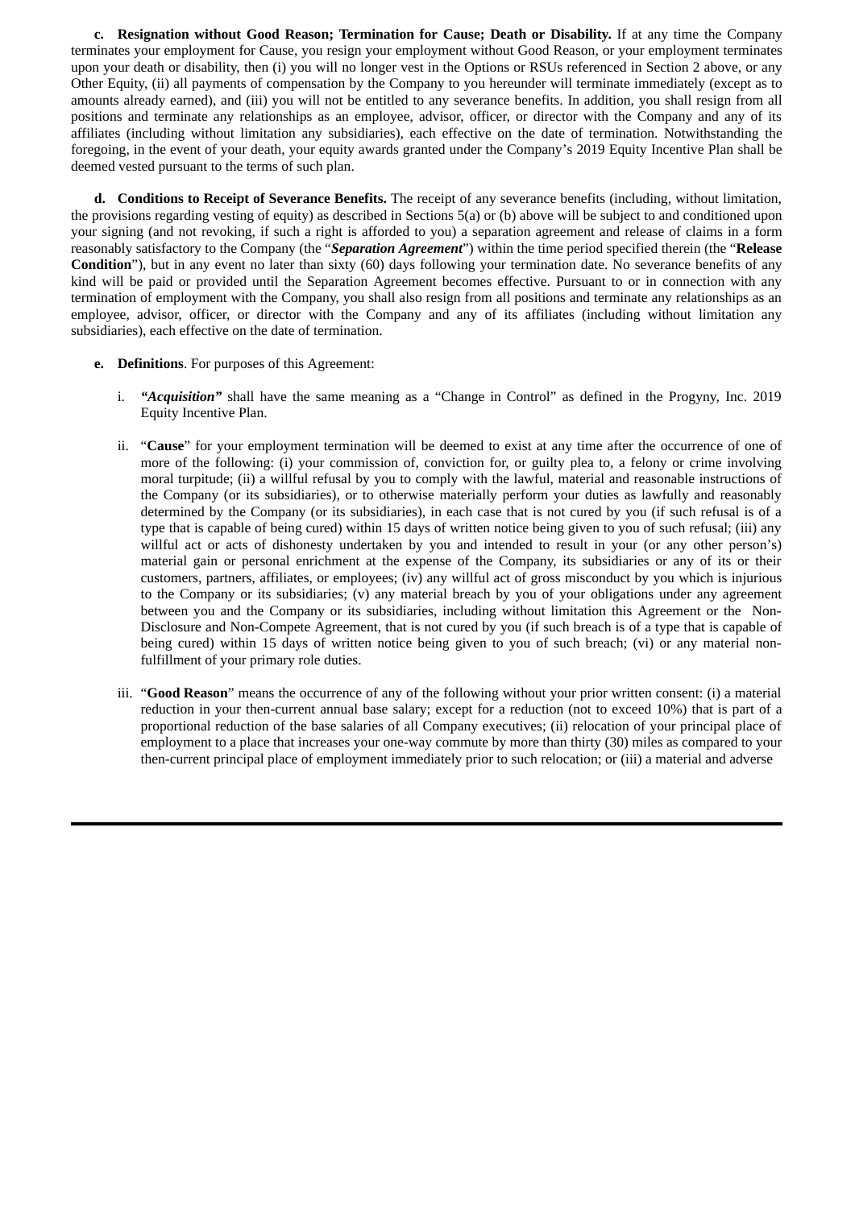**c. Resignation without Good Reason; Termination for Cause; Death or Disability.** If at any time the Company terminates your employment for Cause, you resign your employment without Good Reason, or your employment terminates upon your death or disability, then (i) you will no longer vest in the Options or RSUs referenced in Section 2 above, or any Other Equity, (ii) all payments of compensation by the Company to you hereunder will terminate immediately (except as to amounts already earned), and (iii) you will not be entitled to any severance benefits. In addition, you shall resign from all positions and terminate any relationships as an employee, advisor, officer, or director with the Company and any of its affiliates (including without limitation any subsidiaries), each effective on the date of termination. Notwithstanding the foregoing, in the event of your death, your equity awards granted under the Company's 2019 Equity Incentive Plan shall be deemed vested pursuant to the terms of such plan.

**d. Conditions to Receipt of Severance Benefits.** The receipt of any severance benefits (including, without limitation, the provisions regarding vesting of equity) as described in Sections 5(a) or (b) above will be subject to and conditioned upon your signing (and not revoking, if such a right is afforded to you) a separation agreement and release of claims in a form reasonably satisfactory to the Company (the "*Separation Agreement*") within the time period specified therein (the "**Release Condition**"), but in any event no later than sixty (60) days following your termination date. No severance benefits of any kind will be paid or provided until the Separation Agreement becomes effective. Pursuant to or in connection with any termination of employment with the Company, you shall also resign from all positions and terminate any relationships as an employee, advisor, officer, or director with the Company and any of its affiliates (including without limitation any subsidiaries), each effective on the date of termination.

- **e. Definitions**. For purposes of this Agreement:
	- i. *"Acquisition"* shall have the same meaning as a "Change in Control" as defined in the Progyny, Inc. 2019 Equity Incentive Plan.
	- ii. "**Cause**" for your employment termination will be deemed to exist at any time after the occurrence of one of more of the following: (i) your commission of, conviction for, or guilty plea to, a felony or crime involving moral turpitude; (ii) a willful refusal by you to comply with the lawful, material and reasonable instructions of the Company (or its subsidiaries), or to otherwise materially perform your duties as lawfully and reasonably determined by the Company (or its subsidiaries), in each case that is not cured by you (if such refusal is of a type that is capable of being cured) within 15 days of written notice being given to you of such refusal; (iii) any willful act or acts of dishonesty undertaken by you and intended to result in your (or any other person's) material gain or personal enrichment at the expense of the Company, its subsidiaries or any of its or their customers, partners, affiliates, or employees; (iv) any willful act of gross misconduct by you which is injurious to the Company or its subsidiaries; (v) any material breach by you of your obligations under any agreement between you and the Company or its subsidiaries, including without limitation this Agreement or the Non-Disclosure and Non-Compete Agreement, that is not cured by you (if such breach is of a type that is capable of being cured) within 15 days of written notice being given to you of such breach; (vi) or any material nonfulfillment of your primary role duties.
	- iii. "**Good Reason**" means the occurrence of any of the following without your prior written consent: (i) a material reduction in your then-current annual base salary; except for a reduction (not to exceed 10%) that is part of a proportional reduction of the base salaries of all Company executives; (ii) relocation of your principal place of employment to a place that increases your one-way commute by more than thirty (30) miles as compared to your then-current principal place of employment immediately prior to such relocation; or (iii) a material and adverse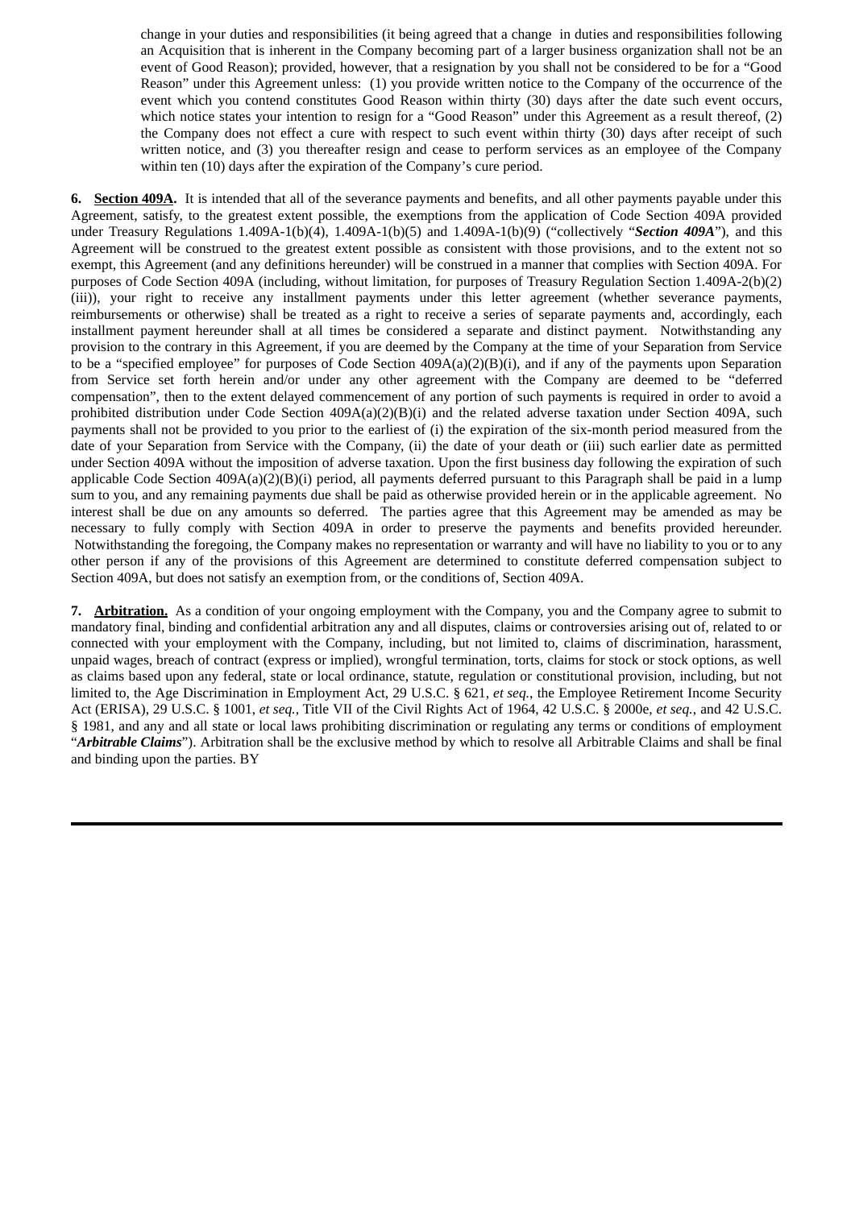change in your duties and responsibilities (it being agreed that a change in duties and responsibilities following an Acquisition that is inherent in the Company becoming part of a larger business organization shall not be an event of Good Reason); provided, however, that a resignation by you shall not be considered to be for a "Good Reason" under this Agreement unless: (1) you provide written notice to the Company of the occurrence of the event which you contend constitutes Good Reason within thirty (30) days after the date such event occurs, which notice states your intention to resign for a "Good Reason" under this Agreement as a result thereof, (2) the Company does not effect a cure with respect to such event within thirty (30) days after receipt of such written notice, and (3) you thereafter resign and cease to perform services as an employee of the Company within ten (10) days after the expiration of the Company's cure period.

**6. Section 409A.** It is intended that all of the severance payments and benefits, and all other payments payable under this Agreement, satisfy, to the greatest extent possible, the exemptions from the application of Code Section 409A provided under Treasury Regulations 1.409A-1(b)(4), 1.409A-1(b)(5) and 1.409A-1(b)(9) ("collectively "*Section 409A*"), and this Agreement will be construed to the greatest extent possible as consistent with those provisions, and to the extent not so exempt, this Agreement (and any definitions hereunder) will be construed in a manner that complies with Section 409A. For purposes of Code Section 409A (including, without limitation, for purposes of Treasury Regulation Section 1.409A-2(b)(2) (iii)), your right to receive any installment payments under this letter agreement (whether severance payments, reimbursements or otherwise) shall be treated as a right to receive a series of separate payments and, accordingly, each installment payment hereunder shall at all times be considered a separate and distinct payment. Notwithstanding any provision to the contrary in this Agreement, if you are deemed by the Company at the time of your Separation from Service to be a "specified employee" for purposes of Code Section 409A(a)(2)(B)(i), and if any of the payments upon Separation from Service set forth herein and/or under any other agreement with the Company are deemed to be "deferred compensation", then to the extent delayed commencement of any portion of such payments is required in order to avoid a prohibited distribution under Code Section 409A(a)(2)(B)(i) and the related adverse taxation under Section 409A, such payments shall not be provided to you prior to the earliest of (i) the expiration of the six-month period measured from the date of your Separation from Service with the Company, (ii) the date of your death or (iii) such earlier date as permitted under Section 409A without the imposition of adverse taxation. Upon the first business day following the expiration of such applicable Code Section 409A(a)(2)(B)(i) period, all payments deferred pursuant to this Paragraph shall be paid in a lump sum to you, and any remaining payments due shall be paid as otherwise provided herein or in the applicable agreement. No interest shall be due on any amounts so deferred. The parties agree that this Agreement may be amended as may be necessary to fully comply with Section 409A in order to preserve the payments and benefits provided hereunder. Notwithstanding the foregoing, the Company makes no representation or warranty and will have no liability to you or to any other person if any of the provisions of this Agreement are determined to constitute deferred compensation subject to Section 409A, but does not satisfy an exemption from, or the conditions of, Section 409A.

**7. Arbitration.** As a condition of your ongoing employment with the Company, you and the Company agree to submit to mandatory final, binding and confidential arbitration any and all disputes, claims or controversies arising out of, related to or connected with your employment with the Company, including, but not limited to, claims of discrimination, harassment, unpaid wages, breach of contract (express or implied), wrongful termination, torts, claims for stock or stock options, as well as claims based upon any federal, state or local ordinance, statute, regulation or constitutional provision, including, but not limited to, the Age Discrimination in Employment Act, 29 U.S.C. § 621, *et seq.*, the Employee Retirement Income Security Act (ERISA), 29 U.S.C. § 1001, *et seq.,* Title VII of the Civil Rights Act of 1964, 42 U.S.C. § 2000e, *et seq.*, and 42 U.S.C. § 1981, and any and all state or local laws prohibiting discrimination or regulating any terms or conditions of employment "*Arbitrable Claims*"). Arbitration shall be the exclusive method by which to resolve all Arbitrable Claims and shall be final and binding upon the parties. BY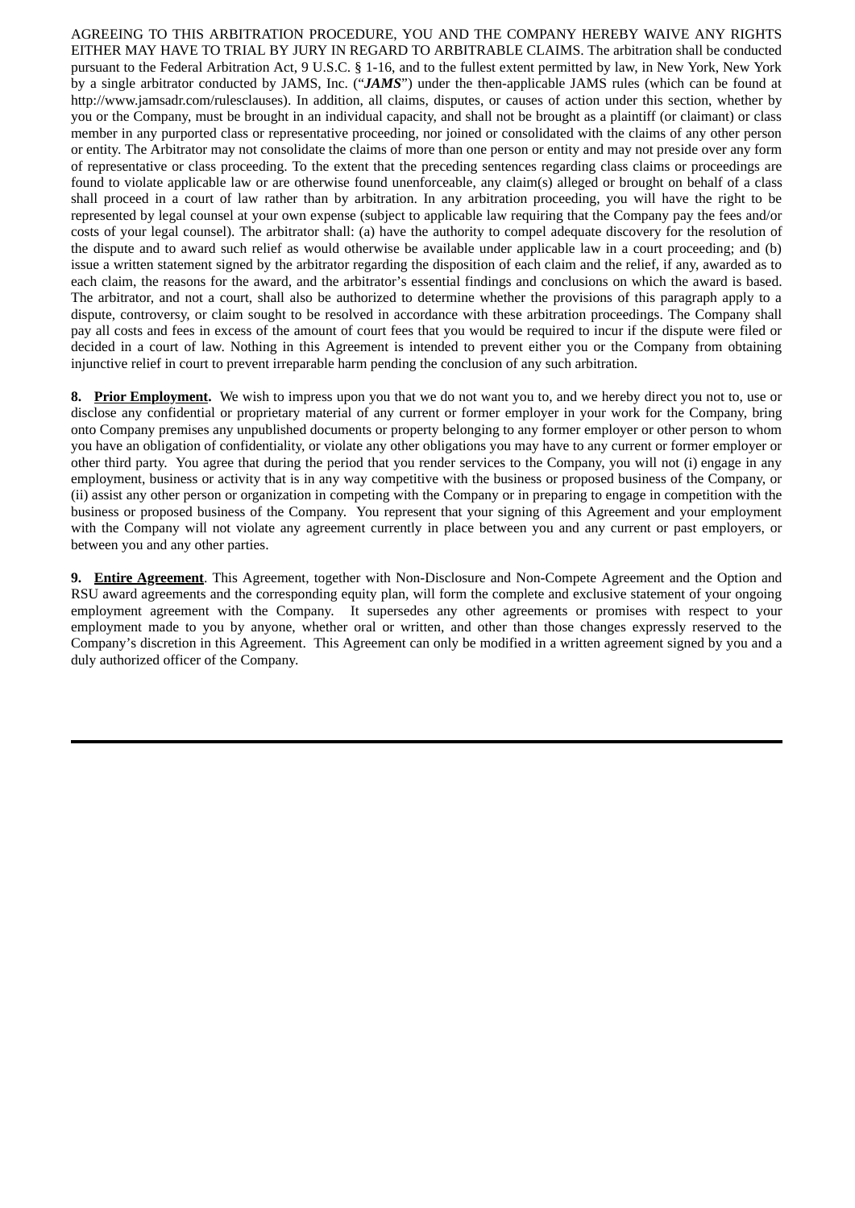AGREEING TO THIS ARBITRATION PROCEDURE, YOU AND THE COMPANY HEREBY WAIVE ANY RIGHTS EITHER MAY HAVE TO TRIAL BY JURY IN REGARD TO ARBITRABLE CLAIMS. The arbitration shall be conducted pursuant to the Federal Arbitration Act, 9 U.S.C. § 1-16, and to the fullest extent permitted by law, in New York, New York by a single arbitrator conducted by JAMS, Inc. ("*JAMS*") under the then-applicable JAMS rules (which can be found at http://www.jamsadr.com/rulesclauses). In addition, all claims, disputes, or causes of action under this section, whether by you or the Company, must be brought in an individual capacity, and shall not be brought as a plaintiff (or claimant) or class member in any purported class or representative proceeding, nor joined or consolidated with the claims of any other person or entity. The Arbitrator may not consolidate the claims of more than one person or entity and may not preside over any form of representative or class proceeding. To the extent that the preceding sentences regarding class claims or proceedings are found to violate applicable law or are otherwise found unenforceable, any claim(s) alleged or brought on behalf of a class shall proceed in a court of law rather than by arbitration. In any arbitration proceeding, you will have the right to be represented by legal counsel at your own expense (subject to applicable law requiring that the Company pay the fees and/or costs of your legal counsel). The arbitrator shall: (a) have the authority to compel adequate discovery for the resolution of the dispute and to award such relief as would otherwise be available under applicable law in a court proceeding; and (b) issue a written statement signed by the arbitrator regarding the disposition of each claim and the relief, if any, awarded as to each claim, the reasons for the award, and the arbitrator's essential findings and conclusions on which the award is based. The arbitrator, and not a court, shall also be authorized to determine whether the provisions of this paragraph apply to a dispute, controversy, or claim sought to be resolved in accordance with these arbitration proceedings. The Company shall pay all costs and fees in excess of the amount of court fees that you would be required to incur if the dispute were filed or decided in a court of law. Nothing in this Agreement is intended to prevent either you or the Company from obtaining injunctive relief in court to prevent irreparable harm pending the conclusion of any such arbitration.

**8. Prior Employment.** We wish to impress upon you that we do not want you to, and we hereby direct you not to, use or disclose any confidential or proprietary material of any current or former employer in your work for the Company, bring onto Company premises any unpublished documents or property belonging to any former employer or other person to whom you have an obligation of confidentiality, or violate any other obligations you may have to any current or former employer or other third party. You agree that during the period that you render services to the Company, you will not (i) engage in any employment, business or activity that is in any way competitive with the business or proposed business of the Company, or (ii) assist any other person or organization in competing with the Company or in preparing to engage in competition with the business or proposed business of the Company. You represent that your signing of this Agreement and your employment with the Company will not violate any agreement currently in place between you and any current or past employers, or between you and any other parties.

**9. Entire Agreement**. This Agreement, together with Non-Disclosure and Non-Compete Agreement and the Option and RSU award agreements and the corresponding equity plan, will form the complete and exclusive statement of your ongoing employment agreement with the Company. It supersedes any other agreements or promises with respect to your employment made to you by anyone, whether oral or written, and other than those changes expressly reserved to the Company's discretion in this Agreement. This Agreement can only be modified in a written agreement signed by you and a duly authorized officer of the Company.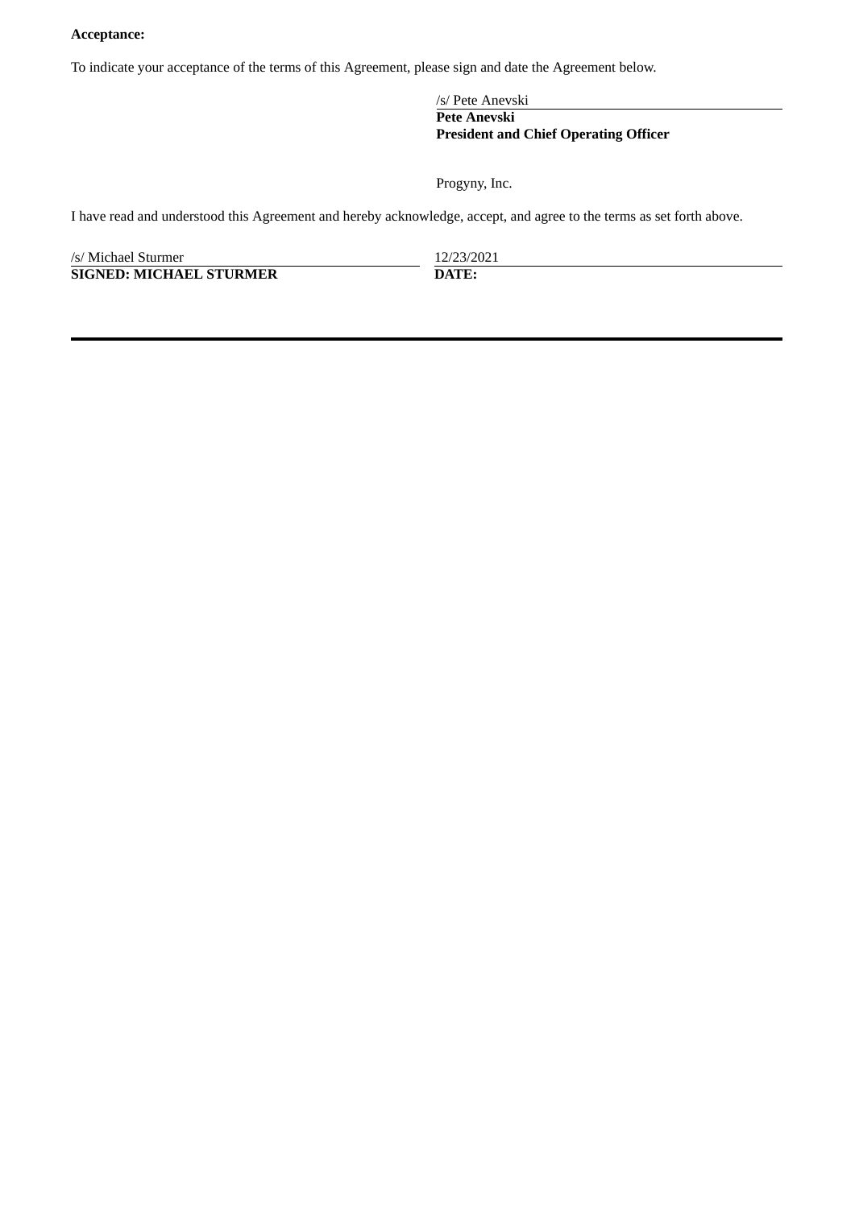# **Acceptance:**

To indicate your acceptance of the terms of this Agreement, please sign and date the Agreement below.

/s/ Pete Anevski **Pete Anevski President and Chief Operating Officer**

Progyny, Inc.

I have read and understood this Agreement and hereby acknowledge, accept, and agree to the terms as set forth above.

| /s/ Michael Sturmer            | 12/23/2021    |
|--------------------------------|---------------|
| <b>SIGNED: MICHAEL STURMER</b> | <b>DATE</b> . |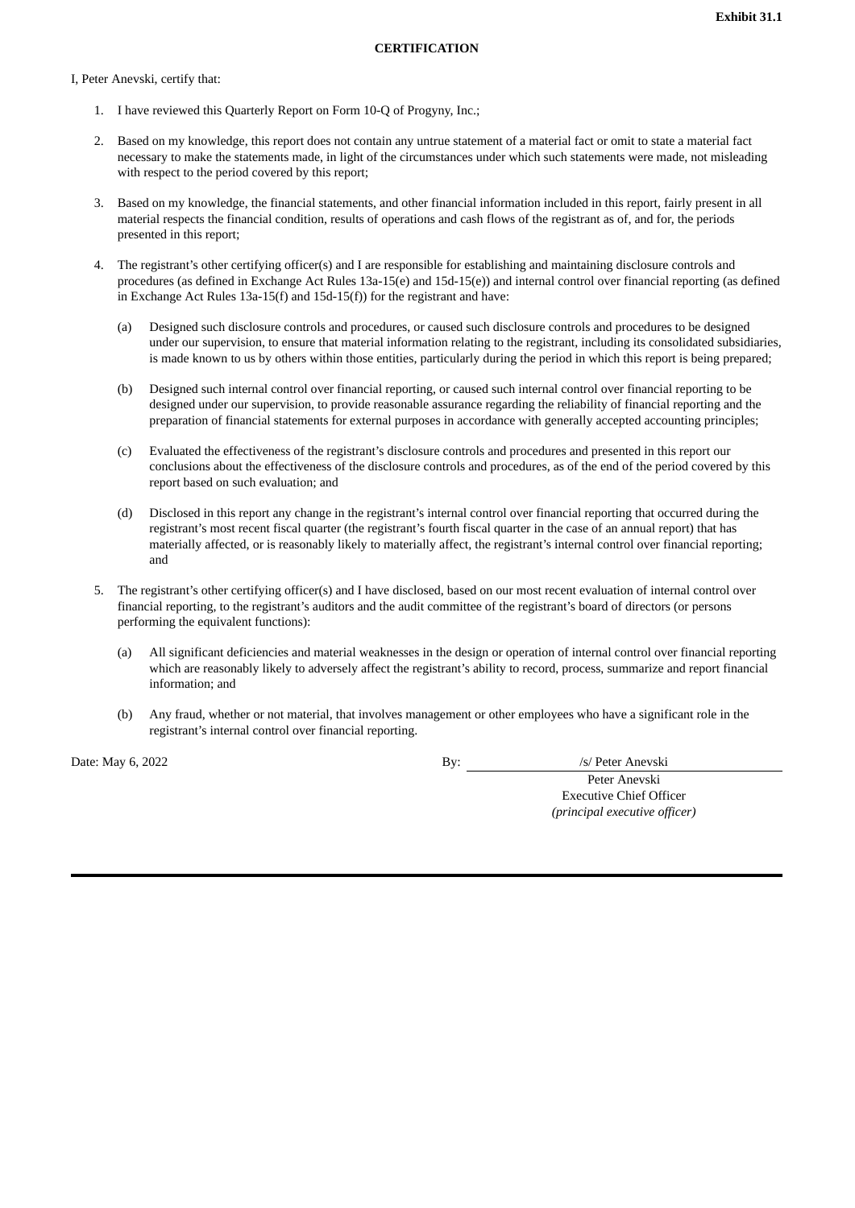#### I, Peter Anevski, certify that:

- 1. I have reviewed this Quarterly Report on Form 10-Q of Progyny, Inc.;
- 2. Based on my knowledge, this report does not contain any untrue statement of a material fact or omit to state a material fact necessary to make the statements made, in light of the circumstances under which such statements were made, not misleading with respect to the period covered by this report;
- 3. Based on my knowledge, the financial statements, and other financial information included in this report, fairly present in all material respects the financial condition, results of operations and cash flows of the registrant as of, and for, the periods presented in this report;
- 4. The registrant's other certifying officer(s) and I are responsible for establishing and maintaining disclosure controls and procedures (as defined in Exchange Act Rules 13a-15(e) and 15d-15(e)) and internal control over financial reporting (as defined in Exchange Act Rules 13a-15(f) and 15d-15(f)) for the registrant and have:
	- (a) Designed such disclosure controls and procedures, or caused such disclosure controls and procedures to be designed under our supervision, to ensure that material information relating to the registrant, including its consolidated subsidiaries, is made known to us by others within those entities, particularly during the period in which this report is being prepared;
	- (b) Designed such internal control over financial reporting, or caused such internal control over financial reporting to be designed under our supervision, to provide reasonable assurance regarding the reliability of financial reporting and the preparation of financial statements for external purposes in accordance with generally accepted accounting principles;
	- (c) Evaluated the effectiveness of the registrant's disclosure controls and procedures and presented in this report our conclusions about the effectiveness of the disclosure controls and procedures, as of the end of the period covered by this report based on such evaluation; and
	- (d) Disclosed in this report any change in the registrant's internal control over financial reporting that occurred during the registrant's most recent fiscal quarter (the registrant's fourth fiscal quarter in the case of an annual report) that has materially affected, or is reasonably likely to materially affect, the registrant's internal control over financial reporting; and
- 5. The registrant's other certifying officer(s) and I have disclosed, based on our most recent evaluation of internal control over financial reporting, to the registrant's auditors and the audit committee of the registrant's board of directors (or persons performing the equivalent functions):
	- (a) All significant deficiencies and material weaknesses in the design or operation of internal control over financial reporting which are reasonably likely to adversely affect the registrant's ability to record, process, summarize and report financial information; and
	- (b) Any fraud, whether or not material, that involves management or other employees who have a significant role in the registrant's internal control over financial reporting.

Date: May 6, 2022 **By:** *By: Is/ Peter Anevski* 

Peter Anevski Executive Chief Officer *(principal executive officer)*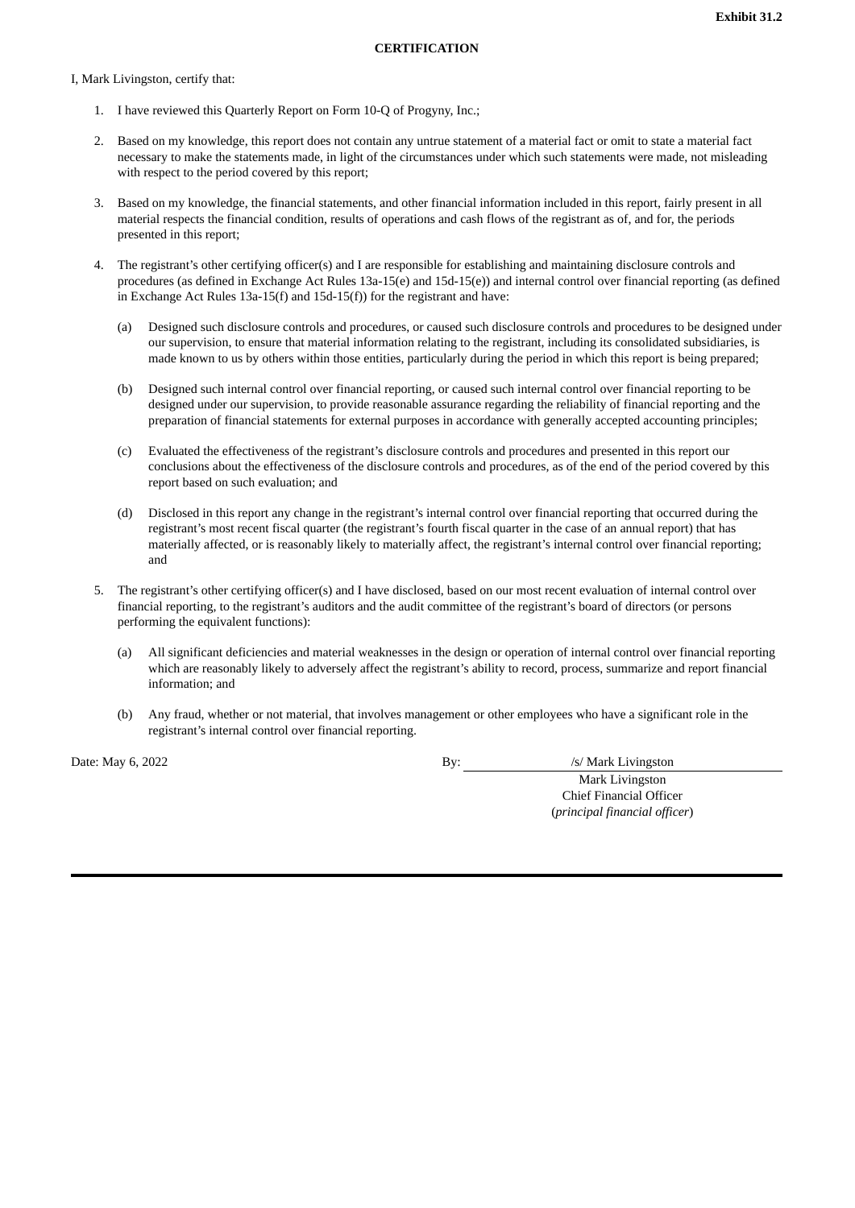#### I, Mark Livingston, certify that:

- 1. I have reviewed this Quarterly Report on Form 10-Q of Progyny, Inc.;
- 2. Based on my knowledge, this report does not contain any untrue statement of a material fact or omit to state a material fact necessary to make the statements made, in light of the circumstances under which such statements were made, not misleading with respect to the period covered by this report;
- 3. Based on my knowledge, the financial statements, and other financial information included in this report, fairly present in all material respects the financial condition, results of operations and cash flows of the registrant as of, and for, the periods presented in this report;
- 4. The registrant's other certifying officer(s) and I are responsible for establishing and maintaining disclosure controls and procedures (as defined in Exchange Act Rules 13a-15(e) and 15d-15(e)) and internal control over financial reporting (as defined in Exchange Act Rules 13a-15(f) and 15d-15(f)) for the registrant and have:
	- (a) Designed such disclosure controls and procedures, or caused such disclosure controls and procedures to be designed under our supervision, to ensure that material information relating to the registrant, including its consolidated subsidiaries, is made known to us by others within those entities, particularly during the period in which this report is being prepared;
	- (b) Designed such internal control over financial reporting, or caused such internal control over financial reporting to be designed under our supervision, to provide reasonable assurance regarding the reliability of financial reporting and the preparation of financial statements for external purposes in accordance with generally accepted accounting principles;
	- (c) Evaluated the effectiveness of the registrant's disclosure controls and procedures and presented in this report our conclusions about the effectiveness of the disclosure controls and procedures, as of the end of the period covered by this report based on such evaluation; and
	- (d) Disclosed in this report any change in the registrant's internal control over financial reporting that occurred during the registrant's most recent fiscal quarter (the registrant's fourth fiscal quarter in the case of an annual report) that has materially affected, or is reasonably likely to materially affect, the registrant's internal control over financial reporting; and
- 5. The registrant's other certifying officer(s) and I have disclosed, based on our most recent evaluation of internal control over financial reporting, to the registrant's auditors and the audit committee of the registrant's board of directors (or persons performing the equivalent functions):
	- (a) All significant deficiencies and material weaknesses in the design or operation of internal control over financial reporting which are reasonably likely to adversely affect the registrant's ability to record, process, summarize and report financial information; and
	- (b) Any fraud, whether or not material, that involves management or other employees who have a significant role in the registrant's internal control over financial reporting.

Date: May 6, 2022 **By:** /s/ Mark Livingston

Mark Livingston Chief Financial Officer (*principal financial officer*)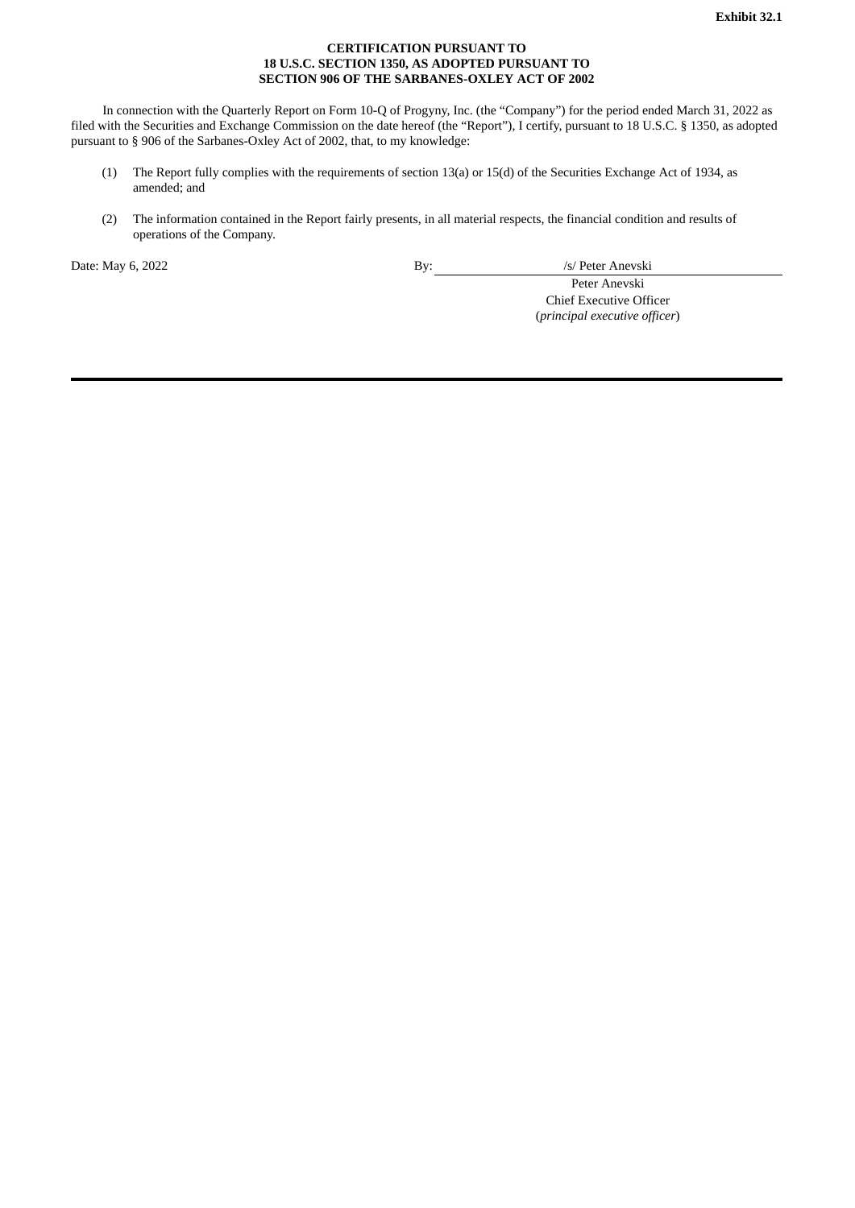#### **CERTIFICATION PURSUANT TO 18 U.S.C. SECTION 1350, AS ADOPTED PURSUANT TO SECTION 906 OF THE SARBANES-OXLEY ACT OF 2002**

In connection with the Quarterly Report on Form 10-Q of Progyny, Inc. (the "Company") for the period ended March 31, 2022 as filed with the Securities and Exchange Commission on the date hereof (the "Report"), I certify, pursuant to 18 U.S.C. § 1350, as adopted pursuant to § 906 of the Sarbanes-Oxley Act of 2002, that, to my knowledge:

- (1) The Report fully complies with the requirements of section 13(a) or 15(d) of the Securities Exchange Act of 1934, as amended; and
- (2) The information contained in the Report fairly presents, in all material respects, the financial condition and results of operations of the Company.

Date: May 6, 2022 By: /s/ Peter Anevski

Peter Anevski Chief Executive Officer (*principal executive officer*)